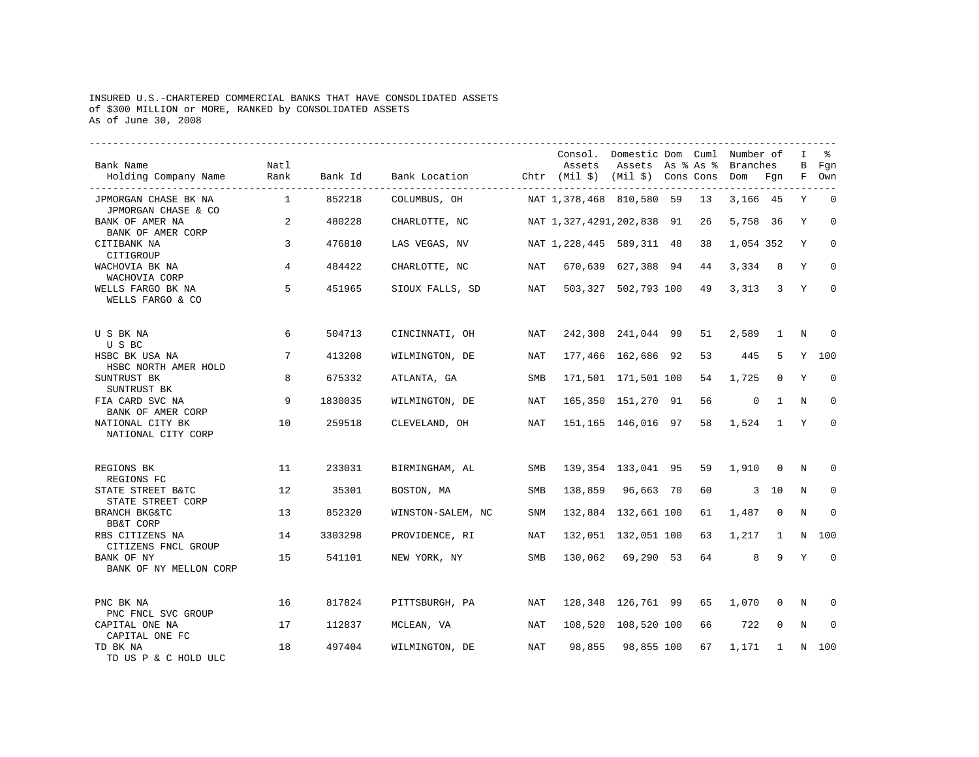## INSURED U.S.-CHARTERED COMMERCIAL BANKS THAT HAVE CONSOLIDATED ASSETS of \$300 MILLION or MORE, RANKED by CONSOLIDATED ASSETS As of June 30, 2008

| Bank Name<br>Holding Company Name                      | Natl<br>Rank   | Bank Id | Bank Location Chtr (Mil \$) (Mil \$) Cons Cons |            | Assets                    | Consol. Domestic Dom Cuml Number of<br>Assets As % As % |    | <b>Branches</b><br>Dom | Fgn            | I<br>В<br>F | る<br>Fgn<br>Own |
|--------------------------------------------------------|----------------|---------|------------------------------------------------|------------|---------------------------|---------------------------------------------------------|----|------------------------|----------------|-------------|-----------------|
| JPMORGAN CHASE BK NA<br>JPMORGAN CHASE & CO            | $\overline{1}$ | 852218  | COLUMBUS, OH                                   |            | NAT 1,378,468 810,580 59  |                                                         | 13 | 3,166 45               |                | Υ           | $\Omega$        |
| BANK OF AMER NA<br>BANK OF AMER CORP                   | 2              | 480228  | CHARLOTTE, NC                                  |            | NAT 1,327,4291,202,838 91 |                                                         | 26 | 5,758 36               |                | Y           | $\Omega$        |
| CITIBANK NA<br>CITIGROUP                               | 3              | 476810  | LAS VEGAS, NV                                  |            | NAT 1,228,445 589,311 48  |                                                         | 38 | 1,054 352              |                | Y           | $\Omega$        |
| WACHOVIA BK NA<br>WACHOVIA CORP                        | 4              | 484422  | CHARLOTTE, NC                                  | NAT        |                           | 670,639 627,388 94                                      | 44 | 3,334                  | 8              | Y           | $\Omega$        |
| WELLS FARGO BK NA<br>WELLS FARGO & CO                  | 5              | 451965  | SIOUX FALLS, SD                                | NAT        |                           | 503,327 502,793 100                                     | 49 | 3,313                  | $\overline{3}$ | Y           | $\Omega$        |
| U S BK NA<br>U S BC                                    | 6              | 504713  | CINCINNATI, OH                                 | NAT        |                           | 242,308 241,044 99                                      | 51 | 2,589                  | $\mathbf{1}$   | N           | $\Omega$        |
| HSBC BK USA NA<br>HSBC NORTH AMER HOLD                 | 7              | 413208  | WILMINGTON, DE                                 | <b>NAT</b> |                           | 177,466 162,686 92                                      | 53 | 445                    | 5              | Y           | 100             |
| SUNTRUST BK<br>SUNTRUST BK                             | 8              | 675332  | ATLANTA, GA                                    | <b>SMB</b> |                           | 171,501 171,501 100                                     | 54 | 1,725                  | $\Omega$       | Y           | $\Omega$        |
| FIA CARD SVC NA<br>BANK OF AMER CORP                   | 9              | 1830035 | WILMINGTON, DE                                 | NAT        |                           | 165,350 151,270 91                                      | 56 | $\mathbf 0$            | 1              | N           | $\Omega$        |
| NATIONAL CITY BK<br>NATIONAL CITY CORP                 | 10             | 259518  | CLEVELAND, OH                                  | NAT        |                           | 151,165 146,016 97                                      | 58 | 1,524                  | $\mathbf{1}$   | Y           | $\Omega$        |
| REGIONS BK<br>REGIONS FC                               | 11             | 233031  | BIRMINGHAM, AL                                 | SMB        |                           | 139, 354 133, 041 95                                    | 59 | 1,910                  | $\overline{0}$ | N           | $\Omega$        |
| STATE STREET B&TC<br>STATE STREET CORP                 | 12             | 35301   | BOSTON, MA                                     | SMB        |                           | 138,859 96,663 70                                       | 60 |                        | $3 - 10$       | N           | 0               |
| BRANCH BKG&TC<br>BB&T CORP                             | 13             | 852320  | WINSTON-SALEM, NC                              | <b>SNM</b> |                           | 132,884 132,661 100                                     | 61 | 1,487                  | $\Omega$       | N           | $\Omega$        |
| RBS CITIZENS NA<br>CITIZENS FNCL GROUP                 | 14             | 3303298 | PROVIDENCE, RI                                 | NAT        |                           | 132,051 132,051 100                                     | 63 | 1,217                  | 1              | N           | 100             |
| BANK OF NY<br>BANK OF NY MELLON CORP                   | 15             | 541101  | NEW YORK, NY                                   | SMB        |                           | 130,062 69,290 53                                       | 64 | 8                      | 9              | Y           | $\mathbf 0$     |
| PNC BK NA                                              | 16             | 817824  | PITTSBURGH, PA                                 | NAT        |                           | 128,348 126,761 99                                      | 65 | 1,070                  | 0              | N           | $\Omega$        |
| PNC FNCL SVC GROUP<br>CAPITAL ONE NA<br>CAPITAL ONE FC | 17             | 112837  | MCLEAN, VA                                     | NAT        |                           | 108,520 108,520 100                                     | 66 | 722                    | 0              | N           | $\Omega$        |
| TD BK NA<br>TD US P & C HOLD ULC                       | 18             | 497404  | WILMINGTON, DE                                 | NAT        | 98,855                    | 98,855 100                                              | 67 | 1,171                  | $\mathbf{1}$   |             | N 100           |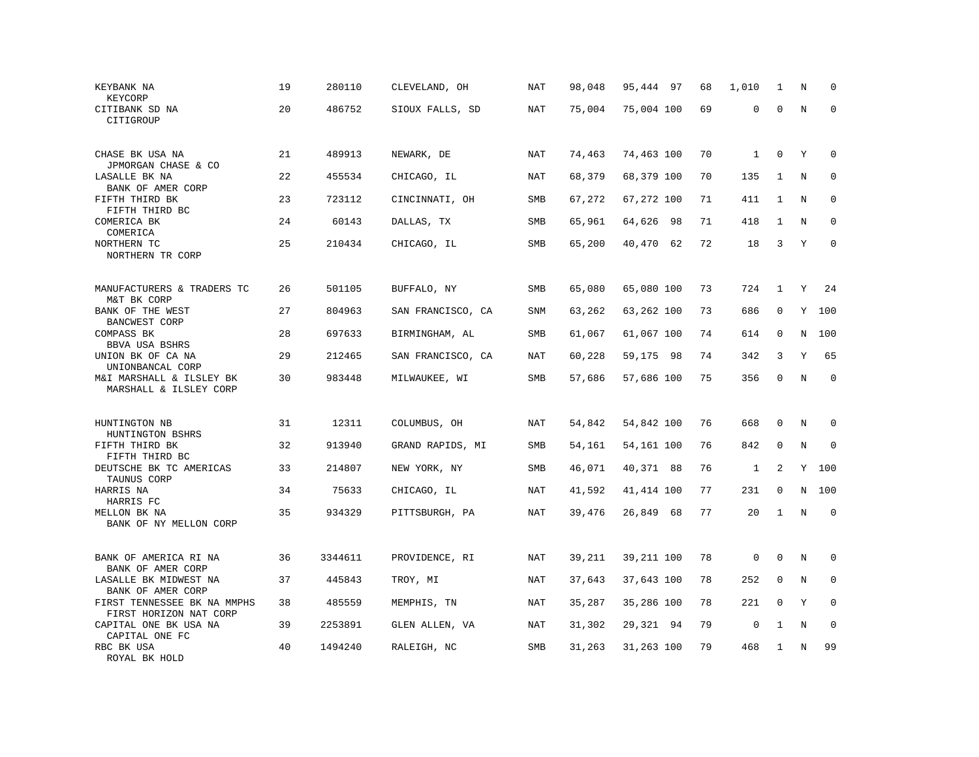| KEYBANK NA<br>KEYCORP                                 | 19 | 280110  | CLEVELAND, OH     | <b>NAT</b> | 98,048 | 95,444 97  | 68 | 1,010        | 1            | N       | $\Omega$    |
|-------------------------------------------------------|----|---------|-------------------|------------|--------|------------|----|--------------|--------------|---------|-------------|
| CITIBANK SD NA<br>CITIGROUP                           | 20 | 486752  | SIOUX FALLS, SD   | <b>NAT</b> | 75,004 | 75,004 100 | 69 | 0            | $\mathbf{0}$ | $\rm N$ | $\mathbf 0$ |
| CHASE BK USA NA<br>JPMORGAN CHASE & CO                | 21 | 489913  | NEWARK, DE        | <b>NAT</b> | 74,463 | 74,463 100 | 70 | $\mathbf{1}$ | $\mathbf 0$  | Y       | $\mathbf 0$ |
| LASALLE BK NA<br>BANK OF AMER CORP                    | 22 | 455534  | CHICAGO, IL       | NAT        | 68,379 | 68,379 100 | 70 | 135          | 1            | N       | $\Omega$    |
| FIFTH THIRD BK<br>FIFTH THIRD BC                      | 23 | 723112  | CINCINNATI, OH    | SMB        | 67,272 | 67,272 100 | 71 | 411          | $\mathbf{1}$ | N       | $\mathbf 0$ |
| COMERICA BK<br>COMERICA                               | 24 | 60143   | DALLAS, TX        | SMB        | 65,961 | 64,626 98  | 71 | 418          | 1            | N       | $\mathbf 0$ |
| NORTHERN TC<br>NORTHERN TR CORP                       | 25 | 210434  | CHICAGO, IL       | <b>SMB</b> | 65,200 | 40,470 62  | 72 | 18           | 3            | Y       | $\Omega$    |
| MANUFACTURERS & TRADERS TC                            | 26 | 501105  | BUFFALO, NY       | <b>SMB</b> | 65,080 | 65,080 100 | 73 | 724          | $\mathbf{1}$ | Y       | 24          |
| M&T BK CORP<br>BANK OF THE WEST                       | 27 | 804963  | SAN FRANCISCO, CA | SNM        | 63,262 | 63,262 100 | 73 | 686          | 0            | Υ       | 100         |
| <b>BANCWEST CORP</b><br>COMPASS BK<br>BBVA USA BSHRS  | 28 | 697633  | BIRMINGHAM, AL    | SMB        | 61,067 | 61,067 100 | 74 | 614          | $\mathbf 0$  | N       | 100         |
| UNION BK OF CA NA<br>UNIONBANCAL CORP                 | 29 | 212465  | SAN FRANCISCO, CA | NAT        | 60,228 | 59,175 98  | 74 | 342          | 3            | Y       | 65          |
| M&I MARSHALL & ILSLEY BK<br>MARSHALL & ILSLEY CORP    | 30 | 983448  | MILWAUKEE, WI     | SMB        | 57,686 | 57,686 100 | 75 | 356          | $\mathbf 0$  | $\rm N$ | $\mathbf 0$ |
| HUNTINGTON NB                                         | 31 | 12311   | COLUMBUS, OH      | NAT        | 54,842 | 54,842 100 | 76 | 668          | 0            | N       | $\Omega$    |
| HUNTINGTON BSHRS<br>FIFTH THIRD BK                    | 32 | 913940  | GRAND RAPIDS, MI  | SMB        | 54,161 | 54,161 100 | 76 | 842          | $\mathbf 0$  | N       | $\Omega$    |
| FIFTH THIRD BC<br>DEUTSCHE BK TC AMERICAS             | 33 | 214807  | NEW YORK, NY      | <b>SMB</b> | 46,071 | 40,371 88  | 76 | $\mathbf{1}$ | 2            | Y       | 100         |
| TAUNUS CORP<br>HARRIS NA<br>HARRIS FC                 | 34 | 75633   | CHICAGO, IL       | NAT        | 41,592 | 41,414 100 | 77 | 231          | $\Omega$     | N       | 100         |
| MELLON BK NA<br>BANK OF NY MELLON CORP                | 35 | 934329  | PITTSBURGH, PA    | NAT        | 39,476 | 26,849 68  | 77 | 20           | 1            | $\rm N$ | $\mathbf 0$ |
| BANK OF AMERICA RI NA<br>BANK OF AMER CORP            | 36 | 3344611 | PROVIDENCE, RI    | <b>NAT</b> | 39,211 | 39,211 100 | 78 | $\mathsf 0$  | $\mathbf{0}$ | N       | $\mathbf 0$ |
| LASALLE BK MIDWEST NA<br>BANK OF AMER CORP            | 37 | 445843  | TROY, MI          | <b>NAT</b> | 37,643 | 37,643 100 | 78 | 252          | $\mathbf 0$  | N       | $\mathbf 0$ |
| FIRST TENNESSEE BK NA MMPHS<br>FIRST HORIZON NAT CORP | 38 | 485559  | MEMPHIS, TN       | NAT        | 35,287 | 35,286 100 | 78 | 221          | $\mathbf 0$  | Y       | $\mathbf 0$ |
| CAPITAL ONE BK USA NA<br>CAPITAL ONE FC               | 39 | 2253891 | GLEN ALLEN, VA    | NAT        | 31,302 | 29,321 94  | 79 | $\mathbf 0$  | 1            | N       | $\mathbf 0$ |
| RBC BK USA<br>ROYAL BK HOLD                           | 40 | 1494240 | RALEIGH, NC       | SMB        | 31,263 | 31,263 100 | 79 | 468          | 1            | N       | 99          |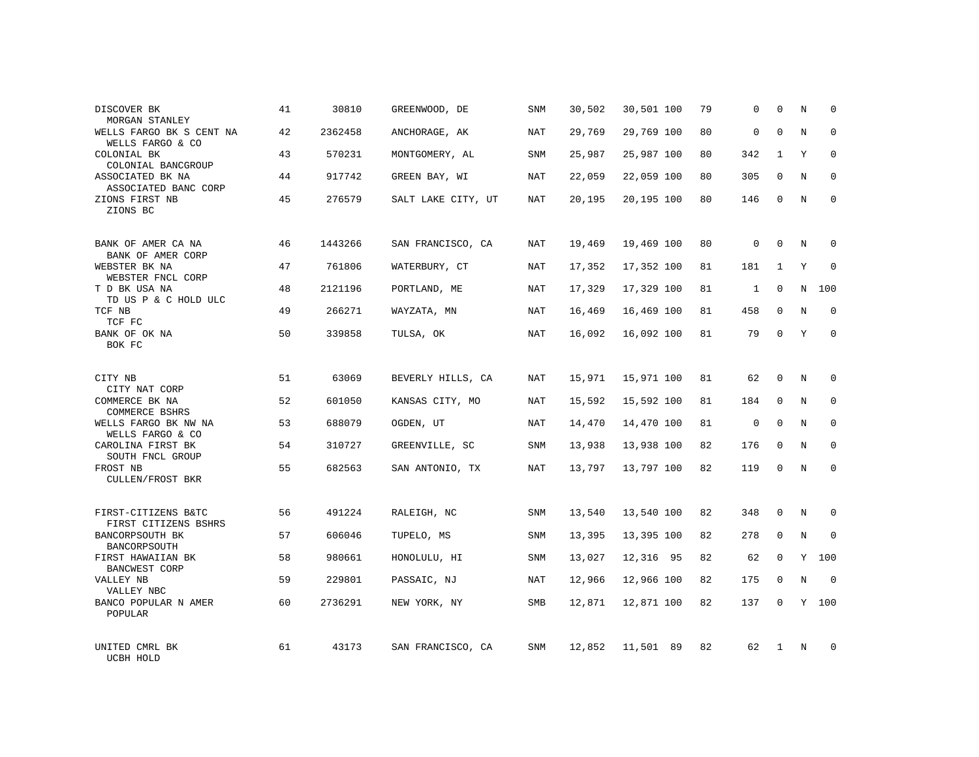| DISCOVER BK<br>MORGAN STANLEY                           | 41 | 30810   | GREENWOOD, DE      | SNM        | 30,502 | 30,501 100 | 79 | 0            | $\mathbf 0$  | Ν | $\mathbf 0$  |
|---------------------------------------------------------|----|---------|--------------------|------------|--------|------------|----|--------------|--------------|---|--------------|
| WELLS FARGO BK S CENT NA<br>WELLS FARGO & CO            | 42 | 2362458 | ANCHORAGE, AK      | NAT        | 29,769 | 29,769 100 | 80 | $\mathbf 0$  | $\mathbf 0$  | N | $\mathbf 0$  |
| COLONIAL BK<br>COLONIAL BANCGROUP                       | 43 | 570231  | MONTGOMERY, AL     | <b>SNM</b> | 25,987 | 25,987 100 | 80 | 342          | $\mathbf{1}$ | Y | $\mathbf 0$  |
| ASSOCIATED BK NA<br>ASSOCIATED BANC CORP                | 44 | 917742  | GREEN BAY, WI      | NAT        | 22,059 | 22,059 100 | 80 | 305          | 0            | N | 0            |
| ZIONS FIRST NB<br>ZIONS BC                              | 45 | 276579  | SALT LAKE CITY, UT | NAT        | 20,195 | 20,195 100 | 80 | 146          | $\Omega$     | N | $\mathbf{0}$ |
| BANK OF AMER CA NA                                      | 46 | 1443266 | SAN FRANCISCO, CA  | NAT        | 19,469 | 19,469 100 | 80 | $\mathbf 0$  | 0            | N | $\mathbf 0$  |
| BANK OF AMER CORP<br>WEBSTER BK NA<br>WEBSTER FNCL CORP | 47 | 761806  | WATERBURY, CT      | NAT        | 17,352 | 17,352 100 | 81 | 181          | $\mathbf{1}$ | Y | $\Omega$     |
| T D BK USA NA<br>TD US P & C HOLD ULC                   | 48 | 2121196 | PORTLAND, ME       | NAT        | 17,329 | 17,329 100 | 81 | $\mathbf{1}$ | 0            | N | 100          |
| TCF NB<br>TCF FC                                        | 49 | 266271  | WAYZATA, MN        | NAT        | 16,469 | 16,469 100 | 81 | 458          | $\Omega$     | N | $\mathbf 0$  |
| BANK OF OK NA<br>BOK FC                                 | 50 | 339858  | TULSA, OK          | NAT        | 16,092 | 16,092 100 | 81 | 79           | $\mathbf 0$  | Y | $\mathbf 0$  |
| CITY NB<br>CITY NAT CORP                                | 51 | 63069   | BEVERLY HILLS, CA  | NAT        | 15,971 | 15,971 100 | 81 | 62           | $\Omega$     | N | $\mathbf 0$  |
| COMMERCE BK NA<br>COMMERCE BSHRS                        | 52 | 601050  | KANSAS CITY, MO    | NAT        | 15,592 | 15,592 100 | 81 | 184          | $\mathbf 0$  | N | 0            |
| WELLS FARGO BK NW NA<br>WELLS FARGO & CO                | 53 | 688079  | OGDEN, UT          | NAT        | 14,470 | 14,470 100 | 81 | $\mathbf 0$  | $\Omega$     | N | $\mathbf 0$  |
| CAROLINA FIRST BK<br>SOUTH FNCL GROUP                   | 54 | 310727  | GREENVILLE, SC     | SNM        | 13,938 | 13,938 100 | 82 | 176          | $\mathbf 0$  | N | 0            |
| FROST NB<br><b>CULLEN/FROST BKR</b>                     | 55 | 682563  | SAN ANTONIO, TX    | NAT        | 13,797 | 13,797 100 | 82 | 119          | $\mathbf 0$  | N | $\mathbf{0}$ |
| FIRST-CITIZENS B&TC<br>FIRST CITIZENS BSHRS             | 56 | 491224  | RALEIGH, NC        | SNM        | 13,540 | 13,540 100 | 82 | 348          | $\mathbf 0$  | N | 0            |
| BANCORPSOUTH BK<br>BANCORPSOUTH                         | 57 | 606046  | TUPELO, MS         | SNM        | 13,395 | 13,395 100 | 82 | 278          | $\mathbf 0$  | N | $\mathbf 0$  |
| FIRST HAWAIIAN BK<br>BANCWEST CORP                      | 58 | 980661  | HONOLULU, HI       | SNM        | 13,027 | 12,316 95  | 82 | 62           | 0            | Y | 100          |
| VALLEY NB<br>VALLEY NBC                                 | 59 | 229801  | PASSAIC, NJ        | NAT        | 12,966 | 12,966 100 | 82 | 175          | $\mathbf 0$  | N | $\mathbf 0$  |
| BANCO POPULAR N AMER<br>POPULAR                         | 60 | 2736291 | NEW YORK, NY       | SMB        | 12,871 | 12,871 100 | 82 | 137          | $\Omega$     | Y | 100          |
| UNITED CMRL BK<br>UCBH HOLD                             | 61 | 43173   | SAN FRANCISCO, CA  | SNM        | 12,852 | 11,501 89  | 82 | 62           | 1            | N | $\mathbf 0$  |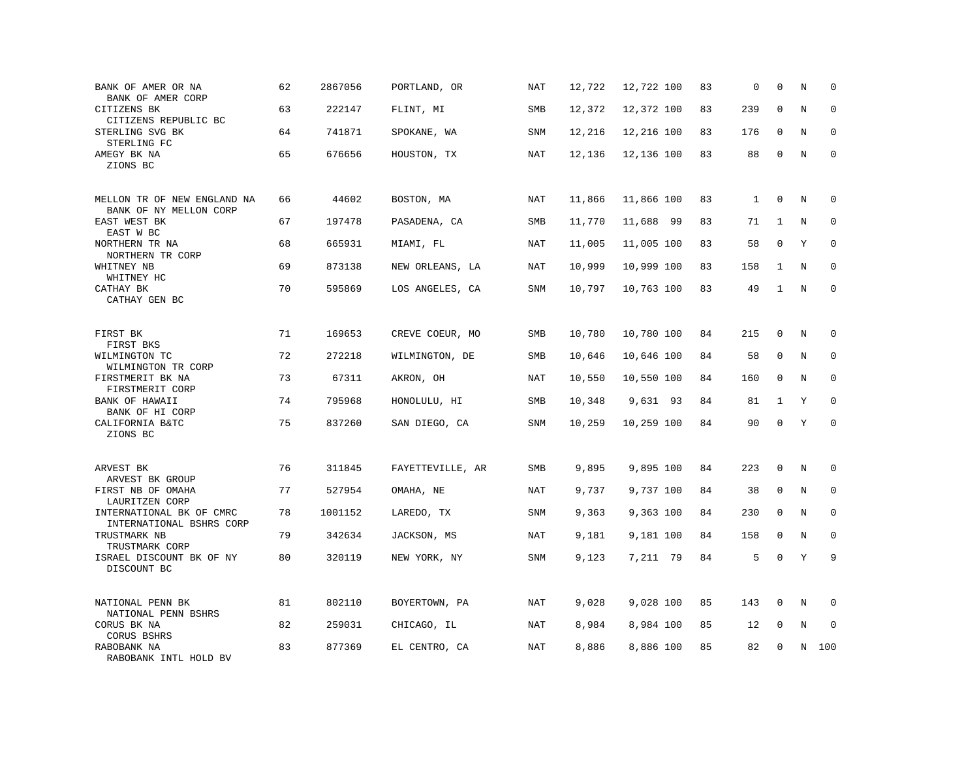| BANK OF AMER OR NA<br>BANK OF AMER CORP               | 62 | 2867056 | PORTLAND, OR     | NAT        | 12,722 | 12,722 100 | 83 | 0            | $\mathbf 0$  | N | $\mathbf 0$ |
|-------------------------------------------------------|----|---------|------------------|------------|--------|------------|----|--------------|--------------|---|-------------|
| CITIZENS BK<br>CITIZENS REPUBLIC BC                   | 63 | 222147  | FLINT, MI        | SMB        | 12,372 | 12,372 100 | 83 | 239          | $\mathbf 0$  | N | $\mathbf 0$ |
| STERLING SVG BK<br>STERLING FC                        | 64 | 741871  | SPOKANE, WA      | SNM        | 12,216 | 12,216 100 | 83 | 176          | $\mathbf 0$  | N | $\mathbf 0$ |
| AMEGY BK NA<br>ZIONS BC                               | 65 | 676656  | HOUSTON, TX      | NAT        | 12,136 | 12,136 100 | 83 | 88           | $\mathbf 0$  | N | $\mathbf 0$ |
| MELLON TR OF NEW ENGLAND NA<br>BANK OF NY MELLON CORP | 66 | 44602   | BOSTON, MA       | <b>NAT</b> | 11,866 | 11,866 100 | 83 | $\mathbf{1}$ | $\mathbf 0$  | N | 0           |
| EAST WEST BK<br>EAST W BC                             | 67 | 197478  | PASADENA, CA     | SMB        | 11,770 | 11,688 99  | 83 | 71           | 1            | N | 0           |
| NORTHERN TR NA<br>NORTHERN TR CORP                    | 68 | 665931  | MIAMI, FL        | <b>NAT</b> | 11,005 | 11,005 100 | 83 | 58           | $\Omega$     | Y | $\mathbf 0$ |
| WHITNEY NB<br>WHITNEY HC                              | 69 | 873138  | NEW ORLEANS, LA  | NAT        | 10,999 | 10,999 100 | 83 | 158          | 1            | N | $\Omega$    |
| CATHAY BK<br>CATHAY GEN BC                            | 70 | 595869  | LOS ANGELES, CA  | SNM        | 10,797 | 10,763 100 | 83 | 49           | $\mathbf{1}$ | N | $\mathbf 0$ |
| FIRST BK<br>FIRST BKS                                 | 71 | 169653  | CREVE COEUR, MO  | SMB        | 10,780 | 10,780 100 | 84 | 215          | 0            | N | 0           |
| WILMINGTON TC<br>WILMINGTON TR CORP                   | 72 | 272218  | WILMINGTON, DE   | SMB        | 10,646 | 10,646 100 | 84 | 58           | 0            | N | $\mathbf 0$ |
| FIRSTMERIT BK NA<br>FIRSTMERIT CORP                   | 73 | 67311   | AKRON, OH        | <b>NAT</b> | 10,550 | 10,550 100 | 84 | 160          | $\mathbf 0$  | N | $\mathbf 0$ |
| BANK OF HAWAII<br>BANK OF HI CORP                     | 74 | 795968  | HONOLULU, HI     | <b>SMB</b> | 10,348 | 9,631 93   | 84 | 81           | 1            | Y | $\Omega$    |
| CALIFORNIA B&TC<br>ZIONS BC                           | 75 | 837260  | SAN DIEGO, CA    | SNM        | 10,259 | 10,259 100 | 84 | 90           | $\mathbf 0$  | Y | $\mathbf 0$ |
| ARVEST BK<br>ARVEST BK GROUP                          | 76 | 311845  | FAYETTEVILLE, AR | <b>SMB</b> | 9,895  | 9,895 100  | 84 | 223          | $\mathbf 0$  | N | $\mathbf 0$ |
| FIRST NB OF OMAHA<br>LAURITZEN CORP                   | 77 | 527954  | OMAHA, NE        | NAT        | 9,737  | 9,737 100  | 84 | 38           | $\mathbf 0$  | N | 0           |
| INTERNATIONAL BK OF CMRC<br>INTERNATIONAL BSHRS CORP  | 78 | 1001152 | LAREDO, TX       | SNM        | 9,363  | 9,363 100  | 84 | 230          | $\mathbf 0$  | N | $\mathbf 0$ |
| TRUSTMARK NB<br>TRUSTMARK CORP                        | 79 | 342634  | JACKSON, MS      | <b>NAT</b> | 9,181  | 9,181 100  | 84 | 158          | $\mathbf 0$  | N | $\Omega$    |
| ISRAEL DISCOUNT BK OF NY<br>DISCOUNT BC               | 80 | 320119  | NEW YORK, NY     | SNM        | 9,123  | 7,211 79   | 84 | 5            | $\mathbf 0$  | Y | 9           |
| NATIONAL PENN BK<br>NATIONAL PENN BSHRS               | 81 | 802110  | BOYERTOWN, PA    | NAT        | 9,028  | 9,028 100  | 85 | 143          | 0            | N | 0           |
| CORUS BK NA<br>CORUS BSHRS                            | 82 | 259031  | CHICAGO, IL      | NAT        | 8,984  | 8,984 100  | 85 | 12           | $\mathbf 0$  | N | $\mathbf 0$ |
| RABOBANK NA<br>RABOBANK INTL HOLD BV                  | 83 | 877369  | EL CENTRO, CA    | NAT        | 8,886  | 8,886 100  | 85 | 82           | $\mathbf 0$  | N | 100         |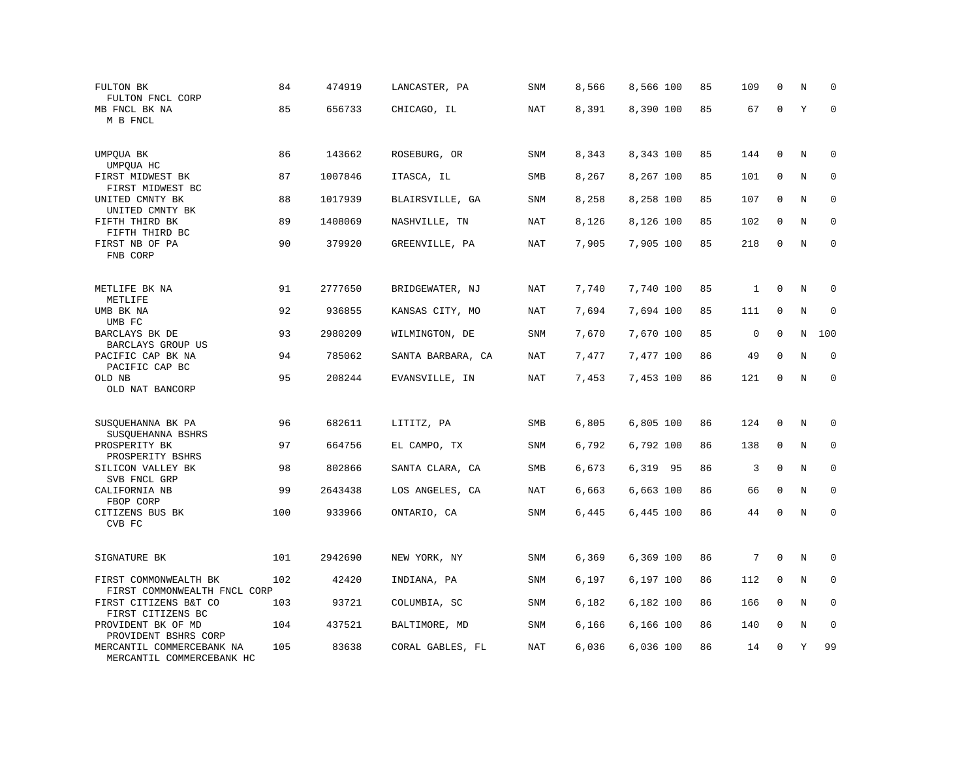| FULTON BK<br>FULTON FNCL CORP                          | 84<br>85 | 474919<br>656733 | LANCASTER, PA     | SNM        | 8,566 | 8,566 100 | 85<br>85 | 109<br>67    | $\mathbf 0$<br>$\mathbf 0$ | N<br>Y  | $\mathbf 0$<br>$\mathbf 0$ |
|--------------------------------------------------------|----------|------------------|-------------------|------------|-------|-----------|----------|--------------|----------------------------|---------|----------------------------|
| MB FNCL BK NA<br>M B FNCL                              |          |                  | CHICAGO, IL       | NAT        | 8,391 | 8,390 100 |          |              |                            |         |                            |
| UMPQUA BK<br>UMPQUA HC                                 | 86       | 143662           | ROSEBURG, OR      | <b>SNM</b> | 8,343 | 8,343 100 | 85       | 144          | $\mathbf 0$                | N       | $\mathbf 0$                |
| FIRST MIDWEST BK<br>FIRST MIDWEST BC                   | 87       | 1007846          | ITASCA, IL        | SMB        | 8,267 | 8,267 100 | 85       | 101          | 0                          | N       | 0                          |
| UNITED CMNTY BK<br>UNITED CMNTY BK                     | 88       | 1017939          | BLAIRSVILLE, GA   | <b>SNM</b> | 8,258 | 8,258 100 | 85       | 107          | $\mathbf 0$                | N       | $\mathbf 0$                |
| FIFTH THIRD BK<br>FIFTH THIRD BC                       | 89       | 1408069          | NASHVILLE, TN     | <b>NAT</b> | 8,126 | 8,126 100 | 85       | 102          | $\mathbf 0$                | N       | $\mathbf 0$                |
| FIRST NB OF PA<br>FNB CORP                             | 90       | 379920           | GREENVILLE, PA    | <b>NAT</b> | 7,905 | 7,905 100 | 85       | 218          | $\mathbf 0$                | N       | $\mathbf 0$                |
| METLIFE BK NA<br>METLIFE                               | 91       | 2777650          | BRIDGEWATER, NJ   | <b>NAT</b> | 7,740 | 7,740 100 | 85       | $\mathbf{1}$ | $\mathbf 0$                | N       | 0                          |
| UMB BK NA<br>UMB FC                                    | 92       | 936855           | KANSAS CITY, MO   | NAT        | 7,694 | 7,694 100 | 85       | 111          | 0                          | N       | $\mathbf 0$                |
| BARCLAYS BK DE<br>BARCLAYS GROUP US                    | 93       | 2980209          | WILMINGTON, DE    | SNM        | 7,670 | 7,670 100 | 85       | $\mathsf 0$  | $\mathbf 0$                | N       | 100                        |
| PACIFIC CAP BK NA<br>PACIFIC CAP BC                    | 94       | 785062           | SANTA BARBARA, CA | <b>NAT</b> | 7,477 | 7,477 100 | 86       | 49           | $\mathbf 0$                | N       | $\mathbf 0$                |
| OLD NB<br>OLD NAT BANCORP                              | 95       | 208244           | EVANSVILLE, IN    | <b>NAT</b> | 7,453 | 7,453 100 | 86       | 121          | $\mathbf 0$                | $\rm N$ | $\mathbf 0$                |
| SUSQUEHANNA BK PA<br>SUSQUEHANNA BSHRS                 | 96       | 682611           | LITITZ, PA        | SMB        | 6,805 | 6,805 100 | 86       | 124          | 0                          | Ν       | 0                          |
| PROSPERITY BK<br>PROSPERITY BSHRS                      | 97       | 664756           | EL CAMPO, TX      | SNM        | 6,792 | 6,792 100 | 86       | 138          | $\mathbf 0$                | N       | $\mathbf 0$                |
| SILICON VALLEY BK<br>SVB FNCL GRP                      | 98       | 802866           | SANTA CLARA, CA   | SMB        | 6,673 | 6,319 95  | 86       | 3            | $\mathbf 0$                | N       | 0                          |
| CALIFORNIA NB<br>FBOP CORP                             | 99       | 2643438          | LOS ANGELES, CA   | NAT        | 6,663 | 6,663 100 | 86       | 66           | $\mathbf 0$                | N       | $\mathbf 0$                |
| CITIZENS BUS BK<br>CVB FC                              | 100      | 933966           | ONTARIO, CA       | SNM        | 6,445 | 6,445 100 | 86       | 44           | $\mathbf 0$                | N       | $\mathbf 0$                |
| SIGNATURE BK                                           | 101      | 2942690          | NEW YORK, NY      | SNM        | 6,369 | 6,369 100 | 86       | 7            | $\mathbf 0$                | N       | 0                          |
| FIRST COMMONWEALTH BK<br>FIRST COMMONWEALTH FNCL CORP  | 102      | 42420            | INDIANA, PA       | SNM        | 6,197 | 6,197 100 | 86       | 112          | 0                          | $\rm N$ | 0                          |
| FIRST CITIZENS B&T CO<br>FIRST CITIZENS BC             | 103      | 93721            | COLUMBIA, SC      | SNM        | 6,182 | 6,182 100 | 86       | 166          | $\mathbf 0$                | N       | $\mathbf 0$                |
| PROVIDENT BK OF MD<br>PROVIDENT BSHRS CORP             | 104      | 437521           | BALTIMORE, MD     | SNM        | 6,166 | 6,166 100 | 86       | 140          | 0                          | $\rm N$ | 0                          |
| MERCANTIL COMMERCEBANK NA<br>MERCANTIL COMMERCEBANK HC | 105      | 83638            | CORAL GABLES, FL  | NAT        | 6,036 | 6,036 100 | 86       | 14           | $\mathbf{0}$               | Y       | 99                         |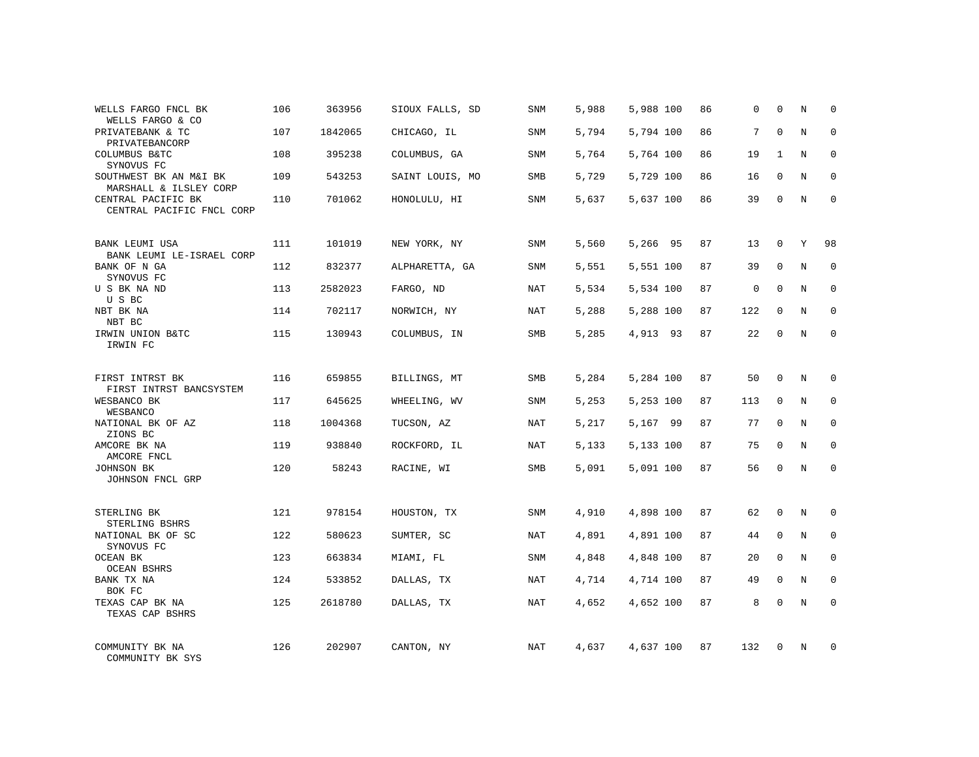| WELLS FARGO FNCL BK<br>WELLS FARGO & CO                 | 106 | 363956  | SIOUX FALLS, SD | SNM        | 5,988 | 5,988 100 | 86 | 0           | $\mathbf 0$ | N | $\Omega$    |
|---------------------------------------------------------|-----|---------|-----------------|------------|-------|-----------|----|-------------|-------------|---|-------------|
| PRIVATEBANK & TC<br>PRIVATEBANCORP                      | 107 | 1842065 | CHICAGO, IL     | SNM        | 5,794 | 5,794 100 | 86 | 7           | $\Omega$    | N | $\Omega$    |
| COLUMBUS B&TC<br>SYNOVUS FC                             | 108 | 395238  | COLUMBUS, GA    | SNM        | 5,764 | 5,764 100 | 86 | 19          | 1           | N | $\mathbf 0$ |
| SOUTHWEST BK AN M&I BK<br>MARSHALL & ILSLEY CORP        | 109 | 543253  | SAINT LOUIS, MO | SMB        | 5,729 | 5,729 100 | 86 | 16          | $\Omega$    | N | $\Omega$    |
| CENTRAL PACIFIC BK<br>CENTRAL PACIFIC FNCL CORP         | 110 | 701062  | HONOLULU, HI    | SNM        | 5,637 | 5,637 100 | 86 | 39          | $\mathbf 0$ | N | $\Omega$    |
| BANK LEUMI USA                                          | 111 | 101019  | NEW YORK, NY    | SNM        | 5,560 | 5,266 95  | 87 | 13          | $\mathbf 0$ | Y | 98          |
| BANK LEUMI LE-ISRAEL CORP<br>BANK OF N GA<br>SYNOVUS FC | 112 | 832377  | ALPHARETTA, GA  | SNM        | 5,551 | 5,551 100 | 87 | 39          | $\mathbf 0$ | N | $\mathbf 0$ |
| U S BK NA ND<br>U S BC                                  | 113 | 2582023 | FARGO, ND       | NAT        | 5,534 | 5,534 100 | 87 | $\mathbf 0$ | $\mathbf 0$ | N | $\mathbf 0$ |
| NBT BK NA<br>NBT BC                                     | 114 | 702117  | NORWICH, NY     | NAT        | 5,288 | 5,288 100 | 87 | 122         | $\mathbf 0$ | N | $\mathbf 0$ |
| IRWIN UNION B&TC<br>IRWIN FC                            | 115 | 130943  | COLUMBUS, IN    | SMB        | 5,285 | 4,913 93  | 87 | 22          | $\mathbf 0$ | N | $\mathbf 0$ |
| FIRST INTRST BK<br>FIRST INTRST BANCSYSTEM              | 116 | 659855  | BILLINGS, MT    | SMB        | 5,284 | 5,284 100 | 87 | 50          | $\mathbf 0$ | N | $\mathbf 0$ |
| WESBANCO BK<br>WESBANCO                                 | 117 | 645625  | WHEELING, WV    | <b>SNM</b> | 5,253 | 5,253 100 | 87 | 113         | 0           | N | $\mathbf 0$ |
| NATIONAL BK OF AZ<br>ZIONS BC                           | 118 | 1004368 | TUCSON, AZ      | NAT        | 5,217 | 5,167 99  | 87 | 77          | $\Omega$    | N | $\mathbf 0$ |
| AMCORE BK NA<br>AMCORE FNCL                             | 119 | 938840  | ROCKFORD, IL    | NAT        | 5,133 | 5,133 100 | 87 | 75          | 0           | N | 0           |
| JOHNSON BK<br>JOHNSON FNCL GRP                          | 120 | 58243   | RACINE, WI      | <b>SMB</b> | 5,091 | 5,091 100 | 87 | 56          | $\Omega$    | N | $\Omega$    |
| STERLING BK<br>STERLING BSHRS                           | 121 | 978154  | HOUSTON, TX     | SNM        | 4,910 | 4,898 100 | 87 | 62          | 0           | N | $\mathbf 0$ |
| NATIONAL BK OF SC<br>SYNOVUS FC                         | 122 | 580623  | SUMTER, SC      | NAT        | 4,891 | 4,891 100 | 87 | 44          | 0           | N | 0           |
| OCEAN BK<br><b>OCEAN BSHRS</b>                          | 123 | 663834  | MIAMI, FL       | SNM        | 4,848 | 4,848 100 | 87 | 20          | $\Omega$    | N | $\mathbf 0$ |
| BANK TX NA<br>BOK FC                                    | 124 | 533852  | DALLAS, TX      | NAT        | 4,714 | 4,714 100 | 87 | 49          | $\mathbf 0$ | N | 0           |
| TEXAS CAP BK NA<br>TEXAS CAP BSHRS                      | 125 | 2618780 | DALLAS, TX      | NAT        | 4,652 | 4,652 100 | 87 | 8           | $\Omega$    | N | $\mathbf 0$ |
| COMMUNITY BK NA<br>COMMUNITY BK SYS                     | 126 | 202907  | CANTON, NY      | NAT        | 4,637 | 4,637 100 | 87 | 132         | $\Omega$    | N | $\mathbf 0$ |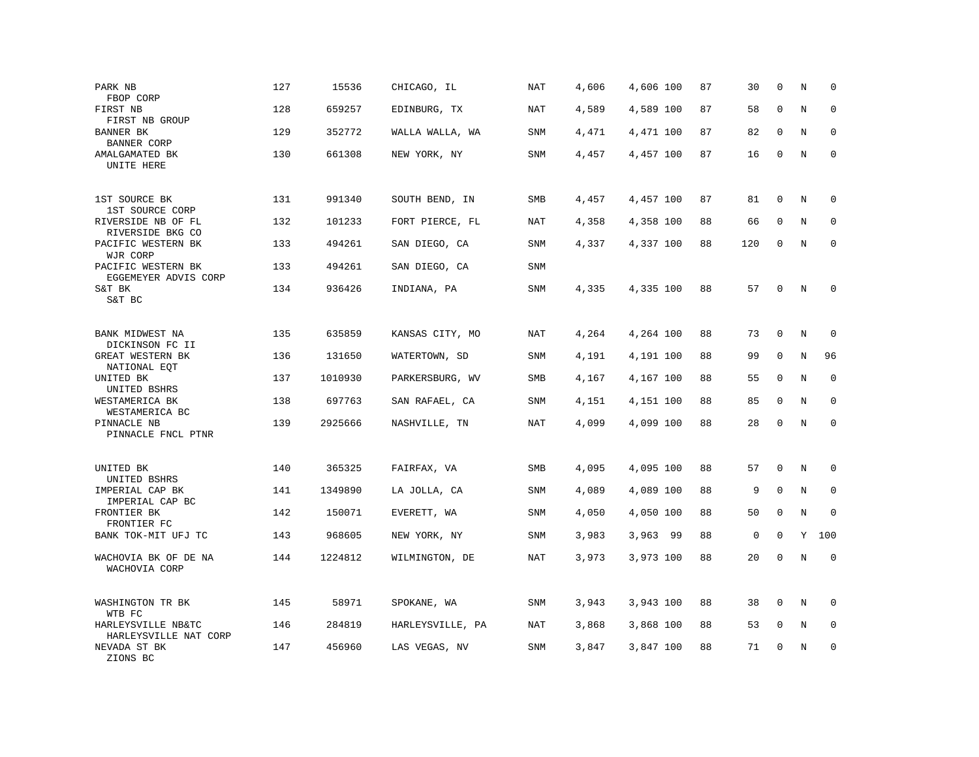| PARK NB<br>FBOP CORP                        | 127 | 15536   | CHICAGO, IL      | <b>NAT</b> | 4,606 | 4,606 100 | 87 | 30          | $\mathbf 0$ | N       | $\mathbf 0$ |
|---------------------------------------------|-----|---------|------------------|------------|-------|-----------|----|-------------|-------------|---------|-------------|
| FIRST NB<br>FIRST NB GROUP                  | 128 | 659257  | EDINBURG, TX     | NAT        | 4,589 | 4,589 100 | 87 | 58          | $\mathbf 0$ | N       | $\mathbf 0$ |
| BANNER BK<br><b>BANNER CORP</b>             | 129 | 352772  | WALLA WALLA, WA  | <b>SNM</b> | 4,471 | 4,471 100 | 87 | 82          | $\mathbf 0$ | N       | $\mathbf 0$ |
| AMALGAMATED BK<br>UNITE HERE                | 130 | 661308  | NEW YORK, NY     | SNM        | 4,457 | 4,457 100 | 87 | 16          | $\mathbf 0$ | N       | $\mathbf 0$ |
| 1ST SOURCE BK<br>1ST SOURCE CORP            | 131 | 991340  | SOUTH BEND, IN   | SMB        | 4,457 | 4,457 100 | 87 | 81          | $\mathbf 0$ | N       | 0           |
| RIVERSIDE NB OF FL<br>RIVERSIDE BKG CO      | 132 | 101233  | FORT PIERCE, FL  | <b>NAT</b> | 4,358 | 4,358 100 | 88 | 66          | 0           | $\rm N$ | $\mathbf 0$ |
| PACIFIC WESTERN BK<br>WJR CORP              | 133 | 494261  | SAN DIEGO, CA    | SNM        | 4,337 | 4,337 100 | 88 | 120         | $\mathbf 0$ | N       | $\mathbf 0$ |
| PACIFIC WESTERN BK<br>EGGEMEYER ADVIS CORP  | 133 | 494261  | SAN DIEGO, CA    | <b>SNM</b> |       |           |    |             |             |         |             |
| S&T BK<br>S&T BC                            | 134 | 936426  | INDIANA, PA      | <b>SNM</b> | 4,335 | 4,335 100 | 88 | 57          | $\mathbf 0$ | N       | $\mathbf 0$ |
| BANK MIDWEST NA<br>DICKINSON FC II          | 135 | 635859  | KANSAS CITY, MO  | NAT        | 4,264 | 4,264 100 | 88 | 73          | $\mathbf 0$ | N       | $\mathbf 0$ |
| GREAT WESTERN BK<br>NATIONAL EQT            | 136 | 131650  | WATERTOWN, SD    | <b>SNM</b> | 4,191 | 4,191 100 | 88 | 99          | $\mathbf 0$ | N       | 96          |
| UNITED BK<br>UNITED BSHRS                   | 137 | 1010930 | PARKERSBURG, WV  | SMB        | 4,167 | 4,167 100 | 88 | 55          | $\mathbf 0$ | N       | $\mathbf 0$ |
| WESTAMERICA BK<br>WESTAMERICA BC            | 138 | 697763  | SAN RAFAEL, CA   | SNM        | 4,151 | 4,151 100 | 88 | 85          | $\mathbf 0$ | N       | $\mathbf 0$ |
| PINNACLE NB<br>PINNACLE FNCL PTNR           | 139 | 2925666 | NASHVILLE, TN    | <b>NAT</b> | 4,099 | 4,099 100 | 88 | 28          | $\mathbf 0$ | N       | $\mathbf 0$ |
| UNITED BK<br>UNITED BSHRS                   | 140 | 365325  | FAIRFAX, VA      | SMB        | 4,095 | 4,095 100 | 88 | 57          | $\mathbf 0$ | N       | 0           |
| IMPERIAL CAP BK<br>IMPERIAL CAP BC          | 141 | 1349890 | LA JOLLA, CA     | SNM        | 4,089 | 4,089 100 | 88 | 9           | $\mathbf 0$ | N       | 0           |
| FRONTIER BK<br>FRONTIER FC                  | 142 | 150071  | EVERETT, WA      | <b>SNM</b> | 4,050 | 4,050 100 | 88 | 50          | $\mathbf 0$ | N       | $\mathbf 0$ |
| BANK TOK-MIT UFJ TC                         | 143 | 968605  | NEW YORK, NY     | SNM        | 3,983 | 3,963 99  | 88 | $\mathsf 0$ | $\mathbf 0$ | Υ       | 100         |
| WACHOVIA BK OF DE NA<br>WACHOVIA CORP       | 144 | 1224812 | WILMINGTON, DE   | <b>NAT</b> | 3,973 | 3,973 100 | 88 | 20          | $\mathbf 0$ | N       | $\mathbf 0$ |
| WASHINGTON TR BK<br>WTB FC                  | 145 | 58971   | SPOKANE, WA      | <b>SNM</b> | 3,943 | 3,943 100 | 88 | 38          | $\mathbf 0$ | N       | $\mathbf 0$ |
| HARLEYSVILLE NB&TC<br>HARLEYSVILLE NAT CORP | 146 | 284819  | HARLEYSVILLE, PA | NAT        | 3,868 | 3,868 100 | 88 | 53          | $\mathbf 0$ | N       | $\mathbf 0$ |
| NEVADA ST BK<br>ZIONS BC                    | 147 | 456960  | LAS VEGAS, NV    | SNM        | 3,847 | 3,847 100 | 88 | 71          | $\mathbf 0$ | N       | $\mathbf 0$ |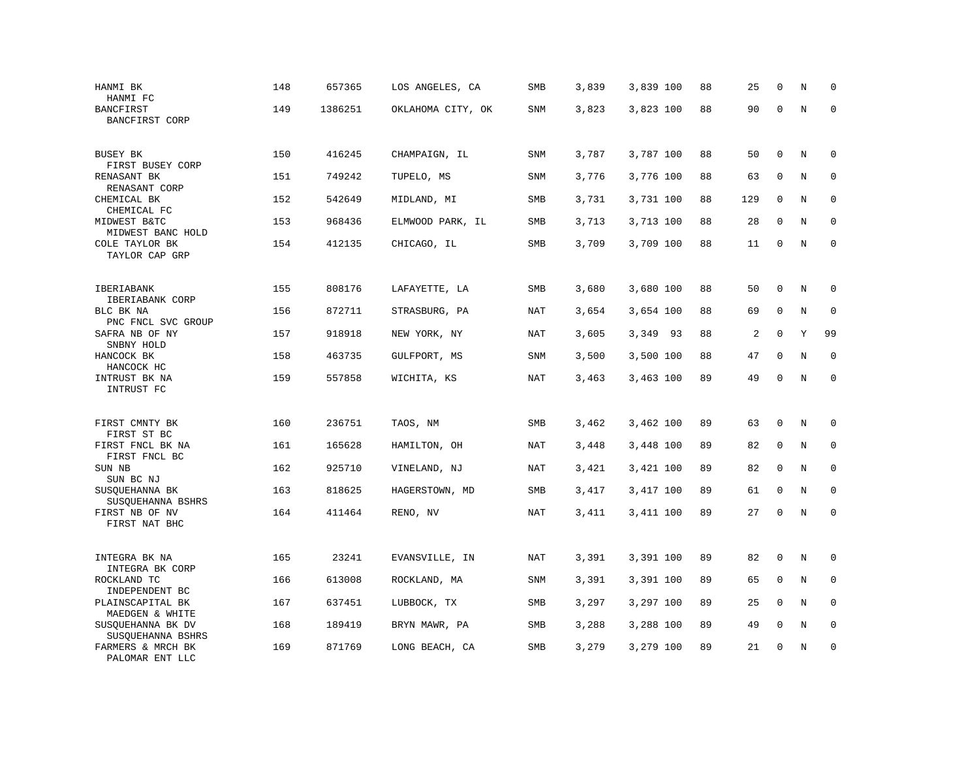| HANMI BK<br>HANMI FC                             | 148 | 657365  | LOS ANGELES, CA   | SMB        | 3,839 | 3,839 100 | 88 | 25     | $\mathbf 0$  | N | $\mathbf 0$ |
|--------------------------------------------------|-----|---------|-------------------|------------|-------|-----------|----|--------|--------------|---|-------------|
| <b>BANCFIRST</b><br>BANCFIRST CORP               | 149 | 1386251 | OKLAHOMA CITY, OK | SNM        | 3,823 | 3,823 100 | 88 | 90     | $\mathbf 0$  | N | $\Omega$    |
| BUSEY BK<br>FIRST BUSEY CORP                     | 150 | 416245  | CHAMPAIGN, IL     | SNM        | 3,787 | 3,787 100 | 88 | 50     | $\mathbf 0$  | N | $\mathbf 0$ |
| RENASANT BK<br>RENASANT CORP                     | 151 | 749242  | TUPELO, MS        | SNM        | 3,776 | 3,776 100 | 88 | 63     | $\mathbf 0$  | N | $\mathbf 0$ |
| CHEMICAL BK<br>CHEMICAL FC                       | 152 | 542649  | MIDLAND, MI       | SMB        | 3,731 | 3,731 100 | 88 | 129    | $\mathbf 0$  | N | $\mathbf 0$ |
| MIDWEST B&TC<br>MIDWEST BANC HOLD                | 153 | 968436  | ELMWOOD PARK, IL  | SMB        | 3,713 | 3,713 100 | 88 | 28     | $\mathbf 0$  | N | $\mathbf 0$ |
| COLE TAYLOR BK<br>TAYLOR CAP GRP                 | 154 | 412135  | CHICAGO, IL       | SMB        | 3,709 | 3,709 100 | 88 | 11     | $\mathbf 0$  | N | $\mathbf 0$ |
| IBERIABANK                                       | 155 | 808176  | LAFAYETTE, LA     | SMB        | 3,680 | 3,680 100 | 88 | 50     | $\mathbf 0$  | N | $\mathbf 0$ |
| IBERIABANK CORP<br>BLC BK NA                     | 156 | 872711  | STRASBURG, PA     | NAT        | 3,654 | 3,654 100 | 88 | 69     | $\mathbf 0$  | N | 0           |
| PNC FNCL SVC GROUP<br>SAFRA NB OF NY             | 157 | 918918  | NEW YORK, NY      | NAT        | 3,605 | 3,349 93  | 88 | 2      | $\mathbf 0$  | Y | 99          |
| SNBNY HOLD<br>HANCOCK BK<br>HANCOCK HC           | 158 | 463735  | GULFPORT, MS      | SNM        | 3,500 | 3,500 100 | 88 | 47     | $\mathbf 0$  | N | $\mathbf 0$ |
| INTRUST BK NA<br>INTRUST FC                      | 159 | 557858  | WICHITA, KS       | <b>NAT</b> | 3,463 | 3,463 100 | 89 | 49     | $\mathbf 0$  | N | $\mathbf 0$ |
| FIRST CMNTY BK                                   | 160 | 236751  | TAOS, NM          | SMB        | 3,462 | 3,462 100 | 89 | 63     | 0            | Ν | 0           |
| FIRST ST BC<br>FIRST FNCL BK NA                  | 161 | 165628  | HAMILTON, OH      | <b>NAT</b> | 3,448 | 3,448 100 | 89 | 82     | $\mathbf{0}$ | N | $\mathbf 0$ |
| FIRST FNCL BC<br>SUN NB                          | 162 | 925710  | VINELAND, NJ      | NAT        | 3,421 | 3,421 100 | 89 | 82     | 0            | N | $\mathbf 0$ |
| SUN BC NJ<br>SUSQUEHANNA BK<br>SUSQUEHANNA BSHRS | 163 | 818625  | HAGERSTOWN, MD    | SMB        | 3,417 | 3,417 100 | 89 | 61     | $\mathbf{0}$ | N | $\mathbf 0$ |
| FIRST NB OF NV<br>FIRST NAT BHC                  | 164 | 411464  | RENO, NV          | NAT        | 3,411 | 3,411 100 | 89 | $27\,$ | $\mathbf 0$  | N | $\mathbf 0$ |
| INTEGRA BK NA<br>INTEGRA BK CORP                 | 165 | 23241   | EVANSVILLE, IN    | NAT        | 3,391 | 3,391 100 | 89 | 82     | $\mathbf{0}$ | N | $\mathbf 0$ |
| ROCKLAND TC<br>INDEPENDENT BC                    | 166 | 613008  | ROCKLAND, MA      | SNM        | 3,391 | 3,391 100 | 89 | 65     | 0            | N | 0           |
| PLAINSCAPITAL BK<br>MAEDGEN & WHITE              | 167 | 637451  | LUBBOCK, TX       | <b>SMB</b> | 3,297 | 3,297 100 | 89 | 25     | 0            | N | $\mathbf 0$ |
| SUSQUEHANNA BK DV<br>SUSQUEHANNA BSHRS           | 168 | 189419  | BRYN MAWR, PA     | SMB        | 3,288 | 3,288 100 | 89 | 49     | $\mathbf 0$  | N | $\mathbf 0$ |
| FARMERS & MRCH BK<br>PALOMAR ENT LLC             | 169 | 871769  | LONG BEACH, CA    | SMB        | 3,279 | 3,279 100 | 89 | 21     | $\mathbf{0}$ | N | $\mathbf 0$ |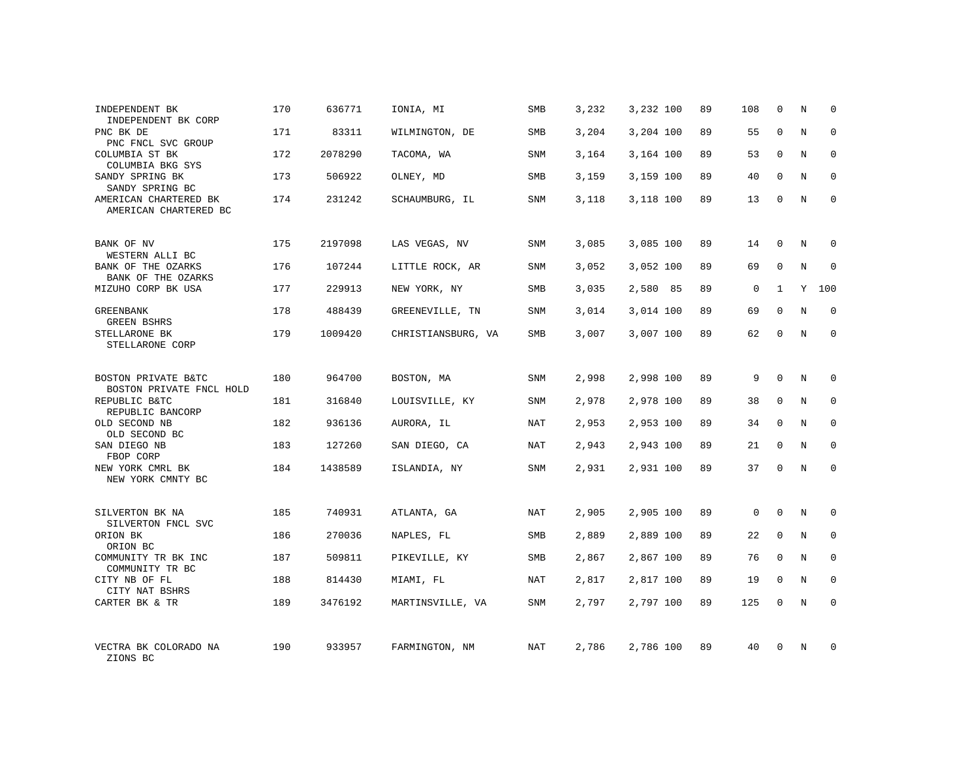| INDEPENDENT BK<br>INDEPENDENT BK CORP                       | 170 | 636771  | IONIA, MI          | SMB        | 3,232 | 3,232 100 | 89 | 108         | 0            | Ν | $\mathbf 0$  |
|-------------------------------------------------------------|-----|---------|--------------------|------------|-------|-----------|----|-------------|--------------|---|--------------|
| PNC BK DE<br>PNC FNCL SVC GROUP                             | 171 | 83311   | WILMINGTON, DE     | <b>SMB</b> | 3,204 | 3,204 100 | 89 | 55          | $\mathbf 0$  | N | $\mathbf 0$  |
| COLUMBIA ST BK<br>COLUMBIA BKG SYS                          | 172 | 2078290 | TACOMA, WA         | SNM        | 3,164 | 3,164 100 | 89 | 53          | 0            | N | 0            |
| SANDY SPRING BK<br>SANDY SPRING BC                          | 173 | 506922  | OLNEY, MD          | SMB        | 3,159 | 3,159 100 | 89 | 40          | $\mathbf 0$  | N | $\mathbf 0$  |
| AMERICAN CHARTERED BK<br>AMERICAN CHARTERED BC              | 174 | 231242  | SCHAUMBURG, IL     | SNM        | 3,118 | 3,118 100 | 89 | 13          | $\mathbf 0$  | N | $\mathbf{0}$ |
| BANK OF NV                                                  | 175 | 2197098 | LAS VEGAS, NV      | SNM        | 3,085 | 3,085 100 | 89 | 14          | $\mathbf 0$  | N | 0            |
| WESTERN ALLI BC<br>BANK OF THE OZARKS<br>BANK OF THE OZARKS | 176 | 107244  | LITTLE ROCK, AR    | SNM        | 3,052 | 3,052 100 | 89 | 69          | $\mathbf 0$  | N | $\mathbf 0$  |
| MIZUHO CORP BK USA                                          | 177 | 229913  | NEW YORK, NY       | SMB        | 3,035 | 2,580 85  | 89 | $\mathsf 0$ | $\mathbf{1}$ | Υ | 100          |
| <b>GREENBANK</b><br><b>GREEN BSHRS</b>                      | 178 | 488439  | GREENEVILLE, TN    | SNM        | 3,014 | 3,014 100 | 89 | 69          | $\mathbf 0$  | N | $\mathbf 0$  |
| STELLARONE BK<br>STELLARONE CORP                            | 179 | 1009420 | CHRISTIANSBURG, VA | SMB        | 3,007 | 3,007 100 | 89 | 62          | $\mathbf 0$  | N | $\mathbf 0$  |
| BOSTON PRIVATE B&TC<br>BOSTON PRIVATE FNCL HOLD             | 180 | 964700  | BOSTON, MA         | SNM        | 2,998 | 2,998 100 | 89 | 9           | $\Omega$     | N | $\Omega$     |
| REPUBLIC B&TC<br>REPUBLIC BANCORP                           | 181 | 316840  | LOUISVILLE, KY     | SNM        | 2,978 | 2,978 100 | 89 | 38          | $\mathbf 0$  | N | 0            |
| OLD SECOND NB<br>OLD SECOND BC                              | 182 | 936136  | AURORA, IL         | NAT        | 2,953 | 2,953 100 | 89 | 34          | $\Omega$     | N | $\mathbf 0$  |
| SAN DIEGO NB<br>FBOP CORP                                   | 183 | 127260  | SAN DIEGO, CA      | NAT        | 2,943 | 2,943 100 | 89 | 21          | $\mathbf 0$  | N | 0            |
| NEW YORK CMRL BK<br>NEW YORK CMNTY BC                       | 184 | 1438589 | ISLANDIA, NY       | SNM        | 2,931 | 2,931 100 | 89 | 37          | $\Omega$     | N | $\mathbf{0}$ |
| SILVERTON BK NA<br>SILVERTON FNCL SVC                       | 185 | 740931  | ATLANTA, GA        | NAT        | 2,905 | 2,905 100 | 89 | $\mathbf 0$ | $\mathbf 0$  | N | $\mathbf 0$  |
| ORION BK<br>ORION BC                                        | 186 | 270036  | NAPLES, FL         | SMB        | 2,889 | 2,889 100 | 89 | 22          | 0            | N | 0            |
| COMMUNITY TR BK INC<br>COMMUNITY TR BC                      | 187 | 509811  | PIKEVILLE, KY      | <b>SMB</b> | 2,867 | 2,867 100 | 89 | 76          | 0            | N | $\mathbf{0}$ |
| CITY NB OF FL<br>CITY NAT BSHRS                             | 188 | 814430  | MIAMI, FL          | NAT        | 2,817 | 2,817 100 | 89 | 19          | 0            | N | 0            |
| CARTER BK & TR                                              | 189 | 3476192 | MARTINSVILLE, VA   | SNM        | 2,797 | 2,797 100 | 89 | 125         | $\mathbf 0$  | N | $\mathbf 0$  |
| VECTRA BK COLORADO NA<br>ZIONS BC                           | 190 | 933957  | FARMINGTON, NM     | NAT        | 2,786 | 2,786 100 | 89 | 40          | $\mathbf 0$  | N | $\mathbf 0$  |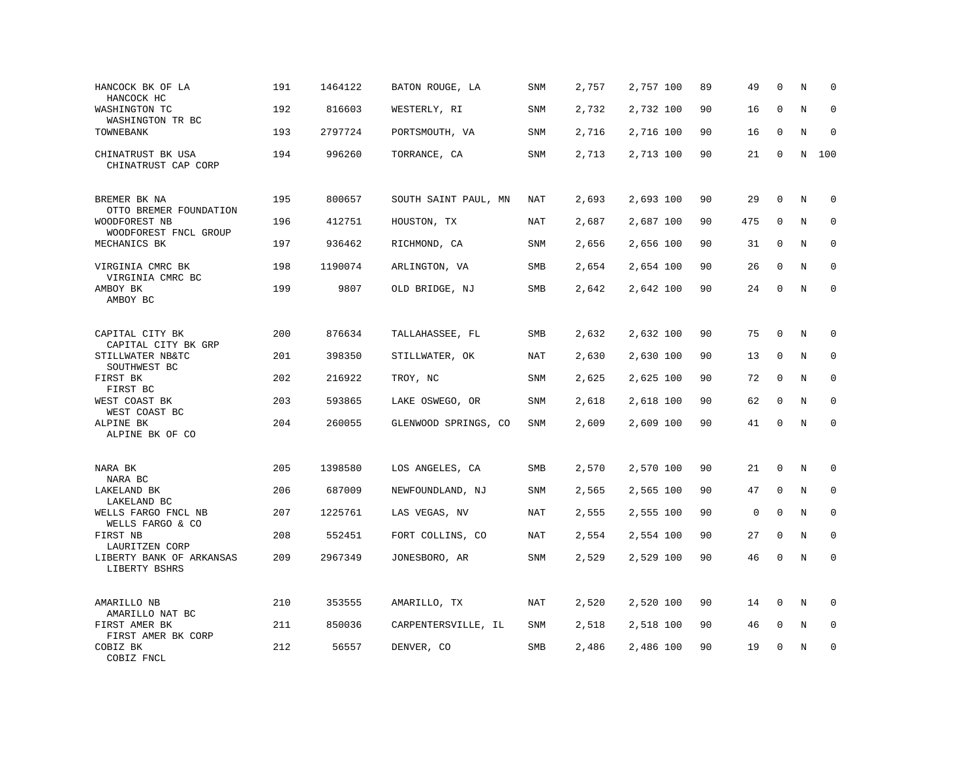| HANCOCK BK OF LA<br>HANCOCK HC                          | 191 | 1464122 | BATON ROUGE, LA      | SNM        | 2,757 | 2,757 100 | 89 | 49          | $\mathbf 0$  | N       | $\mathbf 0$ |
|---------------------------------------------------------|-----|---------|----------------------|------------|-------|-----------|----|-------------|--------------|---------|-------------|
| WASHINGTON TC<br>WASHINGTON TR BC                       | 192 | 816603  | WESTERLY, RI         | SNM        | 2,732 | 2,732 100 | 90 | 16          | 0            | N       | $\mathbf 0$ |
| TOWNEBANK                                               | 193 | 2797724 | PORTSMOUTH, VA       | SNM        | 2,716 | 2,716 100 | 90 | 16          | 0            | N       | 0           |
| CHINATRUST BK USA<br>CHINATRUST CAP CORP                | 194 | 996260  | TORRANCE, CA         | SNM        | 2,713 | 2,713 100 | 90 | 21          | $\mathbf 0$  | N       | 100         |
| BREMER BK NA<br>OTTO BREMER FOUNDATION                  | 195 | 800657  | SOUTH SAINT PAUL, MN | NAT        | 2,693 | 2,693 100 | 90 | 29          | $\mathbf{0}$ | N       | $\mathbf 0$ |
| WOODFOREST NB<br>WOODFOREST FNCL GROUP                  | 196 | 412751  | HOUSTON, TX          | NAT        | 2,687 | 2,687 100 | 90 | 475         | $\mathbf 0$  | N       | $\mathbf 0$ |
| MECHANICS BK                                            | 197 | 936462  | RICHMOND, CA         | SNM        | 2,656 | 2,656 100 | 90 | 31          | 0            | N       | $\mathbf 0$ |
| VIRGINIA CMRC BK<br>VIRGINIA CMRC BC                    | 198 | 1190074 | ARLINGTON, VA        | SMB        | 2,654 | 2,654 100 | 90 | 26          | $\mathbf{0}$ | N       | $\mathbf 0$ |
| AMBOY BK<br>AMBOY BC                                    | 199 | 9807    | OLD BRIDGE, NJ       | SMB        | 2,642 | 2,642 100 | 90 | 24          | $\Omega$     | N       | $\Omega$    |
| CAPITAL CITY BK                                         | 200 | 876634  | TALLAHASSEE, FL      | <b>SMB</b> | 2,632 | 2,632 100 | 90 | 75          | $\mathbf 0$  | N       | 0           |
| CAPITAL CITY BK GRP<br>STILLWATER NB&TC<br>SOUTHWEST BC | 201 | 398350  | STILLWATER, OK       | <b>NAT</b> | 2,630 | 2,630 100 | 90 | 13          | 0            | N       | 0           |
| FIRST BK<br>FIRST BC                                    | 202 | 216922  | TROY, NC             | <b>SNM</b> | 2,625 | 2,625 100 | 90 | 72          | $\mathbf{0}$ | N       | $\mathbf 0$ |
| WEST COAST BK<br>WEST COAST BC                          | 203 | 593865  | LAKE OSWEGO, OR      | <b>SNM</b> | 2,618 | 2,618 100 | 90 | 62          | $\mathbf 0$  | N       | 0           |
| ALPINE BK<br>ALPINE BK OF CO                            | 204 | 260055  | GLENWOOD SPRINGS, CO | <b>SNM</b> | 2,609 | 2,609 100 | 90 | 41          | $\mathbf 0$  | N       | $\mathbf 0$ |
| NARA BK<br>NARA BC                                      | 205 | 1398580 | LOS ANGELES, CA      | SMB        | 2,570 | 2,570 100 | 90 | 21          | 0            | $\rm N$ | 0           |
| LAKELAND BK<br>LAKELAND BC                              | 206 | 687009  | NEWFOUNDLAND, NJ     | SNM        | 2,565 | 2,565 100 | 90 | 47          | $\mathbf 0$  | N       | $\mathbf 0$ |
| WELLS FARGO FNCL NB<br>WELLS FARGO & CO                 | 207 | 1225761 | LAS VEGAS, NV        | NAT        | 2,555 | 2,555 100 | 90 | $\mathsf 0$ | $\mathbf 0$  | N       | $\mathbf 0$ |
| FIRST NB<br>LAURITZEN CORP                              | 208 | 552451  | FORT COLLINS, CO     | <b>NAT</b> | 2,554 | 2,554 100 | 90 | 27          | $\mathbf 0$  | N       | $\mathbf 0$ |
| LIBERTY BANK OF ARKANSAS<br>LIBERTY BSHRS               | 209 | 2967349 | JONESBORO, AR        | <b>SNM</b> | 2,529 | 2,529 100 | 90 | 46          | $\mathbf 0$  | N       | $\mathbf 0$ |
| AMARILLO NB                                             | 210 | 353555  | AMARILLO, TX         | NAT        | 2,520 | 2,520 100 | 90 | 14          | 0            | N       | 0           |
| AMARILLO NAT BC<br>FIRST AMER BK<br>FIRST AMER BK CORP  | 211 | 850036  | CARPENTERSVILLE, IL  | SNM        | 2,518 | 2,518 100 | 90 | 46          | 0            | N       | $\mathbf 0$ |
| COBIZ BK<br>COBIZ FNCL                                  | 212 | 56557   | DENVER, CO           | SMB        | 2,486 | 2,486 100 | 90 | 19          | $\mathbf 0$  | N       | $\mathbf 0$ |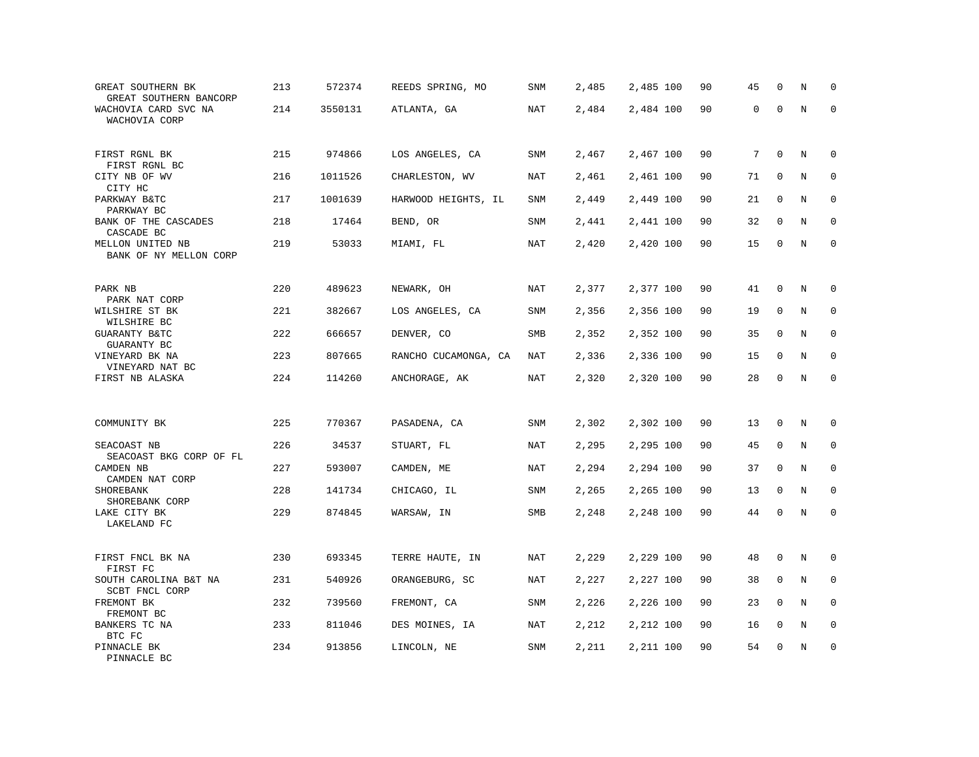| GREAT SOUTHERN BK<br>GREAT SOUTHERN BANCORP | 213 | 572374  | REEDS SPRING, MO     | SNM        | 2,485 | 2,485 100 | 90 | 45 | $\mathbf 0$ | N       | $\mathbf 0$ |
|---------------------------------------------|-----|---------|----------------------|------------|-------|-----------|----|----|-------------|---------|-------------|
| WACHOVIA CARD SVC NA<br>WACHOVIA CORP       | 214 | 3550131 | ATLANTA, GA          | <b>NAT</b> | 2,484 | 2,484 100 | 90 | 0  | $\mathbf 0$ | $\rm N$ | $\mathbf 0$ |
| FIRST RGNL BK<br>FIRST RGNL BC              | 215 | 974866  | LOS ANGELES, CA      | SNM        | 2,467 | 2,467 100 | 90 | 7  | $\mathbf 0$ | N       | $\mathbf 0$ |
| CITY NB OF WV                               | 216 | 1011526 | CHARLESTON, WV       | NAT        | 2,461 | 2,461 100 | 90 | 71 | $\mathbf 0$ | N       | $\mathbf 0$ |
| CITY HC<br>PARKWAY B&TC<br>PARKWAY BC       | 217 | 1001639 | HARWOOD HEIGHTS, IL  | <b>SNM</b> | 2,449 | 2,449 100 | 90 | 21 | $\mathbf 0$ | $\rm N$ | $\mathbf 0$ |
| BANK OF THE CASCADES<br>CASCADE BC          | 218 | 17464   | BEND, OR             | SNM        | 2,441 | 2,441 100 | 90 | 32 | 0           | N       | $\mathbf 0$ |
| MELLON UNITED NB<br>BANK OF NY MELLON CORP  | 219 | 53033   | MIAMI, FL            | <b>NAT</b> | 2,420 | 2,420 100 | 90 | 15 | $\mathbf 0$ | N       | $\mathbf 0$ |
| PARK NB                                     | 220 | 489623  | NEWARK, OH           | NAT        | 2,377 | 2,377 100 | 90 | 41 | $\mathbf 0$ | N       | $\mathbf 0$ |
| PARK NAT CORP<br>WILSHIRE ST BK             | 221 | 382667  | LOS ANGELES, CA      | SNM        | 2,356 | 2,356 100 | 90 | 19 | 0           | $\rm N$ | $\mathbf 0$ |
| WILSHIRE BC<br>GUARANTY B&TC<br>GUARANTY BC | 222 | 666657  | DENVER, CO           | SMB        | 2,352 | 2,352 100 | 90 | 35 | $\mathbf 0$ | N       | $\mathbf 0$ |
| VINEYARD BK NA<br>VINEYARD NAT BC           | 223 | 807665  | RANCHO CUCAMONGA, CA | NAT        | 2,336 | 2,336 100 | 90 | 15 | $\mathbf 0$ | N       | $\mathbf 0$ |
| FIRST NB ALASKA                             | 224 | 114260  | ANCHORAGE, AK        | <b>NAT</b> | 2,320 | 2,320 100 | 90 | 28 | $\mathbf 0$ | N       | $\mathbf 0$ |
|                                             |     |         |                      |            |       |           |    |    |             |         |             |
| COMMUNITY BK                                | 225 | 770367  | PASADENA, CA         | SNM        | 2,302 | 2,302 100 | 90 | 13 | $\mathbf 0$ | $\rm N$ | $\mathbf 0$ |
| SEACOAST NB<br>SEACOAST BKG CORP OF FL      | 226 | 34537   | STUART, FL           | NAT        | 2,295 | 2,295 100 | 90 | 45 | 0           | N       | $\mathbf 0$ |
| CAMDEN NB<br>CAMDEN NAT CORP                | 227 | 593007  | CAMDEN, ME           | NAT        | 2,294 | 2,294 100 | 90 | 37 | $\mathbf 0$ | N       | 0           |
| SHOREBANK<br>SHOREBANK CORP                 | 228 | 141734  | CHICAGO, IL          | <b>SNM</b> | 2,265 | 2,265 100 | 90 | 13 | $\mathbf 0$ | N       | $\mathbf 0$ |
| LAKE CITY BK<br>LAKELAND FC                 | 229 | 874845  | WARSAW, IN           | SMB        | 2,248 | 2,248 100 | 90 | 44 | 0           | N       | $\Omega$    |
| FIRST FNCL BK NA                            | 230 | 693345  | TERRE HAUTE, IN      | NAT        | 2,229 | 2,229 100 | 90 | 48 | 0           | N       | 0           |
| FIRST FC                                    | 231 | 540926  | ORANGEBURG, SC       | <b>NAT</b> | 2,227 | 2,227 100 | 90 | 38 | 0           | N       | 0           |
| SOUTH CAROLINA B&T NA<br>SCBT FNCL CORP     |     |         |                      |            |       |           |    |    |             |         |             |
| FREMONT BK<br>FREMONT BC                    | 232 | 739560  | FREMONT, CA          | SNM        | 2,226 | 2,226 100 | 90 | 23 | $\Omega$    | N       | $\mathbf 0$ |
| BANKERS TC NA<br>BTC FC                     | 233 | 811046  | DES MOINES, IA       | NAT        | 2,212 | 2,212 100 | 90 | 16 | 0           | Ν       | 0           |
| PINNACLE BK<br>PINNACLE BC                  | 234 | 913856  | LINCOLN, NE          | SNM        | 2,211 | 2,211 100 | 90 | 54 | $\mathbf 0$ | N       | $\mathbf 0$ |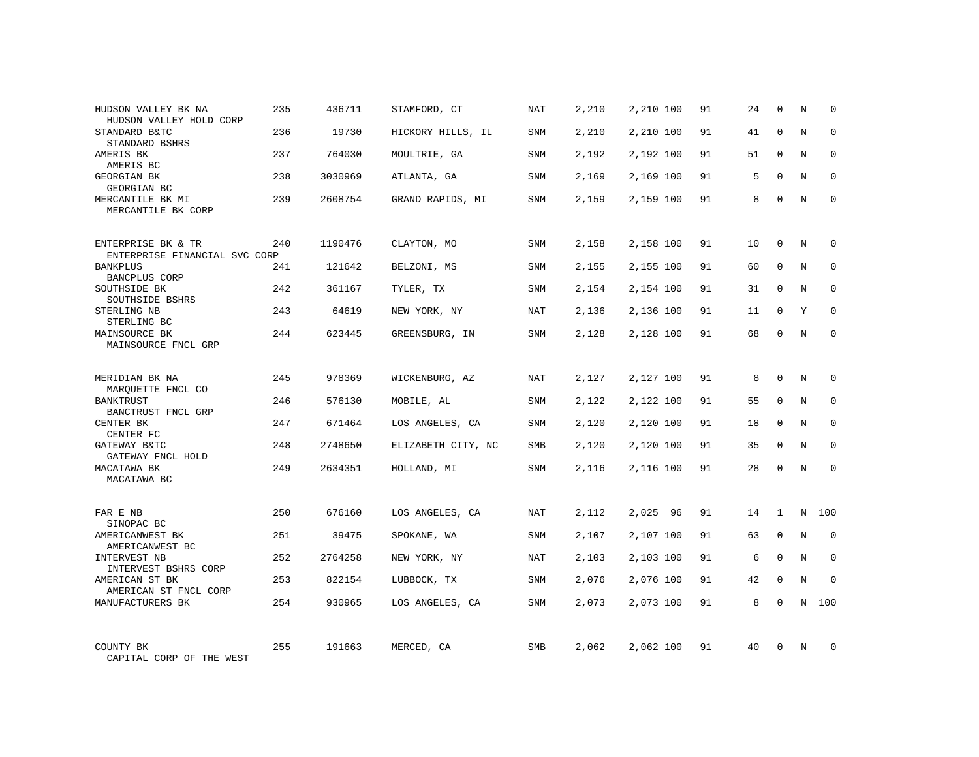| HUDSON VALLEY BK NA<br>HUDSON VALLEY HOLD CORP      | 235 | 436711  | STAMFORD, CT       | NAT        | 2,210 | 2,210 100 | 91 | 24 | $\mathbf 0$  | N          | $\Omega$    |
|-----------------------------------------------------|-----|---------|--------------------|------------|-------|-----------|----|----|--------------|------------|-------------|
| STANDARD B&TC<br>STANDARD BSHRS                     | 236 | 19730   | HICKORY HILLS, IL  | SNM        | 2,210 | 2,210 100 | 91 | 41 | $\Omega$     | N          | $\Omega$    |
| AMERIS BK<br>AMERIS BC                              | 237 | 764030  | MOULTRIE, GA       | SNM        | 2,192 | 2,192 100 | 91 | 51 | $\Omega$     | N          | $\mathbf 0$ |
| <b>GEORGIAN BK</b><br>GEORGIAN BC                   | 238 | 3030969 | ATLANTA, GA        | <b>SNM</b> | 2,169 | 2,169 100 | 91 | 5  | $\Omega$     | N          | $\Omega$    |
| MERCANTILE BK MI<br>MERCANTILE BK CORP              | 239 | 2608754 | GRAND RAPIDS, MI   | SNM        | 2,159 | 2,159 100 | 91 | 8  | $\Omega$     | N          | $\Omega$    |
| ENTERPRISE BK & TR<br>ENTERPRISE FINANCIAL SVC CORP | 240 | 1190476 | CLAYTON, MO        | SNM        | 2,158 | 2,158 100 | 91 | 10 | $\mathbf 0$  | N          | $\mathbf 0$ |
| <b>BANKPLUS</b><br>BANCPLUS CORP                    | 241 | 121642  | BELZONI, MS        | SNM        | 2,155 | 2,155 100 | 91 | 60 | $\Omega$     | N          | $\mathbf 0$ |
| SOUTHSIDE BK<br>SOUTHSIDE BSHRS                     | 242 | 361167  | TYLER, TX          | <b>SNM</b> | 2,154 | 2,154 100 | 91 | 31 | $\mathbf 0$  | N          | $\mathbf 0$ |
| STERLING NB<br>STERLING BC                          | 243 | 64619   | NEW YORK, NY       | NAT        | 2,136 | 2,136 100 | 91 | 11 | $\mathbf 0$  | Y          | $\mathbf 0$ |
| MAINSOURCE BK<br>MAINSOURCE FNCL GRP                | 244 | 623445  | GREENSBURG, IN     | <b>SNM</b> | 2,128 | 2,128 100 | 91 | 68 | $\mathbf 0$  | N          | $\mathbf 0$ |
| MERIDIAN BK NA<br>MARQUETTE FNCL CO                 | 245 | 978369  | WICKENBURG, AZ     | NAT        | 2,127 | 2,127 100 | 91 | 8  | $\Omega$     | N          | $\Omega$    |
| <b>BANKTRUST</b><br>BANCTRUST FNCL GRP              | 246 | 576130  | MOBILE, AL         | <b>SNM</b> | 2,122 | 2,122 100 | 91 | 55 | $\mathbf 0$  | N          | $\mathbf 0$ |
| CENTER BK<br>CENTER FC                              | 247 | 671464  | LOS ANGELES, CA    | <b>SNM</b> | 2,120 | 2,120 100 | 91 | 18 | $\Omega$     | N          | $\mathbf 0$ |
| GATEWAY B&TC<br>GATEWAY FNCL HOLD                   | 248 | 2748650 | ELIZABETH CITY, NC | SMB        | 2,120 | 2,120 100 | 91 | 35 | $\mathbf 0$  | N          | $\mathbf 0$ |
| MACATAWA BK<br>MACATAWA BC                          | 249 | 2634351 | HOLLAND, MI        | <b>SNM</b> | 2,116 | 2,116 100 | 91 | 28 | $\Omega$     | $_{\rm N}$ | $\Omega$    |
| FAR E NB<br>SINOPAC BC                              | 250 | 676160  | LOS ANGELES, CA    | NAT        | 2,112 | 2,025 96  | 91 | 14 | $\mathbf{1}$ | N          | 100         |
| AMERICANWEST BK<br>AMERICANWEST BC                  | 251 | 39475   | SPOKANE, WA        | SNM        | 2,107 | 2,107 100 | 91 | 63 | $\mathbf 0$  | N          | 0           |
| <b>INTERVEST NB</b><br>INTERVEST BSHRS CORP         | 252 | 2764258 | NEW YORK, NY       | NAT        | 2,103 | 2,103 100 | 91 | 6  | $\Omega$     | N          | $\mathbf 0$ |
| AMERICAN ST BK<br>AMERICAN ST FNCL CORP             | 253 | 822154  | LUBBOCK, TX        | SNM        | 2,076 | 2,076 100 | 91 | 42 | 0            | N          | $\mathbf 0$ |
| MANUFACTURERS BK                                    | 254 | 930965  | LOS ANGELES, CA    | <b>SNM</b> | 2,073 | 2,073 100 | 91 | 8  | $\Omega$     | N          | 100         |
| COUNTY BK<br>CAPITAL CORP OF THE WEST               | 255 | 191663  | MERCED, CA         | SMB        | 2,062 | 2,062 100 | 91 | 40 | $\Omega$     | N          | $\mathbf 0$ |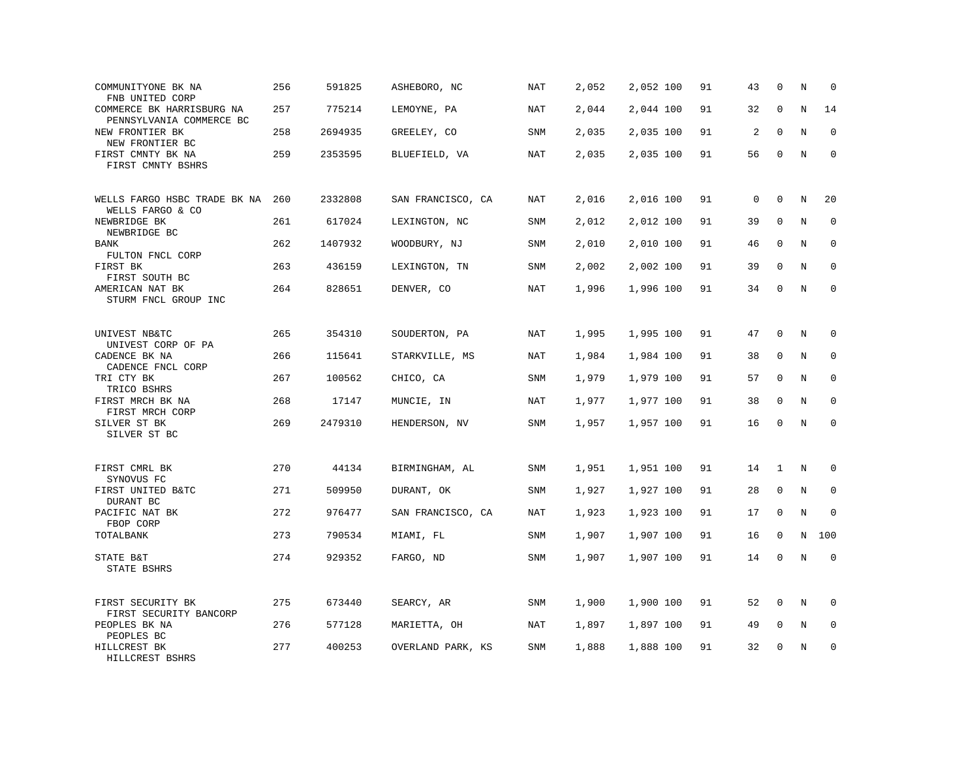| COMMUNITYONE BK NA<br>FNB UNITED CORP                 | 256 | 591825  | ASHEBORO, NC      | NAT        | 2,052 | 2,052 100 | 91 | 43          | $\mathbf 0$  | N       | $\mathbf 0$ |
|-------------------------------------------------------|-----|---------|-------------------|------------|-------|-----------|----|-------------|--------------|---------|-------------|
| COMMERCE BK HARRISBURG NA<br>PENNSYLVANIA COMMERCE BC | 257 | 775214  | LEMOYNE, PA       | NAT        | 2,044 | 2,044 100 | 91 | 32          | $\mathbf 0$  | N       | 14          |
| NEW FRONTIER BK<br>NEW FRONTIER BC                    | 258 | 2694935 | GREELEY, CO       | SNM        | 2,035 | 2,035 100 | 91 | 2           | $\mathbf 0$  | N       | $\mathbf 0$ |
| FIRST CMNTY BK NA<br>FIRST CMNTY BSHRS                | 259 | 2353595 | BLUEFIELD, VA     | <b>NAT</b> | 2,035 | 2,035 100 | 91 | 56          | $\mathbf 0$  | N       | $\mathbf 0$ |
| WELLS FARGO HSBC TRADE BK NA<br>WELLS FARGO & CO      | 260 | 2332808 | SAN FRANCISCO, CA | NAT        | 2,016 | 2,016 100 | 91 | $\mathbf 0$ | $\mathbf 0$  | N       | 20          |
| NEWBRIDGE BK<br>NEWBRIDGE BC                          | 261 | 617024  | LEXINGTON, NC     | SNM        | 2,012 | 2,012 100 | 91 | 39          | 0            | N       | 0           |
| <b>BANK</b><br>FULTON FNCL CORP                       | 262 | 1407932 | WOODBURY, NJ      | SNM        | 2,010 | 2,010 100 | 91 | 46          | $\mathbf 0$  | N       | $\mathbf 0$ |
| FIRST BK<br>FIRST SOUTH BC                            | 263 | 436159  | LEXINGTON, TN     | SNM        | 2,002 | 2,002 100 | 91 | 39          | $\Omega$     | N       | $\mathbf 0$ |
| AMERICAN NAT BK<br>STURM FNCL GROUP INC               | 264 | 828651  | DENVER, CO        | <b>NAT</b> | 1,996 | 1,996 100 | 91 | 34          | $\mathbf 0$  | N       | $\mathbf 0$ |
| UNIVEST NB&TC<br>UNIVEST CORP OF PA                   | 265 | 354310  | SOUDERTON, PA     | NAT        | 1,995 | 1,995 100 | 91 | 47          | 0            | N       | 0           |
| CADENCE BK NA<br>CADENCE FNCL CORP                    | 266 | 115641  | STARKVILLE, MS    | <b>NAT</b> | 1,984 | 1,984 100 | 91 | 38          | 0            | N       | $\mathbf 0$ |
| TRI CTY BK<br>TRICO BSHRS                             | 267 | 100562  | CHICO, CA         | SNM        | 1,979 | 1,979 100 | 91 | 57          | $\mathbf{0}$ | N       | $\mathbf 0$ |
| FIRST MRCH BK NA<br>FIRST MRCH CORP                   | 268 | 17147   | MUNCIE, IN        | NAT        | 1,977 | 1,977 100 | 91 | 38          | $\Omega$     | N       | $\mathbf 0$ |
| SILVER ST BK<br>SILVER ST BC                          | 269 | 2479310 | HENDERSON, NV     | SNM        | 1,957 | 1,957 100 | 91 | 16          | $\mathbf 0$  | N       | $\mathbf 0$ |
| FIRST CMRL BK<br>SYNOVUS FC                           | 270 | 44134   | BIRMINGHAM, AL    | SNM        | 1,951 | 1,951 100 | 91 | 14          | 1            | N       | $\mathbf 0$ |
| FIRST UNITED B&TC<br>DURANT BC                        | 271 | 509950  | DURANT, OK        | SNM        | 1,927 | 1,927 100 | 91 | 28          | 0            | N       | 0           |
| PACIFIC NAT BK<br>FBOP CORP                           | 272 | 976477  | SAN FRANCISCO, CA | NAT        | 1,923 | 1,923 100 | 91 | 17          | $\mathbf 0$  | N       | $\mathbf 0$ |
| TOTALBANK                                             | 273 | 790534  | MIAMI, FL         | SNM        | 1,907 | 1,907 100 | 91 | 16          | $\mathbf 0$  | N       | 100         |
| STATE B&T<br>STATE BSHRS                              | 274 | 929352  | FARGO, ND         | SNM        | 1,907 | 1,907 100 | 91 | 14          | $\mathbf{0}$ | $\rm N$ | $\mathbf 0$ |
| FIRST SECURITY BK<br>FIRST SECURITY BANCORP           | 275 | 673440  | SEARCY, AR        | SNM        | 1,900 | 1,900 100 | 91 | 52          | 0            | N       | 0           |
| PEOPLES BK NA<br>PEOPLES BC                           | 276 | 577128  | MARIETTA, OH      | NAT        | 1,897 | 1,897 100 | 91 | 49          | $\mathbf 0$  | N       | $\mathbf 0$ |
| HILLCREST BK<br>HILLCREST BSHRS                       | 277 | 400253  | OVERLAND PARK, KS | <b>SNM</b> | 1,888 | 1,888 100 | 91 | 32          | $\mathbf{0}$ | N       | $\mathbf 0$ |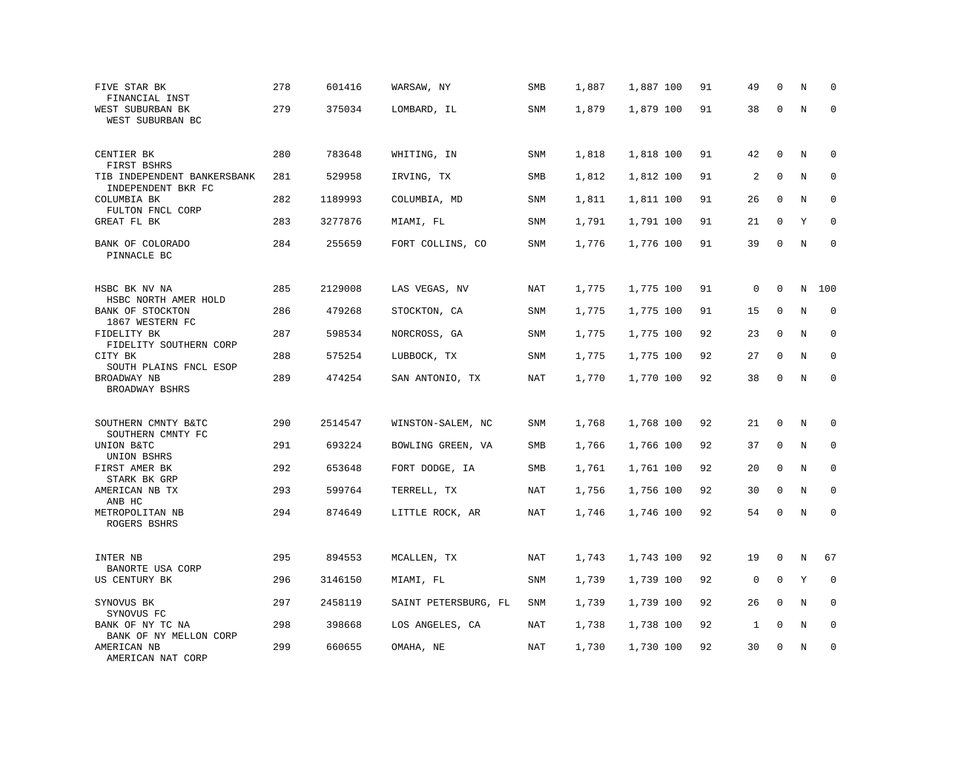| FIVE STAR BK<br>FINANCIAL INST                              | 278 | 601416  | WARSAW, NY           | SMB        | 1,887 | 1,887 100 | 91 | 49          | $\mathbf 0$ | N       | $\mathbf 0$ |
|-------------------------------------------------------------|-----|---------|----------------------|------------|-------|-----------|----|-------------|-------------|---------|-------------|
| WEST SUBURBAN BK<br>WEST SUBURBAN BC                        | 279 | 375034  | LOMBARD, IL          | <b>SNM</b> | 1,879 | 1,879 100 | 91 | 38          | $\mathbf 0$ | N       | $\mathbf 0$ |
| CENTIER BK<br>FIRST BSHRS                                   | 280 | 783648  | WHITING, IN          | SNM        | 1,818 | 1,818 100 | 91 | 42          | 0           | N       | 0           |
| TIB INDEPENDENT BANKERSBANK<br>INDEPENDENT BKR FC           | 281 | 529958  | IRVING, TX           | SMB        | 1,812 | 1,812 100 | 91 | 2           | $\mathbf 0$ | N       | $\mathbf 0$ |
| COLUMBIA BK<br>FULTON FNCL CORP                             | 282 | 1189993 | COLUMBIA, MD         | SNM        | 1,811 | 1,811 100 | 91 | 26          | $\mathbf 0$ | N       | $\mathbf 0$ |
| GREAT FL BK                                                 | 283 | 3277876 | MIAMI, FL            | <b>SNM</b> | 1,791 | 1,791 100 | 91 | 21          | $\mathbf 0$ | Y       | $\mathbf 0$ |
| BANK OF COLORADO<br>PINNACLE BC                             | 284 | 255659  | FORT COLLINS, CO     | SNM        | 1,776 | 1,776 100 | 91 | 39          | $\mathbf 0$ | N       | $\mathbf 0$ |
| HSBC BK NV NA                                               | 285 | 2129008 | LAS VEGAS, NV        | NAT        | 1,775 | 1,775 100 | 91 | $\mathbf 0$ | $\mathbf 0$ | N       | 100         |
| HSBC NORTH AMER HOLD<br>BANK OF STOCKTON<br>1867 WESTERN FC | 286 | 479268  | STOCKTON, CA         | SNM        | 1,775 | 1,775 100 | 91 | 15          | 0           | $\rm N$ | 0           |
| FIDELITY BK<br>FIDELITY SOUTHERN CORP                       | 287 | 598534  | NORCROSS, GA         | SNM        | 1,775 | 1,775 100 | 92 | 23          | $\mathbf 0$ | N       | 0           |
| CITY BK<br>SOUTH PLAINS FNCL ESOP                           | 288 | 575254  | LUBBOCK, TX          | SNM        | 1,775 | 1,775 100 | 92 | 27          | $\mathbf 0$ | N       | $\mathbf 0$ |
| BROADWAY NB<br>BROADWAY BSHRS                               | 289 | 474254  | SAN ANTONIO, TX      | NAT        | 1,770 | 1,770 100 | 92 | 38          | $\mathbf 0$ | $\rm N$ | $\mathbf 0$ |
| SOUTHERN CMNTY B&TC                                         | 290 | 2514547 | WINSTON-SALEM, NC    | SNM        | 1,768 | 1,768 100 | 92 | 21          | 0           | N       | 0           |
| SOUTHERN CMNTY FC<br>UNION B&TC<br>UNION BSHRS              | 291 | 693224  | BOWLING GREEN, VA    | SMB        | 1,766 | 1,766 100 | 92 | 37          | $\mathbf 0$ | N       | $\mathbf 0$ |
| FIRST AMER BK<br>STARK BK GRP                               | 292 | 653648  | FORT DODGE, IA       | SMB        | 1,761 | 1,761 100 | 92 | 20          | $\mathbf 0$ | N       | $\mathbf 0$ |
| AMERICAN NB TX<br>ANB HC                                    | 293 | 599764  | TERRELL, TX          | NAT        | 1,756 | 1,756 100 | 92 | 30          | $\Omega$    | N       | 0           |
| METROPOLITAN NB<br>ROGERS BSHRS                             | 294 | 874649  | LITTLE ROCK, AR      | <b>NAT</b> | 1,746 | 1,746 100 | 92 | 54          | $\mathbf 0$ | N       | $\mathbf 0$ |
| INTER NB<br>BANORTE USA CORP                                | 295 | 894553  | MCALLEN, TX          | NAT        | 1,743 | 1,743 100 | 92 | 19          | 0           | Ν       | 67          |
| US CENTURY BK                                               | 296 | 3146150 | MIAMI, FL            | <b>SNM</b> | 1,739 | 1,739 100 | 92 | 0           | $\mathbf 0$ | Y       | 0           |
| SYNOVUS BK<br>SYNOVUS FC                                    | 297 | 2458119 | SAINT PETERSBURG, FL | SNM        | 1,739 | 1,739 100 | 92 | 26          | 0           | N       | $\mathbf 0$ |
| BANK OF NY TC NA<br>BANK OF NY MELLON CORP                  | 298 | 398668  | LOS ANGELES, CA      | NAT        | 1,738 | 1,738 100 | 92 | 1           | $\mathbf 0$ | N       | $\mathbf 0$ |
| AMERICAN NB<br>AMERICAN NAT CORP                            | 299 | 660655  | OMAHA, NE            | <b>NAT</b> | 1,730 | 1,730 100 | 92 | 30          | $\mathbf 0$ | N       | $\mathbf 0$ |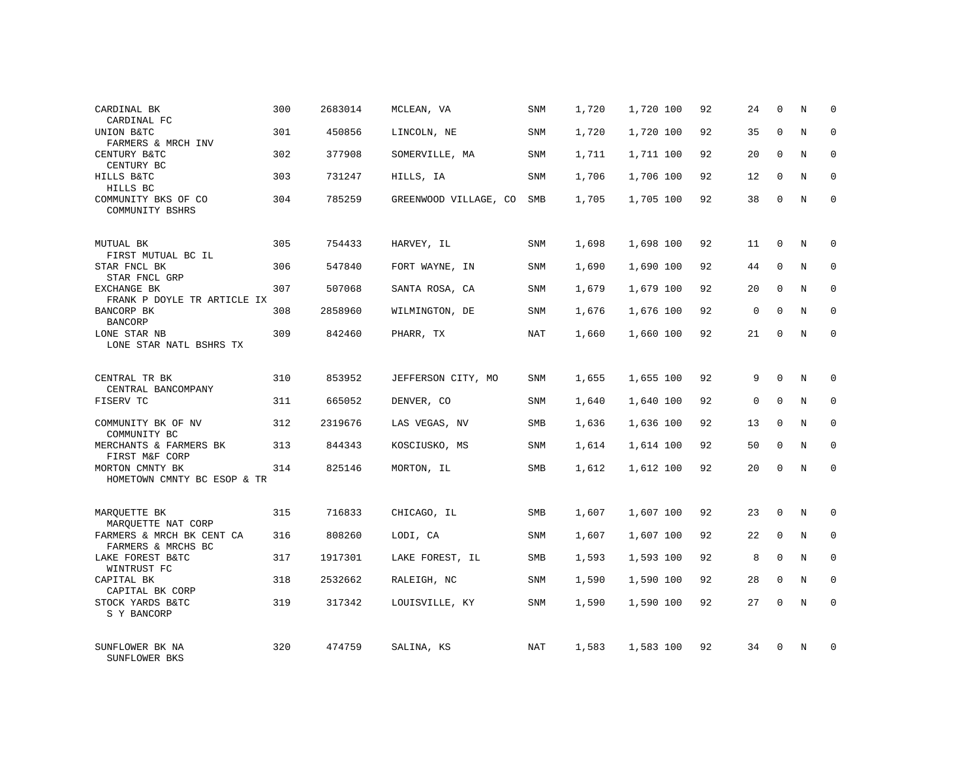| CARDINAL BK<br>CARDINAL FC                                            | 300 | 2683014 | MCLEAN, VA            | SNM        | 1,720 | 1,720 100 | 92 | 24          | 0            | Ν | $\mathbf 0$ |
|-----------------------------------------------------------------------|-----|---------|-----------------------|------------|-------|-----------|----|-------------|--------------|---|-------------|
| UNION B&TC<br>FARMERS & MRCH INV                                      | 301 | 450856  | LINCOLN, NE           | <b>SNM</b> | 1,720 | 1,720 100 | 92 | 35          | $\mathbf{0}$ | N | $\mathbf 0$ |
| CENTURY B&TC<br>CENTURY BC                                            | 302 | 377908  | SOMERVILLE, MA        | <b>SNM</b> | 1,711 | 1,711 100 | 92 | 20          | $\Omega$     | N | $\mathbf 0$ |
| HILLS B&TC<br>HILLS BC                                                | 303 | 731247  | HILLS, IA             | <b>SNM</b> | 1,706 | 1,706 100 | 92 | 12          | $\mathbf 0$  | N | 0           |
| COMMUNITY BKS OF CO<br>COMMUNITY BSHRS                                | 304 | 785259  | GREENWOOD VILLAGE, CO | <b>SMB</b> | 1,705 | 1,705 100 | 92 | 38          | $\mathbf 0$  | N | $\mathbf 0$ |
| MUTUAL BK<br>FIRST MUTUAL BC IL                                       | 305 | 754433  | HARVEY, IL            | <b>SNM</b> | 1,698 | 1,698 100 | 92 | 11          | 0            | N | $\mathbf 0$ |
| STAR FNCL BK<br>STAR FNCL GRP                                         | 306 | 547840  | FORT WAYNE, IN        | <b>SNM</b> | 1,690 | 1,690 100 | 92 | 44          | $\mathbf{0}$ | N | $\mathbf 0$ |
| EXCHANGE BK<br>FRANK P DOYLE TR ARTICLE IX                            | 307 | 507068  | SANTA ROSA, CA        | SNM        | 1,679 | 1,679 100 | 92 | 20          | 0            | N | 0           |
| BANCORP BK<br><b>BANCORP</b>                                          | 308 | 2858960 | WILMINGTON, DE        | <b>SNM</b> | 1,676 | 1,676 100 | 92 | $\mathbf 0$ | $\Omega$     | N | $\mathbf 0$ |
| LONE STAR NB<br>LONE STAR NATL BSHRS TX                               | 309 | 842460  | PHARR, TX             | NAT        | 1,660 | 1,660 100 | 92 | 21          | $\mathbf 0$  | N | $\mathbf 0$ |
| CENTRAL TR BK<br>CENTRAL BANCOMPANY                                   | 310 | 853952  | JEFFERSON CITY, MO    | <b>SNM</b> | 1,655 | 1,655 100 | 92 | 9           | $\Omega$     | N | $\mathbf 0$ |
| FISERV TC                                                             | 311 | 665052  | DENVER, CO            | <b>SNM</b> | 1,640 | 1,640 100 | 92 | $\mathsf 0$ | $\mathbf{0}$ | N | 0           |
| COMMUNITY BK OF NV<br>COMMUNITY BC                                    | 312 | 2319676 | LAS VEGAS, NV         | SMB        | 1,636 | 1,636 100 | 92 | 13          | $\Omega$     | N | $\mathbf 0$ |
| MERCHANTS & FARMERS BK<br>FIRST M&F CORP                              | 313 | 844343  | KOSCIUSKO, MS         | SNM        | 1,614 | 1,614 100 | 92 | 50          | $\mathbf 0$  | N | 0           |
| MORTON CMNTY BK<br>HOMETOWN CMNTY BC ESOP & TR                        | 314 | 825146  | MORTON, IL            | SMB        | 1,612 | 1,612 100 | 92 | 20          | $\mathbf{0}$ | N | $\mathbf 0$ |
| MARQUETTE BK                                                          | 315 | 716833  | CHICAGO, IL           | SMB        | 1,607 | 1,607 100 | 92 | 23          | $\mathbf 0$  | N | 0           |
| MARQUETTE NAT CORP<br>FARMERS & MRCH BK CENT CA<br>FARMERS & MRCHS BC | 316 | 808260  | LODI, CA              | <b>SNM</b> | 1,607 | 1,607 100 | 92 | 22          | $\mathbf{0}$ | N | 0           |
| LAKE FOREST B&TC<br>WINTRUST FC                                       | 317 | 1917301 | LAKE FOREST, IL       | SMB        | 1,593 | 1,593 100 | 92 | 8           | $\mathbf 0$  | N | 0           |
| CAPITAL BK<br>CAPITAL BK CORP                                         | 318 | 2532662 | RALEIGH, NC           | SNM        | 1,590 | 1,590 100 | 92 | 28          | $\mathbf 0$  | N | 0           |
| STOCK YARDS B&TC<br>S Y BANCORP                                       | 319 | 317342  | LOUISVILLE, KY        | SNM        | 1,590 | 1,590 100 | 92 | 27          | $\Omega$     | N | $\mathbf 0$ |
| SUNFLOWER BK NA<br>SUNFLOWER BKS                                      | 320 | 474759  | SALINA, KS            | NAT        | 1,583 | 1,583 100 | 92 | 34          | $\Omega$     | N | $\mathbf 0$ |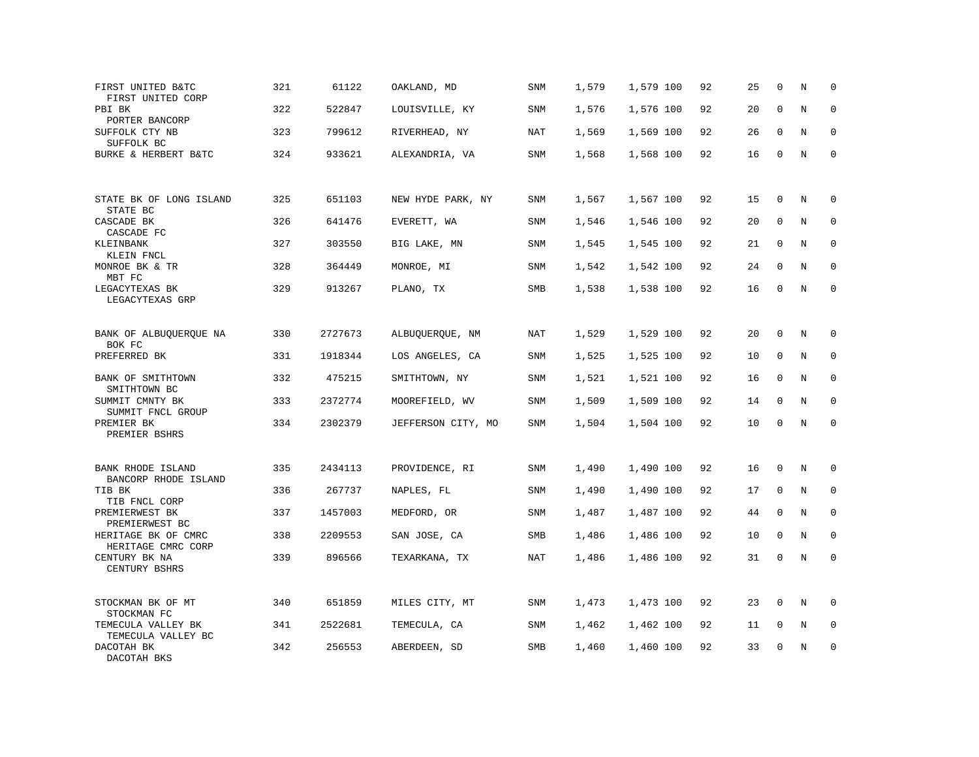| FIRST UNITED B&TC<br>FIRST UNITED CORP           | 321 | 61122   | OAKLAND, MD        | SNM        | 1,579 | 1,579 100 | 92 | 25 | $\mathbf 0$  | N       | $\mathbf 0$ |
|--------------------------------------------------|-----|---------|--------------------|------------|-------|-----------|----|----|--------------|---------|-------------|
| PBI BK<br>PORTER BANCORP                         | 322 | 522847  | LOUISVILLE, KY     | <b>SNM</b> | 1,576 | 1,576 100 | 92 | 20 | $\mathbf{0}$ | N       | $\mathbf 0$ |
| SUFFOLK CTY NB<br>SUFFOLK BC                     | 323 | 799612  | RIVERHEAD, NY      | NAT        | 1,569 | 1,569 100 | 92 | 26 | $\mathbf{0}$ | N       | $\mathbf 0$ |
| BURKE & HERBERT B&TC                             | 324 | 933621  | ALEXANDRIA, VA     | <b>SNM</b> | 1,568 | 1,568 100 | 92 | 16 | $\mathbf 0$  | N       | $\mathbf 0$ |
| STATE BK OF LONG ISLAND<br>STATE BC              | 325 | 651103  | NEW HYDE PARK, NY  | <b>SNM</b> | 1,567 | 1,567 100 | 92 | 15 | $\mathbf{0}$ | N       | $\mathbf 0$ |
| CASCADE BK<br>CASCADE FC                         | 326 | 641476  | EVERETT, WA        | SNM        | 1,546 | 1,546 100 | 92 | 20 | $\mathbf 0$  | N       | $\mathbf 0$ |
| KLEINBANK<br>KLEIN FNCL                          | 327 | 303550  | BIG LAKE, MN       | SNM        | 1,545 | 1,545 100 | 92 | 21 | $\mathbf 0$  | N       | $\mathbf 0$ |
| MONROE BK & TR<br>MBT FC                         | 328 | 364449  | MONROE, MI         | SNM        | 1,542 | 1,542 100 | 92 | 24 | $\Omega$     | N       | $\mathbf 0$ |
| LEGACYTEXAS BK<br>LEGACYTEXAS GRP                | 329 | 913267  | PLANO, TX          | SMB        | 1,538 | 1,538 100 | 92 | 16 | $\mathbf{0}$ | $\rm N$ | $\mathbf 0$ |
| BANK OF ALBUQUERQUE NA<br>BOK FC                 | 330 | 2727673 | ALBUQUERQUE, NM    | NAT        | 1,529 | 1,529 100 | 92 | 20 | $\mathbf 0$  | N       | 0           |
| PREFERRED BK                                     | 331 | 1918344 | LOS ANGELES, CA    | <b>SNM</b> | 1,525 | 1,525 100 | 92 | 10 | $\mathbf{0}$ | N       | $\mathbf 0$ |
| BANK OF SMITHTOWN<br>SMITHTOWN BC                | 332 | 475215  | SMITHTOWN, NY      | SNM        | 1,521 | 1,521 100 | 92 | 16 | 0            | N       | 0           |
| SUMMIT CMNTY BK<br>SUMMIT FNCL GROUP             | 333 | 2372774 | MOOREFIELD, WV     | <b>SNM</b> | 1,509 | 1,509 100 | 92 | 14 | $\Omega$     | N       | $\mathbf 0$ |
| PREMIER BK<br>PREMIER BSHRS                      | 334 | 2302379 | JEFFERSON CITY, MO | SNM        | 1,504 | 1,504 100 | 92 | 10 | $\Omega$     | $\rm N$ | $\mathbf 0$ |
| <b>BANK RHODE ISLAND</b><br>BANCORP RHODE ISLAND | 335 | 2434113 | PROVIDENCE, RI     | SNM        | 1,490 | 1,490 100 | 92 | 16 | $\mathbf 0$  | N       | $\mathbf 0$ |
| TIB BK<br>TIB FNCL CORP                          | 336 | 267737  | NAPLES, FL         | SNM        | 1,490 | 1,490 100 | 92 | 17 | 0            | N       | $\mathbf 0$ |
| PREMIERWEST BK<br>PREMIERWEST BC                 | 337 | 1457003 | MEDFORD, OR        | SNM        | 1,487 | 1,487 100 | 92 | 44 | $\mathbf 0$  | N       | $\mathbf 0$ |
| HERITAGE BK OF CMRC<br>HERITAGE CMRC CORP        | 338 | 2209553 | SAN JOSE, CA       | SMB        | 1,486 | 1,486 100 | 92 | 10 | $\mathbf{0}$ | N       | $\mathbf 0$ |
| CENTURY BK NA<br>CENTURY BSHRS                   | 339 | 896566  | TEXARKANA, TX      | NAT        | 1,486 | 1,486 100 | 92 | 31 | $\mathbf 0$  | N       | $\mathbf 0$ |
| STOCKMAN BK OF MT<br>STOCKMAN FC                 | 340 | 651859  | MILES CITY, MT     | SNM        | 1,473 | 1,473 100 | 92 | 23 | $\mathbf 0$  | N       | $\mathbf 0$ |
| TEMECULA VALLEY BK<br>TEMECULA VALLEY BC         | 341 | 2522681 | TEMECULA, CA       | SNM        | 1,462 | 1,462 100 | 92 | 11 | 0            | Ν       | 0           |
| DACOTAH BK<br>DACOTAH BKS                        | 342 | 256553  | ABERDEEN, SD       | SMB        | 1,460 | 1,460 100 | 92 | 33 | $\mathbf 0$  | N       | $\mathbf 0$ |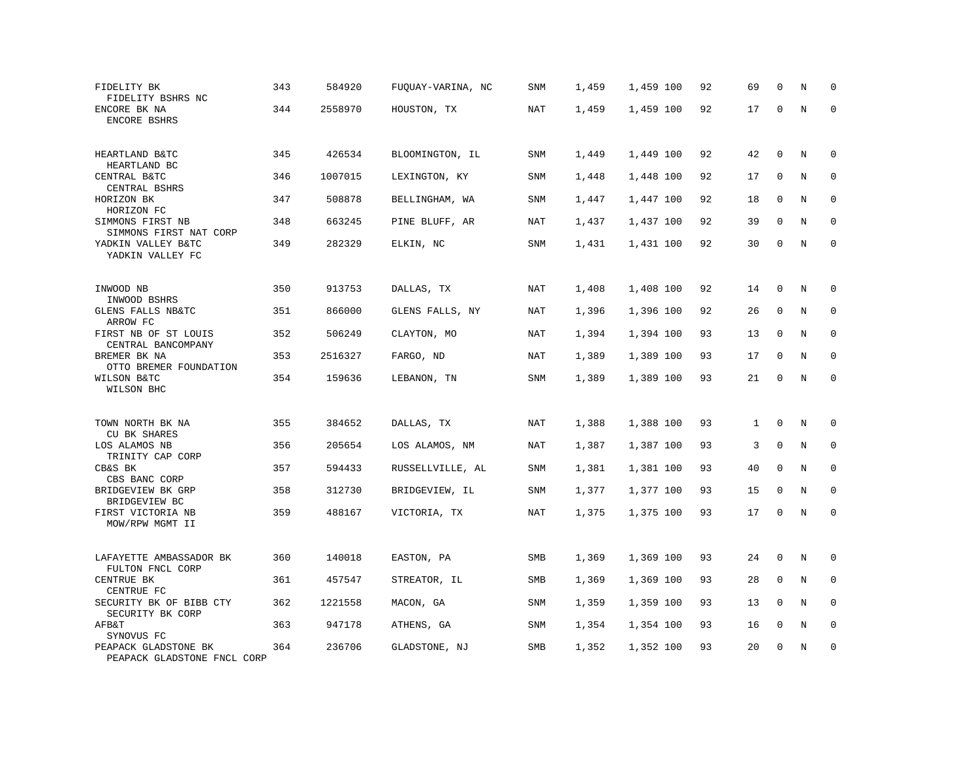| FIDELITY BK<br>FIDELITY BSHRS NC                         | 343 | 584920  | FUQUAY-VARINA, NC | SNM        | 1,459 | 1,459 100 | 92 | 69 | $\mathbf 0$  | N           | $\mathbf 0$  |
|----------------------------------------------------------|-----|---------|-------------------|------------|-------|-----------|----|----|--------------|-------------|--------------|
| ENCORE BK NA<br><b>ENCORE BSHRS</b>                      | 344 | 2558970 | HOUSTON, TX       | NAT        | 1,459 | 1,459 100 | 92 | 17 | $\mathbf 0$  | N           | $\Omega$     |
| HEARTLAND B&TC<br>HEARTLAND BC                           | 345 | 426534  | BLOOMINGTON, IL   | SNM        | 1,449 | 1,449 100 | 92 | 42 | $\mathbf 0$  | N           | $\mathbf 0$  |
| CENTRAL B&TC<br>CENTRAL BSHRS                            | 346 | 1007015 | LEXINGTON, KY     | SNM        | 1,448 | 1,448 100 | 92 | 17 | 0            | N           | 0            |
| HORIZON BK<br>HORIZON FC                                 | 347 | 508878  | BELLINGHAM, WA    | SNM        | 1,447 | 1,447 100 | 92 | 18 | $\mathbf 0$  | N           | $\mathbf 0$  |
| SIMMONS FIRST NB<br>SIMMONS FIRST NAT CORP               | 348 | 663245  | PINE BLUFF, AR    | <b>NAT</b> | 1,437 | 1,437 100 | 92 | 39 | $\mathbf 0$  | N           | $\mathbf 0$  |
| YADKIN VALLEY B&TC<br>YADKIN VALLEY FC                   | 349 | 282329  | ELKIN, NC         | SNM        | 1,431 | 1,431 100 | 92 | 30 | $\mathbf{0}$ | N           | $\mathbf{0}$ |
| INWOOD NB                                                | 350 | 913753  | DALLAS, TX        | NAT        | 1,408 | 1,408 100 | 92 | 14 | $\mathbf{0}$ | N           | 0            |
| INWOOD BSHRS<br>GLENS FALLS NB&TC<br>ARROW FC            | 351 | 866000  | GLENS FALLS, NY   | NAT        | 1,396 | 1,396 100 | 92 | 26 | 0            | N           | 0            |
| FIRST NB OF ST LOUIS<br>CENTRAL BANCOMPANY               | 352 | 506249  | CLAYTON, MO       | NAT        | 1,394 | 1,394 100 | 93 | 13 | $\mathbf 0$  | N           | $\mathbf{0}$ |
| BREMER BK NA<br>OTTO BREMER FOUNDATION                   | 353 | 2516327 | FARGO, ND         | <b>NAT</b> | 1,389 | 1,389 100 | 93 | 17 | 0            | N           | $\mathbf 0$  |
| WILSON B&TC<br>WILSON BHC                                | 354 | 159636  | LEBANON, TN       | SNM        | 1,389 | 1,389 100 | 93 | 21 | $\mathbf 0$  | $\rm N$     | $\mathbf 0$  |
| TOWN NORTH BK NA                                         | 355 | 384652  | DALLAS, TX        | <b>NAT</b> | 1,388 | 1,388 100 | 93 | 1  | $\mathbf 0$  | N           | $\mathbf 0$  |
| <b>CU BK SHARES</b><br>LOS ALAMOS NB<br>TRINITY CAP CORP | 356 | 205654  | LOS ALAMOS, NM    | NAT        | 1,387 | 1,387 100 | 93 | 3  | $\mathbf 0$  | N           | $\mathbf 0$  |
| CB&S BK<br>CBS BANC CORP                                 | 357 | 594433  | RUSSELLVILLE, AL  | SNM        | 1,381 | 1,381 100 | 93 | 40 | $\mathbf 0$  | $\mathbf N$ | $\mathbf 0$  |
| BRIDGEVIEW BK GRP<br>BRIDGEVIEW BC                       | 358 | 312730  | BRIDGEVIEW, IL    | SNM        | 1,377 | 1,377 100 | 93 | 15 | 0            | N           | 0            |
| FIRST VICTORIA NB<br>MOW/RPW MGMT II                     | 359 | 488167  | VICTORIA, TX      | NAT        | 1,375 | 1,375 100 | 93 | 17 | $\mathbf 0$  | N           | $\mathbf 0$  |
| LAFAYETTE AMBASSADOR BK<br>FULTON FNCL CORP              | 360 | 140018  | EASTON, PA        | SMB        | 1,369 | 1,369 100 | 93 | 24 | $\mathbf 0$  | N           | $\mathbf 0$  |
| CENTRUE BK<br>CENTRUE FC                                 | 361 | 457547  | STREATOR, IL      | SMB        | 1,369 | 1,369 100 | 93 | 28 | 0            | $\rm N$     | 0            |
| SECURITY BK OF BIBB CTY<br>SECURITY BK CORP              | 362 | 1221558 | MACON, GA         | SNM        | 1,359 | 1,359 100 | 93 | 13 | $\Omega$     | N           | $\mathbf 0$  |
| AFB&T<br>SYNOVUS FC                                      | 363 | 947178  | ATHENS, GA        | <b>SNM</b> | 1,354 | 1,354 100 | 93 | 16 | $\mathbf 0$  | N           | $\mathbf 0$  |
| PEAPACK GLADSTONE BK<br>PEAPACK GLADSTONE FNCL CORP      | 364 | 236706  | GLADSTONE, NJ     | SMB        | 1,352 | 1,352 100 | 93 | 20 | $\mathbf 0$  | N           | $\mathbf 0$  |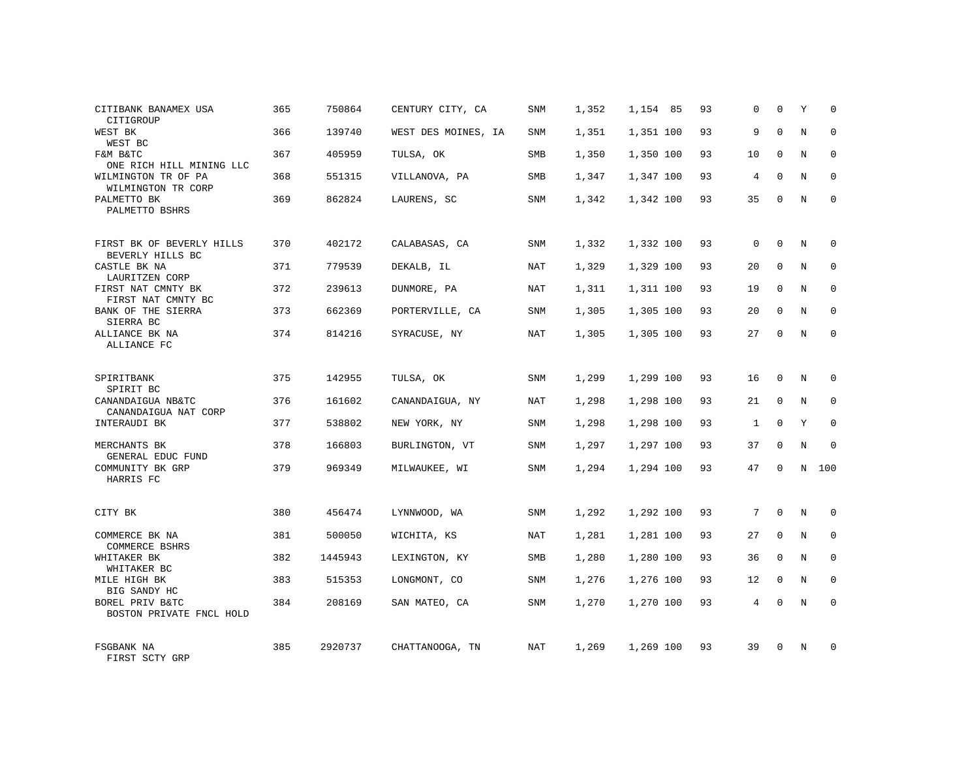| CITIBANK BANAMEX USA<br>CITIGROUP                  | 365 | 750864  | CENTURY CITY, CA    | SNM        | 1,352 | 1,154 85  | 93 | 0            | $\mathbf 0$  | Υ | $\mathbf 0$ |
|----------------------------------------------------|-----|---------|---------------------|------------|-------|-----------|----|--------------|--------------|---|-------------|
| WEST BK<br>WEST BC                                 | 366 | 139740  | WEST DES MOINES, IA | <b>SNM</b> | 1,351 | 1,351 100 | 93 | 9            | $\Omega$     | N | $\Omega$    |
| F&M B&TC<br>ONE RICH HILL MINING LLC               | 367 | 405959  | TULSA, OK           | SMB        | 1,350 | 1,350 100 | 93 | 10           | $\mathbf 0$  | N | $\mathbf 0$ |
| WILMINGTON TR OF PA<br>WILMINGTON TR CORP          | 368 | 551315  | VILLANOVA, PA       | <b>SMB</b> | 1,347 | 1,347 100 | 93 | 4            | $\Omega$     | N | $\mathbf 0$ |
| PALMETTO BK<br>PALMETTO BSHRS                      | 369 | 862824  | LAURENS, SC         | <b>SNM</b> | 1,342 | 1,342 100 | 93 | 35           | $\Omega$     | N | $\Omega$    |
| FIRST BK OF BEVERLY HILLS                          | 370 | 402172  | CALABASAS, CA       | <b>SNM</b> | 1,332 | 1,332 100 | 93 | $\mathbf 0$  | $\Omega$     | N | $\mathbf 0$ |
| BEVERLY HILLS BC<br>CASTLE BK NA<br>LAURITZEN CORP | 371 | 779539  | DEKALB, IL          | NAT        | 1,329 | 1,329 100 | 93 | 20           | $\mathbf 0$  | N | $\mathbf 0$ |
| FIRST NAT CMNTY BK<br>FIRST NAT CMNTY BC           | 372 | 239613  | DUNMORE, PA         | NAT        | 1,311 | 1,311 100 | 93 | 19           | $\Omega$     | N | $\mathbf 0$ |
| BANK OF THE SIERRA<br>SIERRA BC                    | 373 | 662369  | PORTERVILLE, CA     | SNM        | 1,305 | 1,305 100 | 93 | 20           | $\mathbf 0$  | N | 0           |
| ALLIANCE BK NA<br>ALLIANCE FC                      | 374 | 814216  | SYRACUSE, NY        | <b>NAT</b> | 1,305 | 1,305 100 | 93 | 27           | $\mathbf 0$  | N | $\mathbf 0$ |
| SPIRITBANK<br>SPIRIT BC                            | 375 | 142955  | TULSA, OK           | SNM        | 1,299 | 1,299 100 | 93 | 16           | 0            | N | $\mathbf 0$ |
| CANANDAIGUA NB&TC<br>CANANDAIGUA NAT CORP          | 376 | 161602  | CANANDAIGUA, NY     | <b>NAT</b> | 1,298 | 1,298 100 | 93 | 21           | $\mathbf 0$  | N | $\mathbf 0$ |
| INTERAUDI BK                                       | 377 | 538802  | NEW YORK, NY        | SNM        | 1,298 | 1,298 100 | 93 | $\mathbf{1}$ | $\Omega$     | Y | $\mathbf 0$ |
| MERCHANTS BK<br>GENERAL EDUC FUND                  | 378 | 166803  | BURLINGTON, VT      | <b>SNM</b> | 1,297 | 1,297 100 | 93 | 37           | $\mathbf{0}$ | N | $\mathbf 0$ |
| COMMUNITY BK GRP<br>HARRIS FC                      | 379 | 969349  | MILWAUKEE, WI       | SNM        | 1,294 | 1,294 100 | 93 | 47           | $\mathbf 0$  | N | 100         |
| CITY BK                                            | 380 | 456474  | LYNNWOOD, WA        | SNM        | 1,292 | 1,292 100 | 93 | 7            | $\mathbf{0}$ | N | 0           |
| COMMERCE BK NA<br>COMMERCE BSHRS                   | 381 | 500050  | WICHITA, KS         | NAT        | 1,281 | 1,281 100 | 93 | 27           | $\mathbf 0$  | N | 0           |
| WHITAKER BK<br>WHITAKER BC                         | 382 | 1445943 | LEXINGTON, KY       | SMB        | 1,280 | 1,280 100 | 93 | 36           | $\Omega$     | N | $\mathbf 0$ |
| MILE HIGH BK<br>BIG SANDY HC                       | 383 | 515353  | LONGMONT, CO        | SNM        | 1,276 | 1,276 100 | 93 | 12           | $\mathbf 0$  | N | 0           |
| BOREL PRIV B&TC<br>BOSTON PRIVATE FNCL HOLD        | 384 | 208169  | SAN MATEO, CA       | <b>SNM</b> | 1,270 | 1,270 100 | 93 | 4            | $\Omega$     | N | $\mathbf 0$ |
| FSGBANK NA<br>FIRST SCTY GRP                       | 385 | 2920737 | CHATTANOOGA, TN     | NAT        | 1,269 | 1,269 100 | 93 | 39           | $\Omega$     | N | 0           |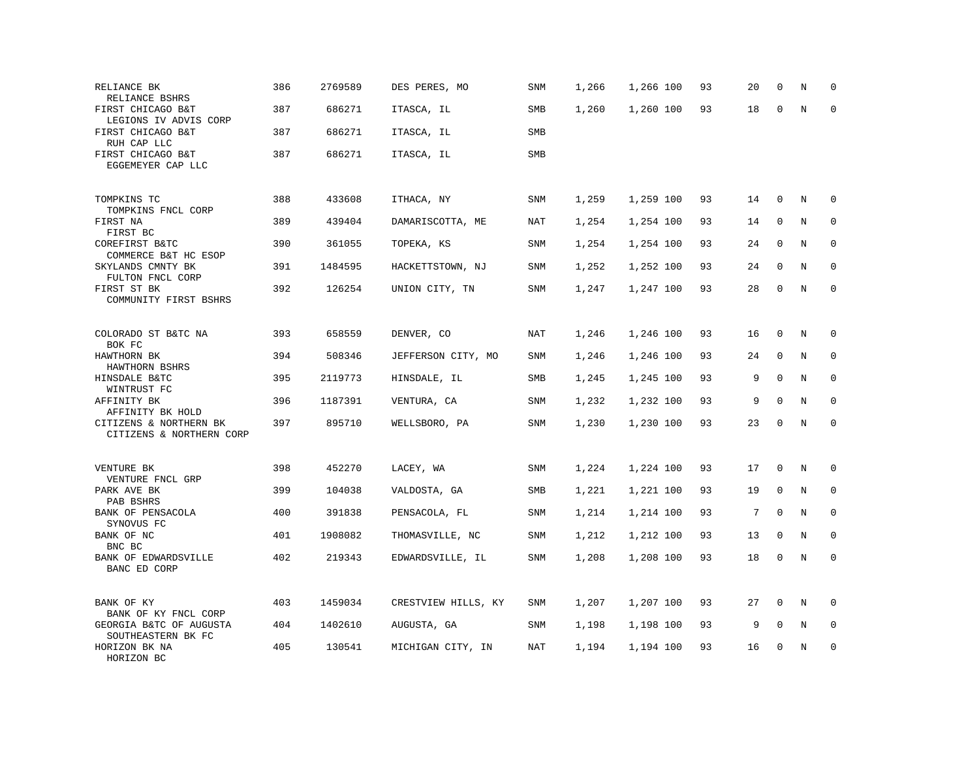| RELIANCE BK<br>RELIANCE BSHRS                      | 386 | 2769589 | DES PERES, MO       | SNM        | 1,266 | 1,266 100 | 93 | 20 | 0            | N       | $\mathbf 0$ |
|----------------------------------------------------|-----|---------|---------------------|------------|-------|-----------|----|----|--------------|---------|-------------|
| FIRST CHICAGO B&T<br>LEGIONS IV ADVIS CORP         | 387 | 686271  | ITASCA, IL          | SMB        | 1,260 | 1,260 100 | 93 | 18 | $\mathbf 0$  | N       | $\mathbf 0$ |
| FIRST CHICAGO B&T<br>RUH CAP LLC                   | 387 | 686271  | ITASCA, IL          | <b>SMB</b> |       |           |    |    |              |         |             |
| FIRST CHICAGO B&T<br>EGGEMEYER CAP LLC             | 387 | 686271  | ITASCA, IL          | SMB        |       |           |    |    |              |         |             |
| TOMPKINS TC<br>TOMPKINS FNCL CORP                  | 388 | 433608  | ITHACA, NY          | <b>SNM</b> | 1,259 | 1,259 100 | 93 | 14 | 0            | N       | 0           |
| FIRST NA<br>FIRST BC                               | 389 | 439404  | DAMARISCOTTA, ME    | NAT        | 1,254 | 1,254 100 | 93 | 14 | 0            | N       | 0           |
| COREFIRST B&TC<br>COMMERCE B&T HC ESOP             | 390 | 361055  | TOPEKA, KS          | <b>SNM</b> | 1,254 | 1,254 100 | 93 | 24 | $\mathbf 0$  | N       | $\mathbf 0$ |
| SKYLANDS CMNTY BK<br>FULTON FNCL CORP              | 391 | 1484595 | HACKETTSTOWN, NJ    | SNM        | 1,252 | 1,252 100 | 93 | 24 | $\mathbf 0$  | N       | $\Omega$    |
| FIRST ST BK<br>COMMUNITY FIRST BSHRS               | 392 | 126254  | UNION CITY, TN      | SNM        | 1,247 | 1,247 100 | 93 | 28 | $\mathbf 0$  | N       | $\mathbf 0$ |
| COLORADO ST B&TC NA<br>BOK FC                      | 393 | 658559  | DENVER, CO          | NAT        | 1,246 | 1,246 100 | 93 | 16 | 0            | N       | 0           |
| HAWTHORN BK<br>HAWTHORN BSHRS                      | 394 | 508346  | JEFFERSON CITY, MO  | <b>SNM</b> | 1,246 | 1,246 100 | 93 | 24 | 0            | N       | 0           |
| HINSDALE B&TC<br>WINTRUST FC                       | 395 | 2119773 | HINSDALE, IL        | SMB        | 1,245 | 1,245 100 | 93 | 9  | $\mathbf 0$  | N       | $\mathbf 0$ |
| AFFINITY BK<br>AFFINITY BK HOLD                    | 396 | 1187391 | VENTURA, CA         | SNM        | 1,232 | 1,232 100 | 93 | 9  | $\Omega$     | N       | 0           |
| CITIZENS & NORTHERN BK<br>CITIZENS & NORTHERN CORP | 397 | 895710  | WELLSBORO, PA       | <b>SNM</b> | 1,230 | 1,230 100 | 93 | 23 | $\mathbf 0$  | N       | $\mathbf 0$ |
| VENTURE BK<br>VENTURE FNCL GRP                     | 398 | 452270  | LACEY, WA           | SNM        | 1,224 | 1,224 100 | 93 | 17 | $\mathbf 0$  | N       | 0           |
| PARK AVE BK<br>PAB BSHRS                           | 399 | 104038  | VALDOSTA, GA        | SMB        | 1,221 | 1,221 100 | 93 | 19 | $\mathbf 0$  | N       | 0           |
| BANK OF PENSACOLA<br>SYNOVUS FC                    | 400 | 391838  | PENSACOLA, FL       | SNM        | 1,214 | 1,214 100 | 93 | 7  | $\mathbf{0}$ | N       | $\mathbf 0$ |
| BANK OF NC<br>BNC BC                               | 401 | 1908082 | THOMASVILLE, NC     | SNM        | 1,212 | 1,212 100 | 93 | 13 | $\mathbf 0$  | N       | $\Omega$    |
| BANK OF EDWARDSVILLE<br>BANC ED CORP               | 402 | 219343  | EDWARDSVILLE, IL    | SNM        | 1,208 | 1,208 100 | 93 | 18 | $\mathsf 0$  | $\rm N$ | $\mathbf 0$ |
| BANK OF KY<br>BANK OF KY FNCL CORP                 | 403 | 1459034 | CRESTVIEW HILLS, KY | SNM        | 1,207 | 1,207 100 | 93 | 27 | 0            | N       | 0           |
| GEORGIA B&TC OF AUGUSTA<br>SOUTHEASTERN BK FC      | 404 | 1402610 | AUGUSTA, GA         | SNM        | 1,198 | 1,198 100 | 93 | 9  | $\mathbf 0$  | N       | $\mathbf 0$ |
| HORIZON BK NA<br>HORIZON BC                        | 405 | 130541  | MICHIGAN CITY, IN   | <b>NAT</b> | 1,194 | 1,194 100 | 93 | 16 | $\mathbf 0$  | N       | $\mathbf 0$ |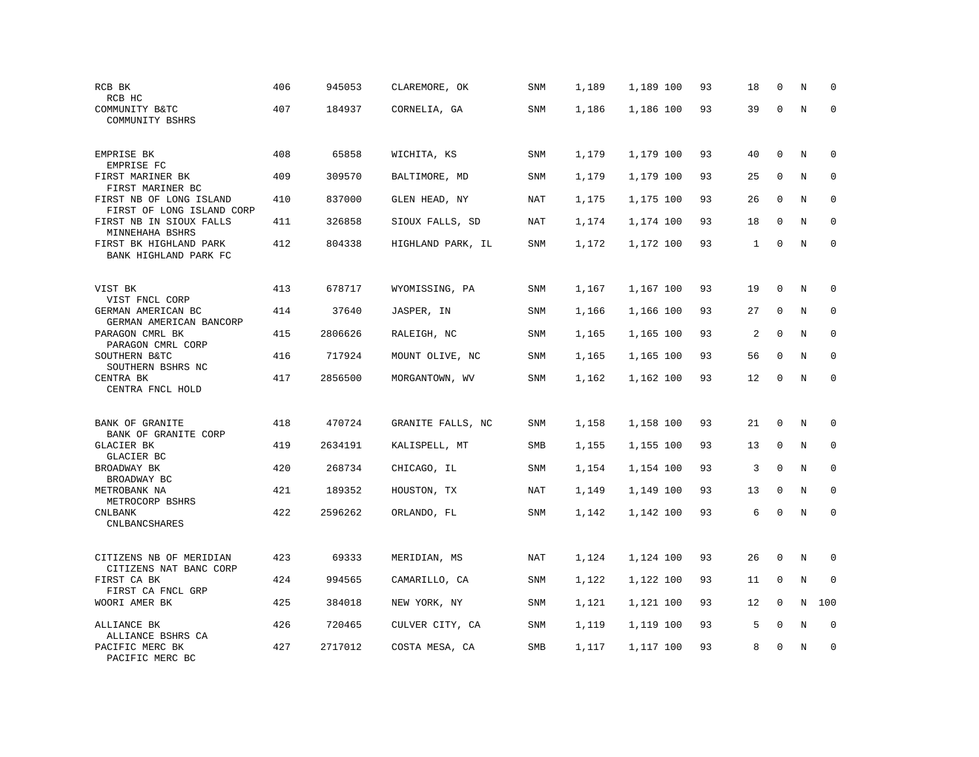| RCB BK<br>RCB HC                                                | 406 | 945053  | CLAREMORE, OK     | SNM        | 1,189 | 1,189 100 | 93 | 18 | $\mathbf 0$  | N       | $\mathbf 0$ |
|-----------------------------------------------------------------|-----|---------|-------------------|------------|-------|-----------|----|----|--------------|---------|-------------|
| COMMUNITY B&TC<br>COMMUNITY BSHRS                               | 407 | 184937  | CORNELIA, GA      | SNM        | 1,186 | 1,186 100 | 93 | 39 | $\mathbf 0$  | N       | $\Omega$    |
| EMPRISE BK<br>EMPRISE FC                                        | 408 | 65858   | WICHITA, KS       | SNM        | 1,179 | 1,179 100 | 93 | 40 | $\mathbf 0$  | N       | 0           |
| FIRST MARINER BK<br>FIRST MARINER BC                            | 409 | 309570  | BALTIMORE, MD     | SNM        | 1,179 | 1,179 100 | 93 | 25 | 0            | N       | $\mathbf 0$ |
| FIRST NB OF LONG ISLAND<br>FIRST OF LONG ISLAND CORP            | 410 | 837000  | GLEN HEAD, NY     | <b>NAT</b> | 1,175 | 1,175 100 | 93 | 26 | $\mathbf 0$  | N       | $\mathbf 0$ |
| FIRST NB IN SIOUX FALLS<br>MINNEHAHA BSHRS                      | 411 | 326858  | SIOUX FALLS, SD   | <b>NAT</b> | 1,174 | 1,174 100 | 93 | 18 | $\mathbf 0$  | N       | $\mathbf 0$ |
| FIRST BK HIGHLAND PARK<br>BANK HIGHLAND PARK FC                 | 412 | 804338  | HIGHLAND PARK, IL | <b>SNM</b> | 1,172 | 1,172 100 | 93 | 1  | $\mathbf 0$  | N       | $\mathbf 0$ |
| VIST BK                                                         | 413 | 678717  | WYOMISSING, PA    | SNM        | 1,167 | 1,167 100 | 93 | 19 | $\mathbf 0$  | N       | $\Omega$    |
| VIST FNCL CORP<br>GERMAN AMERICAN BC<br>GERMAN AMERICAN BANCORP | 414 | 37640   | JASPER, IN        | SNM        | 1,166 | 1,166 100 | 93 | 27 | $\mathbf 0$  | N       | $\mathbf 0$ |
| PARAGON CMRL BK<br>PARAGON CMRL CORP                            | 415 | 2806626 | RALEIGH, NC       | SNM        | 1,165 | 1,165 100 | 93 | 2  | $\mathbf 0$  | N       | 0           |
| SOUTHERN B&TC<br>SOUTHERN BSHRS NC                              | 416 | 717924  | MOUNT OLIVE, NC   | <b>SNM</b> | 1,165 | 1,165 100 | 93 | 56 | $\mathbf 0$  | N       | $\mathbf 0$ |
| CENTRA BK<br>CENTRA FNCL HOLD                                   | 417 | 2856500 | MORGANTOWN, WV    | <b>SNM</b> | 1,162 | 1,162 100 | 93 | 12 | $\mathbf 0$  | $\rm N$ | $\mathbf 0$ |
| BANK OF GRANITE                                                 | 418 | 470724  | GRANITE FALLS, NC | SNM        | 1,158 | 1,158 100 | 93 | 21 | 0            | Ν       | $\mathbf 0$ |
| BANK OF GRANITE CORP<br><b>GLACIER BK</b>                       | 419 | 2634191 | KALISPELL, MT     | SMB        | 1,155 | 1,155 100 | 93 | 13 | $\mathbf 0$  | N       | $\mathbf 0$ |
| GLACIER BC<br>BROADWAY BK                                       | 420 | 268734  | CHICAGO, IL       | SNM        | 1,154 | 1,154 100 | 93 | 3  | $\Omega$     | N       | 0           |
| BROADWAY BC<br>METROBANK NA<br>METROCORP BSHRS                  | 421 | 189352  | HOUSTON, TX       | NAT        | 1,149 | 1,149 100 | 93 | 13 | $\mathbf{0}$ | N       | $\mathbf 0$ |
| <b>CNLBANK</b><br><b>CNLBANCSHARES</b>                          | 422 | 2596262 | ORLANDO, FL       | SNM        | 1,142 | 1,142 100 | 93 | 6  | $\mathbf 0$  | N       | $\mathbf 0$ |
| CITIZENS NB OF MERIDIAN                                         | 423 | 69333   | MERIDIAN, MS      | NAT        | 1,124 | 1,124 100 | 93 | 26 | $\mathbf 0$  | N       | 0           |
| CITIZENS NAT BANC CORP<br>FIRST CA BK<br>FIRST CA FNCL GRP      | 424 | 994565  | CAMARILLO, CA     | SNM        | 1,122 | 1,122 100 | 93 | 11 | 0            | N       | $\mathbf 0$ |
| WOORI AMER BK                                                   | 425 | 384018  | NEW YORK, NY      | SNM        | 1,121 | 1,121 100 | 93 | 12 | 0            | N       | 100         |
| ALLIANCE BK<br>ALLIANCE BSHRS CA                                | 426 | 720465  | CULVER CITY, CA   | <b>SNM</b> | 1,119 | 1,119 100 | 93 | 5  | $\mathbf 0$  | N       | $\mathbf 0$ |
| PACIFIC MERC BK<br>PACIFIC MERC BC                              | 427 | 2717012 | COSTA MESA, CA    | SMB        | 1,117 | 1,117 100 | 93 | 8  | $\mathbf 0$  | N       | $\mathbf 0$ |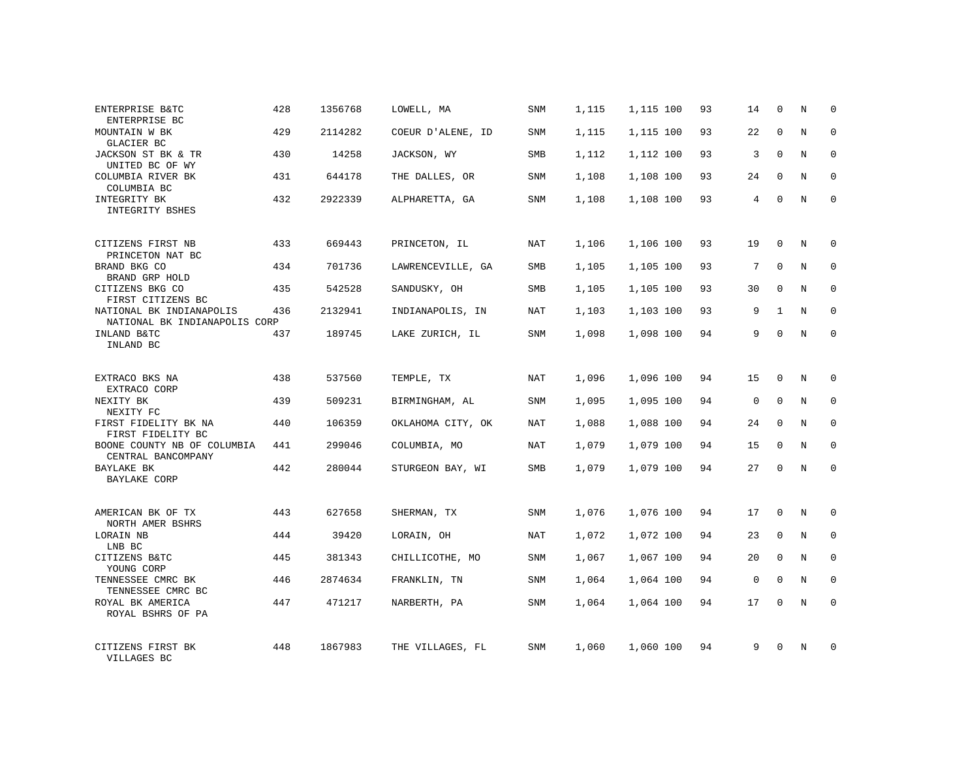| ENTERPRISE B&TC<br>ENTERPRISE BC                          | 428 | 1356768 | LOWELL, MA        | SNM        | 1,115 | 1,115 100 | 93 | 14          | 0           | N | $\mathbf 0$ |
|-----------------------------------------------------------|-----|---------|-------------------|------------|-------|-----------|----|-------------|-------------|---|-------------|
| MOUNTAIN W BK<br>GLACIER BC                               | 429 | 2114282 | COEUR D'ALENE, ID | <b>SNM</b> | 1,115 | 1,115 100 | 93 | 22          | $\Omega$    | N | $\mathbf 0$ |
| JACKSON ST BK & TR<br>UNITED BC OF WY                     | 430 | 14258   | JACKSON, WY       | SMB        | 1,112 | 1,112 100 | 93 | 3           | $\mathbf 0$ | N | $\mathbf 0$ |
| COLUMBIA RIVER BK<br>COLUMBIA BC                          | 431 | 644178  | THE DALLES, OR    | <b>SNM</b> | 1,108 | 1,108 100 | 93 | 24          | $\mathbf 0$ | N | $\mathbf 0$ |
| INTEGRITY BK<br>INTEGRITY BSHES                           | 432 | 2922339 | ALPHARETTA, GA    | <b>SNM</b> | 1,108 | 1,108 100 | 93 | 4           | $\Omega$    | N | $\Omega$    |
| CITIZENS FIRST NB<br>PRINCETON NAT BC                     | 433 | 669443  | PRINCETON, IL     | NAT        | 1,106 | 1,106 100 | 93 | 19          | $\Omega$    | N | $\mathbf 0$ |
| BRAND BKG CO<br>BRAND GRP HOLD                            | 434 | 701736  | LAWRENCEVILLE, GA | SMB        | 1,105 | 1,105 100 | 93 | 7           | $\mathbf 0$ | N | $\mathbf 0$ |
| CITIZENS BKG CO<br>FIRST CITIZENS BC                      | 435 | 542528  | SANDUSKY, OH      | <b>SMB</b> | 1,105 | 1,105 100 | 93 | 30          | $\Omega$    | N | $\mathbf 0$ |
| NATIONAL BK INDIANAPOLIS<br>NATIONAL BK INDIANAPOLIS CORP | 436 | 2132941 | INDIANAPOLIS, IN  | NAT        | 1,103 | 1,103 100 | 93 | 9           | 1           | N | 0           |
| INLAND B&TC<br>INLAND BC                                  | 437 | 189745  | LAKE ZURICH, IL   | <b>SNM</b> | 1,098 | 1,098 100 | 94 | 9           | $\Omega$    | N | $\mathbf 0$ |
| EXTRACO BKS NA<br>EXTRACO CORP                            | 438 | 537560  | TEMPLE, TX        | NAT        | 1,096 | 1,096 100 | 94 | 15          | 0           | N | $\mathbf 0$ |
| NEXITY BK<br>NEXITY FC                                    | 439 | 509231  | BIRMINGHAM, AL    | SNM        | 1,095 | 1,095 100 | 94 | $\mathbf 0$ | $\mathbf 0$ | N | $\mathbf 0$ |
| FIRST FIDELITY BK NA<br>FIRST FIDELITY BC                 | 440 | 106359  | OKLAHOMA CITY, OK | NAT        | 1,088 | 1,088 100 | 94 | 24          | 0           | N | $\mathbf 0$ |
| BOONE COUNTY NB OF COLUMBIA<br>CENTRAL BANCOMPANY         | 441 | 299046  | COLUMBIA, MO      | NAT        | 1,079 | 1,079 100 | 94 | 15          | $\Omega$    | N | $\mathbf 0$ |
| BAYLAKE BK<br><b>BAYLAKE CORP</b>                         | 442 | 280044  | STURGEON BAY, WI  | SMB        | 1,079 | 1,079 100 | 94 | 27          | 0           | N | $\mathbf 0$ |
| AMERICAN BK OF TX<br>NORTH AMER BSHRS                     | 443 | 627658  | SHERMAN, TX       | SNM        | 1,076 | 1,076 100 | 94 | 17          | $\mathbf 0$ | N | 0           |
| LORAIN NB<br>LNB BC                                       | 444 | 39420   | LORAIN, OH        | NAT        | 1,072 | 1,072 100 | 94 | 23          | $\mathbf 0$ | N | 0           |
| CITIZENS B&TC<br>YOUNG CORP                               | 445 | 381343  | CHILLICOTHE, MO   | <b>SNM</b> | 1,067 | 1,067 100 | 94 | 20          | $\Omega$    | N | $\mathbf 0$ |
| TENNESSEE CMRC BK<br>TENNESSEE CMRC BC                    | 446 | 2874634 | FRANKLIN, TN      | <b>SNM</b> | 1,064 | 1,064 100 | 94 | $\mathbf 0$ | 0           | N | 0           |
| ROYAL BK AMERICA<br>ROYAL BSHRS OF PA                     | 447 | 471217  | NARBERTH, PA      | <b>SNM</b> | 1,064 | 1,064 100 | 94 | 17          | $\Omega$    | N | $\mathbf 0$ |
| CITIZENS FIRST BK<br>VILLAGES BC                          | 448 | 1867983 | THE VILLAGES, FL  | SNM        | 1,060 | 1,060 100 | 94 | 9           | $\Omega$    | N | $\mathbf 0$ |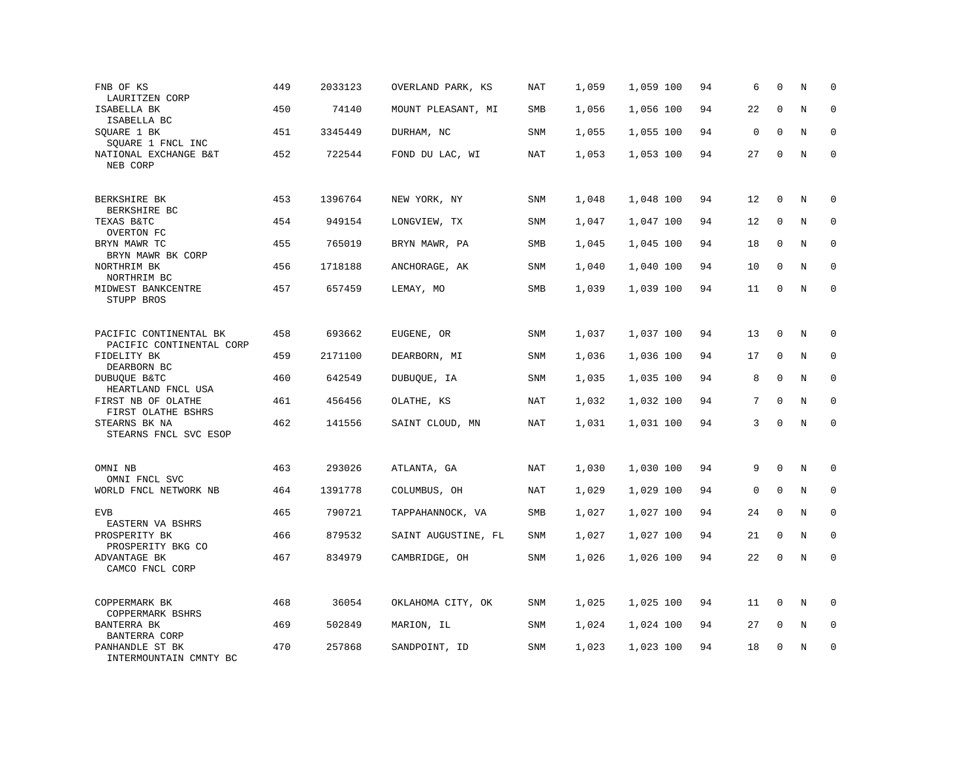| FNB OF KS<br>LAURITZEN CORP                        | 449 | 2033123 | OVERLAND PARK, KS   | <b>NAT</b> | 1,059 | 1,059 100 | 94 | 6           | $\mathbf 0$  | N       | $\mathbf 0$ |
|----------------------------------------------------|-----|---------|---------------------|------------|-------|-----------|----|-------------|--------------|---------|-------------|
| ISABELLA BK<br>ISABELLA BC                         | 450 | 74140   | MOUNT PLEASANT, MI  | SMB        | 1,056 | 1,056 100 | 94 | 22          | $\mathbf 0$  | N       | $\mathbf 0$ |
| SQUARE 1 BK<br>SQUARE 1 FNCL INC                   | 451 | 3345449 | DURHAM, NC          | <b>SNM</b> | 1,055 | 1,055 100 | 94 | $\mathsf 0$ | $\mathbf{0}$ | N       | $\mathbf 0$ |
| NATIONAL EXCHANGE B&T<br>NEB CORP                  | 452 | 722544  | FOND DU LAC, WI     | <b>NAT</b> | 1,053 | 1,053 100 | 94 | 27          | $\mathbf 0$  | N       | $\mathbf 0$ |
| BERKSHIRE BK<br>BERKSHIRE BC                       | 453 | 1396764 | NEW YORK, NY        | <b>SNM</b> | 1,048 | 1,048 100 | 94 | 12          | $\mathbf 0$  | N       | $\mathbf 0$ |
| TEXAS B&TC<br>OVERTON FC                           | 454 | 949154  | LONGVIEW, TX        | SNM        | 1,047 | 1,047 100 | 94 | 12          | $\mathbf 0$  | N       | $\mathbf 0$ |
| BRYN MAWR TC<br>BRYN MAWR BK CORP                  | 455 | 765019  | BRYN MAWR, PA       | SMB        | 1,045 | 1,045 100 | 94 | 18          | $\mathbf 0$  | N       | $\mathbf 0$ |
| NORTHRIM BK<br>NORTHRIM BC                         | 456 | 1718188 | ANCHORAGE, AK       | SNM        | 1,040 | 1,040 100 | 94 | 10          | $\Omega$     | N       | $\Omega$    |
| MIDWEST BANKCENTRE<br>STUPP BROS                   | 457 | 657459  | LEMAY, MO           | SMB        | 1,039 | 1,039 100 | 94 | 11          | $\mathbf 0$  | N       | $\mathbf 0$ |
| PACIFIC CONTINENTAL BK<br>PACIFIC CONTINENTAL CORP | 458 | 693662  | EUGENE, OR          | <b>SNM</b> | 1,037 | 1,037 100 | 94 | 13          | $\mathbf 0$  | N       | 0           |
| FIDELITY BK<br>DEARBORN BC                         | 459 | 2171100 | DEARBORN, MI        | <b>SNM</b> | 1,036 | 1,036 100 | 94 | 17          | $\mathbf 0$  | N       | $\mathbf 0$ |
| DUBUQUE B&TC<br>HEARTLAND FNCL USA                 | 460 | 642549  | DUBUQUE, IA         | SNM        | 1,035 | 1,035 100 | 94 | 8           | $\mathbf 0$  | N       | $\mathbf 0$ |
| FIRST NB OF OLATHE<br>FIRST OLATHE BSHRS           | 461 | 456456  | OLATHE, KS          | <b>NAT</b> | 1,032 | 1,032 100 | 94 | 7           | $\Omega$     | N       | $\mathbf 0$ |
| STEARNS BK NA<br>STEARNS FNCL SVC ESOP             | 462 | 141556  | SAINT CLOUD, MN     | <b>NAT</b> | 1,031 | 1,031 100 | 94 | 3           | $\Omega$     | $\rm N$ | $\Omega$    |
| OMNI NB<br>OMNI FNCL SVC                           | 463 | 293026  | ATLANTA, GA         | <b>NAT</b> | 1,030 | 1,030 100 | 94 | 9           | $\mathbf 0$  | N       | $\mathbf 0$ |
| WORLD FNCL NETWORK NB                              | 464 | 1391778 | COLUMBUS, OH        | NAT        | 1,029 | 1,029 100 | 94 | $\mathbf 0$ | $\mathbf 0$  | N       | $\mathbf 0$ |
| <b>EVB</b><br>EASTERN VA BSHRS                     | 465 | 790721  | TAPPAHANNOCK, VA    | SMB        | 1,027 | 1,027 100 | 94 | 24          | $\mathbf 0$  | N       | $\mathbf 0$ |
| PROSPERITY BK<br>PROSPERITY BKG CO                 | 466 | 879532  | SAINT AUGUSTINE, FL | <b>SNM</b> | 1,027 | 1,027 100 | 94 | 21          | $\mathbf 0$  | N       | $\mathbf 0$ |
| ADVANTAGE BK<br>CAMCO FNCL CORP                    | 467 | 834979  | CAMBRIDGE, OH       | SNM        | 1,026 | 1,026 100 | 94 | 22          | $\mathbf 0$  | N       | $\mathbf 0$ |
| COPPERMARK BK<br>COPPERMARK BSHRS                  | 468 | 36054   | OKLAHOMA CITY, OK   | <b>SNM</b> | 1,025 | 1,025 100 | 94 | 11          | $\mathbf 0$  | N       | $\mathbf 0$ |
| BANTERRA BK<br><b>BANTERRA CORP</b>                | 469 | 502849  | MARION, IL          | SNM        | 1,024 | 1,024 100 | 94 | 27          | 0            | Ν       | 0           |
| PANHANDLE ST BK<br>INTERMOUNTAIN CMNTY BC          | 470 | 257868  | SANDPOINT, ID       | <b>SNM</b> | 1,023 | 1,023 100 | 94 | 18          | $\mathbf 0$  | N       | $\mathbf 0$ |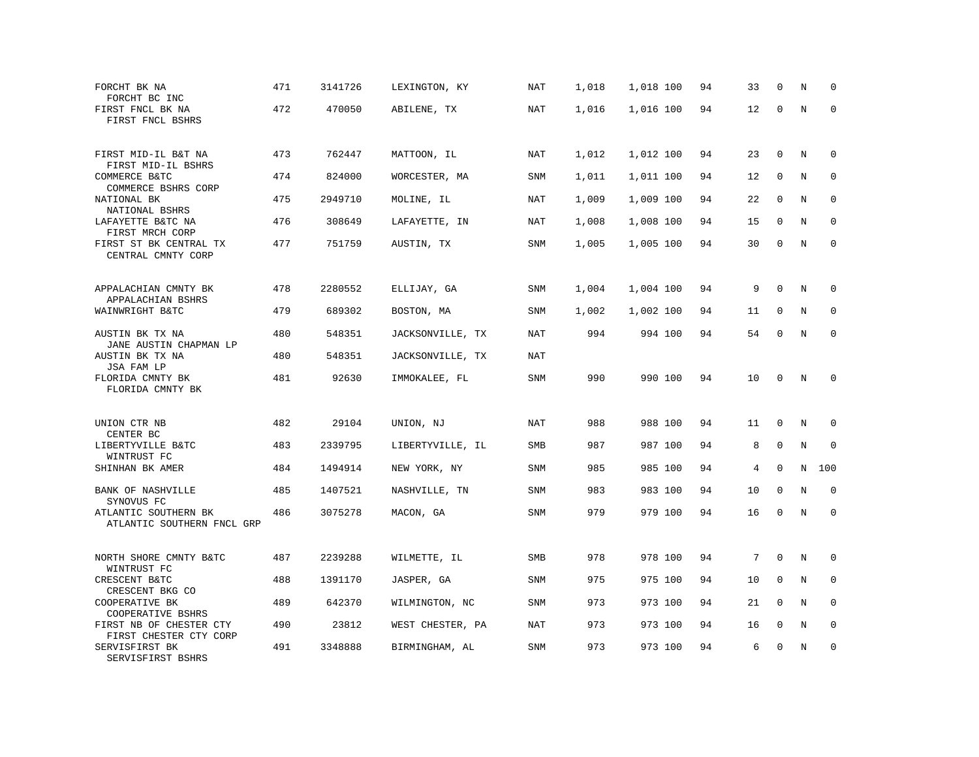| FORCHT BK NA<br>FORCHT BC INC                      | 471 | 3141726 | LEXINGTON, KY    | <b>NAT</b> | 1,018 | 1,018 100 | 94 | 33 | $\mathbf 0$ | N           | $\mathbf 0$  |
|----------------------------------------------------|-----|---------|------------------|------------|-------|-----------|----|----|-------------|-------------|--------------|
| FIRST FNCL BK NA<br>FIRST FNCL BSHRS               | 472 | 470050  | ABILENE, TX      | NAT        | 1,016 | 1,016 100 | 94 | 12 | $\mathbf 0$ | $\rm N$     | $\mathbf 0$  |
| FIRST MID-IL B&T NA<br>FIRST MID-IL BSHRS          | 473 | 762447  | MATTOON, IL      | NAT        | 1,012 | 1,012 100 | 94 | 23 | $\mathbf 0$ | N           | $\mathbf 0$  |
| COMMERCE B&TC<br>COMMERCE BSHRS CORP               | 474 | 824000  | WORCESTER, MA    | <b>SNM</b> | 1,011 | 1,011 100 | 94 | 12 | 0           | N           | $\mathbf 0$  |
| NATIONAL BK<br>NATIONAL BSHRS                      | 475 | 2949710 | MOLINE, IL       | <b>NAT</b> | 1,009 | 1,009 100 | 94 | 22 | $\mathbf 0$ | N           | $\mathbf 0$  |
| LAFAYETTE B&TC NA<br>FIRST MRCH CORP               | 476 | 308649  | LAFAYETTE, IN    | NAT        | 1,008 | 1,008 100 | 94 | 15 | $\Omega$    | N           | $\mathbf 0$  |
| FIRST ST BK CENTRAL TX<br>CENTRAL CMNTY CORP       | 477 | 751759  | AUSTIN, TX       | <b>SNM</b> | 1,005 | 1,005 100 | 94 | 30 | $\mathbf 0$ | N           | $\mathbf 0$  |
| APPALACHIAN CMNTY BK<br>APPALACHIAN BSHRS          | 478 | 2280552 | ELLIJAY, GA      | <b>SNM</b> | 1,004 | 1,004 100 | 94 | 9  | $\mathbf 0$ | N           | 0            |
| WAINWRIGHT B&TC                                    | 479 | 689302  | BOSTON, MA       | <b>SNM</b> | 1,002 | 1,002 100 | 94 | 11 | $\mathbf 0$ | N           | $\mathbf 0$  |
| AUSTIN BK TX NA<br>JANE AUSTIN CHAPMAN LP          | 480 | 548351  | JACKSONVILLE, TX | NAT        | 994   | 994 100   | 94 | 54 | $\mathbf 0$ | $\mathbf N$ | $\mathbf{0}$ |
| AUSTIN BK TX NA<br>JSA FAM LP                      | 480 | 548351  | JACKSONVILLE, TX | <b>NAT</b> |       |           |    |    |             |             |              |
| FLORIDA CMNTY BK<br>FLORIDA CMNTY BK               | 481 | 92630   | IMMOKALEE, FL    | SNM        | 990   | 990 100   | 94 | 10 | $\mathbf 0$ | N           | $\mathbf 0$  |
| UNION CTR NB                                       | 482 | 29104   | UNION, NJ        | NAT        | 988   | 988 100   | 94 | 11 | 0           | N           | $\Omega$     |
| CENTER BC<br>LIBERTYVILLE B&TC<br>WINTRUST FC      | 483 | 2339795 | LIBERTYVILLE, IL | <b>SMB</b> | 987   | 987 100   | 94 | 8  | $\mathbf 0$ | N           | $\mathbf 0$  |
| SHINHAN BK AMER                                    | 484 | 1494914 | NEW YORK, NY     | <b>SNM</b> | 985   | 985 100   | 94 | 4  | $\Omega$    | N           | 100          |
| BANK OF NASHVILLE<br>SYNOVUS FC                    | 485 | 1407521 | NASHVILLE, TN    | <b>SNM</b> | 983   | 983 100   | 94 | 10 | $\mathbf 0$ | N           | $\mathbf 0$  |
| ATLANTIC SOUTHERN BK<br>ATLANTIC SOUTHERN FNCL GRP | 486 | 3075278 | MACON, GA        | <b>SNM</b> | 979   | 979 100   | 94 | 16 | $\mathbf 0$ | N           | $\mathbf 0$  |
| NORTH SHORE CMNTY B&TC<br>WINTRUST FC              | 487 | 2239288 | WILMETTE, IL     | SMB        | 978   | 978 100   | 94 | 7  | $\mathbf 0$ | N           | 0            |
| CRESCENT B&TC<br>CRESCENT BKG CO                   | 488 | 1391170 | JASPER, GA       | <b>SNM</b> | 975   | 975 100   | 94 | 10 | $\mathbf 0$ | N           | 0            |
| COOPERATIVE BK<br>COOPERATIVE BSHRS                | 489 | 642370  | WILMINGTON, NC   | <b>SNM</b> | 973   | 973 100   | 94 | 21 | $\Omega$    | N           | $\mathbf 0$  |
| FIRST NB OF CHESTER CTY<br>FIRST CHESTER CTY CORP  | 490 | 23812   | WEST CHESTER, PA | NAT        | 973   | 973 100   | 94 | 16 | $\mathbf 0$ | $\rm N$     | 0            |
| SERVISFIRST BK<br>SERVISFIRST BSHRS                | 491 | 3348888 | BIRMINGHAM, AL   | <b>SNM</b> | 973   | 973 100   | 94 | 6  | $\mathbf 0$ | N           | $\mathbf 0$  |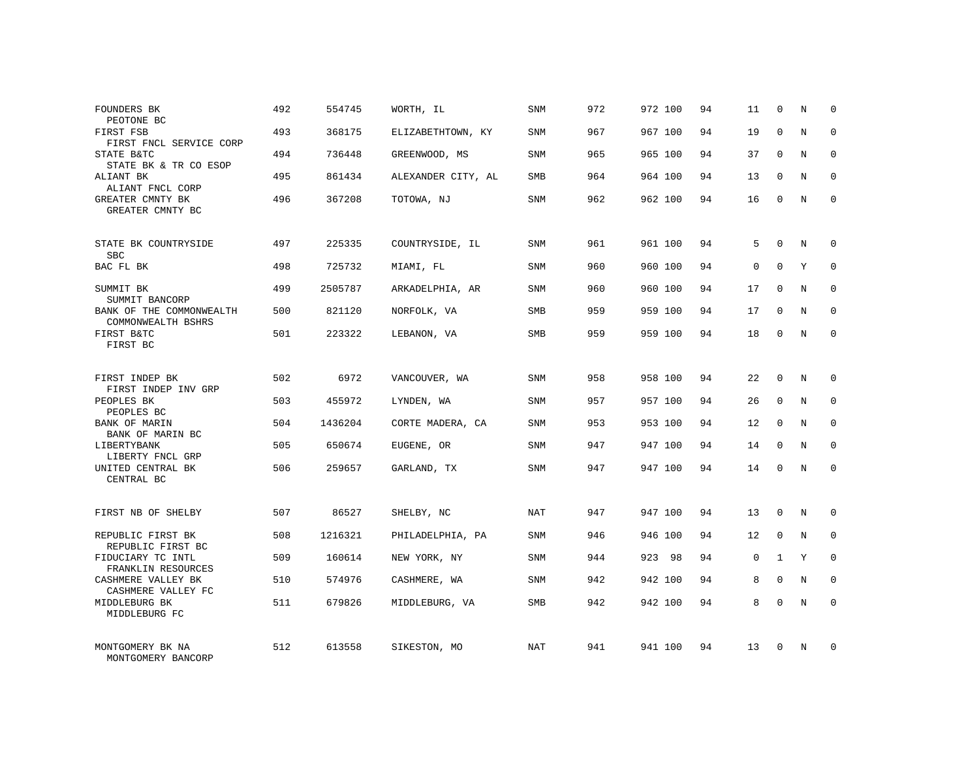| FOUNDERS BK<br>PEOTONE BC                      | 492 | 554745  | WORTH, IL          | <b>SNM</b> | 972 | 972 100 | 94 | 11          | $\mathbf 0$  | N | $\Omega$    |
|------------------------------------------------|-----|---------|--------------------|------------|-----|---------|----|-------------|--------------|---|-------------|
| FIRST FSB<br>FIRST FNCL SERVICE CORP           | 493 | 368175  | ELIZABETHTOWN, KY  | <b>SNM</b> | 967 | 967 100 | 94 | 19          | $\Omega$     | N | $\Omega$    |
| STATE B&TC<br>STATE BK & TR CO ESOP            | 494 | 736448  | GREENWOOD, MS      | SNM        | 965 | 965 100 | 94 | 37          | $\Omega$     | N | $\mathbf 0$ |
| ALIANT BK<br>ALIANT FNCL CORP                  | 495 | 861434  | ALEXANDER CITY, AL | <b>SMB</b> | 964 | 964 100 | 94 | 13          | $\Omega$     | N | $\mathbf 0$ |
| GREATER CMNTY BK<br>GREATER CMNTY BC           | 496 | 367208  | TOTOWA, NJ         | SNM        | 962 | 962 100 | 94 | 16          | $\mathbf 0$  | N | $\mathbf 0$ |
| STATE BK COUNTRYSIDE<br><b>SBC</b>             | 497 | 225335  | COUNTRYSIDE, IL    | <b>SNM</b> | 961 | 961 100 | 94 | 5           | $\mathbf 0$  | N | $\mathbf 0$ |
| BAC FL BK                                      | 498 | 725732  | MIAMI, FL          | <b>SNM</b> | 960 | 960 100 | 94 | $\mathbf 0$ | $\Omega$     | Y | $\mathbf 0$ |
| SUMMIT BK<br>SUMMIT BANCORP                    | 499 | 2505787 | ARKADELPHIA, AR    | <b>SNM</b> | 960 | 960 100 | 94 | 17          | $\mathbf{0}$ | N | $\mathbf 0$ |
| BANK OF THE COMMONWEALTH<br>COMMONWEALTH BSHRS | 500 | 821120  | NORFOLK, VA        | <b>SMB</b> | 959 | 959 100 | 94 | 17          | $\Omega$     | N | $\mathbf 0$ |
| FIRST B&TC<br>FIRST BC                         | 501 | 223322  | LEBANON, VA        | SMB        | 959 | 959 100 | 94 | 18          | $\mathbf 0$  | N | $\mathbf 0$ |
| FIRST INDEP BK<br>FIRST INDEP INV GRP          | 502 | 6972    | VANCOUVER, WA      | SNM        | 958 | 958 100 | 94 | 22          | $\Omega$     | N | $\mathbf 0$ |
| PEOPLES BK<br>PEOPLES BC                       | 503 | 455972  | LYNDEN, WA         | <b>SNM</b> | 957 | 957 100 | 94 | 26          | $\mathbf{0}$ | N | $\mathbf 0$ |
| <b>BANK OF MARIN</b><br>BANK OF MARIN BC       | 504 | 1436204 | CORTE MADERA, CA   | <b>SNM</b> | 953 | 953 100 | 94 | 12          | $\Omega$     | N | $\mathbf 0$ |
| LIBERTYBANK<br>LIBERTY FNCL GRP                | 505 | 650674  | EUGENE, OR         | <b>SNM</b> | 947 | 947 100 | 94 | 14          | $\mathbf 0$  | N | 0           |
| UNITED CENTRAL BK<br>CENTRAL BC                | 506 | 259657  | GARLAND, TX        | <b>SNM</b> | 947 | 947 100 | 94 | 14          | $\Omega$     | N | $\mathbf 0$ |
| FIRST NB OF SHELBY                             | 507 | 86527   | SHELBY, NC         | NAT        | 947 | 947 100 | 94 | 13          | $\mathbf 0$  | N | $\mathbf 0$ |
| REPUBLIC FIRST BK<br>REPUBLIC FIRST BC         | 508 | 1216321 | PHILADELPHIA, PA   | SNM        | 946 | 946 100 | 94 | 12          | $\mathbf{0}$ | N | 0           |
| FIDUCIARY TC INTL<br>FRANKLIN RESOURCES        | 509 | 160614  | NEW YORK, NY       | <b>SNM</b> | 944 | 923 98  | 94 | $\mathbf 0$ | $\mathbf{1}$ | Y | $\mathbf 0$ |
| CASHMERE VALLEY BK<br>CASHMERE VALLEY FC       | 510 | 574976  | CASHMERE, WA       | SNM        | 942 | 942 100 | 94 | 8           | $\mathbf 0$  | N | 0           |
| MIDDLEBURG BK<br>MIDDLEBURG FC                 | 511 | 679826  | MIDDLEBURG, VA     | SMB        | 942 | 942 100 | 94 | 8           | $\Omega$     | N | $\mathbf 0$ |
| MONTGOMERY BK NA<br>MONTGOMERY BANCORP         | 512 | 613558  | SIKESTON, MO       | NAT        | 941 | 941 100 | 94 | 13          | $\Omega$     | N | $\mathbf 0$ |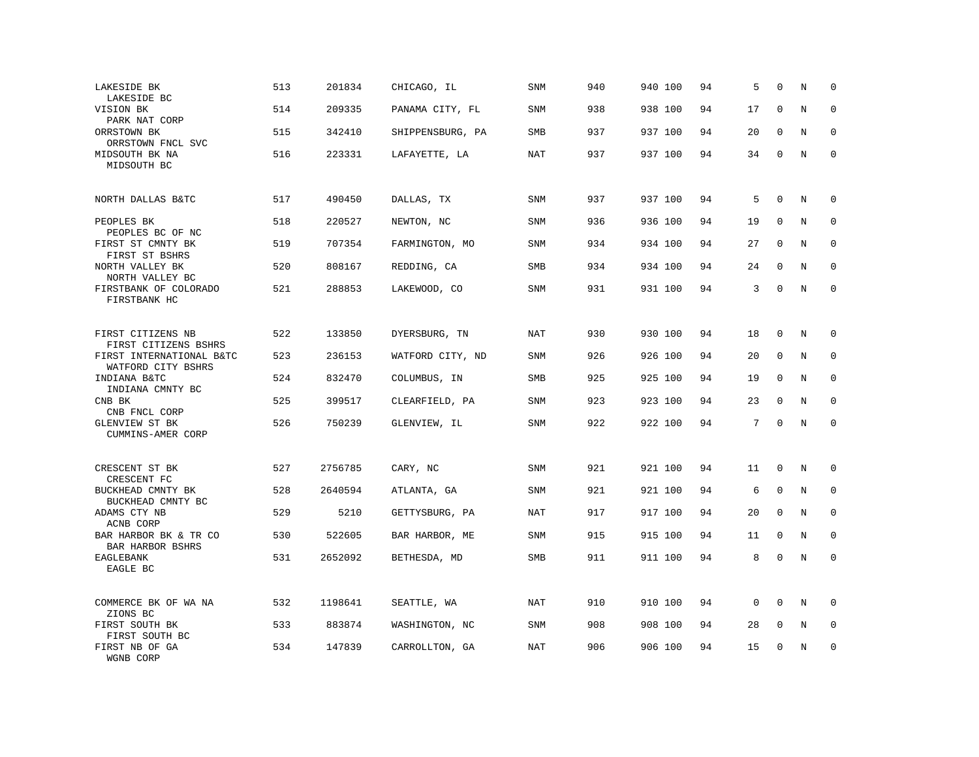| LAKESIDE BK<br>LAKESIDE BC                                             | 513 | 201834  | CHICAGO, IL      | <b>SNM</b> | 940 | 940 100 | 94 | 5           | $\mathbf 0$ | N       | $\mathbf 0$  |
|------------------------------------------------------------------------|-----|---------|------------------|------------|-----|---------|----|-------------|-------------|---------|--------------|
| VISION BK<br>PARK NAT CORP                                             | 514 | 209335  | PANAMA CITY, FL  | <b>SNM</b> | 938 | 938 100 | 94 | 17          | $\mathbf 0$ | N       | $\mathbf 0$  |
| ORRSTOWN BK<br>ORRSTOWN FNCL SVC                                       | 515 | 342410  | SHIPPENSBURG, PA | SMB        | 937 | 937 100 | 94 | 20          | $\mathbf 0$ | N       | $\mathbf 0$  |
| MIDSOUTH BK NA<br>MIDSOUTH BC                                          | 516 | 223331  | LAFAYETTE, LA    | NAT        | 937 | 937 100 | 94 | 34          | $\mathbf 0$ | N       | $\mathbf{0}$ |
| NORTH DALLAS B&TC                                                      | 517 | 490450  | DALLAS, TX       | <b>SNM</b> | 937 | 937 100 | 94 | 5           | $\mathbf 0$ | N       | 0            |
| PEOPLES BK<br>PEOPLES BC OF NC                                         | 518 | 220527  | NEWTON, NC       | SNM        | 936 | 936 100 | 94 | 19          | $\mathbf 0$ | N       | $\mathbf 0$  |
| FIRST ST CMNTY BK<br>FIRST ST BSHRS                                    | 519 | 707354  | FARMINGTON, MO   | <b>SNM</b> | 934 | 934 100 | 94 | 27          | 0           | N       | $\mathbf{0}$ |
| NORTH VALLEY BK<br>NORTH VALLEY BC                                     | 520 | 808167  | REDDING, CA      | SMB        | 934 | 934 100 | 94 | 24          | $\mathbf 0$ | N       | $\mathbf 0$  |
| FIRSTBANK OF COLORADO<br>FIRSTBANK HC                                  | 521 | 288853  | LAKEWOOD, CO     | <b>SNM</b> | 931 | 931 100 | 94 | 3           | $\mathbf 0$ | N       | $\mathbf 0$  |
| FIRST CITIZENS NB                                                      | 522 | 133850  | DYERSBURG, TN    | NAT        | 930 | 930 100 | 94 | 18          | $\mathbf 0$ | N       | 0            |
| FIRST CITIZENS BSHRS<br>FIRST INTERNATIONAL B&TC<br>WATFORD CITY BSHRS | 523 | 236153  | WATFORD CITY, ND | SNM        | 926 | 926 100 | 94 | 20          | $\mathbf 0$ | N       | $\mathbf 0$  |
| INDIANA B&TC<br>INDIANA CMNTY BC                                       | 524 | 832470  | COLUMBUS, IN     | SMB        | 925 | 925 100 | 94 | 19          | $\mathbf 0$ | N       | $\mathbf 0$  |
| CNB BK<br>CNB FNCL CORP                                                | 525 | 399517  | CLEARFIELD, PA   | SNM        | 923 | 923 100 | 94 | 23          | $\mathbf 0$ | N       | $\mathbf 0$  |
| GLENVIEW ST BK<br>CUMMINS-AMER CORP                                    | 526 | 750239  | GLENVIEW, IL     | SNM        | 922 | 922 100 | 94 | 7           | $\Omega$    | $\rm N$ | $\mathbf 0$  |
| CRESCENT ST BK<br>CRESCENT FC                                          | 527 | 2756785 | CARY, NC         | SNM        | 921 | 921 100 | 94 | 11          | $\mathbf 0$ | N       | 0            |
| BUCKHEAD CMNTY BK<br>BUCKHEAD CMNTY BC                                 | 528 | 2640594 | ATLANTA, GA      | SNM        | 921 | 921 100 | 94 | 6           | $\mathbf 0$ | N       | 0            |
| ADAMS CTY NB<br>ACNB CORP                                              | 529 | 5210    | GETTYSBURG, PA   | <b>NAT</b> | 917 | 917 100 | 94 | 20          | $\mathbf 0$ | N       | $\mathbf 0$  |
| BAR HARBOR BK & TR CO<br>BAR HARBOR BSHRS                              | 530 | 522605  | BAR HARBOR, ME   | SNM        | 915 | 915 100 | 94 | 11          | $\mathbf 0$ | N       | $\mathbf 0$  |
| EAGLEBANK<br>EAGLE BC                                                  | 531 | 2652092 | BETHESDA, MD     | SMB        | 911 | 911 100 | 94 | 8           | $\mathbf 0$ | N       | $\mathbf 0$  |
| COMMERCE BK OF WA NA<br>ZIONS BC                                       | 532 | 1198641 | SEATTLE, WA      | <b>NAT</b> | 910 | 910 100 | 94 | $\mathbf 0$ | $\mathbf 0$ | N       | $\mathbf 0$  |
| FIRST SOUTH BK<br>FIRST SOUTH BC                                       | 533 | 883874  | WASHINGTON, NC   | SNM        | 908 | 908 100 | 94 | 28          | $\mathbf 0$ | N       | $\mathbf 0$  |
| FIRST NB OF GA<br>WGNB CORP                                            | 534 | 147839  | CARROLLTON, GA   | <b>NAT</b> | 906 | 906 100 | 94 | 15          | $\mathbf 0$ | N       | $\mathbf 0$  |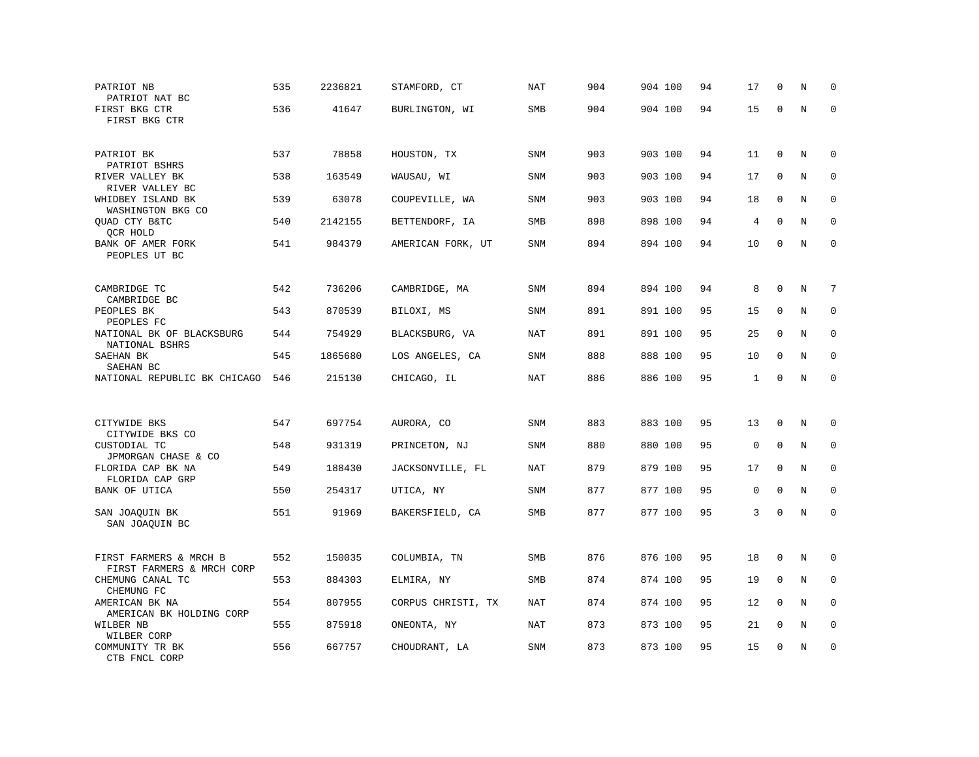| PATRIOT NB<br>PATRIOT NAT BC                        | 535 | 2236821 | STAMFORD, CT       | <b>NAT</b> | 904 | 904 100 | 94 | 17           | $\mathbf 0$  | N       | $\mathbf 0$ |
|-----------------------------------------------------|-----|---------|--------------------|------------|-----|---------|----|--------------|--------------|---------|-------------|
| FIRST BKG CTR<br>FIRST BKG CTR                      | 536 | 41647   | BURLINGTON, WI     | SMB        | 904 | 904 100 | 94 | 15           | 0            | N       | $\Omega$    |
| PATRIOT BK<br>PATRIOT BSHRS                         | 537 | 78858   | HOUSTON, TX        | SNM        | 903 | 903 100 | 94 | 11           | $\mathbf 0$  | N       | 0           |
| RIVER VALLEY BK<br>RIVER VALLEY BC                  | 538 | 163549  | WAUSAU, WI         | SNM        | 903 | 903 100 | 94 | 17           | $\mathbf 0$  | N       | $\mathbf 0$ |
| WHIDBEY ISLAND BK<br>WASHINGTON BKG CO              | 539 | 63078   | COUPEVILLE, WA     | <b>SNM</b> | 903 | 903 100 | 94 | 18           | $\mathbf 0$  | N       | $\mathbf 0$ |
| OUAD CTY B&TC<br>QCR HOLD                           | 540 | 2142155 | BETTENDORF, IA     | SMB        | 898 | 898 100 | 94 | 4            | $\Omega$     | N       | $\mathbf 0$ |
| BANK OF AMER FORK<br>PEOPLES UT BC                  | 541 | 984379  | AMERICAN FORK, UT  | SNM        | 894 | 894 100 | 94 | 10           | $\mathbf 0$  | N       | $\mathbf 0$ |
| CAMBRIDGE TC<br>CAMBRIDGE BC                        | 542 | 736206  | CAMBRIDGE, MA      | SNM        | 894 | 894 100 | 94 | 8            | $\Omega$     | N       | 7           |
| PEOPLES BK<br>PEOPLES FC                            | 543 | 870539  | BILOXI, MS         | <b>SNM</b> | 891 | 891 100 | 95 | 15           | $\mathbf 0$  | N       | $\mathbf 0$ |
| NATIONAL BK OF BLACKSBURG<br>NATIONAL BSHRS         | 544 | 754929  | BLACKSBURG, VA     | NAT        | 891 | 891 100 | 95 | 25           | $\Omega$     | N       | $\mathbf 0$ |
| SAEHAN BK<br>SAEHAN BC                              | 545 | 1865680 | LOS ANGELES, CA    | <b>SNM</b> | 888 | 888 100 | 95 | 10           | $\mathbf 0$  | N       | $\mathbf 0$ |
| NATIONAL REPUBLIC BK CHICAGO                        | 546 | 215130  | CHICAGO, IL        | <b>NAT</b> | 886 | 886 100 | 95 | $\mathbf{1}$ | $\mathbf 0$  | $\rm N$ | $\mathbf 0$ |
|                                                     |     |         |                    |            |     |         |    |              |              |         |             |
| CITYWIDE BKS<br>CITYWIDE BKS CO                     | 547 | 697754  | AURORA, CO         | <b>SNM</b> | 883 | 883 100 | 95 | 13           | $\mathbf 0$  | N       | $\mathbf 0$ |
| CUSTODIAL TC<br>JPMORGAN CHASE & CO                 | 548 | 931319  | PRINCETON, NJ      | SNM        | 880 | 880 100 | 95 | 0            | $\Omega$     | N       | $\Omega$    |
| FLORIDA CAP BK NA<br>FLORIDA CAP GRP                | 549 | 188430  | JACKSONVILLE, FL   | NAT        | 879 | 879 100 | 95 | 17           | $\mathbf{0}$ | N       | $\mathbf 0$ |
| BANK OF UTICA                                       | 550 | 254317  | UTICA, NY          | SNM        | 877 | 877 100 | 95 | $\mathbf 0$  | $\Omega$     | N       | $\mathbf 0$ |
| SAN JOAQUIN BK<br>SAN JOAQUIN BC                    | 551 | 91969   | BAKERSFIELD, CA    | SMB        | 877 | 877 100 | 95 | 3            | $\mathsf 0$  | N       | $\mathbf 0$ |
| FIRST FARMERS & MRCH B<br>FIRST FARMERS & MRCH CORP | 552 | 150035  | COLUMBIA, TN       | SMB        | 876 | 876 100 | 95 | 18           | $\mathbf 0$  | N       | $\mathbf 0$ |
| CHEMUNG CANAL TC<br>CHEMUNG FC                      | 553 | 884303  | ELMIRA, NY         | SMB        | 874 | 874 100 | 95 | 19           | $\mathbf 0$  | N       | 0           |
| AMERICAN BK NA<br>AMERICAN BK HOLDING CORP          | 554 | 807955  | CORPUS CHRISTI, TX | NAT        | 874 | 874 100 | 95 | 12           | $\Omega$     | N       | $\mathbf 0$ |
| WILBER NB<br>WILBER CORP                            | 555 | 875918  | ONEONTA, NY        | <b>NAT</b> | 873 | 873 100 | 95 | 21           | $\mathbf 0$  | N       | $\mathbf 0$ |
| COMMUNITY TR BK<br>CTB FNCL CORP                    | 556 | 667757  | CHOUDRANT, LA      | <b>SNM</b> | 873 | 873 100 | 95 | 15           | $\mathbf 0$  | N       | $\mathbf 0$ |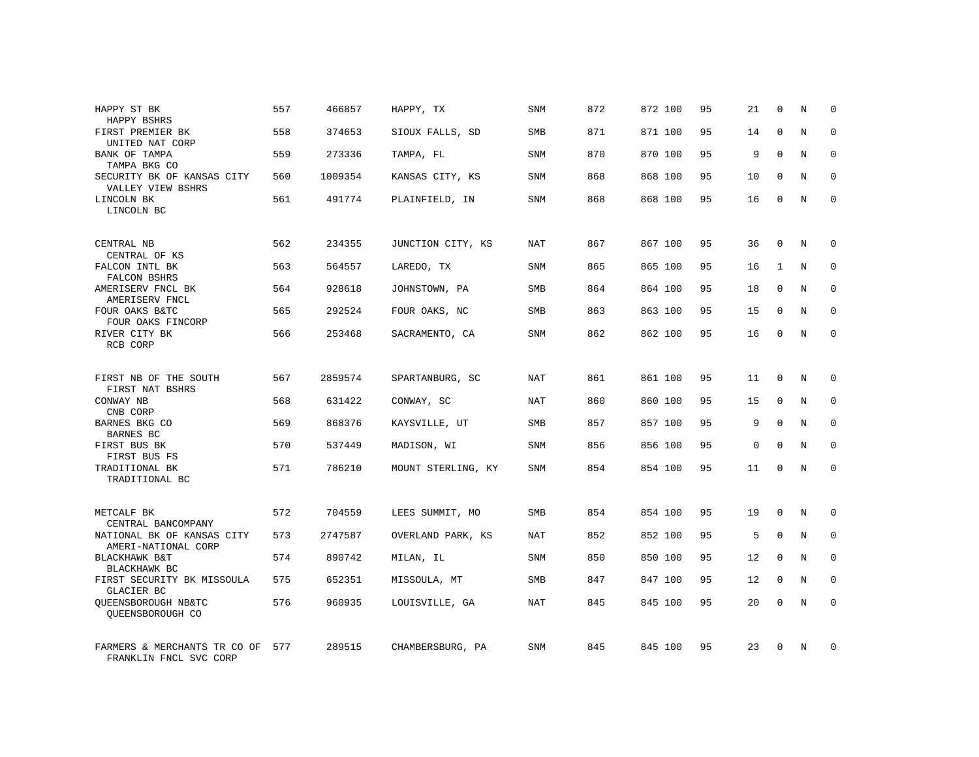| HAPPY ST BK<br>HAPPY BSHRS                             | 557 | 466857  | HAPPY, TX          | <b>SNM</b> | 872 | 872 100 | 95 | 21          | $\mathbf 0$  | N | $\mathbf 0$ |
|--------------------------------------------------------|-----|---------|--------------------|------------|-----|---------|----|-------------|--------------|---|-------------|
| FIRST PREMIER BK<br>UNITED NAT CORP                    | 558 | 374653  | SIOUX FALLS, SD    | <b>SMB</b> | 871 | 871 100 | 95 | 14          | $\Omega$     | N | $\mathbf 0$ |
| BANK OF TAMPA<br>TAMPA BKG CO                          | 559 | 273336  | TAMPA, FL          | <b>SNM</b> | 870 | 870 100 | 95 | 9           | $\mathbf 0$  | N | $\mathbf 0$ |
| SECURITY BK OF KANSAS CITY<br>VALLEY VIEW BSHRS        | 560 | 1009354 | KANSAS CITY, KS    | SNM        | 868 | 868 100 | 95 | 10          | $\mathbf 0$  | N | $\mathbf 0$ |
| LINCOLN BK<br>LINCOLN BC                               | 561 | 491774  | PLAINFIELD, IN     | <b>SNM</b> | 868 | 868 100 | 95 | 16          | $\Omega$     | N | $\Omega$    |
| CENTRAL NB<br>CENTRAL OF KS                            | 562 | 234355  | JUNCTION CITY, KS  | <b>NAT</b> | 867 | 867 100 | 95 | 36          | $\Omega$     | N | $\mathbf 0$ |
| FALCON INTL BK<br>FALCON BSHRS                         | 563 | 564557  | LAREDO, TX         | SNM        | 865 | 865 100 | 95 | 16          | $\mathbf{1}$ | N | 0           |
| AMERISERV FNCL BK<br>AMERISERV FNCL                    | 564 | 928618  | JOHNSTOWN, PA      | <b>SMB</b> | 864 | 864 100 | 95 | 18          | $\Omega$     | N | $\mathbf 0$ |
| FOUR OAKS B&TC<br>FOUR OAKS FINCORP                    | 565 | 292524  | FOUR OAKS, NC      | SMB        | 863 | 863 100 | 95 | 15          | $\mathbf 0$  | N | 0           |
| RIVER CITY BK<br>RCB CORP                              | 566 | 253468  | SACRAMENTO, CA     | SNM        | 862 | 862 100 | 95 | 16          | $\Omega$     | N | $\mathbf 0$ |
| FIRST NB OF THE SOUTH<br>FIRST NAT BSHRS               | 567 | 2859574 | SPARTANBURG, SC    | <b>NAT</b> | 861 | 861 100 | 95 | 11          | 0            | N | 0           |
| CONWAY NB<br>CNB CORP                                  | 568 | 631422  | CONWAY, SC         | NAT        | 860 | 860 100 | 95 | 15          | $\mathbf 0$  | N | $\mathbf 0$ |
| BARNES BKG CO<br><b>BARNES BC</b>                      | 569 | 868376  | KAYSVILLE, UT      | SMB        | 857 | 857 100 | 95 | 9           | $\Omega$     | N | $\mathbf 0$ |
| FIRST BUS BK<br>FIRST BUS FS                           | 570 | 537449  | MADISON, WI        | <b>SNM</b> | 856 | 856 100 | 95 | $\mathbf 0$ | $\Omega$     | N | $\mathbf 0$ |
| TRADITIONAL BK<br>TRADITIONAL BC                       | 571 | 786210  | MOUNT STERLING, KY | SNM        | 854 | 854 100 | 95 | 11          | $\mathbf 0$  | N | $\mathbf 0$ |
| METCALF BK<br>CENTRAL BANCOMPANY                       | 572 | 704559  | LEES SUMMIT, MO    | SMB        | 854 | 854 100 | 95 | 19          | $\mathbf 0$  | N | 0           |
| NATIONAL BK OF KANSAS CITY<br>AMERI-NATIONAL CORP      | 573 | 2747587 | OVERLAND PARK, KS  | <b>NAT</b> | 852 | 852 100 | 95 | 5           | $\mathbf 0$  | N | 0           |
| BLACKHAWK B&T<br>BLACKHAWK BC                          | 574 | 890742  | MILAN, IL          | SNM        | 850 | 850 100 | 95 | 12          | $\Omega$     | N | $\mathbf 0$ |
| FIRST SECURITY BK MISSOULA<br>GLACIER BC               | 575 | 652351  | MISSOULA, MT       | SMB        | 847 | 847 100 | 95 | 12          | $\mathbf 0$  | N | 0           |
| OUEENSBOROUGH NB&TC<br>QUEENSBOROUGH CO                | 576 | 960935  | LOUISVILLE, GA     | <b>NAT</b> | 845 | 845 100 | 95 | 20          | $\Omega$     | N | $\mathbf 0$ |
| FARMERS & MERCHANTS TR CO OF<br>FRANKLIN FNCL SVC CORP | 577 | 289515  | CHAMBERSBURG, PA   | <b>SNM</b> | 845 | 845 100 | 95 | 23          | $\Omega$     | N | $\mathbf 0$ |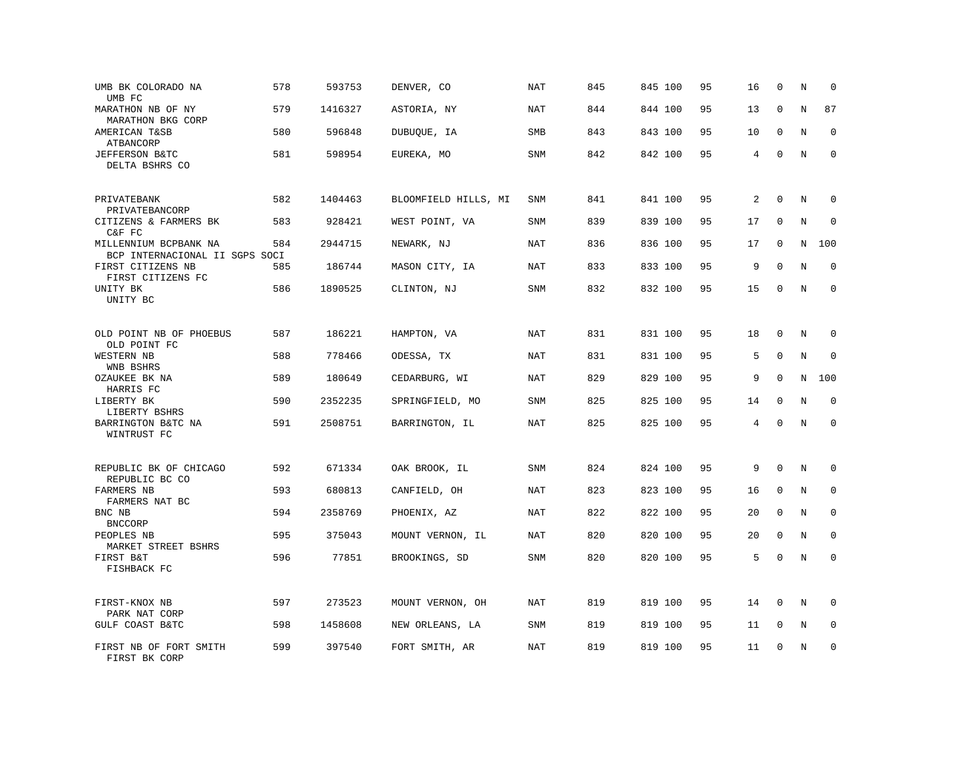| UMB BK COLORADO NA<br>UMB FC                            | 578 | 593753  | DENVER, CO           | <b>NAT</b> | 845 | 845 100 | 95 | 16             | $\mathbf 0$ | N       | $\mathbf 0$  |
|---------------------------------------------------------|-----|---------|----------------------|------------|-----|---------|----|----------------|-------------|---------|--------------|
| MARATHON NB OF NY<br>MARATHON BKG CORP                  | 579 | 1416327 | ASTORIA, NY          | NAT        | 844 | 844 100 | 95 | 13             | $\mathbf 0$ | N       | 87           |
| AMERICAN T&SB<br>ATBANCORP                              | 580 | 596848  | DUBUQUE, IA          | SMB        | 843 | 843 100 | 95 | 10             | $\mathbf 0$ | N       | $\mathbf 0$  |
| JEFFERSON B&TC<br>DELTA BSHRS CO                        | 581 | 598954  | EUREKA, MO           | <b>SNM</b> | 842 | 842 100 | 95 | $\overline{4}$ | $\mathbf 0$ | N       | $\mathbf 0$  |
| PRIVATEBANK<br>PRIVATEBANCORP                           | 582 | 1404463 | BLOOMFIELD HILLS, MI | <b>SNM</b> | 841 | 841 100 | 95 | $\overline{2}$ | $\mathbf 0$ | N       | $\mathbf 0$  |
| CITIZENS & FARMERS BK<br>C&F FC                         | 583 | 928421  | WEST POINT, VA       | <b>SNM</b> | 839 | 839 100 | 95 | 17             | $\mathbf 0$ | N       | $\mathbf 0$  |
| MILLENNIUM BCPBANK NA<br>BCP INTERNACIONAL II SGPS SOCI | 584 | 2944715 | NEWARK, NJ           | <b>NAT</b> | 836 | 836 100 | 95 | 17             | $\mathbf 0$ | N       | 100          |
| FIRST CITIZENS NB<br>FIRST CITIZENS FC                  | 585 | 186744  | MASON CITY, IA       | NAT        | 833 | 833 100 | 95 | 9              | $\Omega$    | N       | $\Omega$     |
| UNITY BK<br>UNITY BC                                    | 586 | 1890525 | CLINTON, NJ          | SNM        | 832 | 832 100 | 95 | 15             | $\mathbf 0$ | N       | $\mathbf 0$  |
| OLD POINT NB OF PHOEBUS<br>OLD POINT FC                 | 587 | 186221  | HAMPTON, VA          | <b>NAT</b> | 831 | 831 100 | 95 | 18             | $\mathbf 0$ | N       | 0            |
| WESTERN NB<br>WNB BSHRS                                 | 588 | 778466  | ODESSA, TX           | NAT        | 831 | 831 100 | 95 | 5              | $\mathbf 0$ | N       | $\Omega$     |
| OZAUKEE BK NA<br>HARRIS FC                              | 589 | 180649  | CEDARBURG, WI        | <b>NAT</b> | 829 | 829 100 | 95 | 9              | $\mathbf 0$ | N       | 100          |
| LIBERTY BK<br>LIBERTY BSHRS                             | 590 | 2352235 | SPRINGFIELD, MO      | SNM        | 825 | 825 100 | 95 | 14             | $\Omega$    | N       | $\mathbf 0$  |
| BARRINGTON B&TC NA<br>WINTRUST FC                       | 591 | 2508751 | BARRINGTON, IL       | <b>NAT</b> | 825 | 825 100 | 95 | 4              | $\Omega$    | $\rm N$ | $\Omega$     |
| REPUBLIC BK OF CHICAGO<br>REPUBLIC BC CO                | 592 | 671334  | OAK BROOK, IL        | <b>SNM</b> | 824 | 824 100 | 95 | 9              | $\mathbf 0$ | N       | $\mathbf 0$  |
| FARMERS NB<br>FARMERS NAT BC                            | 593 | 680813  | CANFIELD, OH         | NAT        | 823 | 823 100 | 95 | 16             | $\mathbf 0$ | N       | $\mathbf{0}$ |
| BNC NB<br><b>BNCCORP</b>                                | 594 | 2358769 | PHOENIX, AZ          | NAT        | 822 | 822 100 | 95 | 20             | $\mathbf 0$ | N       | $\mathbf 0$  |
| PEOPLES NB<br>MARKET STREET BSHRS                       | 595 | 375043  | MOUNT VERNON, IL     | <b>NAT</b> | 820 | 820 100 | 95 | 20             | $\mathbf 0$ | N       | $\mathbf 0$  |
| FIRST B&T<br>FISHBACK FC                                | 596 | 77851   | BROOKINGS, SD        | SNM        | 820 | 820 100 | 95 | 5              | $\mathbf 0$ | N       | $\mathbf 0$  |
| FIRST-KNOX NB<br>PARK NAT CORP                          | 597 | 273523  | MOUNT VERNON, OH     | <b>NAT</b> | 819 | 819 100 | 95 | 14             | $\mathbf 0$ | N       | $\mathbf 0$  |
| GULF COAST B&TC                                         | 598 | 1458608 | NEW ORLEANS, LA      | SNM        | 819 | 819 100 | 95 | 11             | 0           | Ν       | 0            |
| FIRST NB OF FORT SMITH<br>FIRST BK CORP                 | 599 | 397540  | FORT SMITH, AR       | <b>NAT</b> | 819 | 819 100 | 95 | 11             | $\mathbf 0$ | N       | $\mathbf 0$  |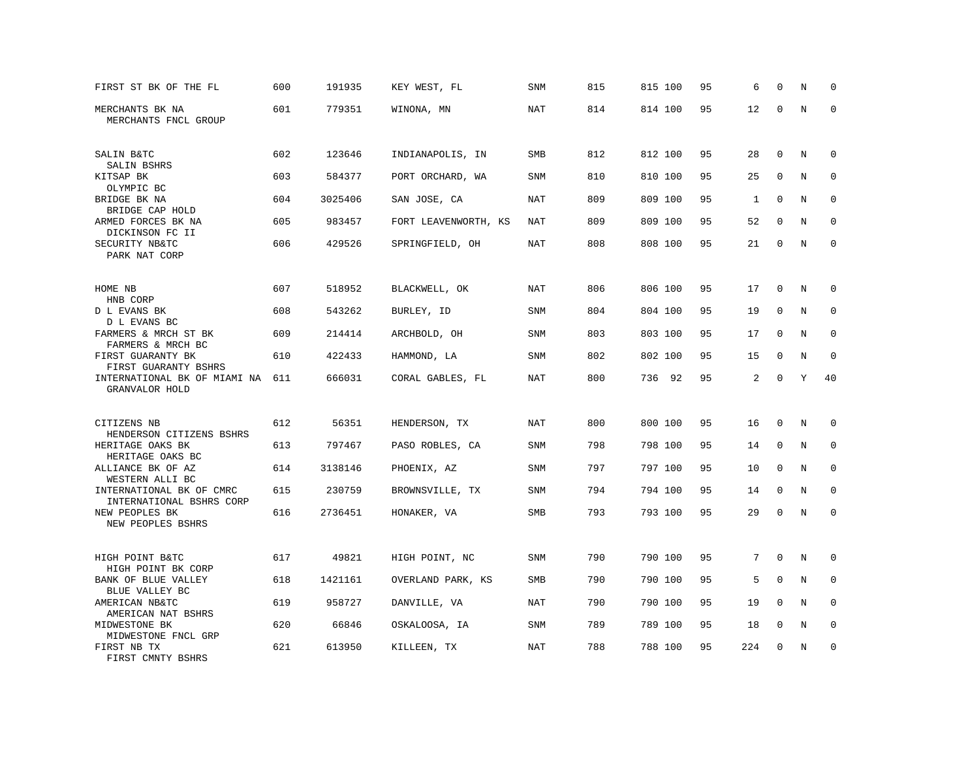| FIRST ST BK OF THE FL                                     | 600 | 191935  | KEY WEST, FL         | SNM        | 815 | 815 100 | 95 | 6   | $\mathbf 0$  | N | $\mathbf 0$ |
|-----------------------------------------------------------|-----|---------|----------------------|------------|-----|---------|----|-----|--------------|---|-------------|
| MERCHANTS BK NA<br>MERCHANTS FNCL GROUP                   | 601 | 779351  | WINONA, MN           | <b>NAT</b> | 814 | 814 100 | 95 | 12  | $\mathbf 0$  | N | $\mathbf 0$ |
| SALIN B&TC                                                | 602 | 123646  | INDIANAPOLIS, IN     | SMB        | 812 | 812 100 | 95 | 28  | $\mathbf 0$  | N | 0           |
| SALIN BSHRS<br>KITSAP BK                                  | 603 | 584377  | PORT ORCHARD, WA     | <b>SNM</b> | 810 | 810 100 | 95 | 25  | $\mathbf 0$  | N | $\mathbf 0$ |
| OLYMPIC BC<br>BRIDGE BK NA<br>BRIDGE CAP HOLD             | 604 | 3025406 | SAN JOSE, CA         | <b>NAT</b> | 809 | 809 100 | 95 | 1   | $\Omega$     | N | $\mathbf 0$ |
| ARMED FORCES BK NA                                        | 605 | 983457  | FORT LEAVENWORTH, KS | NAT        | 809 | 809 100 | 95 | 52  | $\mathbf 0$  | N | 0           |
| DICKINSON FC II<br>SECURITY NB&TC<br>PARK NAT CORP        | 606 | 429526  | SPRINGFIELD, OH      | <b>NAT</b> | 808 | 808 100 | 95 | 21  | $\Omega$     | N | $\mathbf 0$ |
| HOME NB                                                   | 607 | 518952  | BLACKWELL, OK        | <b>NAT</b> | 806 | 806 100 | 95 | 17  | 0            | N | $\mathbf 0$ |
| HNB CORP<br>D L EVANS BK                                  | 608 | 543262  | BURLEY, ID           | SNM        | 804 | 804 100 | 95 | 19  | $\mathbf 0$  | N | $\mathbf 0$ |
| D L EVANS BC<br>FARMERS & MRCH ST BK<br>FARMERS & MRCH BC | 609 | 214414  | ARCHBOLD, OH         | <b>SNM</b> | 803 | 803 100 | 95 | 17  | $\mathbf 0$  | N | $\mathbf 0$ |
| FIRST GUARANTY BK<br>FIRST GUARANTY BSHRS                 | 610 | 422433  | HAMMOND, LA          | <b>SNM</b> | 802 | 802 100 | 95 | 15  | $\mathbf 0$  | N | $\mathbf 0$ |
| INTERNATIONAL BK OF MIAMI NA<br>GRANVALOR HOLD            | 611 | 666031  | CORAL GABLES, FL     | <b>NAT</b> | 800 | 736 92  | 95 | 2   | $\Omega$     | Y | 40          |
| CITIZENS NB                                               | 612 | 56351   | HENDERSON, TX        | NAT        | 800 | 800 100 | 95 | 16  | $\mathbf 0$  | N | $\mathbf 0$ |
| HENDERSON CITIZENS BSHRS<br>HERITAGE OAKS BK              | 613 | 797467  | PASO ROBLES, CA      | <b>SNM</b> | 798 | 798 100 | 95 | 14  | $\Omega$     | N | $\mathbf 0$ |
| HERITAGE OAKS BC<br>ALLIANCE BK OF AZ<br>WESTERN ALLI BC  | 614 | 3138146 | PHOENIX, AZ          | <b>SNM</b> | 797 | 797 100 | 95 | 10  | $\Omega$     | N | $\mathbf 0$ |
| INTERNATIONAL BK OF CMRC<br>INTERNATIONAL BSHRS CORP      | 615 | 230759  | BROWNSVILLE, TX      | <b>SNM</b> | 794 | 794 100 | 95 | 14  | $\mathbf 0$  | N | 0           |
| NEW PEOPLES BK<br>NEW PEOPLES BSHRS                       | 616 | 2736451 | HONAKER, VA          | SMB        | 793 | 793 100 | 95 | 29  | $\mathbf 0$  | N | $\mathbf 0$ |
| HIGH POINT B&TC<br>HIGH POINT BK CORP                     | 617 | 49821   | HIGH POINT, NC       | <b>SNM</b> | 790 | 790 100 | 95 | 7   | $\mathbf 0$  | N | $\mathbf 0$ |
| BANK OF BLUE VALLEY                                       | 618 | 1421161 | OVERLAND PARK, KS    | <b>SMB</b> | 790 | 790 100 | 95 | 5   | $\mathbf 0$  | N | $\mathbf 0$ |
| BLUE VALLEY BC<br>AMERICAN NB&TC<br>AMERICAN NAT BSHRS    | 619 | 958727  | DANVILLE, VA         | NAT        | 790 | 790 100 | 95 | 19  | $\Omega$     | N | 0           |
| MIDWESTONE BK<br>MIDWESTONE FNCL GRP                      | 620 | 66846   | OSKALOOSA, IA        | <b>SNM</b> | 789 | 789 100 | 95 | 18  | $\mathbf 0$  | N | $\mathbf 0$ |
| FIRST NB TX<br>FIRST CMNTY BSHRS                          | 621 | 613950  | KILLEEN, TX          | <b>NAT</b> | 788 | 788 100 | 95 | 224 | $\mathbf{0}$ | N | $\mathbf 0$ |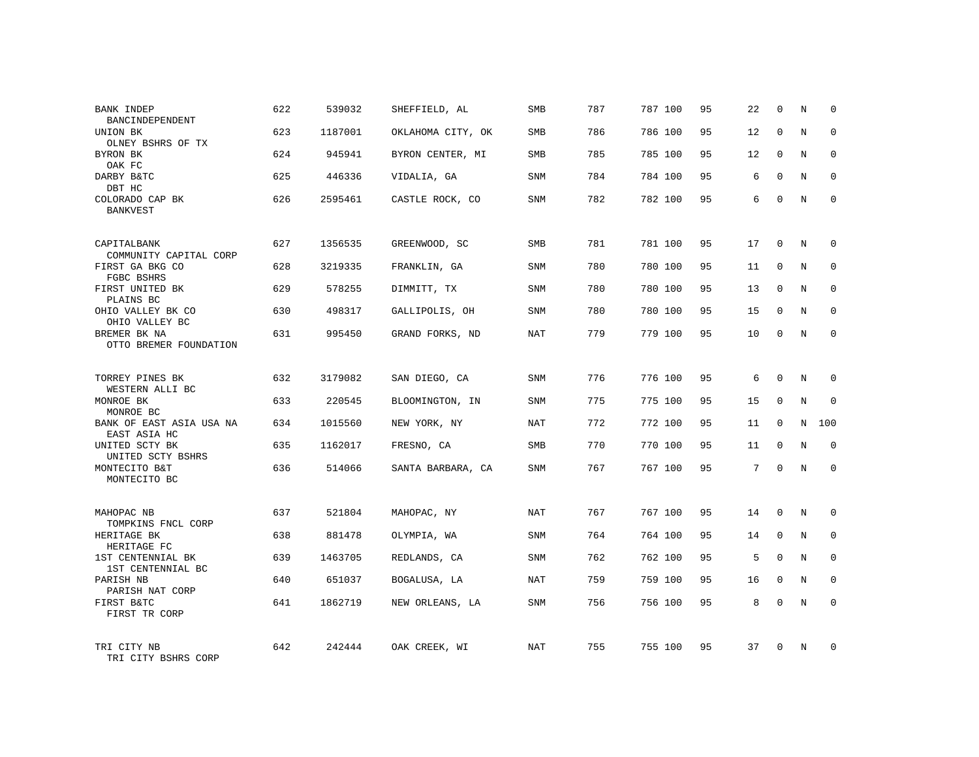| BANK INDEP<br>BANCINDEPENDENT            | 622 | 539032  | SHEFFIELD, AL     | SMB        | 787 | 787 100 | 95 | 22             | $\mathbf 0$  | N | $\Omega$    |
|------------------------------------------|-----|---------|-------------------|------------|-----|---------|----|----------------|--------------|---|-------------|
| UNION BK<br>OLNEY BSHRS OF TX            | 623 | 1187001 | OKLAHOMA CITY, OK | <b>SMB</b> | 786 | 786 100 | 95 | 12             | $\Omega$     | N | $\Omega$    |
| BYRON BK<br>OAK FC                       | 624 | 945941  | BYRON CENTER, MI  | SMB        | 785 | 785 100 | 95 | 12             | $\mathbf 0$  | N | $\mathbf 0$ |
| DARBY B&TC<br>DBT HC                     | 625 | 446336  | VIDALIA, GA       | SNM        | 784 | 784 100 | 95 | 6              | $\Omega$     | N | $\Omega$    |
| COLORADO CAP BK<br>BANKVEST              | 626 | 2595461 | CASTLE ROCK, CO   | SNM        | 782 | 782 100 | 95 | 6              | $\Omega$     | N | $\Omega$    |
| CAPITALBANK<br>COMMUNITY CAPITAL CORP    | 627 | 1356535 | GREENWOOD, SC     | <b>SMB</b> | 781 | 781 100 | 95 | 17             | $\mathbf 0$  | N | $\mathbf 0$ |
| FIRST GA BKG CO<br>FGBC BSHRS            | 628 | 3219335 | FRANKLIN, GA      | SNM        | 780 | 780 100 | 95 | 11             | $\Omega$     | N | $\mathbf 0$ |
| FIRST UNITED BK<br>PLAINS BC             | 629 | 578255  | DIMMITT, TX       | <b>SNM</b> | 780 | 780 100 | 95 | 13             | $\mathbf 0$  | N | $\mathbf 0$ |
| OHIO VALLEY BK CO<br>OHIO VALLEY BC      | 630 | 498317  | GALLIPOLIS, OH    | SNM        | 780 | 780 100 | 95 | 15             | $\Omega$     | N | $\mathbf 0$ |
| BREMER BK NA<br>OTTO BREMER FOUNDATION   | 631 | 995450  | GRAND FORKS, ND   | <b>NAT</b> | 779 | 779 100 | 95 | 10             | $\mathbf 0$  | N | $\mathbf 0$ |
| TORREY PINES BK<br>WESTERN ALLI BC       | 632 | 3179082 | SAN DIEGO, CA     | SNM        | 776 | 776 100 | 95 | 6              | $\Omega$     | N | $\Omega$    |
| MONROE BK<br>MONROE BC                   | 633 | 220545  | BLOOMINGTON, IN   | SNM        | 775 | 775 100 | 95 | 15             | $\mathbf{0}$ | N | $\mathbf 0$ |
| BANK OF EAST ASIA USA NA<br>EAST ASIA HC | 634 | 1015560 | NEW YORK, NY      | NAT        | 772 | 772 100 | 95 | 11             | $\Omega$     | N | 100         |
| UNITED SCTY BK<br>UNITED SCTY BSHRS      | 635 | 1162017 | FRESNO, CA        | SMB        | 770 | 770 100 | 95 | 11             | $\mathbf 0$  | N | 0           |
| MONTECITO B&T<br>MONTECITO BC            | 636 | 514066  | SANTA BARBARA, CA | <b>SNM</b> | 767 | 767 100 | 95 | $\overline{7}$ | $\Omega$     | N | $\Omega$    |
| MAHOPAC NB<br>TOMPKINS FNCL CORP         | 637 | 521804  | MAHOPAC, NY       | NAT        | 767 | 767 100 | 95 | 14             | $\Omega$     | N | $\mathbf 0$ |
| HERITAGE BK<br>HERITAGE FC               | 638 | 881478  | OLYMPIA, WA       | SNM        | 764 | 764 100 | 95 | 14             | $\mathbf{0}$ | N | 0           |
| 1ST CENTENNIAL BK<br>1ST CENTENNIAL BC   | 639 | 1463705 | REDLANDS, CA      | <b>SNM</b> | 762 | 762 100 | 95 | 5              | $\Omega$     | N | $\mathbf 0$ |
| PARISH NB<br>PARISH NAT CORP             | 640 | 651037  | BOGALUSA, LA      | NAT        | 759 | 759 100 | 95 | 16             | $\mathbf 0$  | N | 0           |
| FIRST B&TC<br>FIRST TR CORP              | 641 | 1862719 | NEW ORLEANS, LA   | SNM        | 756 | 756 100 | 95 | 8              | $\Omega$     | N | $\mathbf 0$ |
| TRI CITY NB<br>TRI CITY BSHRS CORP       | 642 | 242444  | OAK CREEK, WI     | NAT        | 755 | 755 100 | 95 | 37             | $\Omega$     | N | $\mathbf 0$ |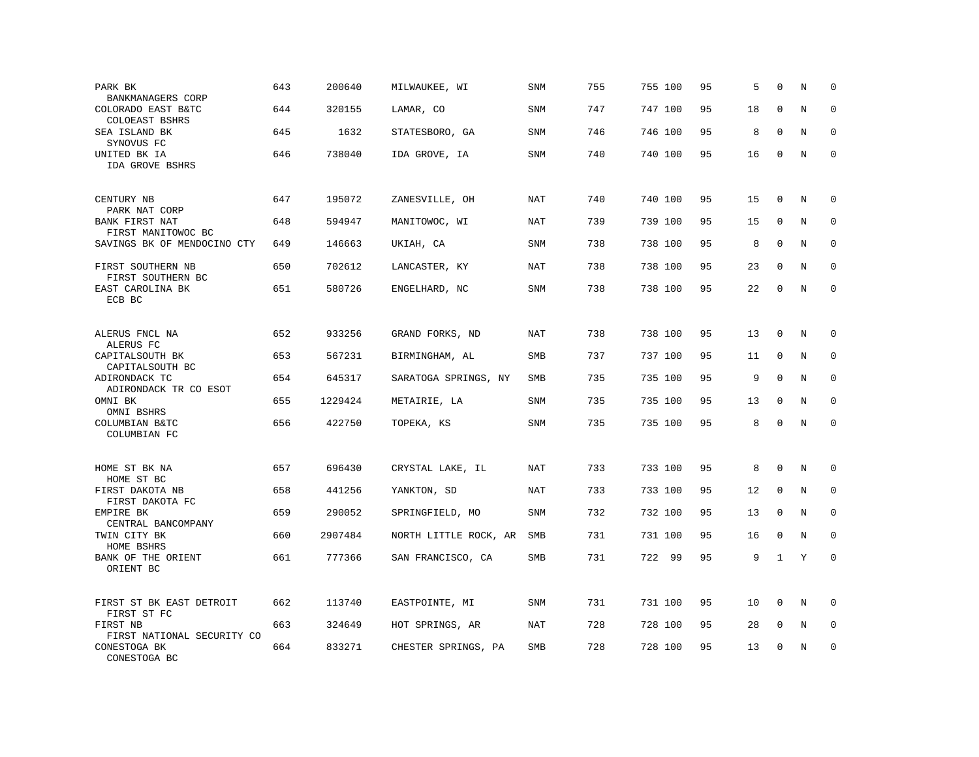| PARK BK<br>BANKMANAGERS CORP            | 643 | 200640  | MILWAUKEE, WI         | <b>SNM</b> | 755 | 755 100 | 95 | 5  | $\Omega$     | N       | $\mathbf 0$ |
|-----------------------------------------|-----|---------|-----------------------|------------|-----|---------|----|----|--------------|---------|-------------|
| COLORADO EAST B&TC<br>COLOEAST BSHRS    | 644 | 320155  | LAMAR, CO             | SNM        | 747 | 747 100 | 95 | 18 | $\mathbf 0$  | N       | 0           |
| SEA ISLAND BK<br>SYNOVUS FC             | 645 | 1632    | STATESBORO, GA        | <b>SNM</b> | 746 | 746 100 | 95 | 8  | $\Omega$     | N       | $\mathbf 0$ |
| UNITED BK IA<br>IDA GROVE BSHRS         | 646 | 738040  | IDA GROVE, IA         | <b>SNM</b> | 740 | 740 100 | 95 | 16 | $\mathbf 0$  | N       | $\mathbf 0$ |
| CENTURY NB<br>PARK NAT CORP             | 647 | 195072  | ZANESVILLE, OH        | NAT        | 740 | 740 100 | 95 | 15 | 0            | Ν       | 0           |
| BANK FIRST NAT<br>FIRST MANITOWOC BC    | 648 | 594947  | MANITOWOC, WI         | <b>NAT</b> | 739 | 739 100 | 95 | 15 | $\mathbf 0$  | N       | $\mathbf 0$ |
| SAVINGS BK OF MENDOCINO CTY             | 649 | 146663  | UKIAH, CA             | SNM        | 738 | 738 100 | 95 | 8  | $\Omega$     | N       | $\mathbf 0$ |
| FIRST SOUTHERN NB<br>FIRST SOUTHERN BC  | 650 | 702612  | LANCASTER, KY         | NAT        | 738 | 738 100 | 95 | 23 | $\mathbf 0$  | N       | $\mathbf 0$ |
| EAST CAROLINA BK<br>ECB BC              | 651 | 580726  | ENGELHARD, NC         | SNM        | 738 | 738 100 | 95 | 22 | $\mathbf{0}$ | N       | $\mathbf 0$ |
| ALERUS FNCL NA<br>ALERUS FC             | 652 | 933256  | GRAND FORKS, ND       | NAT        | 738 | 738 100 | 95 | 13 | $\mathbf 0$  | N       | $\mathbf 0$ |
| CAPITALSOUTH BK<br>CAPITALSOUTH BC      | 653 | 567231  | BIRMINGHAM, AL        | SMB        | 737 | 737 100 | 95 | 11 | $\mathbf 0$  | N       | 0           |
| ADIRONDACK TC<br>ADIRONDACK TR CO ESOT  | 654 | 645317  | SARATOGA SPRINGS, NY  | SMB        | 735 | 735 100 | 95 | 9  | $\mathbf 0$  | N       | $\mathbf 0$ |
| OMNI BK<br>OMNI BSHRS                   | 655 | 1229424 | METAIRIE, LA          | SNM        | 735 | 735 100 | 95 | 13 | $\mathbf 0$  | N       | 0           |
| COLUMBIAN B&TC<br>COLUMBIAN FC          | 656 | 422750  | TOPEKA, KS            | SNM        | 735 | 735 100 | 95 | 8  | $\Omega$     | $\rm N$ | $\mathbf 0$ |
| HOME ST BK NA<br>HOME ST BC             | 657 | 696430  | CRYSTAL LAKE, IL      | <b>NAT</b> | 733 | 733 100 | 95 | 8  | $\mathbf 0$  | N       | 0           |
| FIRST DAKOTA NB<br>FIRST DAKOTA FC      | 658 | 441256  | YANKTON, SD           | NAT        | 733 | 733 100 | 95 | 12 | $\mathbf 0$  | N       | 0           |
| EMPIRE BK<br>CENTRAL BANCOMPANY         | 659 | 290052  | SPRINGFIELD, MO       | SNM        | 732 | 732 100 | 95 | 13 | 0            | N       | $\mathbf 0$ |
| TWIN CITY BK<br>HOME BSHRS              | 660 | 2907484 | NORTH LITTLE ROCK, AR | <b>SMB</b> | 731 | 731 100 | 95 | 16 | $\mathbf 0$  | N       | 0           |
| BANK OF THE ORIENT<br>ORIENT BC         | 661 | 777366  | SAN FRANCISCO, CA     | SMB        | 731 | 722 99  | 95 | 9  | 1            | Y       | $\mathbf 0$ |
| FIRST ST BK EAST DETROIT<br>FIRST ST FC | 662 | 113740  | EASTPOINTE, MI        | <b>SNM</b> | 731 | 731 100 | 95 | 10 | $\mathbf 0$  | N       | 0           |
| FIRST NB<br>FIRST NATIONAL SECURITY CO  | 663 | 324649  | HOT SPRINGS, AR       | <b>NAT</b> | 728 | 728 100 | 95 | 28 | $\mathbf 0$  | N       | 0           |
| CONESTOGA BK<br>CONESTOGA BC            | 664 | 833271  | CHESTER SPRINGS, PA   | SMB        | 728 | 728 100 | 95 | 13 | $\Omega$     | N       | 0           |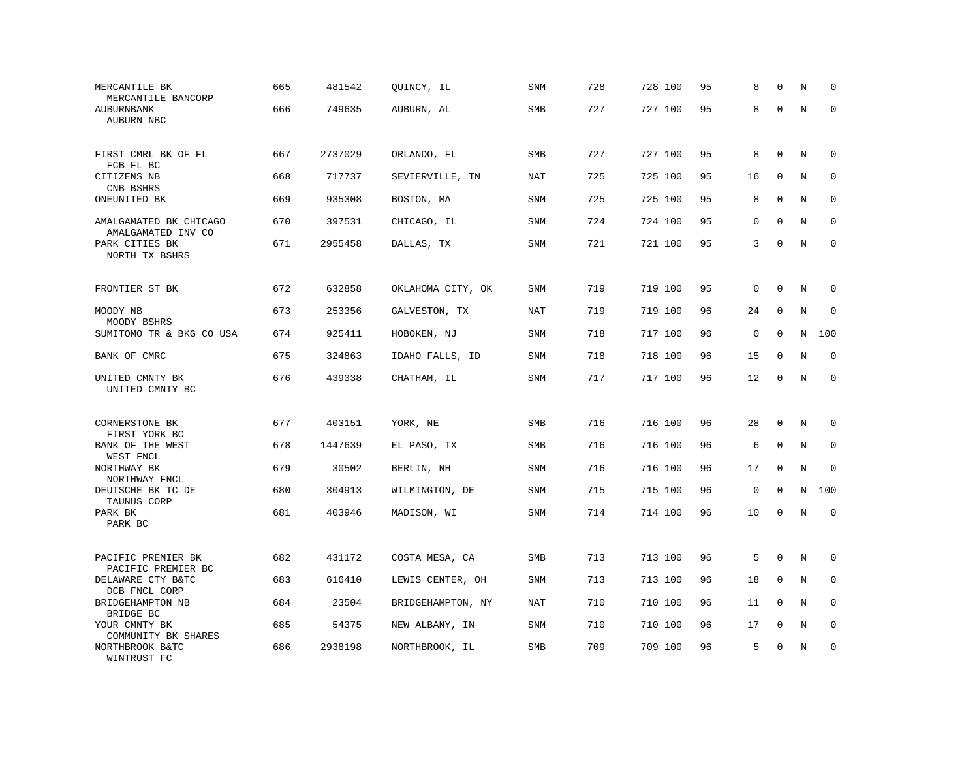| MERCANTILE BK<br>MERCANTILE BANCORP<br>AUBURNBANK | 665<br>666 | 481542<br>749635 | QUINCY, IL<br>AUBURN, AL | <b>SNM</b><br><b>SMB</b> | 728<br>727 | 728 100<br>727 100 | 95<br>95 | 8<br>8      | $\mathbf 0$<br>$\mathbf 0$ | N<br>$\rm N$ | 0<br>$\mathbf 0$ |
|---------------------------------------------------|------------|------------------|--------------------------|--------------------------|------------|--------------------|----------|-------------|----------------------------|--------------|------------------|
| AUBURN NBC                                        |            |                  |                          |                          |            |                    |          |             |                            |              |                  |
| FIRST CMRL BK OF FL<br>FCB FL BC                  | 667        | 2737029          | ORLANDO, FL              | <b>SMB</b>               | 727        | 727 100            | 95       | 8           | $\mathbf 0$                | N            | 0                |
| CITIZENS NB<br>CNB BSHRS                          | 668        | 717737           | SEVIERVILLE, TN          | <b>NAT</b>               | 725        | 725 100            | 95       | 16          | 0                          | N            | 0                |
| ONEUNITED BK                                      | 669        | 935308           | BOSTON, MA               | <b>SNM</b>               | 725        | 725 100            | 95       | 8           | $\mathbf 0$                | N            | $\mathbf 0$      |
| AMALGAMATED BK CHICAGO<br>AMALGAMATED INV CO      | 670        | 397531           | CHICAGO, IL              | SNM                      | 724        | 724 100            | 95       | 0           | $\Omega$                   | N            | 0                |
| PARK CITIES BK<br>NORTH TX BSHRS                  | 671        | 2955458          | DALLAS, TX               | <b>SNM</b>               | 721        | 721 100            | 95       | 3           | $\mathbf{0}$               | N            | $\mathbf 0$      |
| FRONTIER ST BK                                    | 672        | 632858           | OKLAHOMA CITY, OK        | <b>SNM</b>               | 719        | 719 100            | 95       | $\mathbf 0$ | $\mathbf{0}$               | N            | 0                |
| MOODY NB<br>MOODY BSHRS                           | 673        | 253356           | GALVESTON, TX            | NAT                      | 719        | 719 100            | 96       | 24          | $\mathbf 0$                | N            | $\mathbf 0$      |
| SUMITOMO TR & BKG CO USA                          | 674        | 925411           | HOBOKEN, NJ              | SNM                      | 718        | 717 100            | 96       | $\mathsf 0$ | $\mathbf{0}$               | N            | 100              |
| BANK OF CMRC                                      | 675        | 324863           | IDAHO FALLS, ID          | <b>SNM</b>               | 718        | 718 100            | 96       | 15          | $\mathbf 0$                | N            | $\mathbf 0$      |
| UNITED CMNTY BK<br>UNITED CMNTY BC                | 676        | 439338           | CHATHAM, IL              | SNM                      | 717        | 717 100            | 96       | 12          | $\mathbf 0$                | $\rm N$      | $\mathbf 0$      |
| CORNERSTONE BK<br>FIRST YORK BC                   | 677        | 403151           | YORK, NE                 | SMB                      | 716        | 716 100            | 96       | 28          | 0                          | N            | 0                |
| BANK OF THE WEST<br>WEST FNCL                     | 678        | 1447639          | EL PASO, TX              | <b>SMB</b>               | 716        | 716 100            | 96       | 6           | $\mathbf{0}$               | N            | $\mathbf 0$      |
| NORTHWAY BK<br>NORTHWAY FNCL                      | 679        | 30502            | BERLIN, NH               | <b>SNM</b>               | 716        | 716 100            | 96       | 17          | $\mathbf 0$                | N            | $\mathbf 0$      |
| DEUTSCHE BK TC DE<br>TAUNUS CORP                  | 680        | 304913           | WILMINGTON, DE           | SNM                      | 715        | 715 100            | 96       | $\mathsf 0$ | $\mathbf 0$                | N            | 100              |
| PARK BK<br>PARK BC                                | 681        | 403946           | MADISON, WI              | SNM                      | 714        | 714 100            | 96       | 10          | $\mathbf 0$                | N            | $\mathbf 0$      |
| PACIFIC PREMIER BK<br>PACIFIC PREMIER BC          | 682        | 431172           | COSTA MESA, CA           | SMB                      | 713        | 713 100            | 96       | 5           | $\mathbf 0$                | N            | 0                |
| DELAWARE CTY B&TC<br>DCB FNCL CORP                | 683        | 616410           | LEWIS CENTER, OH         | SNM                      | 713        | 713 100            | 96       | 18          | $\mathbf 0$                | N            | 0                |
| BRIDGEHAMPTON NB<br>BRIDGE BC                     | 684        | 23504            | BRIDGEHAMPTON, NY        | <b>NAT</b>               | 710        | 710 100            | 96       | 11          | $\Omega$                   | N            | $\mathbf 0$      |
| YOUR CMNTY BK<br>COMMUNITY BK SHARES              | 685        | 54375            | NEW ALBANY, IN           | SNM                      | 710        | 710 100            | 96       | 17          | 0                          | Ν            | 0                |
| NORTHBROOK B&TC<br>WINTRUST FC                    | 686        | 2938198          | NORTHBROOK, IL           | <b>SMB</b>               | 709        | 709 100            | 96       | 5           | $\mathbf 0$                | N            | $\mathbf 0$      |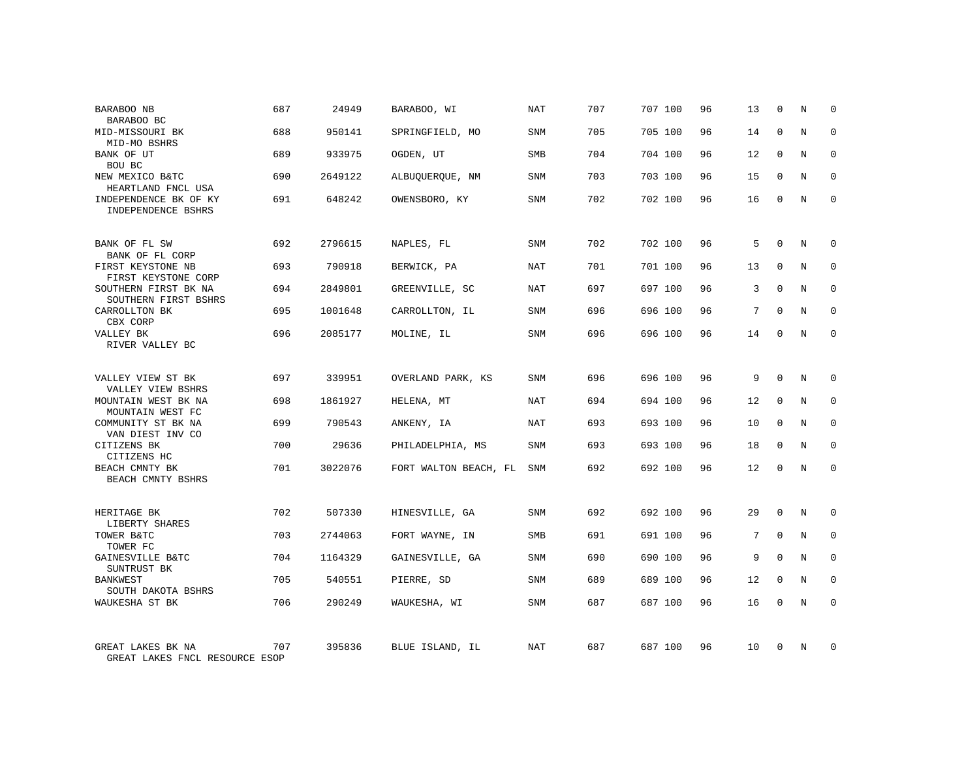| BARABOO NB<br>BARABOO BC                                    | 687 | 24949   | BARABOO, WI           | NAT        | 707 | 707 100 | 96 | 13 | $\mathbf 0$  | N | $\Omega$    |
|-------------------------------------------------------------|-----|---------|-----------------------|------------|-----|---------|----|----|--------------|---|-------------|
| MID-MISSOURI BK<br>MID-MO BSHRS                             | 688 | 950141  | SPRINGFIELD, MO       | SNM        | 705 | 705 100 | 96 | 14 | $\Omega$     | N | $\Omega$    |
| BANK OF UT<br>BOU BC                                        | 689 | 933975  | OGDEN, UT             | SMB        | 704 | 704 100 | 96 | 12 | $\mathbf 0$  | N | $\mathbf 0$ |
| NEW MEXICO B&TC<br>HEARTLAND FNCL USA                       | 690 | 2649122 | ALBUQUERQUE, NM       | SNM        | 703 | 703 100 | 96 | 15 | $\Omega$     | N | $\mathbf 0$ |
| INDEPENDENCE BK OF KY<br>INDEPENDENCE BSHRS                 | 691 | 648242  | OWENSBORO, KY         | SNM        | 702 | 702 100 | 96 | 16 | $\mathbf 0$  | N | $\mathbf 0$ |
| BANK OF FL SW                                               | 692 | 2796615 | NAPLES, FL            | SNM        | 702 | 702 100 | 96 | 5  | $\mathbf 0$  | N | $\mathbf 0$ |
| BANK OF FL CORP<br>FIRST KEYSTONE NB<br>FIRST KEYSTONE CORP | 693 | 790918  | BERWICK, PA           | NAT        | 701 | 701 100 | 96 | 13 | $\mathbf{0}$ | N | $\mathbf 0$ |
| SOUTHERN FIRST BK NA<br>SOUTHERN FIRST BSHRS                | 694 | 2849801 | GREENVILLE, SC        | <b>NAT</b> | 697 | 697 100 | 96 | 3  | $\mathbf 0$  | N | $\mathbf 0$ |
| CARROLLTON BK<br>CBX CORP                                   | 695 | 1001648 | CARROLLTON, IL        | <b>SNM</b> | 696 | 696 100 | 96 | 7  | $\Omega$     | N | $\mathbf 0$ |
| VALLEY BK<br>RIVER VALLEY BC                                | 696 | 2085177 | MOLINE, IL            | <b>SNM</b> | 696 | 696 100 | 96 | 14 | $\mathbf{0}$ | N | $\mathbf 0$ |
| VALLEY VIEW ST BK<br>VALLEY VIEW BSHRS                      | 697 | 339951  | OVERLAND PARK, KS     | <b>SNM</b> | 696 | 696 100 | 96 | 9  | $\Omega$     | N | $\mathbf 0$ |
| MOUNTAIN WEST BK NA<br>MOUNTAIN WEST FC                     | 698 | 1861927 | HELENA, MT            | NAT        | 694 | 694 100 | 96 | 12 | $\mathbf{0}$ | N | 0           |
| COMMUNITY ST BK NA<br>VAN DIEST INV CO                      | 699 | 790543  | ANKENY, IA            | NAT        | 693 | 693 100 | 96 | 10 | $\Omega$     | N | $\mathbf 0$ |
| CITIZENS BK<br>CITIZENS HC                                  | 700 | 29636   | PHILADELPHIA, MS      | SNM        | 693 | 693 100 | 96 | 18 | $\mathbf 0$  | N | 0           |
| BEACH CMNTY BK<br>BEACH CMNTY BSHRS                         | 701 | 3022076 | FORT WALTON BEACH, FL | <b>SNM</b> | 692 | 692 100 | 96 | 12 | $\Omega$     | N | $\mathbf 0$ |
| HERITAGE BK<br>LIBERTY SHARES                               | 702 | 507330  | HINESVILLE, GA        | <b>SNM</b> | 692 | 692 100 | 96 | 29 | $\Omega$     | N | $\mathbf 0$ |
| TOWER B&TC<br>TOWER FC                                      | 703 | 2744063 | FORT WAYNE, IN        | SMB        | 691 | 691 100 | 96 | 7  | $\mathbf{0}$ | N | 0           |
| GAINESVILLE B&TC<br>SUNTRUST BK                             | 704 | 1164329 | GAINESVILLE, GA       | <b>SNM</b> | 690 | 690 100 | 96 | 9  | $\Omega$     | N | $\mathbf 0$ |
| <b>BANKWEST</b><br>SOUTH DAKOTA BSHRS                       | 705 | 540551  | PIERRE, SD            | SNM        | 689 | 689 100 | 96 | 12 | $\mathbf 0$  | N | 0           |
| WAUKESHA ST BK                                              | 706 | 290249  | WAUKESHA, WI          | <b>SNM</b> | 687 | 687 100 | 96 | 16 | $\Omega$     | N | $\mathbf 0$ |
| GREAT LAKES BK NA<br>GREAT LAKES FNCL RESOURCE ESOP         | 707 | 395836  | BLUE ISLAND, IL       | NAT        | 687 | 687 100 | 96 | 10 | $\Omega$     | N | $\mathbf 0$ |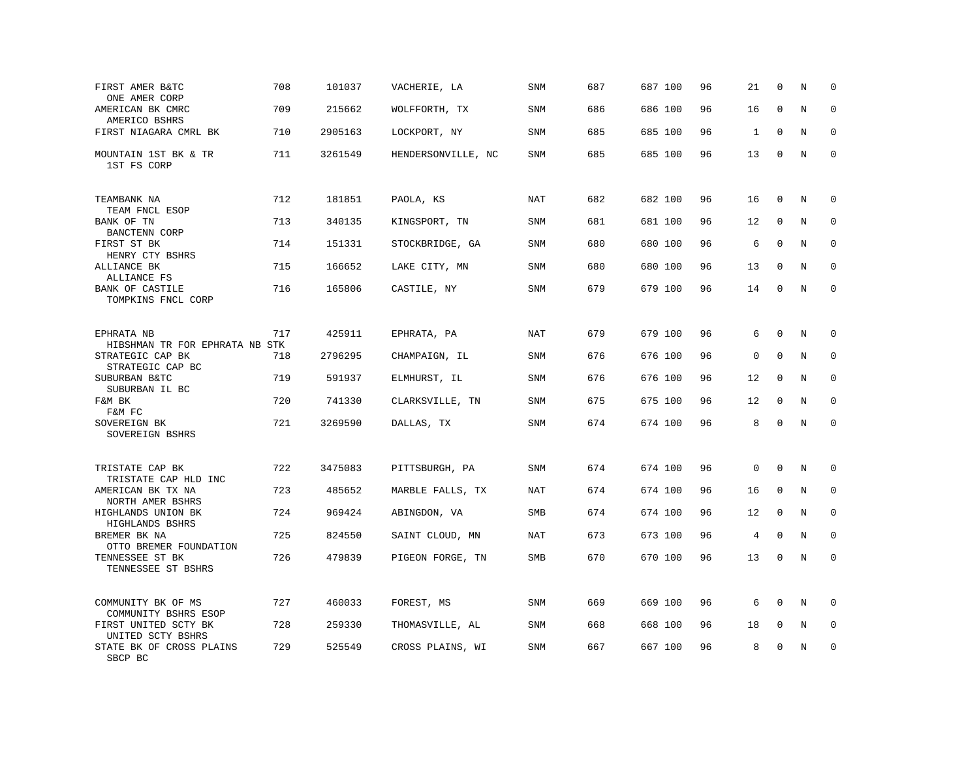| FIRST AMER B&TC<br>ONE AMER CORP             | 708 | 101037  | VACHERIE, LA       | <b>SNM</b> | 687 | 687 100 | 96 | 21           | $\mathbf 0$  | N       | $\mathbf 0$ |
|----------------------------------------------|-----|---------|--------------------|------------|-----|---------|----|--------------|--------------|---------|-------------|
| AMERICAN BK CMRC<br>AMERICO BSHRS            | 709 | 215662  | WOLFFORTH, TX      | <b>SNM</b> | 686 | 686 100 | 96 | 16           | $\mathbf 0$  | $\rm N$ | 0           |
| FIRST NIAGARA CMRL BK                        | 710 | 2905163 | LOCKPORT, NY       | SNM        | 685 | 685 100 | 96 | $\mathbf{1}$ | $\Omega$     | N       | $\mathbf 0$ |
| MOUNTAIN 1ST BK & TR<br>1ST FS CORP          | 711 | 3261549 | HENDERSONVILLE, NC | <b>SNM</b> | 685 | 685 100 | 96 | 13           | $\mathbf 0$  | N       | $\mathbf 0$ |
| TEAMBANK NA<br>TEAM FNCL ESOP                | 712 | 181851  | PAOLA, KS          | <b>NAT</b> | 682 | 682 100 | 96 | 16           | $\mathbf 0$  | N       | 0           |
| BANK OF TN<br>BANCTENN CORP                  | 713 | 340135  | KINGSPORT, TN      | <b>SNM</b> | 681 | 681 100 | 96 | 12           | $\mathbf 0$  | N       | $\mathbf 0$ |
| FIRST ST BK<br>HENRY CTY BSHRS               | 714 | 151331  | STOCKBRIDGE, GA    | SNM        | 680 | 680 100 | 96 | 6            | $\Omega$     | N       | $\mathbf 0$ |
| ALLIANCE BK<br>ALLIANCE FS                   | 715 | 166652  | LAKE CITY, MN      | SNM        | 680 | 680 100 | 96 | 13           | $\mathbf{0}$ | N       | $\mathbf 0$ |
| BANK OF CASTILE<br>TOMPKINS FNCL CORP        | 716 | 165806  | CASTILE, NY        | <b>SNM</b> | 679 | 679 100 | 96 | 14           | $\mathbf 0$  | N       | $\mathbf 0$ |
| EPHRATA NB<br>HIBSHMAN TR FOR EPHRATA NB STK | 717 | 425911  | EPHRATA, PA        | <b>NAT</b> | 679 | 679 100 | 96 | 6            | $\mathbf 0$  | N       | $\Omega$    |
| STRATEGIC CAP BK<br>STRATEGIC CAP BC         | 718 | 2796295 | CHAMPAIGN, IL      | <b>SNM</b> | 676 | 676 100 | 96 | 0            | $\mathbf{0}$ | N       | $\mathbf 0$ |
| SUBURBAN B&TC<br>SUBURBAN IL BC              | 719 | 591937  | ELMHURST, IL       | SNM        | 676 | 676 100 | 96 | 12           | 0            | N       | 0           |
| F&M BK<br>F&M FC                             | 720 | 741330  | CLARKSVILLE, TN    | <b>SNM</b> | 675 | 675 100 | 96 | 12           | $\Omega$     | N       | $\Omega$    |
| SOVEREIGN BK<br>SOVEREIGN BSHRS              | 721 | 3269590 | DALLAS, TX         | <b>SNM</b> | 674 | 674 100 | 96 | 8            | $\mathbf 0$  | N       | $\mathbf 0$ |
| TRISTATE CAP BK<br>TRISTATE CAP HLD INC      | 722 | 3475083 | PITTSBURGH, PA     | <b>SNM</b> | 674 | 674 100 | 96 | $\mathbf 0$  | $\mathbf 0$  | N       | $\mathbf 0$ |
| AMERICAN BK TX NA<br>NORTH AMER BSHRS        | 723 | 485652  | MARBLE FALLS, TX   | NAT        | 674 | 674 100 | 96 | 16           | $\mathbf{0}$ | N       | $\mathbf 0$ |
| HIGHLANDS UNION BK<br>HIGHLANDS BSHRS        | 724 | 969424  | ABINGDON, VA       | SMB        | 674 | 674 100 | 96 | 12           | $\Omega$     | N       | 0           |
| BREMER BK NA<br>OTTO BREMER FOUNDATION       | 725 | 824550  | SAINT CLOUD, MN    | <b>NAT</b> | 673 | 673 100 | 96 | 4            | $\mathbf 0$  | N       | $\mathbf 0$ |
| TENNESSEE ST BK<br>TENNESSEE ST BSHRS        | 726 | 479839  | PIGEON FORGE, TN   | SMB        | 670 | 670 100 | 96 | 13           | $\mathbf 0$  | N       | $\mathbf 0$ |
| COMMUNITY BK OF MS<br>COMMUNITY BSHRS ESOP   | 727 | 460033  | FOREST, MS         | SNM        | 669 | 669 100 | 96 | 6            | $\mathbf 0$  | N       | $\mathbf 0$ |
| FIRST UNITED SCTY BK<br>UNITED SCTY BSHRS    | 728 | 259330  | THOMASVILLE, AL    | <b>SNM</b> | 668 | 668 100 | 96 | 18           | $\mathbf 0$  | N       | $\mathbf 0$ |
| STATE BK OF CROSS PLAINS<br>SBCP BC          | 729 | 525549  | CROSS PLAINS, WI   | <b>SNM</b> | 667 | 667 100 | 96 | 8            | $\Omega$     | Ν       | $\mathbf 0$ |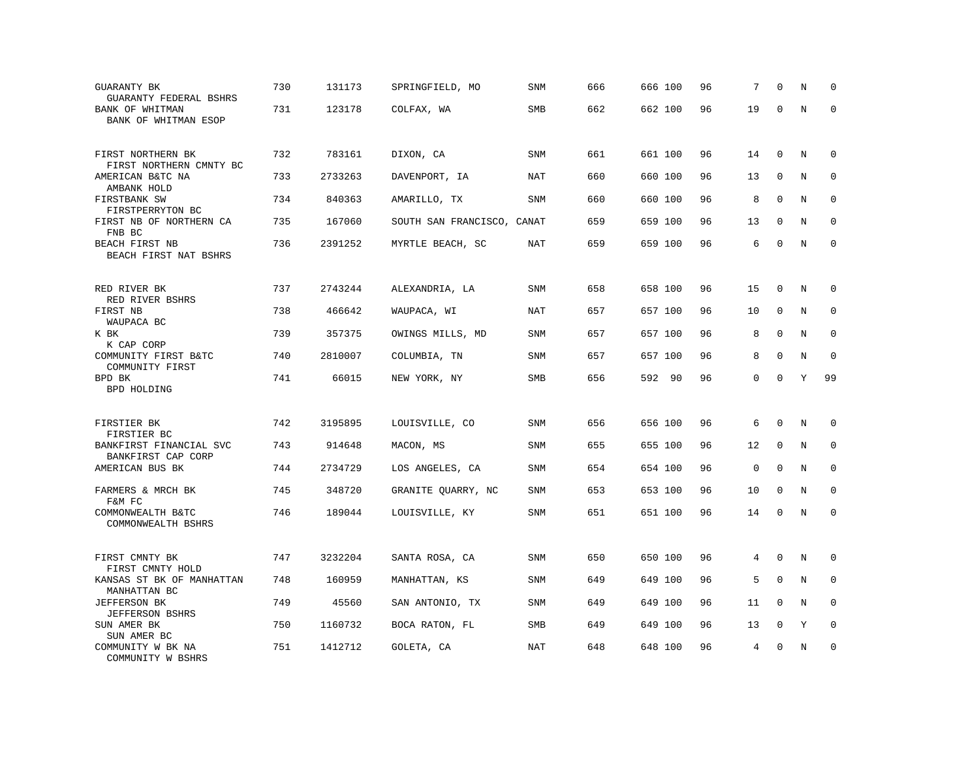| <b>GUARANTY BK</b><br><b>GUARANTY FEDERAL BSHRS</b> | 730 | 131173  | SPRINGFIELD, MO            | <b>SNM</b> | 666 | 666 100 | 96 | 7           | $\mathbf 0$ | N | $\mathbf 0$ |
|-----------------------------------------------------|-----|---------|----------------------------|------------|-----|---------|----|-------------|-------------|---|-------------|
| BANK OF WHITMAN<br>BANK OF WHITMAN ESOP             | 731 | 123178  | COLFAX, WA                 | <b>SMB</b> | 662 | 662 100 | 96 | 19          | $\mathbf 0$ | N | $\mathbf 0$ |
| FIRST NORTHERN BK<br>FIRST NORTHERN CMNTY BC        | 732 | 783161  | DIXON, CA                  | <b>SNM</b> | 661 | 661 100 | 96 | 14          | $\mathbf 0$ | N | 0           |
| AMERICAN B&TC NA<br>AMBANK HOLD                     | 733 | 2733263 | DAVENPORT, IA              | NAT        | 660 | 660 100 | 96 | 13          | $\mathbf 0$ | N | $\mathbf 0$ |
| FIRSTBANK SW<br>FIRSTPERRYTON BC                    | 734 | 840363  | AMARILLO, TX               | SNM        | 660 | 660 100 | 96 | 8           | $\mathbf 0$ | N | $\mathbf 0$ |
| FIRST NB OF NORTHERN CA<br>FNB BC                   | 735 | 167060  | SOUTH SAN FRANCISCO, CANAT |            | 659 | 659 100 | 96 | 13          | $\mathbf 0$ | N | $\mathbf 0$ |
| BEACH FIRST NB<br>BEACH FIRST NAT BSHRS             | 736 | 2391252 | MYRTLE BEACH, SC           | NAT        | 659 | 659 100 | 96 | 6           | $\Omega$    | N | $\mathbf 0$ |
| RED RIVER BK<br>RED RIVER BSHRS                     | 737 | 2743244 | ALEXANDRIA, LA             | <b>SNM</b> | 658 | 658 100 | 96 | 15          | $\mathbf 0$ | N | $\mathbf 0$ |
| FIRST NB<br>WAUPACA BC                              | 738 | 466642  | WAUPACA, WI                | NAT        | 657 | 657 100 | 96 | 10          | 0           | N | 0           |
| K BK<br>K CAP CORP                                  | 739 | 357375  | OWINGS MILLS, MD           | <b>SNM</b> | 657 | 657 100 | 96 | 8           | $\mathbf 0$ | N | $\mathbf 0$ |
| COMMUNITY FIRST B&TC<br>COMMUNITY FIRST             | 740 | 2810007 | COLUMBIA, TN               | SNM        | 657 | 657 100 | 96 | 8           | $\mathbf 0$ | N | $\Omega$    |
| BPD BK<br><b>BPD HOLDING</b>                        | 741 | 66015   | NEW YORK, NY               | SMB        | 656 | 592 90  | 96 | 0           | $\mathbf 0$ | Υ | 99          |
| FIRSTIER BK<br>FIRSTIER BC                          | 742 | 3195895 | LOUISVILLE, CO             | SNM        | 656 | 656 100 | 96 | 6           | $\mathbf 0$ | N | $\mathbf 0$ |
| BANKFIRST FINANCIAL SVC<br>BANKFIRST CAP CORP       | 743 | 914648  | MACON, MS                  | SNM        | 655 | 655 100 | 96 | 12          | $\mathbf 0$ | N | $\mathbf 0$ |
| AMERICAN BUS BK                                     | 744 | 2734729 | LOS ANGELES, CA            | <b>SNM</b> | 654 | 654 100 | 96 | $\mathbf 0$ | $\mathbf 0$ | N | $\mathbf 0$ |
| FARMERS & MRCH BK<br>F&M FC                         | 745 | 348720  | GRANITE QUARRY, NC         | SNM        | 653 | 653 100 | 96 | 10          | $\Omega$    | N | 0           |
| COMMONWEALTH B&TC<br>COMMONWEALTH BSHRS             | 746 | 189044  | LOUISVILLE, KY             | SNM        | 651 | 651 100 | 96 | 14          | $\mathbf 0$ | N | $\mathbf 0$ |
| FIRST CMNTY BK<br>FIRST CMNTY HOLD                  | 747 | 3232204 | SANTA ROSA, CA             | SNM        | 650 | 650 100 | 96 | 4           | $\mathbf 0$ | N | 0           |
| KANSAS ST BK OF MANHATTAN<br>MANHATTAN BC           | 748 | 160959  | MANHATTAN, KS              | SNM        | 649 | 649 100 | 96 | 5           | $\mathbf 0$ | N | 0           |
| <b>JEFFERSON BK</b><br><b>JEFFERSON BSHRS</b>       | 749 | 45560   | SAN ANTONIO, TX            | <b>SNM</b> | 649 | 649 100 | 96 | 11          | 0           | N | $\mathbf 0$ |
| SUN AMER BK<br>SUN AMER BC                          | 750 | 1160732 | BOCA RATON, FL             | SMB        | 649 | 649 100 | 96 | 13          | $\mathbf 0$ | Υ | $\mathbf 0$ |
| COMMUNITY W BK NA<br>COMMUNITY W BSHRS              | 751 | 1412712 | GOLETA, CA                 | <b>NAT</b> | 648 | 648 100 | 96 | 4           | $\Omega$    | N | $\mathbf 0$ |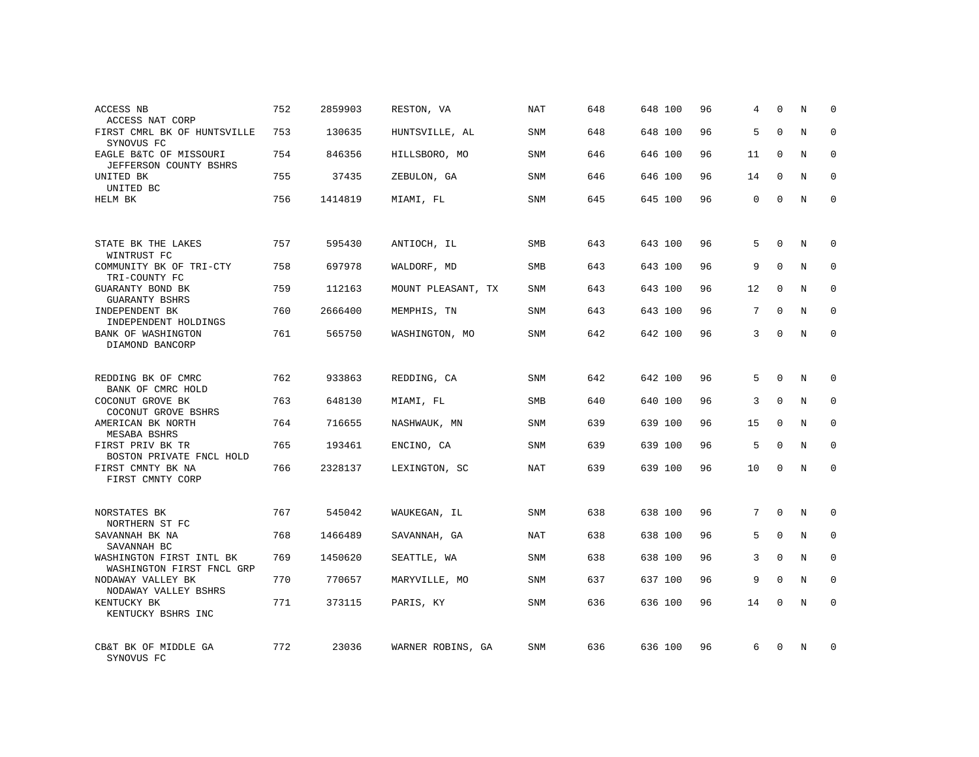| ACCESS NB<br>ACCESS NAT CORP                          | 752 | 2859903 | RESTON, VA         | NAT        | 648 | 648 100 | 96 | 4  | $\Omega$     | N       | $\Omega$    |
|-------------------------------------------------------|-----|---------|--------------------|------------|-----|---------|----|----|--------------|---------|-------------|
| FIRST CMRL BK OF HUNTSVILLE<br>SYNOVUS FC             | 753 | 130635  | HUNTSVILLE, AL     | <b>SNM</b> | 648 | 648 100 | 96 | 5  | $\Omega$     | N       | $\Omega$    |
| EAGLE B&TC OF MISSOURI<br>JEFFERSON COUNTY BSHRS      | 754 | 846356  | HILLSBORO, MO      | SNM        | 646 | 646 100 | 96 | 11 | $\Omega$     | N       | $\Omega$    |
| UNITED BK<br>UNITED BC                                | 755 | 37435   | ZEBULON, GA        | <b>SNM</b> | 646 | 646 100 | 96 | 14 | $\mathbf 0$  | N       | $\mathbf 0$ |
| HELM BK                                               | 756 | 1414819 | MIAMI, FL          | <b>SNM</b> | 645 | 645 100 | 96 | 0  | $\Omega$     | N       | $\Omega$    |
|                                                       |     |         |                    |            |     |         |    |    |              |         |             |
| STATE BK THE LAKES<br>WINTRUST FC                     | 757 | 595430  | ANTIOCH, IL        | <b>SMB</b> | 643 | 643 100 | 96 | 5  | $\Omega$     | N       | $\Omega$    |
| COMMUNITY BK OF TRI-CTY<br>TRI-COUNTY FC              | 758 | 697978  | WALDORF, MD        | SMB        | 643 | 643 100 | 96 | 9  | $\Omega$     | N       | $\mathbf 0$ |
| GUARANTY BOND BK<br><b>GUARANTY BSHRS</b>             | 759 | 112163  | MOUNT PLEASANT, TX | <b>SNM</b> | 643 | 643 100 | 96 | 12 | $\mathbf 0$  | N       | $\mathbf 0$ |
| INDEPENDENT BK<br>INDEPENDENT HOLDINGS                | 760 | 2666400 | MEMPHIS, TN        | <b>SNM</b> | 643 | 643 100 | 96 | 7  | $\Omega$     | N       | $\mathbf 0$ |
| BANK OF WASHINGTON<br>DIAMOND BANCORP                 | 761 | 565750  | WASHINGTON, MO     | <b>SNM</b> | 642 | 642 100 | 96 | 3  | $\mathbf{0}$ | N       | $\mathbf 0$ |
|                                                       |     |         |                    |            |     |         |    |    |              |         |             |
| REDDING BK OF CMRC<br>BANK OF CMRC HOLD               | 762 | 933863  | REDDING, CA        | <b>SNM</b> | 642 | 642 100 | 96 | 5  | $\Omega$     | N       | $\mathbf 0$ |
| COCONUT GROVE BK<br>COCONUT GROVE BSHRS               | 763 | 648130  | MIAMI, FL          | SMB        | 640 | 640 100 | 96 | 3  | $\mathbf{0}$ | $\rm N$ | $\mathbf 0$ |
| AMERICAN BK NORTH<br><b>MESABA BSHRS</b>              | 764 | 716655  | NASHWAUK, MN       | <b>SNM</b> | 639 | 639 100 | 96 | 15 | $\Omega$     | N       | $\mathbf 0$ |
| FIRST PRIV BK TR<br>BOSTON PRIVATE FNCL HOLD          | 765 | 193461  | ENCINO, CA         | SNM        | 639 | 639 100 | 96 | 5  | $\mathbf 0$  | N       | 0           |
| FIRST CMNTY BK NA<br>FIRST CMNTY CORP                 | 766 | 2328137 | LEXINGTON, SC      | <b>NAT</b> | 639 | 639 100 | 96 | 10 | $\Omega$     | N       | $\mathbf 0$ |
|                                                       |     |         |                    |            |     |         |    |    |              |         |             |
| NORSTATES BK<br>NORTHERN ST FC                        | 767 | 545042  | WAUKEGAN, IL       | <b>SNM</b> | 638 | 638 100 | 96 | 7  | $\mathbf{0}$ | N       | $\mathbf 0$ |
| SAVANNAH BK NA<br>SAVANNAH BC                         | 768 | 1466489 | SAVANNAH, GA       | <b>NAT</b> | 638 | 638 100 | 96 | 5  | $\mathbf{0}$ | N       | $\mathbf 0$ |
| WASHINGTON FIRST INTL BK<br>WASHINGTON FIRST FNCL GRP | 769 | 1450620 | SEATTLE, WA        | SNM        | 638 | 638 100 | 96 | 3  | $\mathbf 0$  | N       | $\mathbf 0$ |
| NODAWAY VALLEY BK<br>NODAWAY VALLEY BSHRS             | 770 | 770657  | MARYVILLE, MO      | <b>SNM</b> | 637 | 637 100 | 96 | 9  | $\mathbf{0}$ | N       | $\mathbf 0$ |
| KENTUCKY BK<br>KENTUCKY BSHRS INC                     | 771 | 373115  | PARIS, KY          | SNM        | 636 | 636 100 | 96 | 14 | $\mathbf 0$  | N       | $\mathbf 0$ |
| CB&T BK OF MIDDLE GA                                  | 772 | 23036   | WARNER ROBINS, GA  | <b>SNM</b> | 636 | 636 100 | 96 | 6  | $\Omega$     | N       | 0           |
| SYNOVUS FC                                            |     |         |                    |            |     |         |    |    |              |         |             |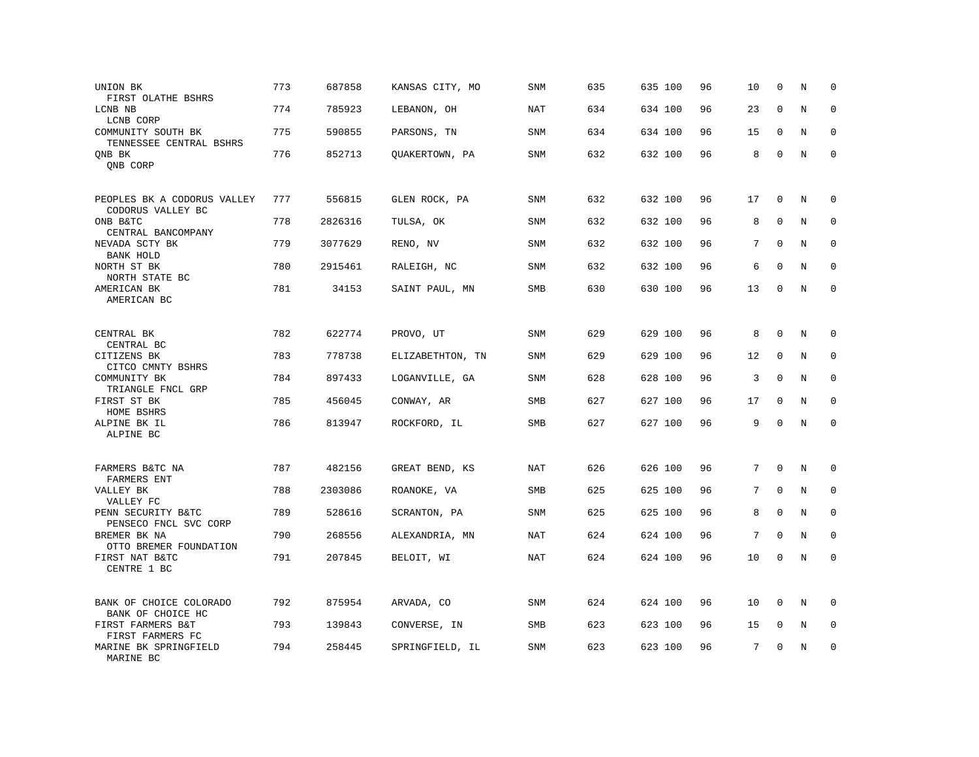| UNION BK<br>FIRST OLATHE BSHRS                   | 773 | 687858  | KANSAS CITY, MO  | SNM        | 635 | 635 100 | 96 | 10 | $\mathbf 0$  | N       | $\mathbf 0$ |
|--------------------------------------------------|-----|---------|------------------|------------|-----|---------|----|----|--------------|---------|-------------|
| LCNB NB<br>LCNB CORP                             | 774 | 785923  | LEBANON, OH      | NAT        | 634 | 634 100 | 96 | 23 | $\mathbf 0$  | N       | $\mathbf 0$ |
| COMMUNITY SOUTH BK<br>TENNESSEE CENTRAL BSHRS    | 775 | 590855  | PARSONS, TN      | SNM        | 634 | 634 100 | 96 | 15 | $\mathbf 0$  | N       | $\mathbf 0$ |
| ONB BK<br>QNB CORP                               | 776 | 852713  | QUAKERTOWN, PA   | SNM        | 632 | 632 100 | 96 | 8  | $\mathbf 0$  | N       | $\mathbf 0$ |
| PEOPLES BK A CODORUS VALLEY<br>CODORUS VALLEY BC | 777 | 556815  | GLEN ROCK, PA    | <b>SNM</b> | 632 | 632 100 | 96 | 17 | $\mathbf 0$  | N       | 0           |
| ONB B&TC<br>CENTRAL BANCOMPANY                   | 778 | 2826316 | TULSA, OK        | SNM        | 632 | 632 100 | 96 | 8  | $\mathbf{0}$ | N       | $\mathbf 0$ |
| NEVADA SCTY BK<br>BANK HOLD                      | 779 | 3077629 | RENO, NV         | <b>SNM</b> | 632 | 632 100 | 96 | 7  | $\Omega$     | N       | $\mathbf 0$ |
| NORTH ST BK<br>NORTH STATE BC                    | 780 | 2915461 | RALEIGH, NC      | SNM        | 632 | 632 100 | 96 | 6  | $\mathbf 0$  | N       | $\mathbf 0$ |
| AMERICAN BK<br>AMERICAN BC                       | 781 | 34153   | SAINT PAUL, MN   | <b>SMB</b> | 630 | 630 100 | 96 | 13 | $\mathbf{0}$ | N       | $\mathbf 0$ |
| CENTRAL BK<br>CENTRAL BC                         | 782 | 622774  | PROVO, UT        | <b>SNM</b> | 629 | 629 100 | 96 | 8  | $\mathbf{0}$ | N       | $\mathbf 0$ |
| CITIZENS BK<br>CITCO CMNTY BSHRS                 | 783 | 778738  | ELIZABETHTON, TN | SNM        | 629 | 629 100 | 96 | 12 | 0            | N       | 0           |
| COMMUNITY BK<br>TRIANGLE FNCL GRP                | 784 | 897433  | LOGANVILLE, GA   | SNM        | 628 | 628 100 | 96 | 3  | $\mathbf 0$  | N       | $\mathbf 0$ |
| FIRST ST BK<br>HOME BSHRS                        | 785 | 456045  | CONWAY, AR       | SMB        | 627 | 627 100 | 96 | 17 | $\mathbf 0$  | N       | $\mathbf 0$ |
| ALPINE BK IL<br>ALPINE BC                        | 786 | 813947  | ROCKFORD, IL     | SMB        | 627 | 627 100 | 96 | 9  | $\Omega$     | $\rm N$ | $\mathbf 0$ |
| FARMERS B&TC NA<br><b>FARMERS ENT</b>            | 787 | 482156  | GREAT BEND, KS   | <b>NAT</b> | 626 | 626 100 | 96 | 7  | $\mathbf 0$  | N       | 0           |
| VALLEY BK<br>VALLEY FC                           | 788 | 2303086 | ROANOKE, VA      | SMB        | 625 | 625 100 | 96 | 7  | $\mathbf 0$  | N       | 0           |
| PENN SECURITY B&TC<br>PENSECO FNCL SVC CORP      | 789 | 528616  | SCRANTON, PA     | SNM        | 625 | 625 100 | 96 | 8  | $\mathbf 0$  | N       | $\mathbf 0$ |
| BREMER BK NA<br>OTTO BREMER FOUNDATION           | 790 | 268556  | ALEXANDRIA, MN   | NAT        | 624 | 624 100 | 96 | 7  | $\mathbf 0$  | N       | $\mathbf 0$ |
| FIRST NAT B&TC<br>CENTRE 1 BC                    | 791 | 207845  | BELOIT, WI       | <b>NAT</b> | 624 | 624 100 | 96 | 10 | $\mathbf 0$  | N       | $\mathbf 0$ |
| BANK OF CHOICE COLORADO<br>BANK OF CHOICE HC     | 792 | 875954  | ARVADA, CO       | <b>SNM</b> | 624 | 624 100 | 96 | 10 | $\mathbf 0$  | N       | $\mathbf 0$ |
| FIRST FARMERS B&T<br>FIRST FARMERS FC            | 793 | 139843  | CONVERSE, IN     | <b>SMB</b> | 623 | 623 100 | 96 | 15 | $\mathbf 0$  | N       | $\mathbf 0$ |
| MARINE BK SPRINGFIELD<br>MARINE BC               | 794 | 258445  | SPRINGFIELD, IL  | <b>SNM</b> | 623 | 623 100 | 96 | 7  | $\mathbf 0$  | N       | $\mathbf 0$ |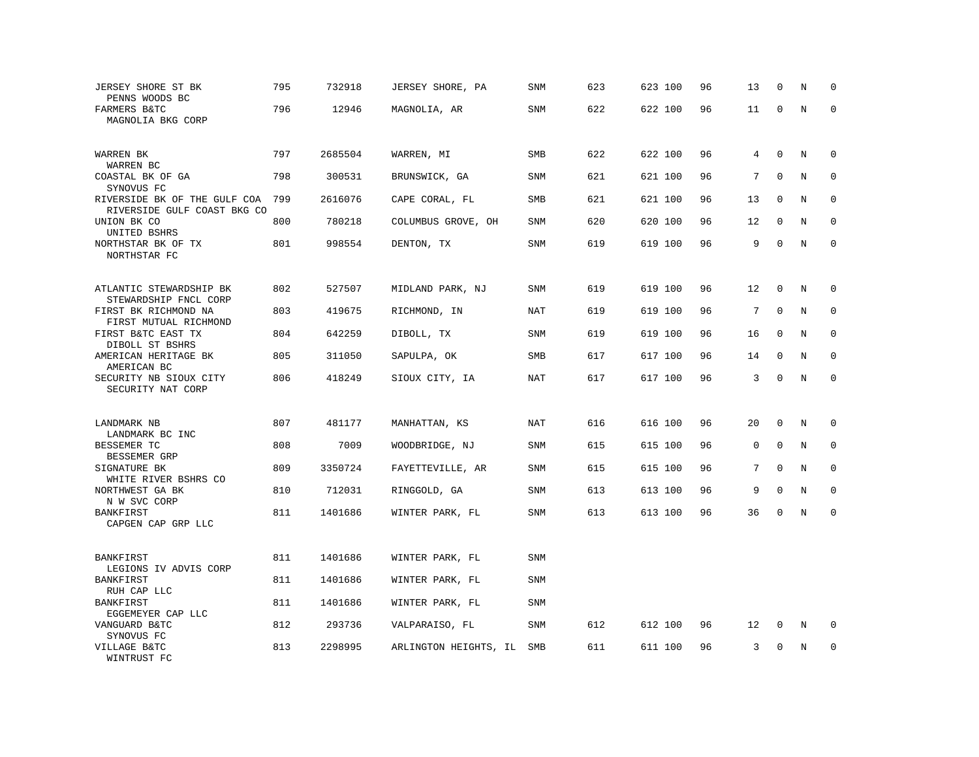| JERSEY SHORE ST BK<br>PENNS WOODS BC                        | 795 | 732918  | JERSEY SHORE, PA      | SNM        | 623 | 623 100 | 96 | 13 | $\mathbf 0$  | N       | $\mathbf 0$ |
|-------------------------------------------------------------|-----|---------|-----------------------|------------|-----|---------|----|----|--------------|---------|-------------|
| FARMERS B&TC<br>MAGNOLIA BKG CORP                           | 796 | 12946   | MAGNOLIA, AR          | SNM        | 622 | 622 100 | 96 | 11 | 0            | N       | $\Omega$    |
| WARREN BK<br>WARREN BC                                      | 797 | 2685504 | WARREN, MI            | <b>SMB</b> | 622 | 622 100 | 96 | 4  | $\mathbf{0}$ | N       | $\mathbf 0$ |
| COASTAL BK OF GA<br>SYNOVUS FC                              | 798 | 300531  | BRUNSWICK, GA         | <b>SNM</b> | 621 | 621 100 | 96 | 7  | $\mathbf 0$  | N       | $\mathbf 0$ |
| RIVERSIDE BK OF THE GULF COA<br>RIVERSIDE GULF COAST BKG CO | 799 | 2616076 | CAPE CORAL, FL        | SMB        | 621 | 621 100 | 96 | 13 | $\mathbf 0$  | N       | $\mathbf 0$ |
| UNION BK CO<br>UNITED BSHRS                                 | 800 | 780218  | COLUMBUS GROVE, OH    | SNM        | 620 | 620 100 | 96 | 12 | $\mathbf 0$  | N       | $\mathbf 0$ |
| NORTHSTAR BK OF TX<br>NORTHSTAR FC                          | 801 | 998554  | DENTON, TX            | SNM        | 619 | 619 100 | 96 | 9  | $\mathbf 0$  | N       | $\mathbf 0$ |
| ATLANTIC STEWARDSHIP BK<br>STEWARDSHIP FNCL CORP            | 802 | 527507  | MIDLAND PARK, NJ      | SNM        | 619 | 619 100 | 96 | 12 | $\Omega$     | N       | $\Omega$    |
| FIRST BK RICHMOND NA<br>FIRST MUTUAL RICHMOND               | 803 | 419675  | RICHMOND, IN          | NAT        | 619 | 619 100 | 96 | 7  | $\mathbf{0}$ | N       | $\mathbf 0$ |
| FIRST B&TC EAST TX<br>DIBOLL ST BSHRS                       | 804 | 642259  | DIBOLL, TX            | <b>SNM</b> | 619 | 619 100 | 96 | 16 | $\Omega$     | N       | $\mathbf 0$ |
| AMERICAN HERITAGE BK<br>AMERICAN BC                         | 805 | 311050  | SAPULPA, OK           | SMB        | 617 | 617 100 | 96 | 14 | $\mathbf 0$  | N       | $\mathbf 0$ |
| SECURITY NB SIOUX CITY<br>SECURITY NAT CORP                 | 806 | 418249  | SIOUX CITY, IA        | <b>NAT</b> | 617 | 617 100 | 96 | 3  | $\mathbf 0$  | $\rm N$ | $\mathbf 0$ |
| LANDMARK NB<br>LANDMARK BC INC                              | 807 | 481177  | MANHATTAN, KS         | NAT        | 616 | 616 100 | 96 | 20 | $\mathbf 0$  | N       | $\mathbf 0$ |
| BESSEMER TC<br>BESSEMER GRP                                 | 808 | 7009    | WOODBRIDGE, NJ        | SNM        | 615 | 615 100 | 96 | 0  | $\Omega$     | N       | $\Omega$    |
| SIGNATURE BK<br>WHITE RIVER BSHRS CO                        | 809 | 3350724 | FAYETTEVILLE, AR      | SNM        | 615 | 615 100 | 96 | 7  | $\mathbf{0}$ | N       | 0           |
| NORTHWEST GA BK<br>N W SVC CORP                             | 810 | 712031  | RINGGOLD, GA          | SNM        | 613 | 613 100 | 96 | 9  | $\Omega$     | N       | $\mathbf 0$ |
| <b>BANKFIRST</b><br>CAPGEN CAP GRP LLC                      | 811 | 1401686 | WINTER PARK, FL       | <b>SNM</b> | 613 | 613 100 | 96 | 36 | $\mathsf 0$  | N       | $\mathbf 0$ |
| BANKFIRST<br>LEGIONS IV ADVIS CORP                          | 811 | 1401686 | WINTER PARK, FL       | <b>SNM</b> |     |         |    |    |              |         |             |
| BANKFIRST<br>RUH CAP LLC                                    | 811 | 1401686 | WINTER PARK, FL       | <b>SNM</b> |     |         |    |    |              |         |             |
| BANKFIRST<br>EGGEMEYER CAP LLC                              | 811 | 1401686 | WINTER PARK, FL       | <b>SNM</b> |     |         |    |    |              |         |             |
| VANGUARD B&TC<br>SYNOVUS FC                                 | 812 | 293736  | VALPARAISO, FL        | SNM        | 612 | 612 100 | 96 | 12 | 0            | N       | $\mathbf 0$ |
| VILLAGE B&TC<br>WINTRUST FC                                 | 813 | 2298995 | ARLINGTON HEIGHTS, IL | SMB        | 611 | 611 100 | 96 | 3  | $\mathbf{0}$ | N       | $\mathbf 0$ |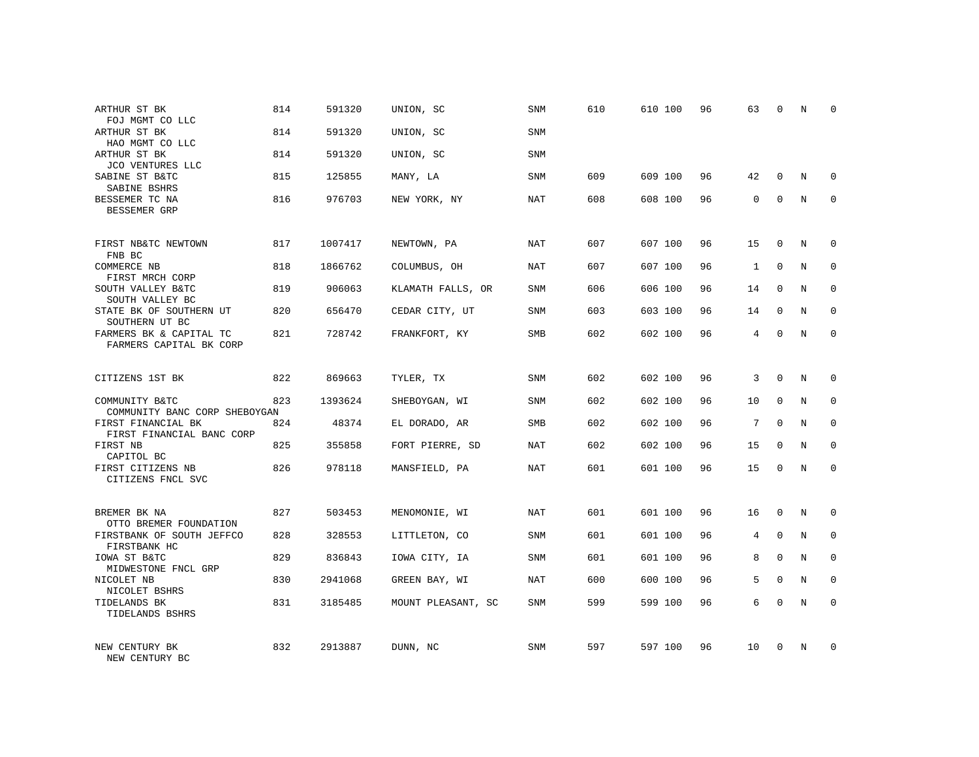| ARTHUR ST BK<br>FOJ MGMT CO LLC                    | 814 | 591320  | UNION, SC          | SNM        | 610 | 610 100 | 96 | 63 | 0           | N | 0           |
|----------------------------------------------------|-----|---------|--------------------|------------|-----|---------|----|----|-------------|---|-------------|
| ARTHUR ST BK<br>HAO MGMT CO LLC                    | 814 | 591320  | UNION, SC          | <b>SNM</b> |     |         |    |    |             |   |             |
| ARTHUR ST BK<br>JCO VENTURES LLC                   | 814 | 591320  | UNION, SC          | SNM        |     |         |    |    |             |   |             |
| SABINE ST B&TC<br>SABINE BSHRS                     | 815 | 125855  | MANY, LA           | SNM        | 609 | 609 100 | 96 | 42 | $\mathbf 0$ | N | 0           |
| BESSEMER TC NA<br>BESSEMER GRP                     | 816 | 976703  | NEW YORK, NY       | <b>NAT</b> | 608 | 608 100 | 96 | 0  | $\mathbf 0$ | N | $\mathbf 0$ |
| FIRST NB&TC NEWTOWN<br>FNB BC                      | 817 | 1007417 | NEWTOWN, PA        | NAT        | 607 | 607 100 | 96 | 15 | 0           | N | 0           |
| <b>COMMERCE NB</b><br>FIRST MRCH CORP              | 818 | 1866762 | COLUMBUS, OH       | <b>NAT</b> | 607 | 607 100 | 96 | 1  | $\mathbf 0$ | N | $\mathbf 0$ |
| SOUTH VALLEY B&TC<br>SOUTH VALLEY BC               | 819 | 906063  | KLAMATH FALLS, OR  | <b>SNM</b> | 606 | 606 100 | 96 | 14 | $\mathbf 0$ | N | 0           |
| STATE BK OF SOUTHERN UT<br>SOUTHERN UT BC          | 820 | 656470  | CEDAR CITY, UT     | SNM        | 603 | 603 100 | 96 | 14 | $\mathbf 0$ | N | $\mathbf 0$ |
| FARMERS BK & CAPITAL TC<br>FARMERS CAPITAL BK CORP | 821 | 728742  | FRANKFORT, KY      | <b>SMB</b> | 602 | 602 100 | 96 | 4  | $\Omega$    | N | $\mathbf 0$ |
| CITIZENS 1ST BK                                    | 822 | 869663  | TYLER, TX          | SNM        | 602 | 602 100 | 96 | 3  | $\Omega$    | N | 0           |
| COMMUNITY B&TC<br>COMMUNITY BANC CORP SHEBOYGAN    | 823 | 1393624 | SHEBOYGAN, WI      | <b>SNM</b> | 602 | 602 100 | 96 | 10 | $\mathbf 0$ | N | $\mathbf 0$ |
| FIRST FINANCIAL BK<br>FIRST FINANCIAL BANC CORP    | 824 | 48374   | EL DORADO, AR      | SMB        | 602 | 602 100 | 96 | 7  | $\Omega$    | N | 0           |
| FIRST NB<br>CAPITOL BC                             | 825 | 355858  | FORT PIERRE, SD    | NAT        | 602 | 602 100 | 96 | 15 | $\mathbf 0$ | N | $\mathbf 0$ |
| FIRST CITIZENS NB<br>CITIZENS FNCL SVC             | 826 | 978118  | MANSFIELD, PA      | <b>NAT</b> | 601 | 601 100 | 96 | 15 | $\Omega$    | N | $\mathbf 0$ |
| BREMER BK NA<br>OTTO BREMER FOUNDATION             | 827 | 503453  | MENOMONIE, WI      | <b>NAT</b> | 601 | 601 100 | 96 | 16 | $\mathbf 0$ | N | $\mathbf 0$ |
| FIRSTBANK OF SOUTH JEFFCO<br>FIRSTBANK HC          | 828 | 328553  | LITTLETON, CO      | <b>SNM</b> | 601 | 601 100 | 96 | 4  | $\mathbf 0$ | N | $\mathbf 0$ |
| IOWA ST B&TC<br>MIDWESTONE FNCL GRP                | 829 | 836843  | IOWA CITY, IA      | SNM        | 601 | 601 100 | 96 | 8  | $\Omega$    | N | $\mathbf 0$ |
| NICOLET NB<br>NICOLET BSHRS                        | 830 | 2941068 | GREEN BAY, WI      | <b>NAT</b> | 600 | 600 100 | 96 | 5  | $\mathbf 0$ | N | $\mathbf 0$ |
| TIDELANDS BK<br>TIDELANDS BSHRS                    | 831 | 3185485 | MOUNT PLEASANT, SC | <b>SNM</b> | 599 | 599 100 | 96 | 6  | $\mathbf 0$ | N | $\mathbf 0$ |
| NEW CENTURY BK<br>NEW CENTURY BC                   | 832 | 2913887 | DUNN, NC           | <b>SNM</b> | 597 | 597 100 | 96 | 10 | $\Omega$    | N | $\mathbf 0$ |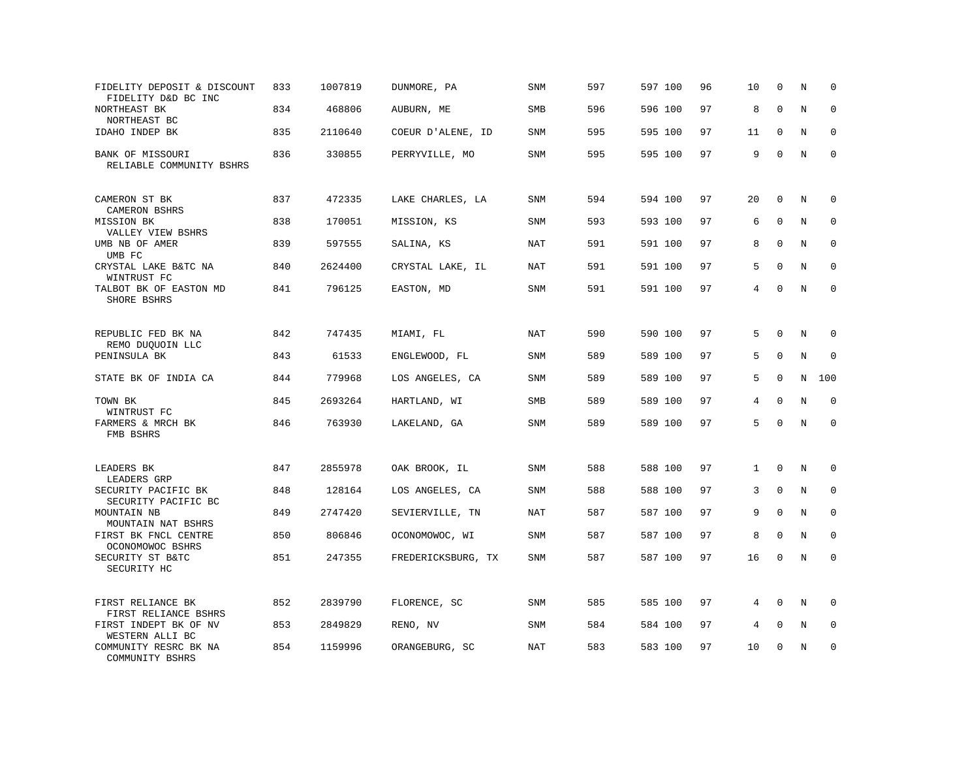| FIDELITY DEPOSIT & DISCOUNT<br>FIDELITY D&D BC INC | 833 | 1007819 | DUNMORE, PA        | SNM        | 597 | 597 100 | 96 | 10           | $\mathbf 0$  | N       | $\mathbf 0$  |
|----------------------------------------------------|-----|---------|--------------------|------------|-----|---------|----|--------------|--------------|---------|--------------|
| NORTHEAST BK<br>NORTHEAST BC                       | 834 | 468806  | AUBURN, ME         | <b>SMB</b> | 596 | 596 100 | 97 | 8            | $\mathbf 0$  | N       | $\mathbf 0$  |
| IDAHO INDEP BK                                     | 835 | 2110640 | COEUR D'ALENE, ID  | <b>SNM</b> | 595 | 595 100 | 97 | 11           | $\Omega$     | N       | 0            |
| BANK OF MISSOURI<br>RELIABLE COMMUNITY BSHRS       | 836 | 330855  | PERRYVILLE, MO     | <b>SNM</b> | 595 | 595 100 | 97 | 9            | $\mathbf 0$  | N       | $\mathbf{0}$ |
| CAMERON ST BK<br><b>CAMERON BSHRS</b>              | 837 | 472335  | LAKE CHARLES, LA   | SNM        | 594 | 594 100 | 97 | 20           | $\mathbf 0$  | N       | $\mathbf 0$  |
| MISSION BK<br>VALLEY VIEW BSHRS                    | 838 | 170051  | MISSION, KS        | <b>SNM</b> | 593 | 593 100 | 97 | 6            | $\mathbf 0$  | N       | $\mathbf 0$  |
| UMB NB OF AMER<br>UMB FC                           | 839 | 597555  | SALINA, KS         | NAT        | 591 | 591 100 | 97 | 8            | $\Omega$     | N       | $\mathbf 0$  |
| CRYSTAL LAKE B&TC NA<br>WINTRUST FC                | 840 | 2624400 | CRYSTAL LAKE, IL   | <b>NAT</b> | 591 | 591 100 | 97 | 5            | $\Omega$     | N       | $\mathbf 0$  |
| TALBOT BK OF EASTON MD<br>SHORE BSHRS              | 841 | 796125  | EASTON, MD         | <b>SNM</b> | 591 | 591 100 | 97 | 4            | $\Omega$     | N       | $\mathbf 0$  |
| REPUBLIC FED BK NA<br>REMO DUQUOIN LLC             | 842 | 747435  | MIAMI, FL          | <b>NAT</b> | 590 | 590 100 | 97 | 5            | $\mathbf 0$  | N       | $\mathbf 0$  |
| PENINSULA BK                                       | 843 | 61533   | ENGLEWOOD, FL      | SNM        | 589 | 589 100 | 97 | 5            | $\mathbf 0$  | N       | $\Omega$     |
| STATE BK OF INDIA CA                               | 844 | 779968  | LOS ANGELES, CA    | SNM        | 589 | 589 100 | 97 | 5            | $\mathbf 0$  | N       | 100          |
| TOWN BK<br>WINTRUST FC                             | 845 | 2693264 | HARTLAND, WI       | SMB        | 589 | 589 100 | 97 | 4            | $\Omega$     | N       | $\mathbf 0$  |
| FARMERS & MRCH BK<br>FMB BSHRS                     | 846 | 763930  | LAKELAND, GA       | <b>SNM</b> | 589 | 589 100 | 97 | 5            | $\Omega$     | N       | $\mathbf 0$  |
| LEADERS BK<br>LEADERS GRP                          | 847 | 2855978 | OAK BROOK, IL      | <b>SNM</b> | 588 | 588 100 | 97 | $\mathbf{1}$ | $\mathbf 0$  | N       | $\mathbf 0$  |
| SECURITY PACIFIC BK<br>SECURITY PACIFIC BC         | 848 | 128164  | LOS ANGELES, CA    | SNM        | 588 | 588 100 | 97 | 3            | $\Omega$     | N       | 0            |
| MOUNTAIN NB<br>MOUNTAIN NAT BSHRS                  | 849 | 2747420 | SEVIERVILLE, TN    | <b>NAT</b> | 587 | 587 100 | 97 | 9            | $\mathbf{0}$ | N       | $\mathbf 0$  |
| FIRST BK FNCL CENTRE<br>OCONOMOWOC BSHRS           | 850 | 806846  | OCONOMOWOC, WI     | SNM        | 587 | 587 100 | 97 | 8            | $\mathbf 0$  | N       | $\Omega$     |
| SECURITY ST B&TC<br>SECURITY HC                    | 851 | 247355  | FREDERICKSBURG, TX | <b>SNM</b> | 587 | 587 100 | 97 | 16           | $\mathbf 0$  | $\rm N$ | $\mathbf 0$  |
| FIRST RELIANCE BK<br>FIRST RELIANCE BSHRS          | 852 | 2839790 | FLORENCE, SC       | <b>SNM</b> | 585 | 585 100 | 97 | 4            | $\mathbf 0$  | N       | 0            |
| FIRST INDEPT BK OF NV<br>WESTERN ALLI BC           | 853 | 2849829 | RENO, NV           | <b>SNM</b> | 584 | 584 100 | 97 | 4            | $\mathbf 0$  | N       | $\mathbf 0$  |
| COMMUNITY RESRC BK NA<br>COMMUNITY BSHRS           | 854 | 1159996 | ORANGEBURG, SC     | <b>NAT</b> | 583 | 583 100 | 97 | 10           | $\mathbf{0}$ | N       | $\mathbf 0$  |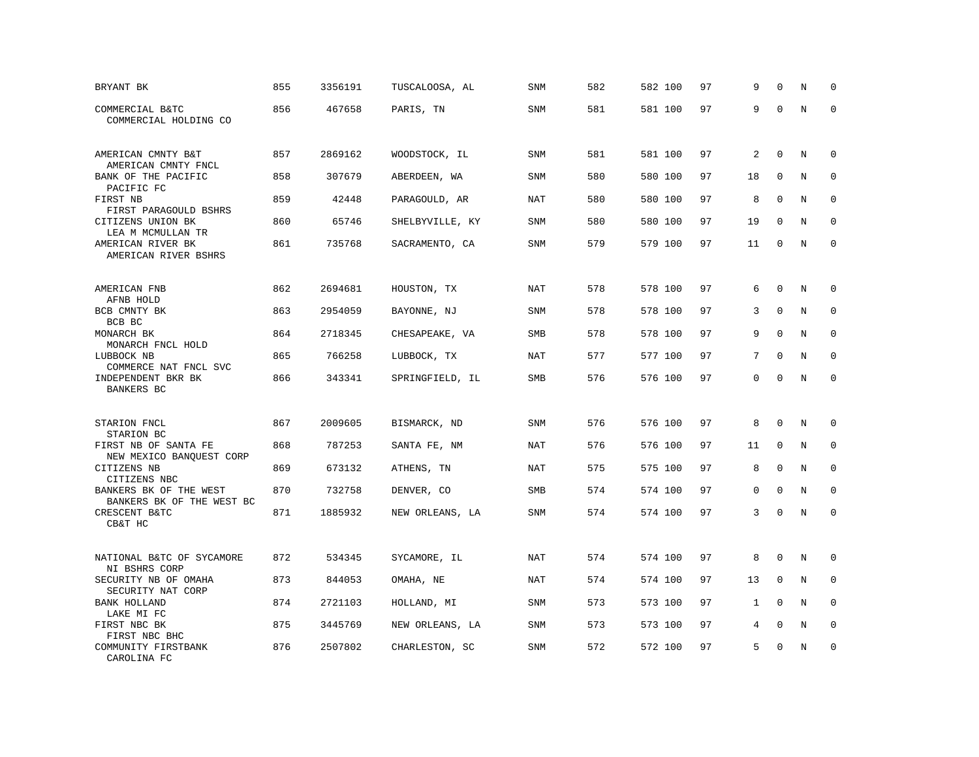| BRYANT BK                                                 | 855 | 3356191 | TUSCALOOSA, AL  | SNM        | 582 | 582 100 | 97 | 9  | $\Omega$     | N       | $\mathbf 0$ |
|-----------------------------------------------------------|-----|---------|-----------------|------------|-----|---------|----|----|--------------|---------|-------------|
| COMMERCIAL B&TC<br>COMMERCIAL HOLDING CO                  | 856 | 467658  | PARIS, TN       | <b>SNM</b> | 581 | 581 100 | 97 | 9  | $\Omega$     | $\rm N$ | $\mathbf 0$ |
| AMERICAN CMNTY B&T                                        | 857 | 2869162 | WOODSTOCK, IL   | <b>SNM</b> | 581 | 581 100 | 97 | 2  | $\mathbf 0$  | N       | $\mathbf 0$ |
| AMERICAN CMNTY FNCL<br>BANK OF THE PACIFIC                | 858 | 307679  | ABERDEEN, WA    | <b>SNM</b> | 580 | 580 100 | 97 | 18 | $\mathbf 0$  | N       | $\mathbf 0$ |
| PACIFIC FC<br>FIRST NB<br>FIRST PARAGOULD BSHRS           | 859 | 42448   | PARAGOULD, AR   | <b>NAT</b> | 580 | 580 100 | 97 | 8  | $\mathbf{0}$ | N       | $\mathbf 0$ |
| CITIZENS UNION BK<br>LEA M MCMULLAN TR                    | 860 | 65746   | SHELBYVILLE, KY | <b>SNM</b> | 580 | 580 100 | 97 | 19 | $\Omega$     | N       | $\mathbf 0$ |
| AMERICAN RIVER BK<br>AMERICAN RIVER BSHRS                 | 861 | 735768  | SACRAMENTO, CA  | <b>SNM</b> | 579 | 579 100 | 97 | 11 | $\Omega$     | N       | $\mathbf 0$ |
| AMERICAN FNB                                              | 862 | 2694681 | HOUSTON, TX     | <b>NAT</b> | 578 | 578 100 | 97 | 6  | $\mathbf{0}$ | N       | $\mathbf 0$ |
| AFNB HOLD<br>BCB CMNTY BK                                 | 863 | 2954059 | BAYONNE, NJ     | <b>SNM</b> | 578 | 578 100 | 97 | 3  | $\mathbf 0$  | N       | $\mathbf 0$ |
| BCB BC<br>MONARCH BK                                      | 864 | 2718345 | CHESAPEAKE, VA  | SMB        | 578 | 578 100 | 97 | 9  | $\mathbf{0}$ | N       | $\mathbf 0$ |
| MONARCH FNCL HOLD<br>LUBBOCK NB                           | 865 | 766258  | LUBBOCK, TX     | <b>NAT</b> | 577 | 577 100 | 97 | 7  | $\Omega$     | N       | $\Omega$    |
| COMMERCE NAT FNCL SVC<br>INDEPENDENT BKR BK<br>BANKERS BC | 866 | 343341  | SPRINGFIELD, IL | SMB        | 576 | 576 100 | 97 | 0  | $\mathbf 0$  | N       | $\mathbf 0$ |
| STARION FNCL                                              | 867 | 2009605 | BISMARCK, ND    | SNM        | 576 | 576 100 | 97 | 8  | $\Omega$     | Ν       | 0           |
| STARION BC<br>FIRST NB OF SANTA FE                        | 868 | 787253  | SANTA FE, NM    | NAT        | 576 | 576 100 | 97 | 11 | $\mathbf{0}$ | N       | $\mathbf 0$ |
| NEW MEXICO BANQUEST CORP<br>CITIZENS NB                   | 869 | 673132  | ATHENS, TN      | NAT        | 575 | 575 100 | 97 | 8  | $\mathbf{0}$ | N       | $\mathbf 0$ |
| CITIZENS NBC<br>BANKERS BK OF THE WEST                    | 870 | 732758  | DENVER, CO      | <b>SMB</b> | 574 | 574 100 | 97 | 0  | $\mathbf 0$  | N       | $\mathbf 0$ |
| BANKERS BK OF THE WEST BC<br>CRESCENT B&TC<br>CB&T HC     | 871 | 1885932 | NEW ORLEANS, LA | SNM        | 574 | 574 100 | 97 | 3  | $\mathbf 0$  | N       | $\mathbf 0$ |
| NATIONAL B&TC OF SYCAMORE                                 | 872 | 534345  | SYCAMORE, IL    | NAT        | 574 | 574 100 | 97 | 8  | $\mathbf 0$  | N       | 0           |
| NI BSHRS CORP<br>SECURITY NB OF OMAHA                     | 873 | 844053  | OMAHA, NE       | NAT        | 574 | 574 100 | 97 | 13 | $\mathbf 0$  | N       | 0           |
| SECURITY NAT CORP<br><b>BANK HOLLAND</b>                  | 874 | 2721103 | HOLLAND, MI     | <b>SNM</b> | 573 | 573 100 | 97 | 1  | $\Omega$     | N       | $\mathbf 0$ |
| LAKE MI FC<br>FIRST NBC BK                                | 875 | 3445769 | NEW ORLEANS, LA | SNM        | 573 | 573 100 | 97 | 4  | $\mathbf{0}$ | Ν       | 0           |
| FIRST NBC BHC<br>COMMUNITY FIRSTBANK<br>CAROLINA FC       | 876 | 2507802 | CHARLESTON, SC  | <b>SNM</b> | 572 | 572 100 | 97 | 5  | $\mathbf 0$  | N       | $\mathbf 0$ |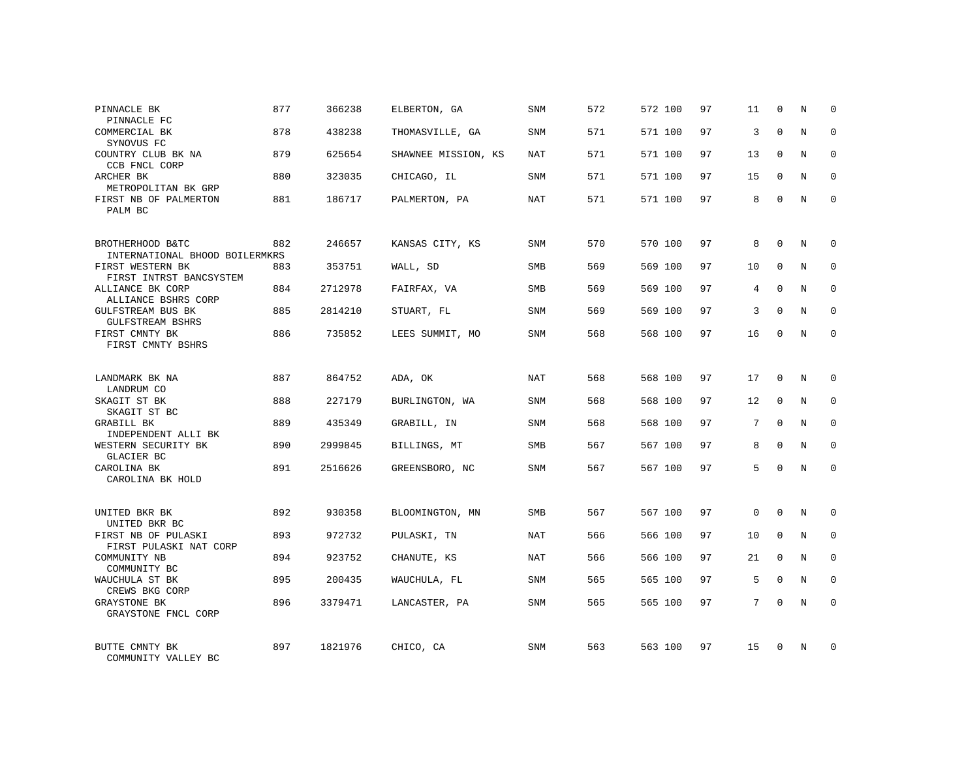| PINNACLE BK<br>PINNACLE FC                         | 877 | 366238  | ELBERTON, GA        | SNM        | 572 | 572 100 | 97 | 11 | 0           | N           | $\Omega$    |
|----------------------------------------------------|-----|---------|---------------------|------------|-----|---------|----|----|-------------|-------------|-------------|
| COMMERCIAL BK<br>SYNOVUS FC                        | 878 | 438238  | THOMASVILLE, GA     | SNM        | 571 | 571 100 | 97 | 3  | $\Omega$    | N           | $\Omega$    |
| COUNTRY CLUB BK NA<br>CCB FNCL CORP                | 879 | 625654  | SHAWNEE MISSION, KS | NAT        | 571 | 571 100 | 97 | 13 | $\Omega$    | N           | $\Omega$    |
| ARCHER BK<br>METROPOLITAN BK GRP                   | 880 | 323035  | CHICAGO, IL         | SNM        | 571 | 571 100 | 97 | 15 | $\Omega$    | N           | $\Omega$    |
| FIRST NB OF PALMERTON<br>PALM BC                   | 881 | 186717  | PALMERTON, PA       | NAT        | 571 | 571 100 | 97 | 8  | $\Omega$    | N           | $\Omega$    |
| BROTHERHOOD B&TC<br>INTERNATIONAL BHOOD BOILERMKRS | 882 | 246657  | KANSAS CITY, KS     | SNM        | 570 | 570 100 | 97 | 8  | $\Omega$    | N           | $\Omega$    |
| FIRST WESTERN BK<br>FIRST INTRST BANCSYSTEM        | 883 | 353751  | WALL, SD            | SMB        | 569 | 569 100 | 97 | 10 | $\Omega$    | N           | $\Omega$    |
| ALLIANCE BK CORP<br>ALLIANCE BSHRS CORP            | 884 | 2712978 | FAIRFAX, VA         | <b>SMB</b> | 569 | 569 100 | 97 | 4  | $\Omega$    | N           | $\Omega$    |
| GULFSTREAM BUS BK<br><b>GULFSTREAM BSHRS</b>       | 885 | 2814210 | STUART, FL          | SNM        | 569 | 569 100 | 97 | 3  | $\Omega$    | N           | $\Omega$    |
| FIRST CMNTY BK<br>FIRST CMNTY BSHRS                | 886 | 735852  | LEES SUMMIT, MO     | <b>SNM</b> | 568 | 568 100 | 97 | 16 | $\Omega$    | N           | $\Omega$    |
| LANDMARK BK NA<br>LANDRUM CO                       | 887 | 864752  | ADA, OK             | NAT        | 568 | 568 100 | 97 | 17 | $\mathbf 0$ | N           | $\mathbf 0$ |
| SKAGIT ST BK<br>SKAGIT ST BC                       | 888 | 227179  | BURLINGTON, WA      | SNM        | 568 | 568 100 | 97 | 12 | $\Omega$    | N           | $\Omega$    |
| GRABILL BK<br>INDEPENDENT ALLI BK                  | 889 | 435349  | GRABILL, IN         | SNM        | 568 | 568 100 | 97 | 7  | $\Omega$    | N           | $\mathbf 0$ |
| WESTERN SECURITY BK<br>GLACIER BC                  | 890 | 2999845 | BILLINGS, MT        | <b>SMB</b> | 567 | 567 100 | 97 | 8  | $\mathbf 0$ | $\mathbf N$ | $\mathbf 0$ |
| CAROLINA BK<br>CAROLINA BK HOLD                    | 891 | 2516626 | GREENSBORO, NC      | SNM        | 567 | 567 100 | 97 | 5  | $\Omega$    | N           | $\Omega$    |
| UNITED BKR BK<br>UNITED BKR BC                     | 892 | 930358  | BLOOMINGTON, MN     | <b>SMB</b> | 567 | 567 100 | 97 | 0  | $\Omega$    | N           | $\mathbf 0$ |
| FIRST NB OF PULASKI<br>FIRST PULASKI NAT CORP      | 893 | 972732  | PULASKI, TN         | NAT        | 566 | 566 100 | 97 | 10 | $\mathbf 0$ | $\mathbf N$ | $\mathbf 0$ |
| COMMUNITY NB<br>COMMUNITY BC                       | 894 | 923752  | CHANUTE, KS         | NAT        | 566 | 566 100 | 97 | 21 | $\Omega$    | N           | $\mathbf 0$ |
| WAUCHULA ST BK<br>CREWS BKG CORP                   | 895 | 200435  | WAUCHULA, FL        | SNM        | 565 | 565 100 | 97 | 5  | $\mathbf 0$ | N           | $\mathbf 0$ |
| <b>GRAYSTONE BK</b><br>GRAYSTONE FNCL CORP         | 896 | 3379471 | LANCASTER, PA       | SNM        | 565 | 565 100 | 97 | 7  | $\Omega$    | N           | $\mathbf 0$ |
| BUTTE CMNTY BK<br>COMMUNITY VALLEY BC              | 897 | 1821976 | CHICO, CA           | <b>SNM</b> | 563 | 563 100 | 97 | 15 | $\Omega$    | N           | $\Omega$    |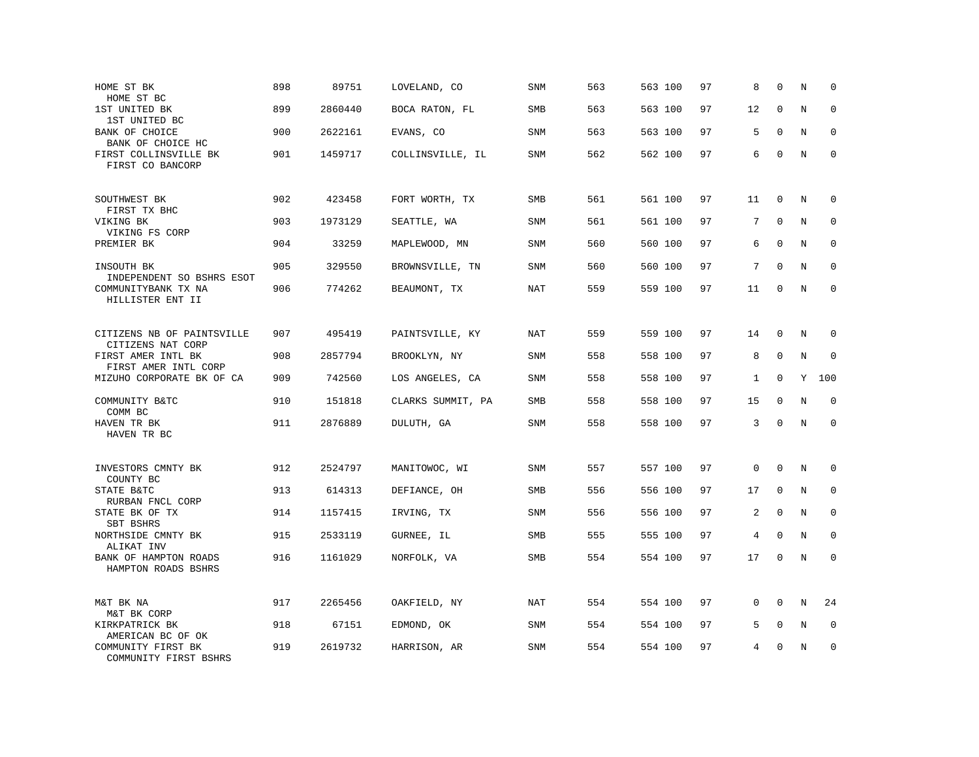| HOME ST BK<br>HOME ST BC                                             | 898 | 89751   | LOVELAND, CO      | SNM        | 563 | 563 100 | 97 | 8            | $\mathbf 0$  | N           | $\mathbf 0$ |
|----------------------------------------------------------------------|-----|---------|-------------------|------------|-----|---------|----|--------------|--------------|-------------|-------------|
| 1ST UNITED BK<br>1ST UNITED BC                                       | 899 | 2860440 | BOCA RATON, FL    | <b>SMB</b> | 563 | 563 100 | 97 | 12           | $\mathbf{0}$ | N           | $\mathbf 0$ |
| BANK OF CHOICE<br>BANK OF CHOICE HC                                  | 900 | 2622161 | EVANS, CO         | <b>SNM</b> | 563 | 563 100 | 97 | 5            | $\mathbf 0$  | N           | $\mathbf 0$ |
| FIRST COLLINSVILLE BK<br>FIRST CO BANCORP                            | 901 | 1459717 | COLLINSVILLE, IL  | <b>SNM</b> | 562 | 562 100 | 97 | 6            | $\mathbf 0$  | N           | $\mathbf 0$ |
| SOUTHWEST BK<br>FIRST TX BHC                                         | 902 | 423458  | FORT WORTH, TX    | <b>SMB</b> | 561 | 561 100 | 97 | 11           | $\mathbf 0$  | N           | $\mathbf 0$ |
| VIKING BK<br>VIKING FS CORP                                          | 903 | 1973129 | SEATTLE, WA       | <b>SNM</b> | 561 | 561 100 | 97 | 7            | $\mathbf 0$  | N           | $\mathbf 0$ |
| PREMIER BK                                                           | 904 | 33259   | MAPLEWOOD, MN     | SNM        | 560 | 560 100 | 97 | 6            | $\mathbf 0$  | N           | $\mathbf 0$ |
| INSOUTH BK                                                           | 905 | 329550  | BROWNSVILLE, TN   | <b>SNM</b> | 560 | 560 100 | 97 | 7            | $\Omega$     | $\mathbf N$ | $\mathbf 0$ |
| INDEPENDENT SO BSHRS ESOT<br>COMMUNITYBANK TX NA<br>HILLISTER ENT II | 906 | 774262  | BEAUMONT, TX      | NAT        | 559 | 559 100 | 97 | 11           | $\Omega$     | N           | $\Omega$    |
| CITIZENS NB OF PAINTSVILLE                                           | 907 | 495419  | PAINTSVILLE, KY   | NAT        | 559 | 559 100 | 97 | 14           | $\mathbf 0$  | N           | 0           |
| CITIZENS NAT CORP<br>FIRST AMER INTL BK<br>FIRST AMER INTL CORP      | 908 | 2857794 | BROOKLYN, NY      | <b>SNM</b> | 558 | 558 100 | 97 | 8            | $\mathbf 0$  | N           | $\mathbf 0$ |
| MIZUHO CORPORATE BK OF CA                                            | 909 | 742560  | LOS ANGELES, CA   | <b>SNM</b> | 558 | 558 100 | 97 | $\mathbf{1}$ | $\mathbf 0$  | Y           | 100         |
| COMMUNITY B&TC<br>COMM BC                                            | 910 | 151818  | CLARKS SUMMIT, PA | SMB        | 558 | 558 100 | 97 | 15           | $\mathbf 0$  | N           | 0           |
| HAVEN TR BK<br>HAVEN TR BC                                           | 911 | 2876889 | DULUTH, GA        | SNM        | 558 | 558 100 | 97 | 3            | $\mathbf{0}$ | N           | $\mathbf 0$ |
| INVESTORS CMNTY BK                                                   | 912 | 2524797 | MANITOWOC, WI     | SNM        | 557 | 557 100 | 97 | $\mathbf 0$  | $\mathbf 0$  | N           | $\mathbf 0$ |
| COUNTY BC<br>STATE B&TC                                              | 913 | 614313  | DEFIANCE, OH      | SMB        | 556 | 556 100 | 97 | 17           | $\mathbf 0$  | N           | $\mathbf 0$ |
| RURBAN FNCL CORP<br>STATE BK OF TX<br>SBT BSHRS                      | 914 | 1157415 | IRVING, TX        | SNM        | 556 | 556 100 | 97 | 2            | $\mathbf 0$  | N           | 0           |
| NORTHSIDE CMNTY BK<br>ALIKAT INV                                     | 915 | 2533119 | GURNEE, IL        | SMB        | 555 | 555 100 | 97 | 4            | $\mathbf 0$  | N           | $\mathbf 0$ |
| BANK OF HAMPTON ROADS<br>HAMPTON ROADS BSHRS                         | 916 | 1161029 | NORFOLK, VA       | <b>SMB</b> | 554 | 554 100 | 97 | 17           | $\mathbf{0}$ | N           | $\mathbf 0$ |
| M&T BK NA<br>M&T BK CORP                                             | 917 | 2265456 | OAKFIELD, NY      | NAT        | 554 | 554 100 | 97 | $\Omega$     | $\Omega$     | N           | 24          |
| KIRKPATRICK BK<br>AMERICAN BC OF OK                                  | 918 | 67151   | EDMOND, OK        | SNM        | 554 | 554 100 | 97 | 5            | $\mathbf 0$  | N           | $\mathbf 0$ |
| COMMUNITY FIRST BK<br>COMMUNITY FIRST BSHRS                          | 919 | 2619732 | HARRISON, AR      | SNM        | 554 | 554 100 | 97 | 4            | $\Omega$     | N           | $\mathbf 0$ |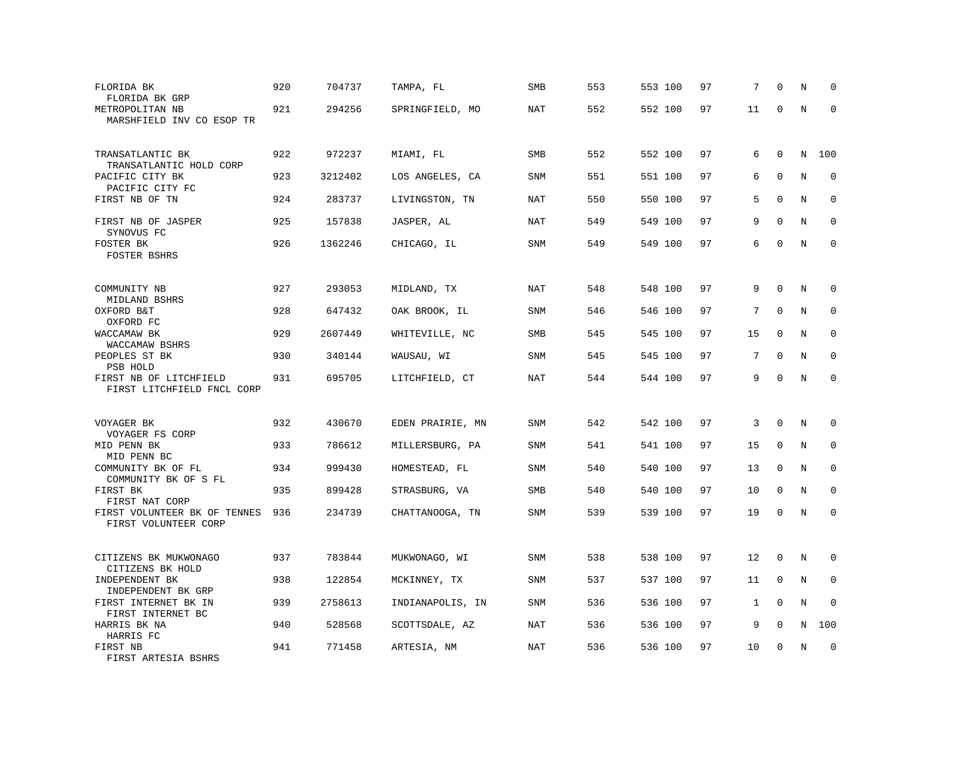| FLORIDA BK<br>FLORIDA BK GRP<br>METROPOLITAN NB      | 920<br>921 | 704737<br>294256 | TAMPA, FL<br>SPRINGFIELD, MO | SMB<br>NAT | 553<br>552 | 553 100<br>552 100 | 97<br>97 | 7<br>11 | $\Omega$<br>0 | N<br>N  | $\mathbf 0$<br>$\Omega$ |
|------------------------------------------------------|------------|------------------|------------------------------|------------|------------|--------------------|----------|---------|---------------|---------|-------------------------|
| MARSHFIELD INV CO ESOP TR                            |            |                  |                              |            |            |                    |          |         |               |         |                         |
| TRANSATLANTIC BK<br>TRANSATLANTIC HOLD CORP          | 922        | 972237           | MIAMI, FL                    | <b>SMB</b> | 552        | 552 100            | 97       | 6       | $\mathbf 0$   | N       | 100                     |
| PACIFIC CITY BK<br>PACIFIC CITY FC                   | 923        | 3212402          | LOS ANGELES, CA              | <b>SNM</b> | 551        | 551 100            | 97       | 6       | $\mathbf 0$   | N       | $\mathbf 0$             |
| FIRST NB OF TN                                       | 924        | 283737           | LIVINGSTON, TN               | NAT        | 550        | 550 100            | 97       | 5       | $\mathbf 0$   | N       | $\mathbf 0$             |
| FIRST NB OF JASPER<br>SYNOVUS FC                     | 925        | 157838           | JASPER, AL                   | NAT        | 549        | 549 100            | 97       | 9       | $\Omega$      | N       | $\mathbf 0$             |
| FOSTER BK<br><b>FOSTER BSHRS</b>                     | 926        | 1362246          | CHICAGO, IL                  | SNM        | 549        | 549 100            | 97       | 6       | $\mathbf 0$   | N       | $\mathbf 0$             |
| COMMUNITY NB<br>MIDLAND BSHRS                        | 927        | 293053           | MIDLAND, TX                  | NAT        | 548        | 548 100            | 97       | 9       | $\Omega$      | N       | $\Omega$                |
| OXFORD B&T<br>OXFORD FC                              | 928        | 647432           | OAK BROOK, IL                | SNM        | 546        | 546 100            | 97       | 7       | $\mathbf{0}$  | N       | $\mathbf 0$             |
| WACCAMAW BK<br>WACCAMAW BSHRS                        | 929        | 2607449          | WHITEVILLE, NC               | <b>SMB</b> | 545        | 545 100            | 97       | 15      | $\Omega$      | N       | $\mathbf 0$             |
| PEOPLES ST BK<br>PSB HOLD                            | 930        | 340144           | WAUSAU, WI                   | SNM        | 545        | 545 100            | 97       | 7       | $\mathbf 0$   | N       | $\mathbf 0$             |
| FIRST NB OF LITCHFIELD<br>FIRST LITCHFIELD FNCL CORP | 931        | 695705           | LITCHFIELD, CT               | <b>NAT</b> | 544        | 544 100            | 97       | 9       | $\mathbf 0$   | $\rm N$ | $\mathbf 0$             |
| VOYAGER BK                                           | 932        | 430670           | EDEN PRAIRIE, MN             | SNM        | 542        | 542 100            | 97       | 3       | $\mathbf 0$   | N       | $\mathbf 0$             |
| VOYAGER FS CORP<br>MID PENN BK<br>MID PENN BC        | 933        | 786612           | MILLERSBURG, PA              | SNM        | 541        | 541 100            | 97       | 15      | $\Omega$      | N       | $\Omega$                |
| COMMUNITY BK OF FL<br>COMMUNITY BK OF S FL           | 934        | 999430           | HOMESTEAD, FL                | <b>SNM</b> | 540        | 540 100            | 97       | 13      | $\mathbf 0$   | N       | $\mathbf 0$             |
| FIRST BK<br>FIRST NAT CORP                           | 935        | 899428           | STRASBURG, VA                | <b>SMB</b> | 540        | 540 100            | 97       | 10      | $\Omega$      | N       | $\mathbf 0$             |
| FIRST VOLUNTEER BK OF TENNES<br>FIRST VOLUNTEER CORP | 936        | 234739           | CHATTANOOGA, TN              | <b>SNM</b> | 539        | 539 100            | 97       | 19      | $\mathbf 0$   | N       | $\mathbf 0$             |
| CITIZENS BK MUKWONAGO<br>CITIZENS BK HOLD            | 937        | 783844           | MUKWONAGO, WI                | <b>SNM</b> | 538        | 538 100            | 97       | 12      | $\mathbf 0$   | N       | $\mathbf 0$             |
| INDEPENDENT BK<br>INDEPENDENT BK GRP                 | 938        | 122854           | MCKINNEY, TX                 | <b>SNM</b> | 537        | 537 100            | 97       | 11      | $\mathbf 0$   | N       | $\mathbf 0$             |
| FIRST INTERNET BK IN<br>FIRST INTERNET BC            | 939        | 2758613          | INDIANAPOLIS, IN             | <b>SNM</b> | 536        | 536 100            | 97       | 1       | $\Omega$      | N       | $\mathbf 0$             |
| HARRIS BK NA<br>HARRIS FC                            | 940        | 528568           | SCOTTSDALE, AZ               | <b>NAT</b> | 536        | 536 100            | 97       | 9       | $\mathbf 0$   | N       | 100                     |
| FIRST NB<br>FIRST ARTESIA BSHRS                      | 941        | 771458           | ARTESIA, NM                  | <b>NAT</b> | 536        | 536 100            | 97       | 10      | $\Omega$      | N       | $\mathbf 0$             |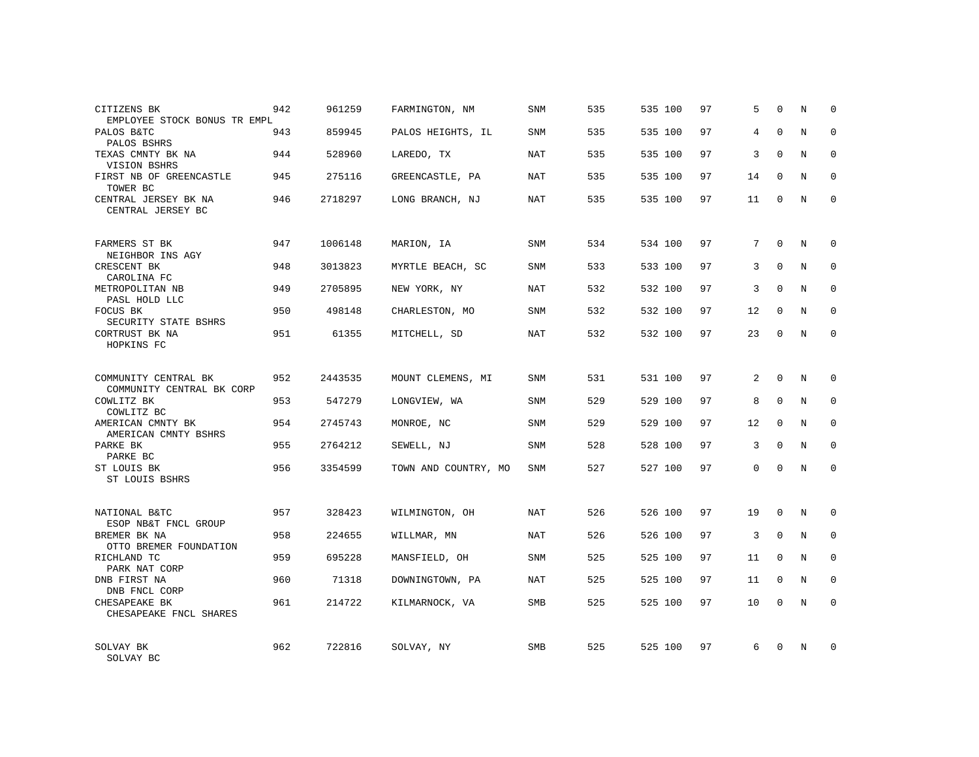| CITIZENS BK<br>EMPLOYEE STOCK BONUS TR EMPL       | 942 | 961259  | FARMINGTON, NM       | SNM        | 535 | 535 100 | 97 | 5              | $\Omega$     | N | $\Omega$    |
|---------------------------------------------------|-----|---------|----------------------|------------|-----|---------|----|----------------|--------------|---|-------------|
| PALOS B&TC<br>PALOS BSHRS                         | 943 | 859945  | PALOS HEIGHTS, IL    | SNM        | 535 | 535 100 | 97 | 4              | $\Omega$     | N | $\Omega$    |
| TEXAS CMNTY BK NA<br>VISION BSHRS                 | 944 | 528960  | LAREDO, TX           | NAT        | 535 | 535 100 | 97 | 3              | $\Omega$     | N | $\mathbf 0$ |
| FIRST NB OF GREENCASTLE<br>TOWER BC               | 945 | 275116  | GREENCASTLE, PA      | NAT        | 535 | 535 100 | 97 | 14             | $\Omega$     | N | $\Omega$    |
| CENTRAL JERSEY BK NA<br>CENTRAL JERSEY BC         | 946 | 2718297 | LONG BRANCH, NJ      | NAT        | 535 | 535 100 | 97 | 11             | $\Omega$     | N | $\Omega$    |
| FARMERS ST BK<br>NEIGHBOR INS AGY                 | 947 | 1006148 | MARION, IA           | SNM        | 534 | 534 100 | 97 | 7              | $\mathbf 0$  | N | $\mathbf 0$ |
| CRESCENT BK<br>CAROLINA FC                        | 948 | 3013823 | MYRTLE BEACH, SC     | SNM        | 533 | 533 100 | 97 | 3              | $\Omega$     | N | $\mathbf 0$ |
| METROPOLITAN NB<br>PASL HOLD LLC                  | 949 | 2705895 | NEW YORK, NY         | <b>NAT</b> | 532 | 532 100 | 97 | 3              | $\Omega$     | N | $\mathbf 0$ |
| FOCUS BK<br>SECURITY STATE BSHRS                  | 950 | 498148  | CHARLESTON, MO       | SNM        | 532 | 532 100 | 97 | 12             | $\Omega$     | N | $\mathbf 0$ |
| CORTRUST BK NA<br>HOPKINS FC                      | 951 | 61355   | MITCHELL, SD         | <b>NAT</b> | 532 | 532 100 | 97 | 23             | $\mathbf 0$  | N | $\mathbf 0$ |
| COMMUNITY CENTRAL BK<br>COMMUNITY CENTRAL BK CORP | 952 | 2443535 | MOUNT CLEMENS, MI    | SNM        | 531 | 531 100 | 97 | $\overline{a}$ | $\Omega$     | N | $\Omega$    |
| COWLITZ BK<br>COWLITZ BC                          | 953 | 547279  | LONGVIEW, WA         | SNM        | 529 | 529 100 | 97 | 8              | $\mathbf{0}$ | N | 0           |
| AMERICAN CMNTY BK<br>AMERICAN CMNTY BSHRS         | 954 | 2745743 | MONROE, NC           | SNM        | 529 | 529 100 | 97 | 12             | $\Omega$     | N | $\Omega$    |
| PARKE BK<br>PARKE BC                              | 955 | 2764212 | SEWELL, NJ           | <b>SNM</b> | 528 | 528 100 | 97 | 3              | $\mathbf{0}$ | N | 0           |
| ST LOUIS BK<br>ST LOUIS BSHRS                     | 956 | 3354599 | TOWN AND COUNTRY, MO | SNM        | 527 | 527 100 | 97 | $\Omega$       | $\Omega$     | N | $\Omega$    |
| NATIONAL B&TC<br>ESOP NB&T FNCL GROUP             | 957 | 328423  | WILMINGTON, OH       | NAT        | 526 | 526 100 | 97 | 19             | $\Omega$     | N | 0           |
| BREMER BK NA<br>OTTO BREMER FOUNDATION            | 958 | 224655  | WILLMAR, MN          | <b>NAT</b> | 526 | 526 100 | 97 | 3              | $\mathbf{0}$ | N | 0           |
| RICHLAND TC<br>PARK NAT CORP                      | 959 | 695228  | MANSFIELD, OH        | SNM        | 525 | 525 100 | 97 | 11             | $\Omega$     | N | $\mathbf 0$ |
| DNB FIRST NA<br>DNB FNCL CORP                     | 960 | 71318   | DOWNINGTOWN, PA      | NAT        | 525 | 525 100 | 97 | 11             | $\mathbf 0$  | N | 0           |
| CHESAPEAKE BK<br>CHESAPEAKE FNCL SHARES           | 961 | 214722  | KILMARNOCK, VA       | <b>SMB</b> | 525 | 525 100 | 97 | 10             | $\Omega$     | N | $\mathbf 0$ |
| SOLVAY BK<br>SOLVAY BC                            | 962 | 722816  | SOLVAY, NY           | <b>SMB</b> | 525 | 525 100 | 97 | 6              | $\Omega$     | N | $\Omega$    |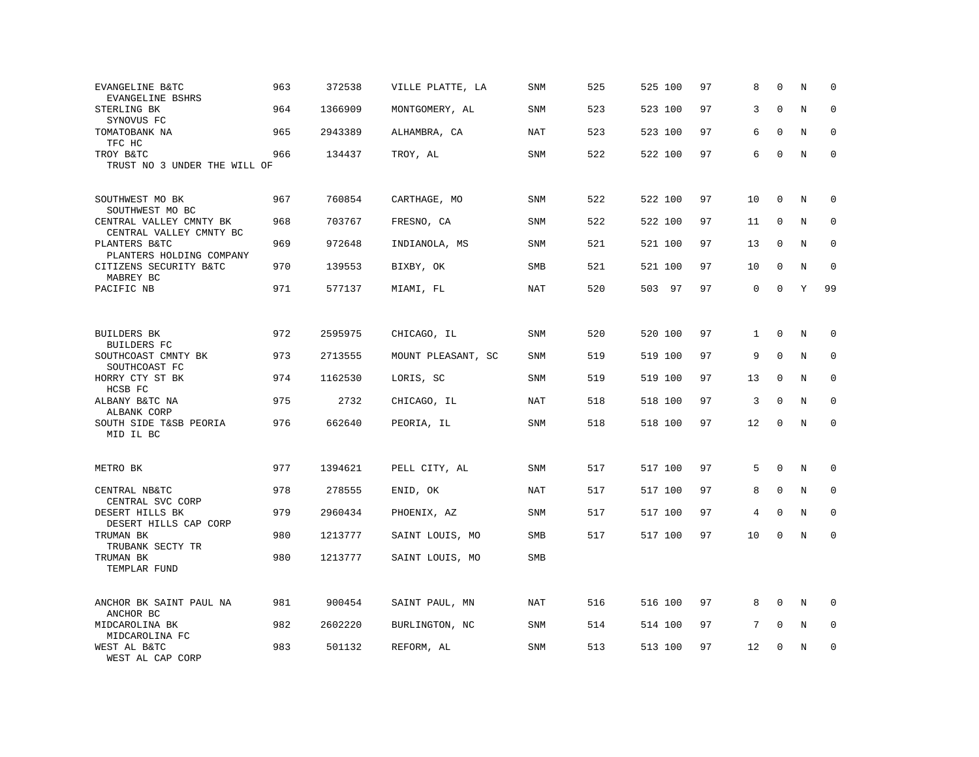| EVANGELINE B&TC<br>EVANGELINE BSHRS                | 963 | 372538  | VILLE PLATTE, LA   | SNM        | 525 | 525 100 | 97 | 8            | $\mathbf 0$  | N | 0            |
|----------------------------------------------------|-----|---------|--------------------|------------|-----|---------|----|--------------|--------------|---|--------------|
| STERLING BK<br>SYNOVUS FC                          | 964 | 1366909 | MONTGOMERY, AL     | <b>SNM</b> | 523 | 523 100 | 97 | 3            | $\Omega$     | N | $\Omega$     |
| TOMATOBANK NA<br>TFC HC                            | 965 | 2943389 | ALHAMBRA, CA       | <b>NAT</b> | 523 | 523 100 | 97 | 6            | $\mathbf{0}$ | N | $\mathbf 0$  |
| TROY B&TC<br>TRUST NO 3 UNDER THE WILL OF          | 966 | 134437  | TROY, AL           | <b>SNM</b> | 522 | 522 100 | 97 | 6            | $\Omega$     | N | $\mathbf 0$  |
|                                                    |     |         |                    |            |     |         |    |              |              |   |              |
| SOUTHWEST MO BK<br>SOUTHWEST MO BC                 | 967 | 760854  | CARTHAGE, MO       | <b>SNM</b> | 522 | 522 100 | 97 | 10           | $\mathbf 0$  | N | $\Omega$     |
| CENTRAL VALLEY CMNTY BK<br>CENTRAL VALLEY CMNTY BC | 968 | 703767  | FRESNO, CA         | <b>SNM</b> | 522 | 522 100 | 97 | 11           | $\mathbf 0$  | N | 0            |
| PLANTERS B&TC<br>PLANTERS HOLDING COMPANY          | 969 | 972648  | INDIANOLA, MS      | <b>SNM</b> | 521 | 521 100 | 97 | 13           | $\Omega$     | N | $\mathbf{0}$ |
| CITIZENS SECURITY B&TC<br>MABREY BC                | 970 | 139553  | BIXBY, OK          | SMB        | 521 | 521 100 | 97 | 10           | $\mathbf 0$  | N | $\mathbf 0$  |
| PACIFIC NB                                         | 971 | 577137  | MIAMI, FL          | NAT        | 520 | 503 97  | 97 | 0            | $\Omega$     | Y | 99           |
|                                                    |     |         |                    |            |     |         |    |              |              |   |              |
| <b>BUILDERS BK</b><br>BUILDERS FC                  | 972 | 2595975 | CHICAGO, IL        | <b>SNM</b> | 520 | 520 100 | 97 | $\mathbf{1}$ | $\mathbf{0}$ | N | 0            |
| SOUTHCOAST CMNTY BK<br>SOUTHCOAST FC               | 973 | 2713555 | MOUNT PLEASANT, SC | <b>SNM</b> | 519 | 519 100 | 97 | 9            | $\mathbf 0$  | N | $\mathbf 0$  |
| HORRY CTY ST BK<br>HCSB FC                         | 974 | 1162530 | LORIS, SC          | SNM        | 519 | 519 100 | 97 | 13           | $\mathbf 0$  | N | $\mathbf 0$  |
| ALBANY B&TC NA<br>ALBANK CORP                      | 975 | 2732    | CHICAGO, IL        | <b>NAT</b> | 518 | 518 100 | 97 | 3            | $\mathbf 0$  | N | $\mathbf 0$  |
| SOUTH SIDE T&SB PEORIA<br>MID IL BC                | 976 | 662640  | PEORIA, IL         | SNM        | 518 | 518 100 | 97 | 12           | $\mathbf 0$  | N | $\mathbf 0$  |
|                                                    |     |         |                    |            |     |         |    |              |              |   |              |
| METRO BK                                           | 977 | 1394621 | PELL CITY, AL      | <b>SNM</b> | 517 | 517 100 | 97 | 5            | $\mathbf{0}$ | N | 0            |
| CENTRAL NB&TC<br>CENTRAL SVC CORP                  | 978 | 278555  | ENID, OK           | NAT        | 517 | 517 100 | 97 | 8            | $\mathbf 0$  | N | 0            |
| DESERT HILLS BK<br>DESERT HILLS CAP CORP           | 979 | 2960434 | PHOENIX, AZ        | <b>SNM</b> | 517 | 517 100 | 97 | 4            | $\mathbf{0}$ | N | $\mathbf 0$  |
| TRUMAN BK<br>TRUBANK SECTY TR                      | 980 | 1213777 | SAINT LOUIS, MO    | SMB        | 517 | 517 100 | 97 | 10           | $\mathbf 0$  | N | $\mathbf 0$  |
| TRUMAN BK<br>TEMPLAR FUND                          | 980 | 1213777 | SAINT LOUIS, MO    | SMB        |     |         |    |              |              |   |              |
| ANCHOR BK SAINT PAUL NA                            | 981 | 900454  | SAINT PAUL, MN     | <b>NAT</b> | 516 | 516 100 | 97 | 8            | $\Omega$     | N | $\Omega$     |
| ANCHOR BC                                          | 982 |         |                    | <b>SNM</b> | 514 |         | 97 | 7            | $\mathbf{0}$ | N | $\mathbf 0$  |
| MIDCAROLINA BK<br>MIDCAROLINA FC                   |     | 2602220 | BURLINGTON, NC     |            |     | 514 100 |    |              |              |   |              |
| WEST AL B&TC<br>WEST AL CAP CORP                   | 983 | 501132  | REFORM, AL         | SNM        | 513 | 513 100 | 97 | 12           | $\mathbf 0$  | N | $\mathbf 0$  |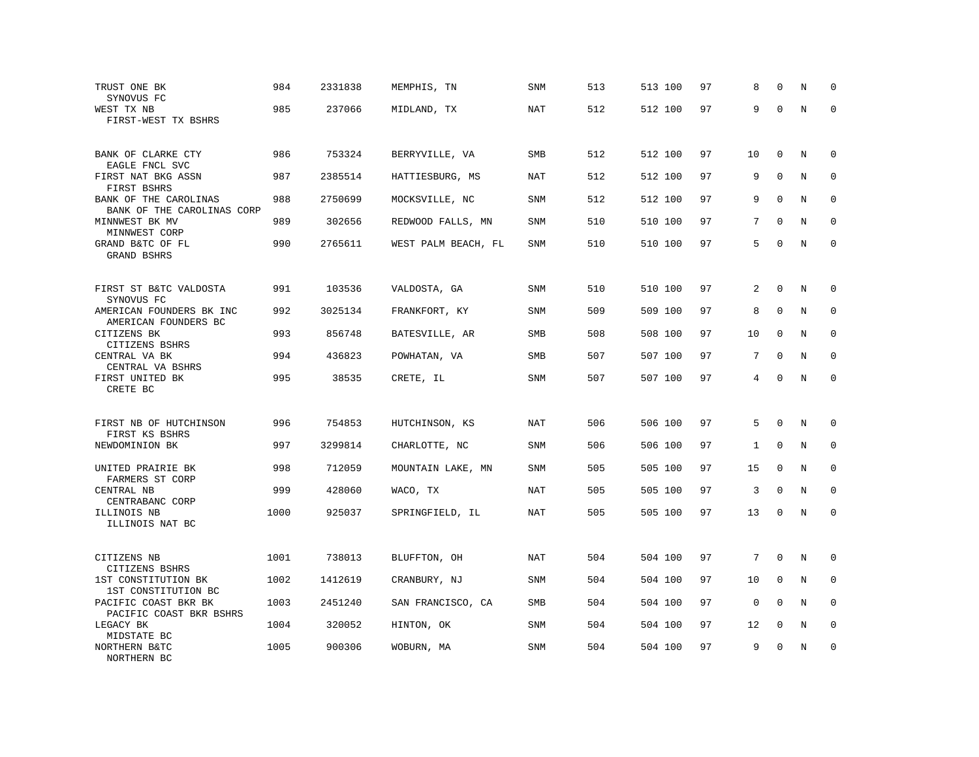| TRUST ONE BK<br>SYNOVUS FC                          | 984<br>985 | 2331838<br>237066 | MEMPHIS, TN         | SNM        | 513<br>512 | 513 100 | 97<br>97 | 8<br>9      | $\Omega$<br>$\Omega$ | N<br>$\rm N$ | $\mathbf 0$<br>$\mathbf 0$ |
|-----------------------------------------------------|------------|-------------------|---------------------|------------|------------|---------|----------|-------------|----------------------|--------------|----------------------------|
| WEST TX NB<br>FIRST-WEST TX BSHRS                   |            |                   | MIDLAND, TX         | NAT        |            | 512 100 |          |             |                      |              |                            |
| BANK OF CLARKE CTY<br>EAGLE FNCL SVC                | 986        | 753324            | BERRYVILLE, VA      | <b>SMB</b> | 512        | 512 100 | 97       | 10          | $\mathbf 0$          | N            | $\mathbf 0$                |
| FIRST NAT BKG ASSN<br>FIRST BSHRS                   | 987        | 2385514           | HATTIESBURG, MS     | NAT        | 512        | 512 100 | 97       | 9           | $\mathbf{0}$         | N            | $\mathbf 0$                |
| BANK OF THE CAROLINAS<br>BANK OF THE CAROLINAS CORP | 988        | 2750699           | MOCKSVILLE, NC      | <b>SNM</b> | 512        | 512 100 | 97       | 9           | $\mathbf{0}$         | N            | $\mathbf 0$                |
| MINNWEST BK MV<br>MINNWEST CORP                     | 989        | 302656            | REDWOOD FALLS, MN   | SNM        | 510        | 510 100 | 97       | 7           | $\Omega$             | N            | $\mathbf 0$                |
| GRAND B&TC OF FL<br>GRAND BSHRS                     | 990        | 2765611           | WEST PALM BEACH, FL | SNM        | 510        | 510 100 | 97       | 5           | $\Omega$             | N            | $\mathbf 0$                |
| FIRST ST B&TC VALDOSTA<br>SYNOVUS FC                | 991        | 103536            | VALDOSTA, GA        | SNM        | 510        | 510 100 | 97       | 2           | $\mathbf{0}$         | N            | 0                          |
| AMERICAN FOUNDERS BK INC<br>AMERICAN FOUNDERS BC    | 992        | 3025134           | FRANKFORT, KY       | <b>SNM</b> | 509        | 509 100 | 97       | 8           | $\mathbf 0$          | N            | $\mathbf 0$                |
| CITIZENS BK<br>CITIZENS BSHRS                       | 993        | 856748            | BATESVILLE, AR      | SMB        | 508        | 508 100 | 97       | 10          | $\mathbf{0}$         | N            | $\mathbf 0$                |
| CENTRAL VA BK<br>CENTRAL VA BSHRS                   | 994        | 436823            | POWHATAN, VA        | SMB        | 507        | 507 100 | 97       | 7           | $\Omega$             | N            | $\Omega$                   |
| FIRST UNITED BK<br>CRETE BC                         | 995        | 38535             | CRETE, IL           | SNM        | 507        | 507 100 | 97       | 4           | $\mathbf 0$          | N            | $\mathbf 0$                |
| FIRST NB OF HUTCHINSON                              | 996        | 754853            | HUTCHINSON, KS      | NAT        | 506        | 506 100 | 97       | 5           | $\Omega$             | N            | $\Omega$                   |
| FIRST KS BSHRS<br>NEWDOMINION BK                    | 997        | 3299814           | CHARLOTTE, NC       | <b>SNM</b> | 506        | 506 100 | 97       | 1           | $\Omega$             | N            | $\mathbf 0$                |
| UNITED PRAIRIE BK<br>FARMERS ST CORP                | 998        | 712059            | MOUNTAIN LAKE, MN   | <b>SNM</b> | 505        | 505 100 | 97       | 15          | $\mathbf 0$          | N            | $\mathbf 0$                |
| CENTRAL NB<br>CENTRABANC CORP                       | 999        | 428060            | WACO, TX            | NAT        | 505        | 505 100 | 97       | 3           | $\mathbf 0$          | N            | $\mathbf 0$                |
| ILLINOIS NB<br>ILLINOIS NAT BC                      | 1000       | 925037            | SPRINGFIELD, IL     | NAT        | 505        | 505 100 | 97       | 13          | $\mathbf 0$          | N            | $\mathbf 0$                |
| CITIZENS NB<br>CITIZENS BSHRS                       | 1001       | 738013            | BLUFFTON, OH        | NAT        | 504        | 504 100 | 97       | 7           | $\Omega$             | N            | 0                          |
| 1ST CONSTITUTION BK<br>1ST CONSTITUTION BC          | 1002       | 1412619           | CRANBURY, NJ        | SNM        | 504        | 504 100 | 97       | 10          | $\mathbf 0$          | N            | 0                          |
| PACIFIC COAST BKR BK<br>PACIFIC COAST BKR BSHRS     | 1003       | 2451240           | SAN FRANCISCO, CA   | <b>SMB</b> | 504        | 504 100 | 97       | $\mathbf 0$ | $\Omega$             | N            | $\mathbf 0$                |
| LEGACY BK<br>MIDSTATE BC                            | 1004       | 320052            | HINTON, OK          | SNM        | 504        | 504 100 | 97       | 12          | 0                    | Ν            | 0                          |
| NORTHERN B&TC<br>NORTHERN BC                        | 1005       | 900306            | WOBURN, MA          | SNM        | 504        | 504 100 | 97       | 9           | $\mathbf{0}$         | N            | $\mathbf 0$                |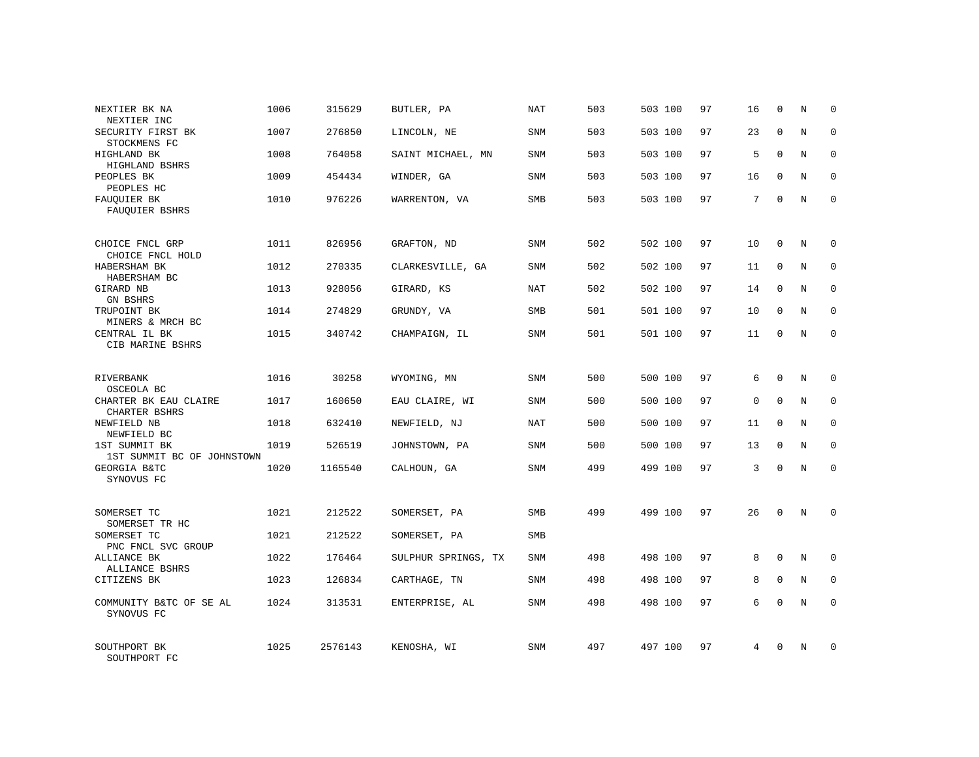| NEXTIER BK NA<br>NEXTIER INC                | 1006 | 315629  | BUTLER, PA          | NAT        | 503 | 503 100 | 97 | 16          | $\mathbf 0$  | N          | $\Omega$    |
|---------------------------------------------|------|---------|---------------------|------------|-----|---------|----|-------------|--------------|------------|-------------|
| SECURITY FIRST BK<br>STOCKMENS FC           | 1007 | 276850  | LINCOLN, NE         | SNM        | 503 | 503 100 | 97 | 23          | $\Omega$     | N          | $\Omega$    |
| HIGHLAND BK<br>HIGHLAND BSHRS               | 1008 | 764058  | SAINT MICHAEL, MN   | SNM        | 503 | 503 100 | 97 | 5           | $\Omega$     | N          | $\mathbf 0$ |
| PEOPLES BK<br>PEOPLES HC                    | 1009 | 454434  | WINDER, GA          | <b>SNM</b> | 503 | 503 100 | 97 | 16          | $\Omega$     | N          | $\Omega$    |
| FAUQUIER BK<br>FAUQUIER BSHRS               | 1010 | 976226  | WARRENTON, VA       | SMB        | 503 | 503 100 | 97 | 7           | $\Omega$     | N          | $\Omega$    |
| CHOICE FNCL GRP<br>CHOICE FNCL HOLD         | 1011 | 826956  | GRAFTON, ND         | SNM        | 502 | 502 100 | 97 | 10          | $\mathbf 0$  | N          | $\mathbf 0$ |
| HABERSHAM BK<br>HABERSHAM BC                | 1012 | 270335  | CLARKESVILLE, GA    | SNM        | 502 | 502 100 | 97 | 11          | $\Omega$     | N          | $\mathbf 0$ |
| GIRARD NB<br>GN BSHRS                       | 1013 | 928056  | GIRARD, KS          | <b>NAT</b> | 502 | 502 100 | 97 | 14          | $\mathbf 0$  | N          | $\mathbf 0$ |
| TRUPOINT BK<br>MINERS & MRCH BC             | 1014 | 274829  | GRUNDY, VA          | <b>SMB</b> | 501 | 501 100 | 97 | 10          | $\Omega$     | N          | $\mathbf 0$ |
| CENTRAL IL BK<br>CIB MARINE BSHRS           | 1015 | 340742  | CHAMPAIGN, IL       | SNM        | 501 | 501 100 | 97 | 11          | $\mathbf{0}$ | N          | $\mathbf 0$ |
| <b>RIVERBANK</b><br>OSCEOLA BC              | 1016 | 30258   | WYOMING, MN         | SNM        | 500 | 500 100 | 97 | 6           | $\Omega$     | $_{\rm N}$ | $\mathbf 0$ |
| CHARTER BK EAU CLAIRE<br>CHARTER BSHRS      | 1017 | 160650  | EAU CLAIRE, WI      | SNM        | 500 | 500 100 | 97 | $\mathbf 0$ | $\mathbf{0}$ | N          | $\mathbf 0$ |
| NEWFIELD NB<br>NEWFIELD BC                  | 1018 | 632410  | NEWFIELD, NJ        | NAT        | 500 | 500 100 | 97 | 11          | $\Omega$     | N          | $\mathbf 0$ |
| 1ST SUMMIT BK<br>1ST SUMMIT BC OF JOHNSTOWN | 1019 | 526519  | JOHNSTOWN, PA       | <b>SNM</b> | 500 | 500 100 | 97 | 13          | $\mathbf{0}$ | N          | $\mathbf 0$ |
| <b>GEORGIA B&amp;TC</b><br>SYNOVUS FC       | 1020 | 1165540 | CALHOUN, GA         | SNM        | 499 | 499 100 | 97 | 3           | $\Omega$     | $_{\rm N}$ | $\Omega$    |
| SOMERSET TC<br>SOMERSET TR HC               | 1021 | 212522  | SOMERSET, PA        | <b>SMB</b> | 499 | 499 100 | 97 | 26          | $\Omega$     | $_{\rm N}$ | $\Omega$    |
| SOMERSET TC<br>PNC FNCL SVC GROUP           | 1021 | 212522  | SOMERSET, PA        | SMB        |     |         |    |             |              |            |             |
| ALLIANCE BK<br>ALLIANCE BSHRS               | 1022 | 176464  | SULPHUR SPRINGS, TX | <b>SNM</b> | 498 | 498 100 | 97 | 8           | $\Omega$     | N          | $\mathbf 0$ |
| CITIZENS BK                                 | 1023 | 126834  | CARTHAGE, TN        | SNM        | 498 | 498 100 | 97 | 8           | $\mathbf{0}$ | N          | 0           |
| COMMUNITY B&TC OF SE AL<br>SYNOVUS FC       | 1024 | 313531  | ENTERPRISE, AL      | <b>SNM</b> | 498 | 498 100 | 97 | 6           | $\Omega$     | N          | $\mathbf 0$ |
| SOUTHPORT BK<br>SOUTHPORT FC                | 1025 | 2576143 | KENOSHA, WI         | SNM        | 497 | 497 100 | 97 | 4           | $\Omega$     | N          | $\mathbf 0$ |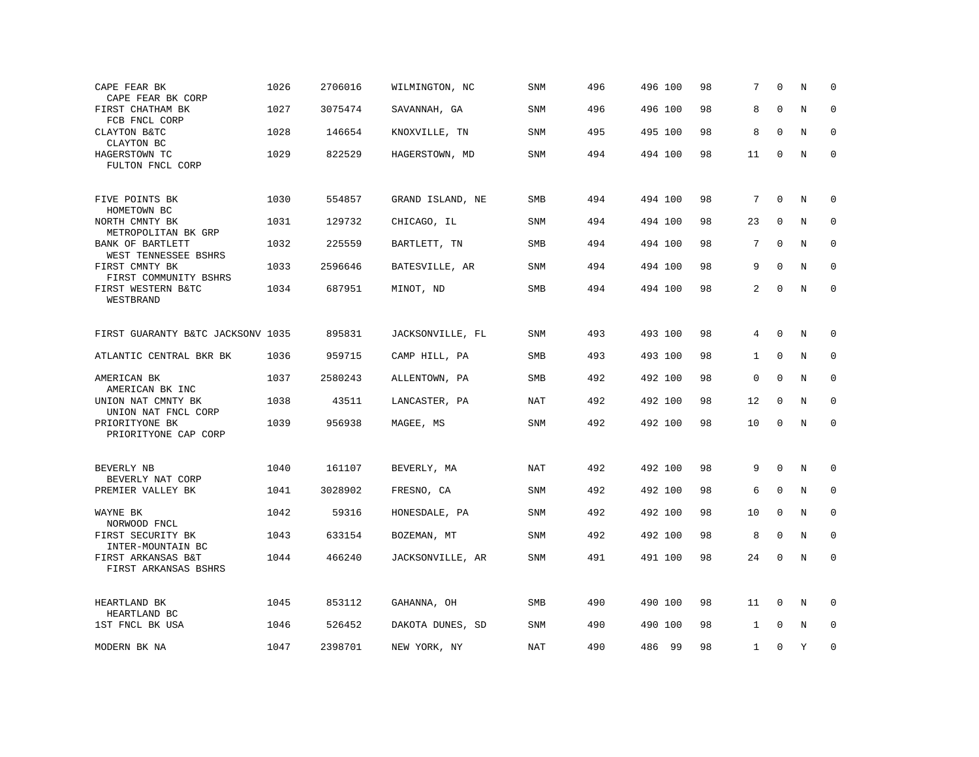| CAPE FEAR BK                                           | 1026 | 2706016 | WILMINGTON, NC   | SNM        | 496 | 496 100 | 98 | 7            | $\Omega$     | N           | 0           |
|--------------------------------------------------------|------|---------|------------------|------------|-----|---------|----|--------------|--------------|-------------|-------------|
| CAPE FEAR BK CORP<br>FIRST CHATHAM BK                  | 1027 | 3075474 | SAVANNAH, GA     | SNM        | 496 | 496 100 | 98 | 8            | $\Omega$     | N           | $\Omega$    |
| FCB FNCL CORP<br>CLAYTON B&TC<br>CLAYTON BC            | 1028 | 146654  | KNOXVILLE, TN    | <b>SNM</b> | 495 | 495 100 | 98 | 8            | $\Omega$     | N           | $\Omega$    |
| HAGERSTOWN TC<br>FULTON FNCL CORP                      | 1029 | 822529  | HAGERSTOWN, MD   | SNM        | 494 | 494 100 | 98 | 11           | $\mathbf 0$  | $\rm N$     | $\mathbf 0$ |
| FIVE POINTS BK<br>HOMETOWN BC                          | 1030 | 554857  | GRAND ISLAND, NE | SMB        | 494 | 494 100 | 98 | 7            | $\mathbf 0$  | N           | 0           |
| NORTH CMNTY BK<br>METROPOLITAN BK GRP                  | 1031 | 129732  | CHICAGO, IL      | <b>SNM</b> | 494 | 494 100 | 98 | 23           | $\mathbf 0$  | N           | $\mathbf 0$ |
| BANK OF BARTLETT<br>WEST TENNESSEE BSHRS               | 1032 | 225559  | BARTLETT, TN     | <b>SMB</b> | 494 | 494 100 | 98 | 7            | $\Omega$     | N           | $\mathbf 0$ |
| FIRST CMNTY BK<br>FIRST COMMUNITY BSHRS                | 1033 | 2596646 | BATESVILLE, AR   | SNM        | 494 | 494 100 | 98 | 9            | $\mathbf{0}$ | N           | $\mathbf 0$ |
| FIRST WESTERN B&TC<br>WESTBRAND                        | 1034 | 687951  | MINOT, ND        | SMB        | 494 | 494 100 | 98 | 2            | $\mathbf 0$  | N           | $\mathbf 0$ |
| FIRST GUARANTY B&TC JACKSONV 1035                      |      | 895831  | JACKSONVILLE, FL | SNM        | 493 | 493 100 | 98 | 4            | $\mathbf 0$  | N           | 0           |
| ATLANTIC CENTRAL BKR BK                                | 1036 | 959715  | CAMP HILL, PA    | <b>SMB</b> | 493 | 493 100 | 98 | $\mathbf{1}$ | $\mathbf 0$  | N           | $\Omega$    |
| AMERICAN BK<br>AMERICAN BK INC                         | 1037 | 2580243 | ALLENTOWN, PA    | <b>SMB</b> | 492 | 492 100 | 98 | 0            | $\Omega$     | N           | $\mathbf 0$ |
| UNION NAT CMNTY BK<br>UNION NAT FNCL CORP              | 1038 | 43511   | LANCASTER, PA    | <b>NAT</b> | 492 | 492 100 | 98 | 12           | $\mathbf 0$  | $\mathbf N$ | $\mathbf 0$ |
| PRIORITYONE BK<br>PRIORITYONE CAP CORP                 | 1039 | 956938  | MAGEE, MS        | <b>SNM</b> | 492 | 492 100 | 98 | 10           | $\mathbf 0$  | N           | $\mathbf 0$ |
| BEVERLY NB                                             | 1040 | 161107  | BEVERLY, MA      | <b>NAT</b> | 492 | 492 100 | 98 | 9            | $\Omega$     | N           | $\mathbf 0$ |
| BEVERLY NAT CORP<br>PREMIER VALLEY BK                  | 1041 | 3028902 | FRESNO, CA       | <b>SNM</b> | 492 | 492 100 | 98 | 6            | $\mathbf 0$  | N           | $\mathbf 0$ |
| WAYNE BK                                               | 1042 | 59316   | HONESDALE, PA    | <b>SNM</b> | 492 | 492 100 | 98 | 10           | $\mathbf 0$  | N           | $\mathbf 0$ |
| NORWOOD FNCL<br>FIRST SECURITY BK<br>INTER-MOUNTAIN BC | 1043 | 633154  | BOZEMAN, MT      | <b>SNM</b> | 492 | 492 100 | 98 | 8            | $\mathbf 0$  | N           | $\mathbf 0$ |
| FIRST ARKANSAS B&T<br>FIRST ARKANSAS BSHRS             | 1044 | 466240  | JACKSONVILLE, AR | SNM        | 491 | 491 100 | 98 | 24           | $\mathbf 0$  | N           | $\mathbf 0$ |
| HEARTLAND BK<br>HEARTLAND BC                           | 1045 | 853112  | GAHANNA, OH      | <b>SMB</b> | 490 | 490 100 | 98 | 11           | $\mathbf 0$  | N           | $\mathbf 0$ |
| 1ST FNCL BK USA                                        | 1046 | 526452  | DAKOTA DUNES, SD | <b>SNM</b> | 490 | 490 100 | 98 | 1            | $\Omega$     | N           | $\mathbf 0$ |
| MODERN BK NA                                           | 1047 | 2398701 | NEW YORK, NY     | NAT        | 490 | 486 99  | 98 | $\mathbf{1}$ | $\mathbf 0$  | Y           | $\mathbf 0$ |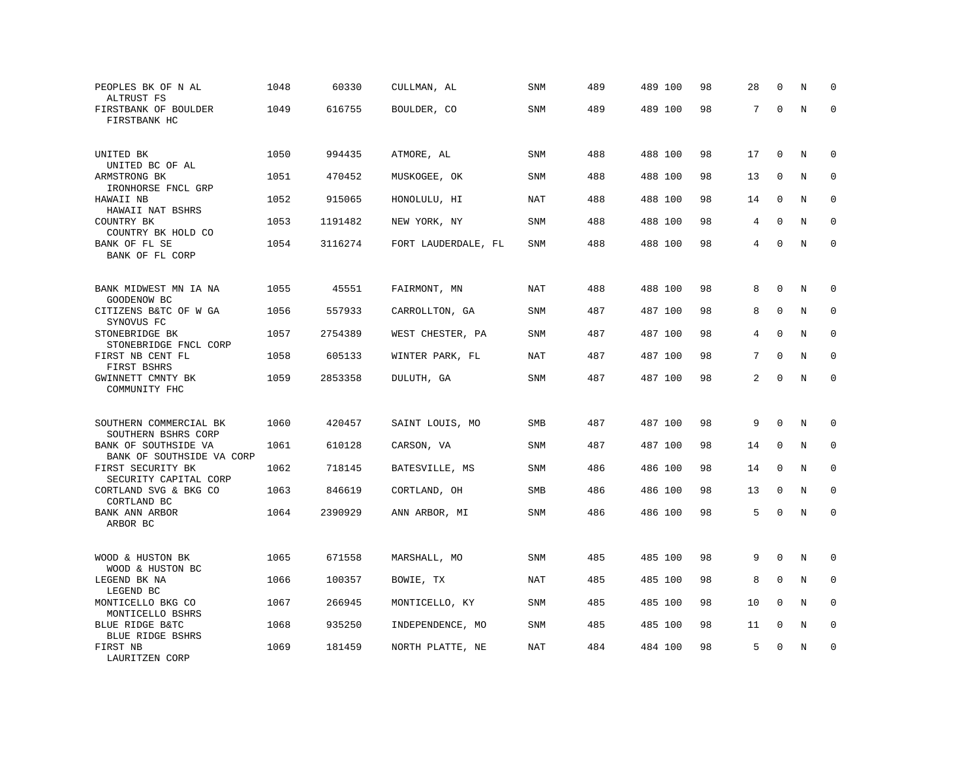| PEOPLES BK OF N AL<br>ALTRUST FS                              | 1048 | 60330   | CULLMAN, AL         | SNM        | 489 | 489 100 | 98 | 28 | 0           | N       | $\Omega$    |
|---------------------------------------------------------------|------|---------|---------------------|------------|-----|---------|----|----|-------------|---------|-------------|
| FIRSTBANK OF BOULDER<br>FIRSTBANK HC                          | 1049 | 616755  | BOULDER, CO         | SNM        | 489 | 489 100 | 98 | 7  | $\mathbf 0$ | $\rm N$ | $\mathbf 0$ |
| UNITED BK<br>UNITED BC OF AL                                  | 1050 | 994435  | ATMORE, AL          | SNM        | 488 | 488 100 | 98 | 17 | $\mathbf 0$ | Ν       | 0           |
| ARMSTRONG BK                                                  | 1051 | 470452  | MUSKOGEE, OK        | <b>SNM</b> | 488 | 488 100 | 98 | 13 | $\mathbf 0$ | N       | $\mathbf 0$ |
| IRONHORSE FNCL GRP<br>HAWAII NB<br>HAWAII NAT BSHRS           | 1052 | 915065  | HONOLULU, HI        | <b>NAT</b> | 488 | 488 100 | 98 | 14 | $\Omega$    | N       | $\mathbf 0$ |
| COUNTRY BK<br>COUNTRY BK HOLD CO                              | 1053 | 1191482 | NEW YORK, NY        | <b>SNM</b> | 488 | 488 100 | 98 | 4  | $\mathbf 0$ | N       | $\mathbf 0$ |
| BANK OF FL SE<br>BANK OF FL CORP                              | 1054 | 3116274 | FORT LAUDERDALE, FL | <b>SNM</b> | 488 | 488 100 | 98 | 4  | $\Omega$    | N       | $\mathbf 0$ |
| BANK MIDWEST MN IA NA                                         | 1055 | 45551   | FAIRMONT, MN        | <b>NAT</b> | 488 | 488 100 | 98 | 8  | $\mathbf 0$ | N       | 0           |
| GOODENOW BC<br>CITIZENS B&TC OF W GA                          | 1056 | 557933  | CARROLLTON, GA      | <b>SNM</b> | 487 | 487 100 | 98 | 8  | $\mathbf 0$ | N       | $\mathbf 0$ |
| SYNOVUS FC<br>STONEBRIDGE BK<br>STONEBRIDGE FNCL CORP         | 1057 | 2754389 | WEST CHESTER, PA    | <b>SNM</b> | 487 | 487 100 | 98 | 4  | $\Omega$    | N       | $\mathbf 0$ |
| FIRST NB CENT FL<br>FIRST BSHRS                               | 1058 | 605133  | WINTER PARK, FL     | <b>NAT</b> | 487 | 487 100 | 98 | 7  | $\mathbf 0$ | N       | $\mathbf 0$ |
| GWINNETT CMNTY BK<br>COMMUNITY FHC                            | 1059 | 2853358 | DULUTH, GA          | SNM        | 487 | 487 100 | 98 | 2  | $\Omega$    | $\rm N$ | $\mathbf 0$ |
| SOUTHERN COMMERCIAL BK                                        | 1060 | 420457  | SAINT LOUIS, MO     | SMB        | 487 | 487 100 | 98 | 9  | $\mathbf 0$ | N       | $\mathbf 0$ |
| SOUTHERN BSHRS CORP<br>BANK OF SOUTHSIDE VA                   | 1061 | 610128  | CARSON, VA          | <b>SNM</b> | 487 | 487 100 | 98 | 14 | $\Omega$    | N       | $\mathbf 0$ |
| BANK OF SOUTHSIDE VA CORP<br>FIRST SECURITY BK                | 1062 | 718145  | BATESVILLE, MS      | <b>SNM</b> | 486 | 486 100 | 98 | 14 | $\mathbf 0$ | N       | $\mathbf 0$ |
| SECURITY CAPITAL CORP<br>CORTLAND SVG & BKG CO<br>CORTLAND BC | 1063 | 846619  | CORTLAND, OH        | SMB        | 486 | 486 100 | 98 | 13 | $\mathbf 0$ | N       | $\mathbf 0$ |
| BANK ANN ARBOR<br>ARBOR BC                                    | 1064 | 2390929 | ANN ARBOR, MI       | SNM        | 486 | 486 100 | 98 | 5  | $\mathbf 0$ | N       | $\mathbf 0$ |
| WOOD & HUSTON BK<br>WOOD & HUSTON BC                          | 1065 | 671558  | MARSHALL, MO        | <b>SNM</b> | 485 | 485 100 | 98 | 9  | $\mathbf 0$ | N       | $\mathbf 0$ |
| LEGEND BK NA<br>LEGEND BC                                     | 1066 | 100357  | BOWIE, TX           | <b>NAT</b> | 485 | 485 100 | 98 | 8  | $\mathbf 0$ | N       | $\mathbf 0$ |
| MONTICELLO BKG CO<br>MONTICELLO BSHRS                         | 1067 | 266945  | MONTICELLO, KY      | SNM        | 485 | 485 100 | 98 | 10 | $\Omega$    | N       | 0           |
| BLUE RIDGE B&TC<br><b>BLUE RIDGE BSHRS</b>                    | 1068 | 935250  | INDEPENDENCE, MO    | <b>SNM</b> | 485 | 485 100 | 98 | 11 | $\mathbf 0$ | N       | $\mathbf 0$ |
| FIRST NB<br>LAURITZEN CORP                                    | 1069 | 181459  | NORTH PLATTE, NE    | <b>NAT</b> | 484 | 484 100 | 98 | 5  | $\Omega$    | N       | $\mathbf 0$ |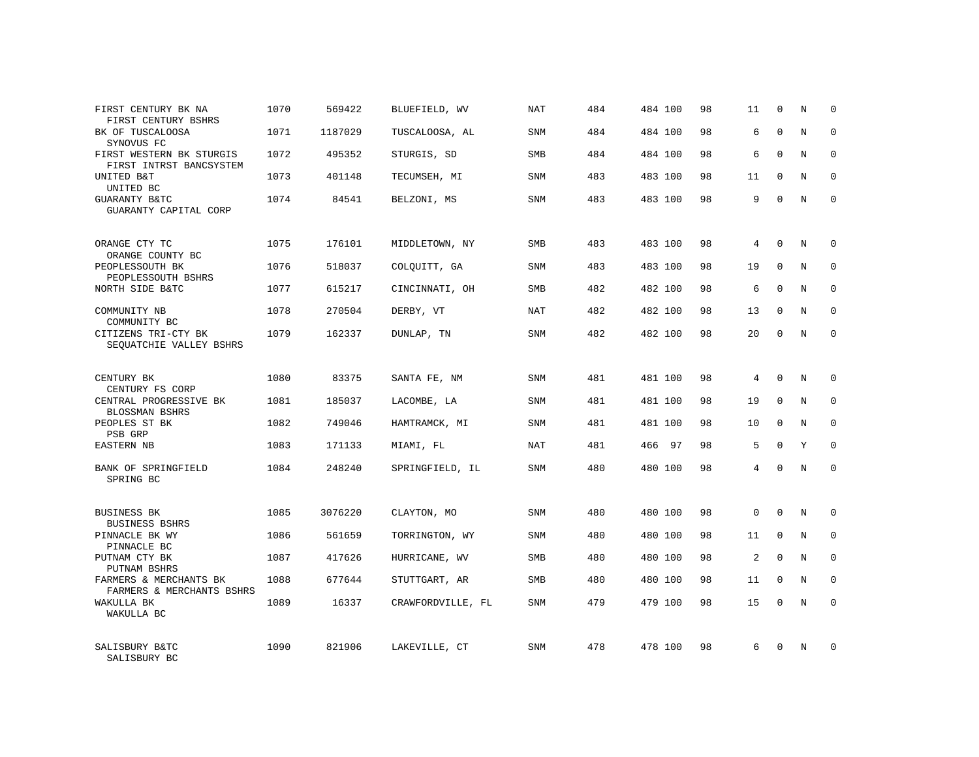| FIRST CENTURY BK NA<br>FIRST CENTURY BSHRS          | 1070 | 569422  | BLUEFIELD, WV     | <b>NAT</b> | 484 | 484 100   | 98 | 11          | $\mathbf 0$  | N          | $\mathbf 0$ |
|-----------------------------------------------------|------|---------|-------------------|------------|-----|-----------|----|-------------|--------------|------------|-------------|
| BK OF TUSCALOOSA<br>SYNOVUS FC                      | 1071 | 1187029 | TUSCALOOSA, AL    | SNM        | 484 | 484 100   | 98 | 6           | $\Omega$     | N          | $\Omega$    |
| FIRST WESTERN BK STURGIS<br>FIRST INTRST BANCSYSTEM | 1072 | 495352  | STURGIS, SD       | <b>SMB</b> | 484 | 484 100   | 98 | 6           | $\Omega$     | N          | $\mathbf 0$ |
| UNITED B&T<br>UNITED BC                             | 1073 | 401148  | TECUMSEH, MI      | SNM        | 483 | 483 100   | 98 | 11          | $\Omega$     | N          | $\mathbf 0$ |
| <b>GUARANTY B&amp;TC</b><br>GUARANTY CAPITAL CORP   | 1074 | 84541   | BELZONI, MS       | <b>SNM</b> | 483 | 483 100   | 98 | 9           | $\Omega$     | $_{\rm N}$ | $\Omega$    |
| ORANGE CTY TC<br>ORANGE COUNTY BC                   | 1075 | 176101  | MIDDLETOWN, NY    | <b>SMB</b> | 483 | 483 100   | 98 | 4           | $\Omega$     | N          | $\mathbf 0$ |
| PEOPLESSOUTH BK<br>PEOPLESSOUTH BSHRS               | 1076 | 518037  | COLQUITT, GA      | <b>SNM</b> | 483 | 483 100   | 98 | 19          | $\mathbf{0}$ | N          | $\mathbf 0$ |
| NORTH SIDE B&TC                                     | 1077 | 615217  | CINCINNATI, OH    | <b>SMB</b> | 482 | 482 100   | 98 | 6           | $\Omega$     | N          | $\mathbf 0$ |
| COMMUNITY NB<br>COMMUNITY BC                        | 1078 | 270504  | DERBY, VT         | <b>NAT</b> | 482 | 482 100   | 98 | 13          | $\mathbf 0$  | N          | 0           |
| CITIZENS TRI-CTY BK<br>SEOUATCHIE VALLEY BSHRS      | 1079 | 162337  | DUNLAP, TN        | SNM        | 482 | 482 100   | 98 | 20          | $\Omega$     | N          | $\mathbf 0$ |
| CENTURY BK<br>CENTURY FS CORP                       | 1080 | 83375   | SANTA FE, NM      | <b>SNM</b> | 481 | 481 100   | 98 | 4           | $\Omega$     | N          | $\mathbf 0$ |
| CENTRAL PROGRESSIVE BK<br>BLOSSMAN BSHRS            | 1081 | 185037  | LACOMBE, LA       | SNM        | 481 | 481 100   | 98 | 19          | $\Omega$     | N          | $\mathbf 0$ |
| PEOPLES ST BK<br>PSB GRP                            | 1082 | 749046  | HAMTRAMCK, MI     | <b>SNM</b> | 481 | 481 100   | 98 | 10          | $\Omega$     | N          | $\mathbf 0$ |
| <b>EASTERN NB</b>                                   | 1083 | 171133  | MIAMI, FL         | NAT        | 481 | 466<br>97 | 98 | 5           | $\Omega$     | Y          | $\mathbf 0$ |
| BANK OF SPRINGFIELD<br>SPRING BC                    | 1084 | 248240  | SPRINGFIELD, IL   | <b>SNM</b> | 480 | 480 100   | 98 | 4           | $\Omega$     | N          | $\mathbf 0$ |
| <b>BUSINESS BK</b><br><b>BUSINESS BSHRS</b>         | 1085 | 3076220 | CLAYTON, MO       | <b>SNM</b> | 480 | 480 100   | 98 | $\mathbf 0$ | $\mathbf{0}$ | N          | 0           |
| PINNACLE BK WY<br>PINNACLE BC                       | 1086 | 561659  | TORRINGTON, WY    | <b>SNM</b> | 480 | 480 100   | 98 | 11          | $\mathbf{0}$ | N          | 0           |
| PUTNAM CTY BK<br>PUTNAM BSHRS                       | 1087 | 417626  | HURRICANE, WV     | <b>SMB</b> | 480 | 480 100   | 98 | 2           | $\Omega$     | N          | $\mathbf 0$ |
| FARMERS & MERCHANTS BK<br>FARMERS & MERCHANTS BSHRS | 1088 | 677644  | STUTTGART, AR     | SMB        | 480 | 480 100   | 98 | 11          | $\mathbf 0$  | N          | 0           |
| WAKULLA BK<br>WAKULLA BC                            | 1089 | 16337   | CRAWFORDVILLE, FL | <b>SNM</b> | 479 | 479 100   | 98 | 15          | $\Omega$     | N          | $\mathbf 0$ |
| SALISBURY B&TC<br>SALISBURY BC                      | 1090 | 821906  | LAKEVILLE, CT     | <b>SNM</b> | 478 | 478 100   | 98 | 6           | $\Omega$     | N          | $\mathbf 0$ |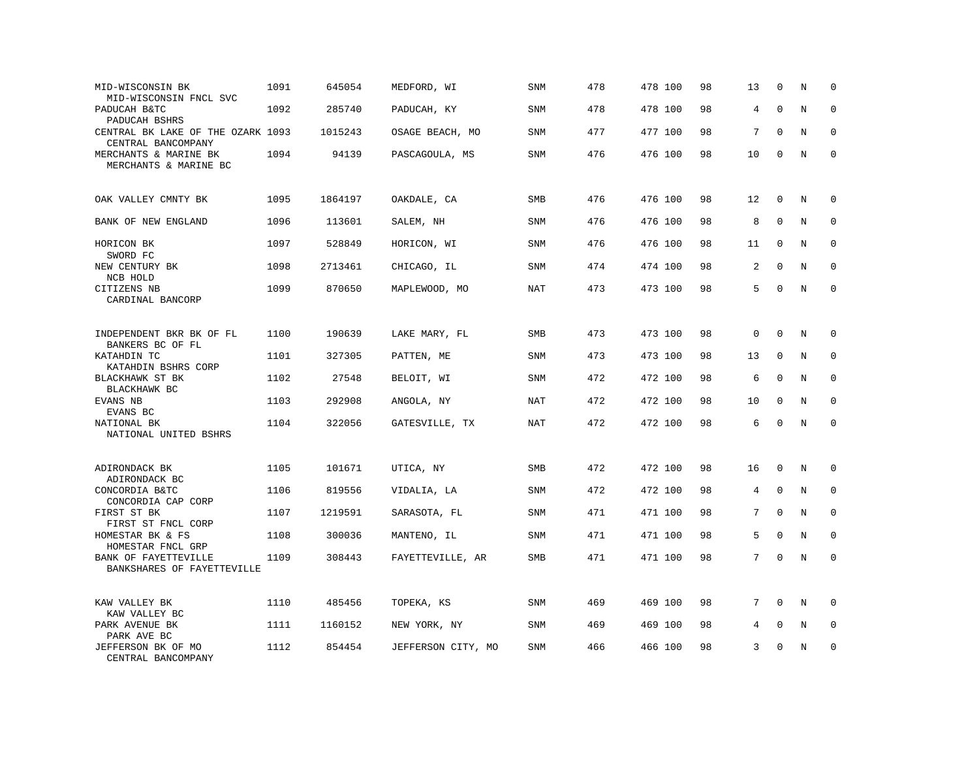| MID-WISCONSIN BK<br>MID-WISCONSIN FNCL SVC              | 1091 | 645054  | MEDFORD, WI        | SNM        | 478 | 478 100 | 98 | 13          | $\mathbf 0$ | N       | $\mathbf 0$ |
|---------------------------------------------------------|------|---------|--------------------|------------|-----|---------|----|-------------|-------------|---------|-------------|
| PADUCAH B&TC<br>PADUCAH BSHRS                           | 1092 | 285740  | PADUCAH, KY        | <b>SNM</b> | 478 | 478 100 | 98 | 4           | $\mathbf 0$ | N       | $\mathbf 0$ |
| CENTRAL BK LAKE OF THE OZARK 1093<br>CENTRAL BANCOMPANY |      | 1015243 | OSAGE BEACH, MO    | <b>SNM</b> | 477 | 477 100 | 98 | 7           | $\Omega$    | N       | $\mathbf 0$ |
| MERCHANTS & MARINE BK<br>MERCHANTS & MARINE BC          | 1094 | 94139   | PASCAGOULA, MS     | <b>SNM</b> | 476 | 476 100 | 98 | 10          | 0           | N       | $\mathbf 0$ |
| OAK VALLEY CMNTY BK                                     | 1095 | 1864197 | OAKDALE, CA        | SMB        | 476 | 476 100 | 98 | 12          | $\mathbf 0$ | N       | 0           |
| BANK OF NEW ENGLAND                                     | 1096 | 113601  | SALEM, NH          | <b>SNM</b> | 476 | 476 100 | 98 | 8           | $\mathbf 0$ | N       | $\mathbf 0$ |
| HORICON BK<br>SWORD FC                                  | 1097 | 528849  | HORICON, WI        | <b>SNM</b> | 476 | 476 100 | 98 | 11          | $\mathbf 0$ | N       | $\mathbf 0$ |
| NEW CENTURY BK<br>NCB HOLD                              | 1098 | 2713461 | CHICAGO, IL        | <b>SNM</b> | 474 | 474 100 | 98 | 2           | $\mathbf 0$ | N       | $\mathbf 0$ |
| CITIZENS NB<br>CARDINAL BANCORP                         | 1099 | 870650  | MAPLEWOOD, MO      | <b>NAT</b> | 473 | 473 100 | 98 | 5           | $\Omega$    | N       | $\mathbf 0$ |
| INDEPENDENT BKR BK OF FL<br>BANKERS BC OF FL            | 1100 | 190639  | LAKE MARY, FL      | SMB        | 473 | 473 100 | 98 | $\mathbf 0$ | $\mathbf 0$ | N       | $\mathbf 0$ |
| KATAHDIN TC<br>KATAHDIN BSHRS CORP                      | 1101 | 327305  | PATTEN, ME         | <b>SNM</b> | 473 | 473 100 | 98 | 13          | $\mathbf 0$ | N       | $\mathbf 0$ |
| BLACKHAWK ST BK<br>BLACKHAWK BC                         | 1102 | 27548   | BELOIT, WI         | <b>SNM</b> | 472 | 472 100 | 98 | 6           | $\mathbf 0$ | N       | 0           |
| EVANS NB<br>EVANS BC                                    | 1103 | 292908  | ANGOLA, NY         | <b>NAT</b> | 472 | 472 100 | 98 | 10          | $\mathbf 0$ | N       | $\mathbf 0$ |
| NATIONAL BK<br>NATIONAL UNITED BSHRS                    | 1104 | 322056  | GATESVILLE, TX     | NAT        | 472 | 472 100 | 98 | 6           | $\Omega$    | $\rm N$ | $\mathbf 0$ |
| ADIRONDACK BK<br>ADIRONDACK BC                          | 1105 | 101671  | UTICA, NY          | SMB        | 472 | 472 100 | 98 | 16          | $\mathbf 0$ | Ν       | 0           |
| CONCORDIA B&TC<br>CONCORDIA CAP CORP                    | 1106 | 819556  | VIDALIA, LA        | <b>SNM</b> | 472 | 472 100 | 98 | 4           | $\Omega$    | N       | $\mathbf 0$ |
| FIRST ST BK<br>FIRST ST FNCL CORP                       | 1107 | 1219591 | SARASOTA, FL       | <b>SNM</b> | 471 | 471 100 | 98 | 7           | $\mathbf 0$ | N       | $\mathbf 0$ |
| HOMESTAR BK & FS<br>HOMESTAR FNCL GRP                   | 1108 | 300036  | MANTENO, IL        | <b>SNM</b> | 471 | 471 100 | 98 | 5           | $\mathbf 0$ | N       | $\mathbf 0$ |
| BANK OF FAYETTEVILLE<br>BANKSHARES OF FAYETTEVILLE      | 1109 | 308443  | FAYETTEVILLE, AR   | SMB        | 471 | 471 100 | 98 | $7^{\circ}$ | $\mathbf 0$ | $\rm N$ | $\mathbf 0$ |
| KAW VALLEY BK<br>KAW VALLEY BC                          | 1110 | 485456  | TOPEKA, KS         | SNM        | 469 | 469 100 | 98 | 7           | $\mathbf 0$ | N       | 0           |
| PARK AVENUE BK<br>PARK AVE BC                           | 1111 | 1160152 | NEW YORK, NY       | <b>SNM</b> | 469 | 469 100 | 98 | 4           | $\mathbf 0$ | N       | $\mathbf 0$ |
| JEFFERSON BK OF MO<br>CENTRAL BANCOMPANY                | 1112 | 854454  | JEFFERSON CITY, MO | <b>SNM</b> | 466 | 466 100 | 98 | 3           | $\Omega$    | N       | $\mathbf 0$ |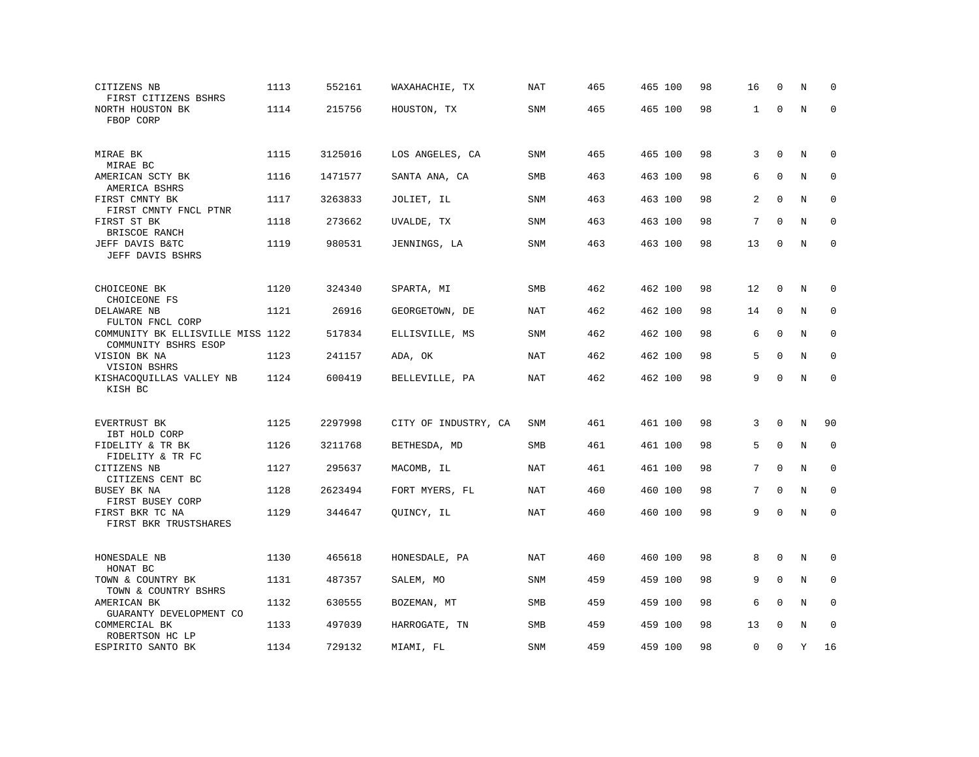| CITIZENS NB<br>FIRST CITIZENS BSHRS                         | 1113 | 552161  | WAXAHACHIE, TX       | NAT        | 465 | 465 100 | 98 | 16           | $\Omega$     | N           | $\Omega$     |
|-------------------------------------------------------------|------|---------|----------------------|------------|-----|---------|----|--------------|--------------|-------------|--------------|
| NORTH HOUSTON BK<br>FBOP CORP                               | 1114 | 215756  | HOUSTON, TX          | SNM        | 465 | 465 100 | 98 | $\mathbf{1}$ | $\mathbf 0$  | N           | $\Omega$     |
| MIRAE BK<br>MIRAE BC                                        | 1115 | 3125016 | LOS ANGELES, CA      | <b>SNM</b> | 465 | 465 100 | 98 | 3            | $\mathbf 0$  | N           | 0            |
| AMERICAN SCTY BK<br>AMERICA BSHRS                           | 1116 | 1471577 | SANTA ANA, CA        | <b>SMB</b> | 463 | 463 100 | 98 | 6            | $\Omega$     | N           | $\mathbf 0$  |
| FIRST CMNTY BK                                              | 1117 | 3263833 | JOLIET, IL           | <b>SNM</b> | 463 | 463 100 | 98 | 2            | $\mathbf 0$  | N           | $\mathbf 0$  |
| FIRST CMNTY FNCL PTNR<br>FIRST ST BK                        | 1118 | 273662  | UVALDE, TX           | <b>SNM</b> | 463 | 463 100 | 98 | 7            | $\mathbf 0$  | $\mathbf N$ | $\mathbf{0}$ |
| BRISCOE RANCH<br>JEFF DAVIS B&TC<br>JEFF DAVIS BSHRS        | 1119 | 980531  | JENNINGS, LA         | SNM        | 463 | 463 100 | 98 | 13           | 0            | N           | $\mathbf 0$  |
|                                                             |      |         |                      |            |     |         |    |              |              |             |              |
| CHOICEONE BK<br>CHOICEONE FS                                | 1120 | 324340  | SPARTA, MI           | SMB        | 462 | 462 100 | 98 | 12           | $\mathbf 0$  | N           | $\mathbf 0$  |
| DELAWARE NB<br>FULTON FNCL CORP                             | 1121 | 26916   | GEORGETOWN, DE       | <b>NAT</b> | 462 | 462 100 | 98 | 14           | $\mathbf 0$  | N           | $\mathbf 0$  |
| COMMUNITY BK ELLISVILLE MISS 1122<br>COMMUNITY BSHRS ESOP   |      | 517834  | ELLISVILLE, MS       | SNM        | 462 | 462 100 | 98 | 6            | $\mathbf 0$  | N           | $\mathbf 0$  |
| VISION BK NA<br>VISION BSHRS                                | 1123 | 241157  | ADA, OK              | NAT        | 462 | 462 100 | 98 | 5            | $\Omega$     | N           | $\Omega$     |
| KISHACOQUILLAS VALLEY NB<br>KISH BC                         | 1124 | 600419  | BELLEVILLE, PA       | NAT        | 462 | 462 100 | 98 | 9            | $\Omega$     | N           | $\Omega$     |
| EVERTRUST BK                                                | 1125 | 2297998 | CITY OF INDUSTRY, CA | SNM        | 461 | 461 100 | 98 | 3            | 0            | N           | 90           |
| IBT HOLD CORP<br>FIDELITY & TR BK                           | 1126 | 3211768 | BETHESDA, MD         | <b>SMB</b> | 461 | 461 100 | 98 | 5            | $\mathbf 0$  | N           | $\mathbf 0$  |
| FIDELITY & TR FC<br>CITIZENS NB                             | 1127 | 295637  | MACOMB, IL           | NAT        | 461 | 461 100 | 98 | 7            | $\mathbf{0}$ | N           | $\mathbf 0$  |
| CITIZENS CENT BC<br>BUSEY BK NA                             | 1128 | 2623494 | FORT MYERS, FL       | <b>NAT</b> | 460 | 460 100 | 98 | 7            | $\mathbf 0$  | N           | $\mathbf 0$  |
| FIRST BUSEY CORP<br>FIRST BKR TC NA                         | 1129 | 344647  | QUINCY, IL           | NAT        | 460 | 460 100 | 98 | 9            | $\mathbf 0$  | N           | $\mathbf 0$  |
| FIRST BKR TRUSTSHARES                                       |      |         |                      |            |     |         |    |              |              |             |              |
| HONESDALE NB<br>HONAT BC                                    | 1130 | 465618  | HONESDALE, PA        | NAT        | 460 | 460 100 | 98 | 8            | $\Omega$     | N           | 0            |
| TOWN & COUNTRY BK<br>TOWN & COUNTRY BSHRS                   | 1131 | 487357  | SALEM, MO            | <b>SNM</b> | 459 | 459 100 | 98 | 9            | $\mathbf{0}$ | N           | $\mathbf 0$  |
| AMERICAN BK                                                 | 1132 | 630555  | BOZEMAN, MT          | SMB        | 459 | 459 100 | 98 | 6            | $\mathbf 0$  | N           | $\mathbf 0$  |
| GUARANTY DEVELOPMENT CO<br>COMMERCIAL BK<br>ROBERTSON HC LP | 1133 | 497039  | HARROGATE, TN        | <b>SMB</b> | 459 | 459 100 | 98 | 13           | $\Omega$     | N           | $\Omega$     |
| ESPIRITO SANTO BK                                           | 1134 | 729132  | MIAMI, FL            | <b>SNM</b> | 459 | 459 100 | 98 | 0            | $\mathbf 0$  | Υ           | 16           |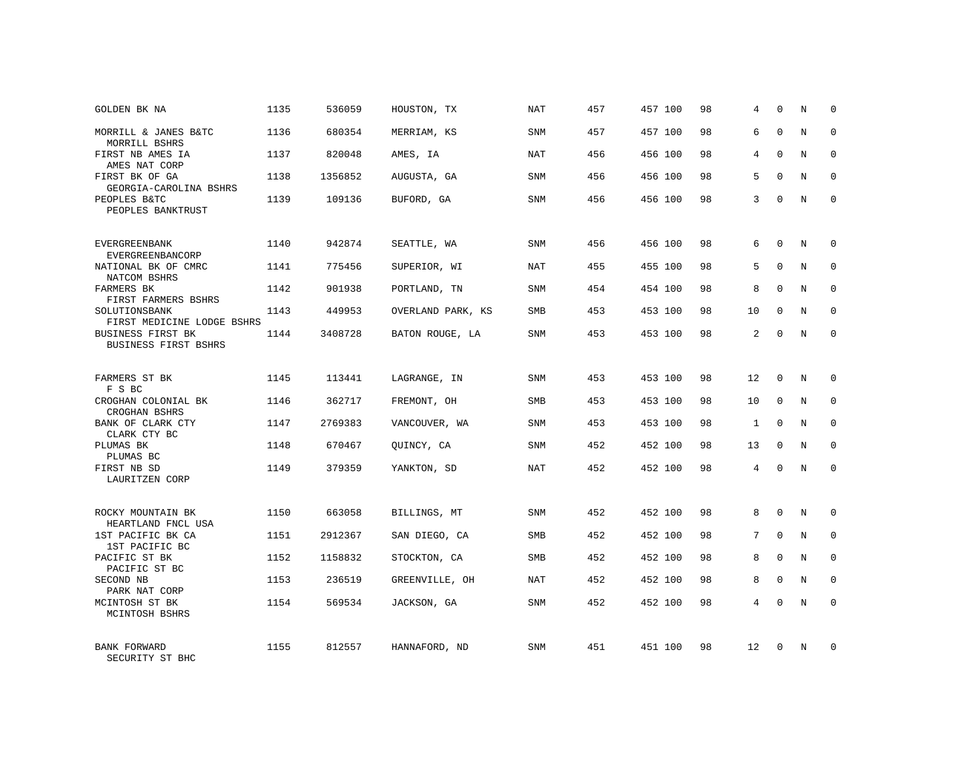| GOLDEN BK NA                                            | 1135 | 536059  | HOUSTON, TX       | NAT        | 457 | 457 100 | 98 | 4  | $\mathbf 0$ | N | $\mathbf 0$ |
|---------------------------------------------------------|------|---------|-------------------|------------|-----|---------|----|----|-------------|---|-------------|
| MORRILL & JANES B&TC<br>MORRILL BSHRS                   | 1136 | 680354  | MERRIAM, KS       | <b>SNM</b> | 457 | 457 100 | 98 | 6  | $\Omega$    | N | $\Omega$    |
| FIRST NB AMES IA<br>AMES NAT CORP                       | 1137 | 820048  | AMES, IA          | <b>NAT</b> | 456 | 456 100 | 98 | 4  | $\mathbf 0$ | N | $\mathbf 0$ |
| FIRST BK OF GA<br>GEORGIA-CAROLINA BSHRS                | 1138 | 1356852 | AUGUSTA, GA       | <b>SNM</b> | 456 | 456 100 | 98 | 5  | $\Omega$    | N | $\mathbf 0$ |
| PEOPLES B&TC<br>PEOPLES BANKTRUST                       | 1139 | 109136  | BUFORD, GA        | <b>SNM</b> | 456 | 456 100 | 98 | 3  | $\Omega$    | N | $\Omega$    |
| <b>EVERGREENBANK</b>                                    | 1140 | 942874  | SEATTLE, WA       | <b>SNM</b> | 456 | 456 100 | 98 | 6  | $\Omega$    | N | $\mathbf 0$ |
| EVERGREENBANCORP<br>NATIONAL BK OF CMRC<br>NATCOM BSHRS | 1141 | 775456  | SUPERIOR, WI      | NAT        | 455 | 455 100 | 98 | 5  | $\mathbf 0$ | N | $\mathbf 0$ |
| FARMERS BK<br>FIRST FARMERS BSHRS                       | 1142 | 901938  | PORTLAND, TN      | <b>SNM</b> | 454 | 454 100 | 98 | 8  | $\Omega$    | N | $\mathbf 0$ |
| SOLUTIONSBANK<br>FIRST MEDICINE LODGE BSHRS             | 1143 | 449953  | OVERLAND PARK, KS | SMB        | 453 | 453 100 | 98 | 10 | $\mathbf 0$ | N | 0           |
| <b>BUSINESS FIRST BK</b><br><b>BUSINESS FIRST BSHRS</b> | 1144 | 3408728 | BATON ROUGE, LA   | <b>SNM</b> | 453 | 453 100 | 98 | 2  | $\Omega$    | N | $\mathbf 0$ |
| FARMERS ST BK<br>F S BC                                 | 1145 | 113441  | LAGRANGE, IN      | SNM        | 453 | 453 100 | 98 | 12 | 0           | N | $\mathbf 0$ |
| CROGHAN COLONIAL BK<br>CROGHAN BSHRS                    | 1146 | 362717  | FREMONT, OH       | <b>SMB</b> | 453 | 453 100 | 98 | 10 | $\Omega$    | N | $\mathbf 0$ |
| BANK OF CLARK CTY<br>CLARK CTY BC                       | 1147 | 2769383 | VANCOUVER, WA     | SNM        | 453 | 453 100 | 98 | 1  | $\Omega$    | N | $\mathbf 0$ |
| PLUMAS BK<br>PLUMAS BC                                  | 1148 | 670467  | OUINCY, CA        | <b>SNM</b> | 452 | 452 100 | 98 | 13 | $\Omega$    | N | $\mathbf 0$ |
| FIRST NB SD<br>LAURITZEN CORP                           | 1149 | 379359  | YANKTON, SD       | <b>NAT</b> | 452 | 452 100 | 98 | 4  | $\mathbf 0$ | N | $\mathbf 0$ |
| ROCKY MOUNTAIN BK<br>HEARTLAND FNCL USA                 | 1150 | 663058  | BILLINGS, MT      | SNM        | 452 | 452 100 | 98 | 8  | $\mathbf 0$ | N | 0           |
| 1ST PACIFIC BK CA<br>1ST PACIFIC BC                     | 1151 | 2912367 | SAN DIEGO, CA     | SMB        | 452 | 452 100 | 98 | 7  | $\mathbf 0$ | N | 0           |
| PACIFIC ST BK<br>PACIFIC ST BC                          | 1152 | 1158832 | STOCKTON, CA      | <b>SMB</b> | 452 | 452 100 | 98 | 8  | $\Omega$    | N | $\mathbf 0$ |
| SECOND NB<br>PARK NAT CORP                              | 1153 | 236519  | GREENVILLE, OH    | NAT        | 452 | 452 100 | 98 | 8  | $\mathbf 0$ | N | 0           |
| MCINTOSH ST BK<br>MCINTOSH BSHRS                        | 1154 | 569534  | JACKSON, GA       | SNM        | 452 | 452 100 | 98 | 4  | $\Omega$    | N | $\mathbf 0$ |
| <b>BANK FORWARD</b><br>SECURITY ST BHC                  | 1155 | 812557  | HANNAFORD, ND     | <b>SNM</b> | 451 | 451 100 | 98 | 12 | $\Omega$    | N | $\mathbf 0$ |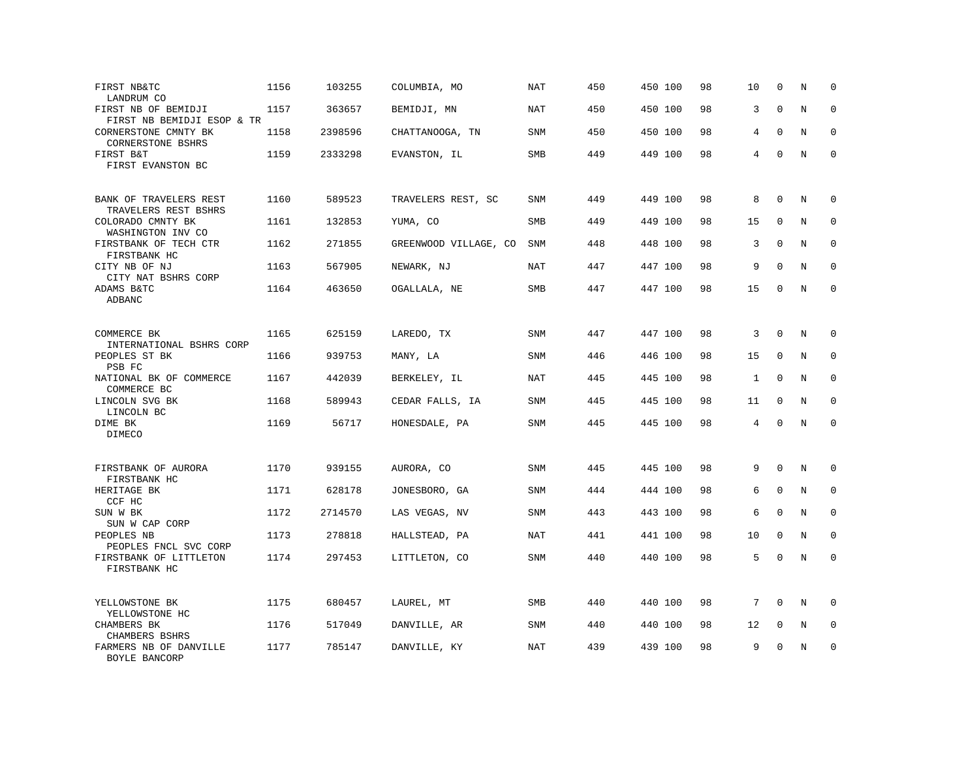| FIRST NB&TC<br>LANDRUM CO                         | 1156 | 103255  | COLUMBIA, MO          | NAT        | 450 | 450 100 | 98 | 10 | $\mathbf 0$ | N | $\mathbf 0$ |
|---------------------------------------------------|------|---------|-----------------------|------------|-----|---------|----|----|-------------|---|-------------|
| FIRST NB OF BEMIDJI<br>FIRST NB BEMIDJI ESOP & TR | 1157 | 363657  | BEMIDJI, MN           | NAT        | 450 | 450 100 | 98 | 3  | $\mathbf 0$ | N | $\mathbf 0$ |
| CORNERSTONE CMNTY BK<br><b>CORNERSTONE BSHRS</b>  | 1158 | 2398596 | CHATTANOOGA, TN       | SNM        | 450 | 450 100 | 98 | 4  | $\Omega$    | N | $\mathbf 0$ |
| FIRST B&T<br>FIRST EVANSTON BC                    | 1159 | 2333298 | EVANSTON, IL          | SMB        | 449 | 449 100 | 98 | 4  | $\mathbf 0$ | N | $\mathbf 0$ |
| BANK OF TRAVELERS REST<br>TRAVELERS REST BSHRS    | 1160 | 589523  | TRAVELERS REST, SC    | SNM        | 449 | 449 100 | 98 | 8  | $\mathbf 0$ | N | $\mathbf 0$ |
| COLORADO CMNTY BK<br>WASHINGTON INV CO            | 1161 | 132853  | YUMA, CO              | SMB        | 449 | 449 100 | 98 | 15 | $\Omega$    | N | $\mathbf 0$ |
| FIRSTBANK OF TECH CTR<br>FIRSTBANK HC             | 1162 | 271855  | GREENWOOD VILLAGE, CO | <b>SNM</b> | 448 | 448 100 | 98 | 3  | $\Omega$    | N | $\mathbf 0$ |
| CITY NB OF NJ<br>CITY NAT BSHRS CORP              | 1163 | 567905  | NEWARK, NJ            | <b>NAT</b> | 447 | 447 100 | 98 | 9  | $\mathbf 0$ | N | $\mathbf 0$ |
| ADAMS B&TC<br>ADBANC                              | 1164 | 463650  | OGALLALA, NE          | SMB        | 447 | 447 100 | 98 | 15 | $\mathbf 0$ | N | $\mathbf 0$ |
| COMMERCE BK<br>INTERNATIONAL BSHRS CORP           | 1165 | 625159  | LAREDO, TX            | SNM        | 447 | 447 100 | 98 | 3  | $\mathbf 0$ | N | $\mathbf 0$ |
| PEOPLES ST BK<br>PSB FC                           | 1166 | 939753  | MANY, LA              | SNM        | 446 | 446 100 | 98 | 15 | $\Omega$    | N | $\mathbf 0$ |
| NATIONAL BK OF COMMERCE<br>COMMERCE BC            | 1167 | 442039  | BERKELEY, IL          | NAT        | 445 | 445 100 | 98 | 1  | $\mathbf 0$ | N | $\mathbf 0$ |
| LINCOLN SVG BK<br>LINCOLN BC                      | 1168 | 589943  | CEDAR FALLS, IA       | SNM        | 445 | 445 100 | 98 | 11 | $\Omega$    | N | $\mathbf 0$ |
| DIME BK<br>DIMECO                                 | 1169 | 56717   | HONESDALE, PA         | SNM        | 445 | 445 100 | 98 | 4  | $\mathbf 0$ | N | $\mathbf 0$ |
| FIRSTBANK OF AURORA<br>FIRSTBANK HC               | 1170 | 939155  | AURORA, CO            | SNM        | 445 | 445 100 | 98 | 9  | $\Omega$    | N | $\mathbf 0$ |
| HERITAGE BK<br>CCF HC                             | 1171 | 628178  | JONESBORO, GA         | SNM        | 444 | 444 100 | 98 | 6  | $\mathbf 0$ | N | $\mathbf 0$ |
| SUN W BK<br>SUN W CAP CORP                        | 1172 | 2714570 | LAS VEGAS, NV         | <b>SNM</b> | 443 | 443 100 | 98 | 6  | $\Omega$    | N | $\mathbf 0$ |
| PEOPLES NB<br>PEOPLES FNCL SVC CORP               | 1173 | 278818  | HALLSTEAD, PA         | <b>NAT</b> | 441 | 441 100 | 98 | 10 | $\mathbf 0$ | N | $\mathbf 0$ |
| FIRSTBANK OF LITTLETON<br>FIRSTBANK HC            | 1174 | 297453  | LITTLETON, CO         | SNM        | 440 | 440 100 | 98 | 5  | $\mathbf 0$ | N | $\mathbf 0$ |
| YELLOWSTONE BK<br>YELLOWSTONE HC                  | 1175 | 680457  | LAUREL, MT            | SMB        | 440 | 440 100 | 98 | 7  | $\mathbf 0$ | N | $\mathbf 0$ |
| CHAMBERS BK<br>CHAMBERS BSHRS                     | 1176 | 517049  | DANVILLE, AR          | SNM        | 440 | 440 100 | 98 | 12 | $\mathbf 0$ | N | $\mathbf 0$ |
| FARMERS NB OF DANVILLE<br>BOYLE BANCORP           | 1177 | 785147  | DANVILLE, KY          | NAT        | 439 | 439 100 | 98 | 9  | $\mathbf 0$ | N | $\mathbf 0$ |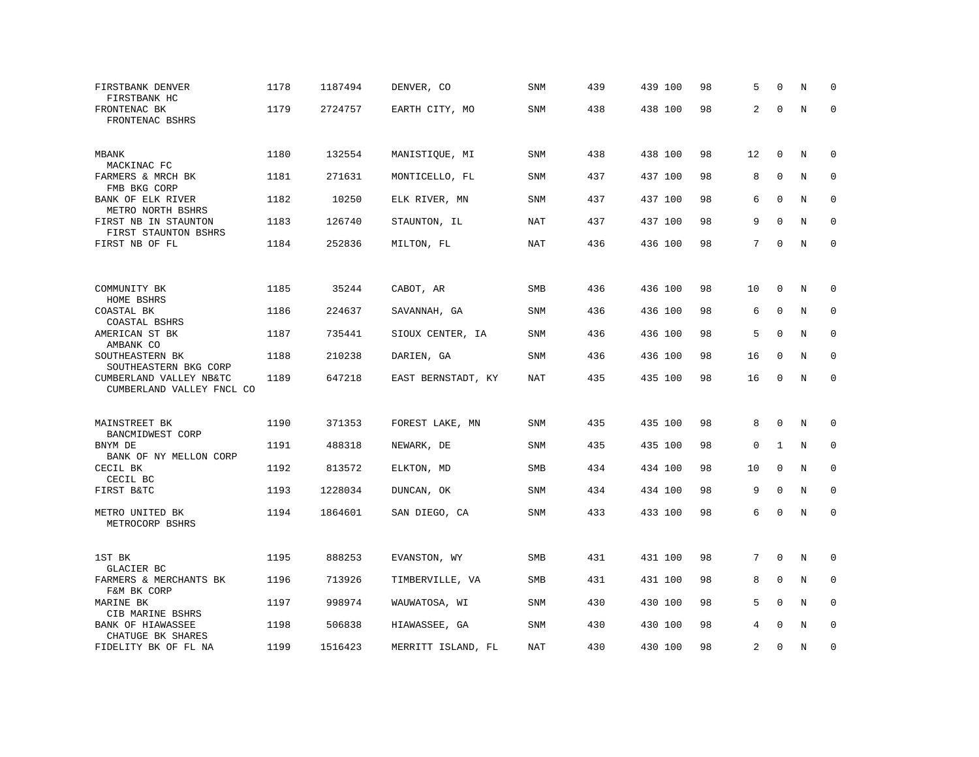| FIRSTBANK DENVER<br>FIRSTBANK HC                                              | 1178 | 1187494 | DENVER, CO         | SNM        | 439 | 439 100 | 98 | 5              | $\Omega$    | N | $\Omega$    |
|-------------------------------------------------------------------------------|------|---------|--------------------|------------|-----|---------|----|----------------|-------------|---|-------------|
| FRONTENAC BK<br>FRONTENAC BSHRS                                               | 1179 | 2724757 | EARTH CITY, MO     | <b>SNM</b> | 438 | 438 100 | 98 | 2              | $\mathbf 0$ | N | $\mathbf 0$ |
| MBANK<br>MACKINAC FC                                                          | 1180 | 132554  | MANISTIQUE, MI     | SNM        | 438 | 438 100 | 98 | 12             | $\mathbf 0$ | N | $\mathbf 0$ |
| FARMERS & MRCH BK                                                             | 1181 | 271631  | MONTICELLO, FL     | SNM        | 437 | 437 100 | 98 | 8              | $\mathbf 0$ | N | 0           |
| FMB BKG CORP<br>BANK OF ELK RIVER<br>METRO NORTH BSHRS                        | 1182 | 10250   | ELK RIVER, MN      | <b>SNM</b> | 437 | 437 100 | 98 | 6              | $\mathbf 0$ | N | $\mathbf 0$ |
| FIRST NB IN STAUNTON<br>FIRST STAUNTON BSHRS                                  | 1183 | 126740  | STAUNTON, IL       | NAT        | 437 | 437 100 | 98 | 9              | $\Omega$    | N | $\mathbf 0$ |
| FIRST NB OF FL                                                                | 1184 | 252836  | MILTON, FL         | NAT        | 436 | 436 100 | 98 | 7              | $\mathbf 0$ | N | $\mathbf 0$ |
|                                                                               |      |         |                    |            |     |         |    |                |             |   |             |
| COMMUNITY BK<br>HOME BSHRS                                                    | 1185 | 35244   | CABOT, AR          | <b>SMB</b> | 436 | 436 100 | 98 | 10             | $\Omega$    | N | 0           |
| COASTAL BK<br>COASTAL BSHRS                                                   | 1186 | 224637  | SAVANNAH, GA       | SNM        | 436 | 436 100 | 98 | 6              | $\mathbf 0$ | N | $\mathbf 0$ |
| AMERICAN ST BK<br>AMBANK CO                                                   | 1187 | 735441  | SIOUX CENTER, IA   | <b>SNM</b> | 436 | 436 100 | 98 | 5              | $\mathbf 0$ | N | 0           |
| SOUTHEASTERN BK                                                               | 1188 | 210238  | DARIEN, GA         | SNM        | 436 | 436 100 | 98 | 16             | $\Omega$    | N | $\mathbf 0$ |
| SOUTHEASTERN BKG CORP<br>CUMBERLAND VALLEY NB&TC<br>CUMBERLAND VALLEY FNCL CO | 1189 | 647218  | EAST BERNSTADT, KY | NAT        | 435 | 435 100 | 98 | 16             | $\mathbf 0$ | N | $\mathbf 0$ |
|                                                                               |      |         |                    |            |     |         |    |                |             |   |             |
| MAINSTREET BK<br>BANCMIDWEST CORP                                             | 1190 | 371353  | FOREST LAKE, MN    | <b>SNM</b> | 435 | 435 100 | 98 | 8              | $\Omega$    | N | $\mathbf 0$ |
| BNYM DE<br>BANK OF NY MELLON CORP                                             | 1191 | 488318  | NEWARK, DE         | <b>SNM</b> | 435 | 435 100 | 98 | $\mathbf 0$    | 1           | N | 0           |
| CECIL BK<br>CECIL BC                                                          | 1192 | 813572  | ELKTON, MD         | SMB        | 434 | 434 100 | 98 | 10             | $\mathbf 0$ | N | $\mathbf 0$ |
| FIRST B&TC                                                                    | 1193 | 1228034 | DUNCAN, OK         | SNM        | 434 | 434 100 | 98 | 9              | $\Omega$    | N | $\mathbf 0$ |
| METRO UNITED BK<br>METROCORP BSHRS                                            | 1194 | 1864601 | SAN DIEGO, CA      | <b>SNM</b> | 433 | 433 100 | 98 | 6              | $\mathbf 0$ | N | $\mathbf 0$ |
| 1ST BK<br>GLACIER BC                                                          | 1195 | 888253  | EVANSTON, WY       | <b>SMB</b> | 431 | 431 100 | 98 | 7              | $\Omega$    | N | $\mathbf 0$ |
| FARMERS & MERCHANTS BK<br>F&M BK CORP                                         | 1196 | 713926  | TIMBERVILLE, VA    | SMB        | 431 | 431 100 | 98 | 8              | $\mathbf 0$ | N | $\mathbf 0$ |
| MARINE BK<br>CIB MARINE BSHRS                                                 | 1197 | 998974  | WAUWATOSA, WI      | <b>SNM</b> | 430 | 430 100 | 98 | 5              | $\mathbf 0$ | N | $\mathbf 0$ |
| BANK OF HIAWASSEE<br>CHATUGE BK SHARES                                        | 1198 | 506838  | HIAWASSEE, GA      | <b>SNM</b> | 430 | 430 100 | 98 | 4              | $\Omega$    | N | $\Omega$    |
| FIDELITY BK OF FL NA                                                          | 1199 | 1516423 | MERRITT ISLAND, FL | NAT        | 430 | 430 100 | 98 | $\overline{a}$ | $\mathbf 0$ | N | $\mathbf 0$ |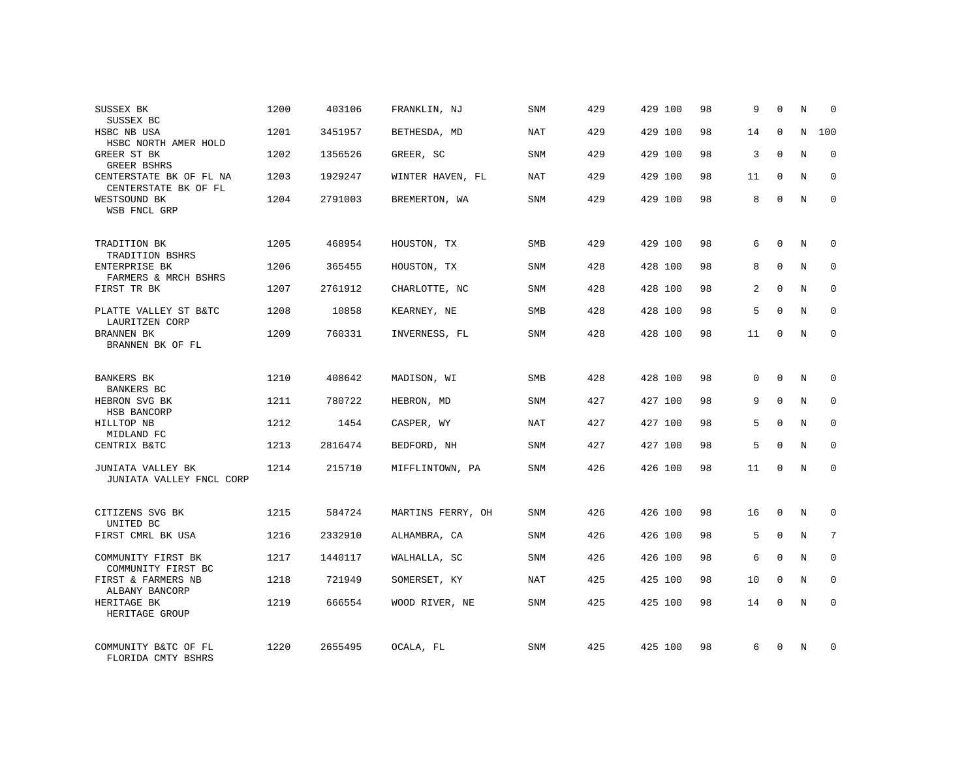| SUSSEX BK<br>SUSSEX BC                                   | 1200 | 403106  | FRANKLIN, NJ      | <b>SNM</b> | 429 | 429 100 | 98 | 9              | $\mathbf 0$  | N | $\mathbf 0$ |
|----------------------------------------------------------|------|---------|-------------------|------------|-----|---------|----|----------------|--------------|---|-------------|
| HSBC NB USA<br>HSBC NORTH AMER HOLD                      | 1201 | 3451957 | BETHESDA, MD      | <b>NAT</b> | 429 | 429 100 | 98 | 14             | $\Omega$     | N | 100         |
| GREER ST BK<br>GREER BSHRS                               | 1202 | 1356526 | GREER, SC         | SNM        | 429 | 429 100 | 98 | 3              | $\mathbf 0$  | N | $\mathbf 0$ |
| CENTERSTATE BK OF FL NA<br>CENTERSTATE BK OF FL          | 1203 | 1929247 | WINTER HAVEN, FL  | NAT        | 429 | 429 100 | 98 | 11             | $\mathbf{0}$ | N | $\mathbf 0$ |
| WESTSOUND BK<br>WSB FNCL GRP                             | 1204 | 2791003 | BREMERTON, WA     | <b>SNM</b> | 429 | 429 100 | 98 | 8              | $\Omega$     | N | $\Omega$    |
| TRADITION BK                                             | 1205 | 468954  | HOUSTON, TX       | <b>SMB</b> | 429 | 429 100 | 98 | 6              | $\Omega$     | N | $\mathbf 0$ |
| TRADITION BSHRS<br>ENTERPRISE BK<br>FARMERS & MRCH BSHRS | 1206 | 365455  | HOUSTON, TX       | SNM        | 428 | 428 100 | 98 | 8              | $\mathbf{0}$ | N | 0           |
| FIRST TR BK                                              | 1207 | 2761912 | CHARLOTTE, NC     | <b>SNM</b> | 428 | 428 100 | 98 | $\overline{a}$ | $\Omega$     | N | $\mathbf 0$ |
| PLATTE VALLEY ST B&TC<br>LAURITZEN CORP                  | 1208 | 10858   | KEARNEY, NE       | SMB        | 428 | 428 100 | 98 | 5              | $\mathbf 0$  | N | 0           |
| BRANNEN BK<br>BRANNEN BK OF FL                           | 1209 | 760331  | INVERNESS, FL     | <b>SNM</b> | 428 | 428 100 | 98 | 11             | $\Omega$     | N | $\mathbf 0$ |
| <b>BANKERS BK</b><br><b>BANKERS BC</b>                   | 1210 | 408642  | MADISON, WI       | SMB        | 428 | 428 100 | 98 | 0              | $\mathbf 0$  | N | $\mathbf 0$ |
| HEBRON SVG BK<br>HSB BANCORP                             | 1211 | 780722  | HEBRON, MD        | <b>SNM</b> | 427 | 427 100 | 98 | 9              | $\mathbf{0}$ | N | $\mathbf 0$ |
| HILLTOP NB<br>MIDLAND FC                                 | 1212 | 1454    | CASPER, WY        | <b>NAT</b> | 427 | 427 100 | 98 | 5              | $\Omega$     | N | $\mathbf 0$ |
| CENTRIX B&TC                                             | 1213 | 2816474 | BEDFORD, NH       | <b>SNM</b> | 427 | 427 100 | 98 | 5              | $\Omega$     | N | $\mathbf 0$ |
| JUNIATA VALLEY BK<br>JUNIATA VALLEY FNCL CORP            | 1214 | 215710  | MIFFLINTOWN, PA   | SNM        | 426 | 426 100 | 98 | 11             | $\mathbf 0$  | N | $\mathbf 0$ |
| CITIZENS SVG BK                                          | 1215 | 584724  | MARTINS FERRY, OH | SNM        | 426 | 426 100 | 98 | 16             | $\mathbf 0$  | N | 0           |
| UNITED BC<br>FIRST CMRL BK USA                           | 1216 | 2332910 | ALHAMBRA, CA      | SNM        | 426 | 426 100 | 98 | 5              | $\mathbf{0}$ | N | 7           |
| COMMUNITY FIRST BK<br>COMMUNITY FIRST BC                 | 1217 | 1440117 | WALHALLA, SC      | <b>SNM</b> | 426 | 426 100 | 98 | 6              | $\Omega$     | N | $\mathbf 0$ |
| FIRST & FARMERS NB<br>ALBANY BANCORP                     | 1218 | 721949  | SOMERSET, KY      | NAT        | 425 | 425 100 | 98 | 10             | $\mathbf 0$  | N | 0           |
| HERITAGE BK<br>HERITAGE GROUP                            | 1219 | 666554  | WOOD RIVER, NE    | SNM        | 425 | 425 100 | 98 | 14             | $\Omega$     | N | $\mathbf 0$ |
| COMMUNITY B&TC OF FL<br>FLORIDA CMTY BSHRS               | 1220 | 2655495 | OCALA, FL         | <b>SNM</b> | 425 | 425 100 | 98 | 6              | $\Omega$     | N | $\mathbf 0$ |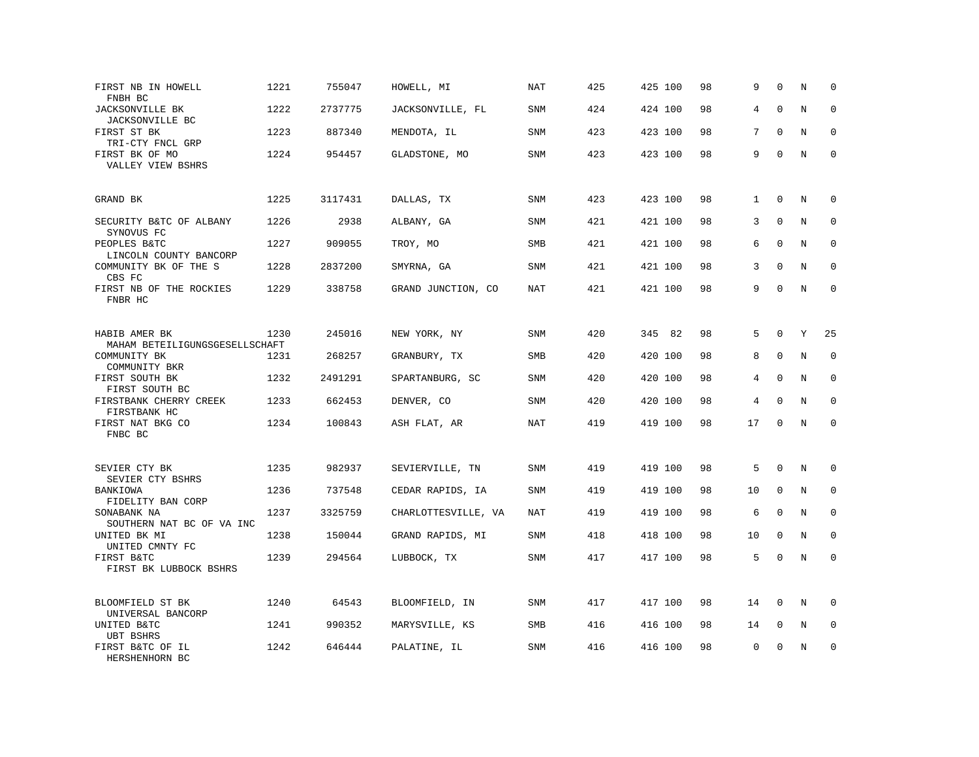| FIRST NB IN HOWELL<br>FNBH BC                   | 1221 | 755047  | HOWELL, MI          | <b>NAT</b> | 425 | 425 100 | 98 | 9            | $\Omega$    | N       | $\mathbf 0$  |
|-------------------------------------------------|------|---------|---------------------|------------|-----|---------|----|--------------|-------------|---------|--------------|
| <b>JACKSONVILLE BK</b><br>JACKSONVILLE BC       | 1222 | 2737775 | JACKSONVILLE, FL    | <b>SNM</b> | 424 | 424 100 | 98 | 4            | $\mathbf 0$ | N       | $\mathbf 0$  |
| FIRST ST BK<br>TRI-CTY FNCL GRP                 | 1223 | 887340  | MENDOTA, IL         | SNM        | 423 | 423 100 | 98 | 7            | $\Omega$    | N       | $\mathbf 0$  |
| FIRST BK OF MO<br>VALLEY VIEW BSHRS             | 1224 | 954457  | GLADSTONE, MO       | <b>SNM</b> | 423 | 423 100 | 98 | 9            | $\mathbf 0$ | N       | $\mathbf 0$  |
| GRAND BK                                        | 1225 | 3117431 | DALLAS, TX          | <b>SNM</b> | 423 | 423 100 | 98 | $\mathbf{1}$ | $\mathbf 0$ | N       | $\mathbf 0$  |
| SECURITY B&TC OF ALBANY<br>SYNOVUS FC           | 1226 | 2938    | ALBANY, GA          | SNM        | 421 | 421 100 | 98 | 3            | $\Omega$    | N       | $\mathbf 0$  |
| PEOPLES B&TC<br>LINCOLN COUNTY BANCORP          | 1227 | 909055  | TROY, MO            | SMB        | 421 | 421 100 | 98 | 6            | $\Omega$    | N       | $\mathbf{0}$ |
| COMMUNITY BK OF THE S<br>CBS FC                 | 1228 | 2837200 | SMYRNA, GA          | SNM        | 421 | 421 100 | 98 | 3            | $\Omega$    | N       | $\Omega$     |
| FIRST NB OF THE ROCKIES<br>FNBR HC              | 1229 | 338758  | GRAND JUNCTION, CO  | <b>NAT</b> | 421 | 421 100 | 98 | 9            | $\mathbf 0$ | N       | $\mathbf 0$  |
| HABIB AMER BK<br>MAHAM BETEILIGUNGSGESELLSCHAFT | 1230 | 245016  | NEW YORK, NY        | SNM        | 420 | 345 82  | 98 | 5            | $\mathbf 0$ | Y       | 25           |
| COMMUNITY BK<br>COMMUNITY BKR                   | 1231 | 268257  | GRANBURY, TX        | <b>SMB</b> | 420 | 420 100 | 98 | 8            | $\mathbf 0$ | N       | $\mathbf 0$  |
| FIRST SOUTH BK<br>FIRST SOUTH BC                | 1232 | 2491291 | SPARTANBURG, SC     | SNM        | 420 | 420 100 | 98 | 4            | $\mathbf 0$ | N       | 0            |
| FIRSTBANK CHERRY CREEK<br>FIRSTBANK HC          | 1233 | 662453  | DENVER, CO          | <b>SNM</b> | 420 | 420 100 | 98 | 4            | $\Omega$    | N       | $\mathbf{0}$ |
| FIRST NAT BKG CO<br>FNBC BC                     | 1234 | 100843  | ASH FLAT, AR        | NAT        | 419 | 419 100 | 98 | 17           | $\Omega$    | $\rm N$ | $\Omega$     |
| SEVIER CTY BK<br>SEVIER CTY BSHRS               | 1235 | 982937  | SEVIERVILLE, TN     | <b>SNM</b> | 419 | 419 100 | 98 | 5            | $\mathbf 0$ | N       | $\mathbf 0$  |
| BANKIOWA<br>FIDELITY BAN CORP                   | 1236 | 737548  | CEDAR RAPIDS, IA    | SNM        | 419 | 419 100 | 98 | 10           | 0           | N       | $\mathbf 0$  |
| SONABANK NA<br>SOUTHERN NAT BC OF VA INC        | 1237 | 3325759 | CHARLOTTESVILLE, VA | NAT        | 419 | 419 100 | 98 | 6            | $\mathbf 0$ | N       | $\mathbf 0$  |
| UNITED BK MI<br>UNITED CMNTY FC                 | 1238 | 150044  | GRAND RAPIDS, MI    | <b>SNM</b> | 418 | 418 100 | 98 | 10           | $\mathbf 0$ | N       | $\mathbf 0$  |
| FIRST B&TC<br>FIRST BK LUBBOCK BSHRS            | 1239 | 294564  | LUBBOCK, TX         | SNM        | 417 | 417 100 | 98 | 5            | $\mathbf 0$ | N       | $\mathbf 0$  |
| BLOOMFIELD ST BK<br>UNIVERSAL BANCORP           | 1240 | 64543   | BLOOMFIELD, IN      | SNM        | 417 | 417 100 | 98 | 14           | $\mathbf 0$ | N       | $\Omega$     |
| UNITED B&TC<br><b>UBT BSHRS</b>                 | 1241 | 990352  | MARYSVILLE, KS      | SMB        | 416 | 416 100 | 98 | 14           | 0           | Ν       | 0            |
| FIRST B&TC OF IL<br>HERSHENHORN BC              | 1242 | 646444  | PALATINE, IL        | <b>SNM</b> | 416 | 416 100 | 98 | 0            | $\mathbf 0$ | N       | $\mathbf 0$  |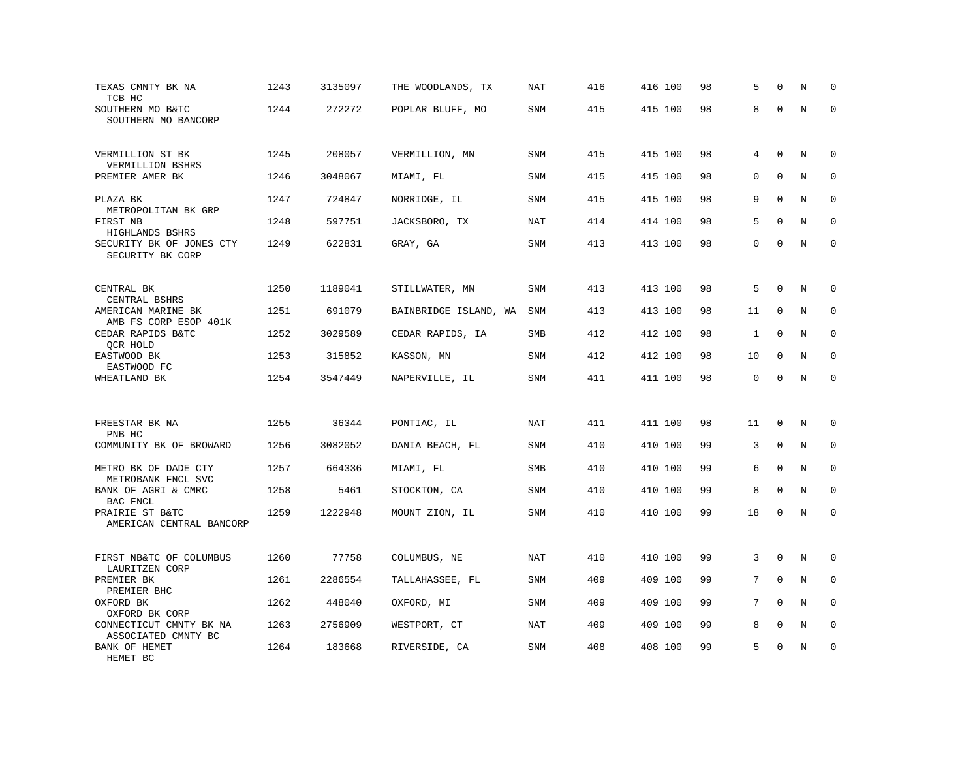| TEXAS CMNTY BK NA<br>TCB HC                    | 1243 | 3135097 | THE WOODLANDS, TX     | <b>NAT</b> | 416 | 416 100 | 98 | 5            | $\Omega$     | N           | $\mathbf 0$ |
|------------------------------------------------|------|---------|-----------------------|------------|-----|---------|----|--------------|--------------|-------------|-------------|
| SOUTHERN MO B&TC<br>SOUTHERN MO BANCORP        | 1244 | 272272  | POPLAR BLUFF, MO      | <b>SNM</b> | 415 | 415 100 | 98 | 8            | $\Omega$     | N           | $\Omega$    |
| VERMILLION ST BK                               | 1245 | 208057  | VERMILLION, MN        | <b>SNM</b> | 415 | 415 100 | 98 | 4            | $\mathbf 0$  | N           | $\mathbf 0$ |
| VERMILLION BSHRS<br>PREMIER AMER BK            | 1246 | 3048067 | MIAMI, FL             | SNM        | 415 | 415 100 | 98 | 0            | $\mathbf{0}$ | N           | $\mathbf 0$ |
| PLAZA BK<br>METROPOLITAN BK GRP                | 1247 | 724847  | NORRIDGE, IL          | <b>SNM</b> | 415 | 415 100 | 98 | 9            | $\Omega$     | N           | $\Omega$    |
| FIRST NB<br>HIGHLANDS BSHRS                    | 1248 | 597751  | JACKSBORO, TX         | <b>NAT</b> | 414 | 414 100 | 98 | 5            | $\mathbf 0$  | N           | $\mathbf 0$ |
| SECURITY BK OF JONES CTY<br>SECURITY BK CORP   | 1249 | 622831  | GRAY, GA              | <b>SNM</b> | 413 | 413 100 | 98 | $\Omega$     | $\Omega$     | N           | $\Omega$    |
|                                                |      |         |                       |            |     |         |    |              |              |             |             |
| CENTRAL BK<br>CENTRAL BSHRS                    | 1250 | 1189041 | STILLWATER, MN        | SNM        | 413 | 413 100 | 98 | 5            | $\Omega$     | N           | 0           |
| AMERICAN MARINE BK<br>AMB FS CORP ESOP 401K    | 1251 | 691079  | BAINBRIDGE ISLAND, WA | SNM        | 413 | 413 100 | 98 | 11           | $\mathbf 0$  | N           | 0           |
| CEDAR RAPIDS B&TC<br>QCR HOLD                  | 1252 | 3029589 | CEDAR RAPIDS, IA      | SMB        | 412 | 412 100 | 98 | $\mathbf{1}$ | $\mathbf 0$  | N           | $\mathbf 0$ |
| EASTWOOD BK<br>EASTWOOD FC                     | 1253 | 315852  | KASSON, MN            | SNM        | 412 | 412 100 | 98 | 10           | $\mathbf 0$  | N           | $\mathbf 0$ |
| WHEATLAND BK                                   | 1254 | 3547449 | NAPERVILLE, IL        | SNM        | 411 | 411 100 | 98 | 0            | $\mathbf 0$  | $\rm N$     | $\mathbf 0$ |
|                                                |      |         |                       |            |     |         |    |              |              |             |             |
| FREESTAR BK NA<br>PNB HC                       | 1255 | 36344   | PONTIAC, IL           | <b>NAT</b> | 411 | 411 100 | 98 | 11           | $\mathbf 0$  | N           | $\mathbf 0$ |
| COMMUNITY BK OF BROWARD                        | 1256 | 3082052 | DANIA BEACH, FL       | SNM        | 410 | 410 100 | 99 | 3            | $\mathbf{0}$ | N           | $\mathbf 0$ |
| METRO BK OF DADE CTY<br>METROBANK FNCL SVC     | 1257 | 664336  | MIAMI, FL             | SMB        | 410 | 410 100 | 99 | 6            | $\mathbf{0}$ | $\mathbf N$ | $\mathbf 0$ |
| BANK OF AGRI & CMRC<br>BAC FNCL                | 1258 | 5461    | STOCKTON, CA          | SNM        | 410 | 410 100 | 99 | 8            | $\mathbf 0$  | N           | 0           |
| PRAIRIE ST B&TC<br>AMERICAN CENTRAL BANCORP    | 1259 | 1222948 | MOUNT ZION, IL        | SNM        | 410 | 410 100 | 99 | 18           | $\mathbf 0$  | N           | $\mathbf 0$ |
|                                                |      |         |                       |            |     |         |    |              |              |             |             |
| FIRST NB&TC OF COLUMBUS<br>LAURITZEN CORP      | 1260 | 77758   | COLUMBUS, NE          | <b>NAT</b> | 410 | 410 100 | 99 | 3            | $\mathbf{0}$ | N           | $\mathbf 0$ |
| PREMIER BK<br>PREMIER BHC                      | 1261 | 2286554 | TALLAHASSEE, FL       | SNM        | 409 | 409 100 | 99 | 7            | $\Omega$     | N           | 0           |
| OXFORD BK<br>OXFORD BK CORP                    | 1262 | 448040  | OXFORD, MI            | SNM        | 409 | 409 100 | 99 | 7            | $\Omega$     | N           | $\mathbf 0$ |
| CONNECTICUT CMNTY BK NA<br>ASSOCIATED CMNTY BC | 1263 | 2756909 | WESTPORT, CT          | NAT        | 409 | 409 100 | 99 | 8            | $\mathbf{0}$ | N           | $\mathbf 0$ |
| BANK OF HEMET<br>HEMET BC                      | 1264 | 183668  | RIVERSIDE, CA         | SNM        | 408 | 408 100 | 99 | 5            | $\mathbf 0$  | N           | $\mathbf 0$ |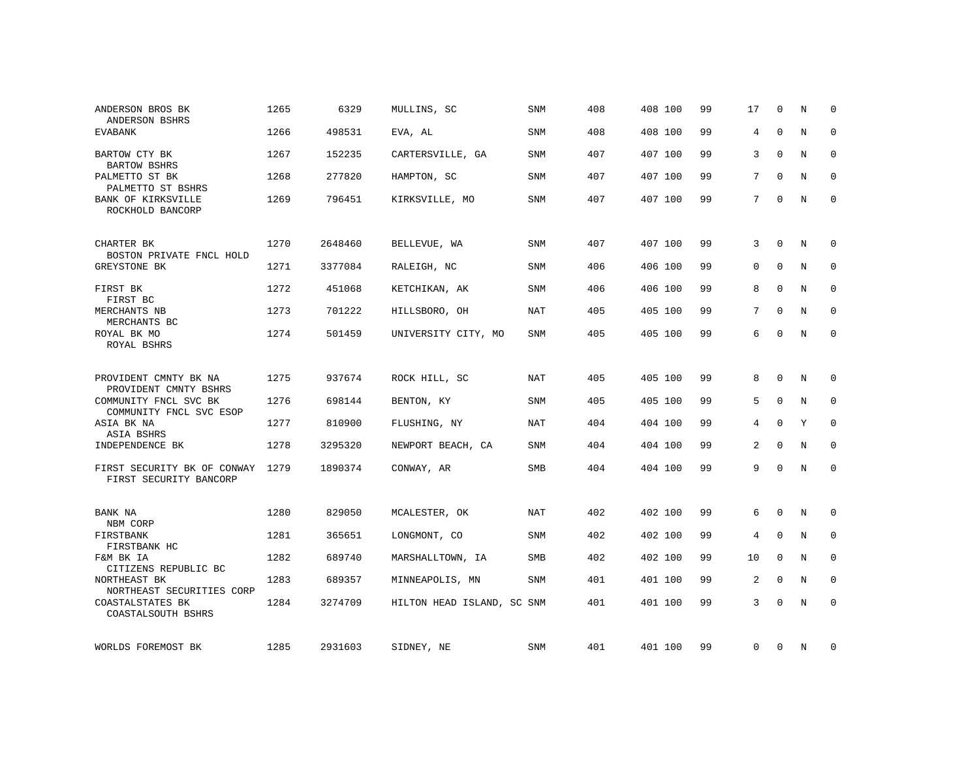| ANDERSON BROS BK<br>ANDERSON BSHRS                    | 1265 | 6329    | MULLINS, SC                | SNM        | 408 | 408 100 | 99 | 17       | $\Omega$     | N       | $\Omega$     |
|-------------------------------------------------------|------|---------|----------------------------|------------|-----|---------|----|----------|--------------|---------|--------------|
| <b>EVABANK</b>                                        | 1266 | 498531  | EVA, AL                    | <b>SNM</b> | 408 | 408 100 | 99 | 4        | $\mathbf{0}$ | N       | $\mathbf 0$  |
| BARTOW CTY BK<br><b>BARTOW BSHRS</b>                  | 1267 | 152235  | CARTERSVILLE, GA           | <b>SNM</b> | 407 | 407 100 | 99 | 3        | $\Omega$     | N       | $\mathbf 0$  |
| PALMETTO ST BK<br>PALMETTO ST BSHRS                   | 1268 | 277820  | HAMPTON, SC                | SNM        | 407 | 407 100 | 99 | 7        | $\mathbf{0}$ | N       | 0            |
| <b>BANK OF KIRKSVILLE</b><br>ROCKHOLD BANCORP         | 1269 | 796451  | KIRKSVILLE, MO             | SNM        | 407 | 407 100 | 99 | 7        | $\Omega$     | N       | $\mathbf{0}$ |
| CHARTER BK                                            | 1270 | 2648460 | BELLEVUE, WA               | SNM        | 407 | 407 100 | 99 | 3        | $\mathbf 0$  | N       | 0            |
| BOSTON PRIVATE FNCL HOLD<br><b>GREYSTONE BK</b>       | 1271 | 3377084 | RALEIGH, NC                | SNM        | 406 | 406 100 | 99 | $\Omega$ | $\Omega$     | $\rm N$ | $\mathbf 0$  |
| FIRST BK<br>FIRST BC                                  | 1272 | 451068  | KETCHIKAN, AK              | SNM        | 406 | 406 100 | 99 | 8        | $\Omega$     | N       | $\mathbf 0$  |
| MERCHANTS NB<br>MERCHANTS BC                          | 1273 | 701222  | HILLSBORO, OH              | <b>NAT</b> | 405 | 405 100 | 99 | 7        | $\mathbf 0$  | N       | $\mathbf 0$  |
| ROYAL BK MO<br>ROYAL BSHRS                            | 1274 | 501459  | UNIVERSITY CITY, MO        | SNM        | 405 | 405 100 | 99 | 6        | $\mathbf 0$  | N       | $\mathbf 0$  |
| PROVIDENT CMNTY BK NA                                 | 1275 | 937674  | ROCK HILL, SC              | <b>NAT</b> | 405 | 405 100 | 99 | 8        | $\mathbf 0$  | N       | $\mathbf 0$  |
| PROVIDENT CMNTY BSHRS<br>COMMUNITY FNCL SVC BK        | 1276 | 698144  | BENTON, KY                 | SNM        | 405 | 405 100 | 99 | 5        | $\mathbf 0$  | N       | 0            |
| COMMUNITY FNCL SVC ESOP<br>ASIA BK NA<br>ASIA BSHRS   | 1277 | 810900  | FLUSHING, NY               | <b>NAT</b> | 404 | 404 100 | 99 | 4        | $\mathbf 0$  | Y       | $\mathbf 0$  |
| INDEPENDENCE BK                                       | 1278 | 3295320 | NEWPORT BEACH, CA          | <b>SNM</b> | 404 | 404 100 | 99 | 2        | $\mathbf 0$  | N       | $\mathbf{0}$ |
| FIRST SECURITY BK OF CONWAY<br>FIRST SECURITY BANCORP | 1279 | 1890374 | CONWAY, AR                 | SMB        | 404 | 404 100 | 99 | 9        | $\Omega$     | N       | $\mathbf 0$  |
| BANK NA<br>NBM CORP                                   | 1280 | 829050  | MCALESTER, OK              | NAT        | 402 | 402 100 | 99 | 6        | $\mathbf 0$  | N       | 0            |
| FIRSTBANK<br>FIRSTBANK HC                             | 1281 | 365651  | LONGMONT, CO               | SNM        | 402 | 402 100 | 99 | 4        | $\mathbf 0$  | N       | 0            |
| F&M BK IA<br>CITIZENS REPUBLIC BC                     | 1282 | 689740  | MARSHALLTOWN, IA           | SMB        | 402 | 402 100 | 99 | 10       | $\mathbf 0$  | N       | 0            |
| NORTHEAST BK<br>NORTHEAST SECURITIES CORP             | 1283 | 689357  | MINNEAPOLIS, MN            | <b>SNM</b> | 401 | 401 100 | 99 | 2        | $\Omega$     | N       | $\mathbf 0$  |
| COASTALSTATES BK<br>COASTALSOUTH BSHRS                | 1284 | 3274709 | HILTON HEAD ISLAND, SC SNM |            | 401 | 401 100 | 99 | 3        | $\Omega$     | N       | $\mathbf 0$  |
| WORLDS FOREMOST BK                                    | 1285 | 2931603 | SIDNEY, NE                 | SNM        | 401 | 401 100 | 99 | 0        | 0            | N       | 0            |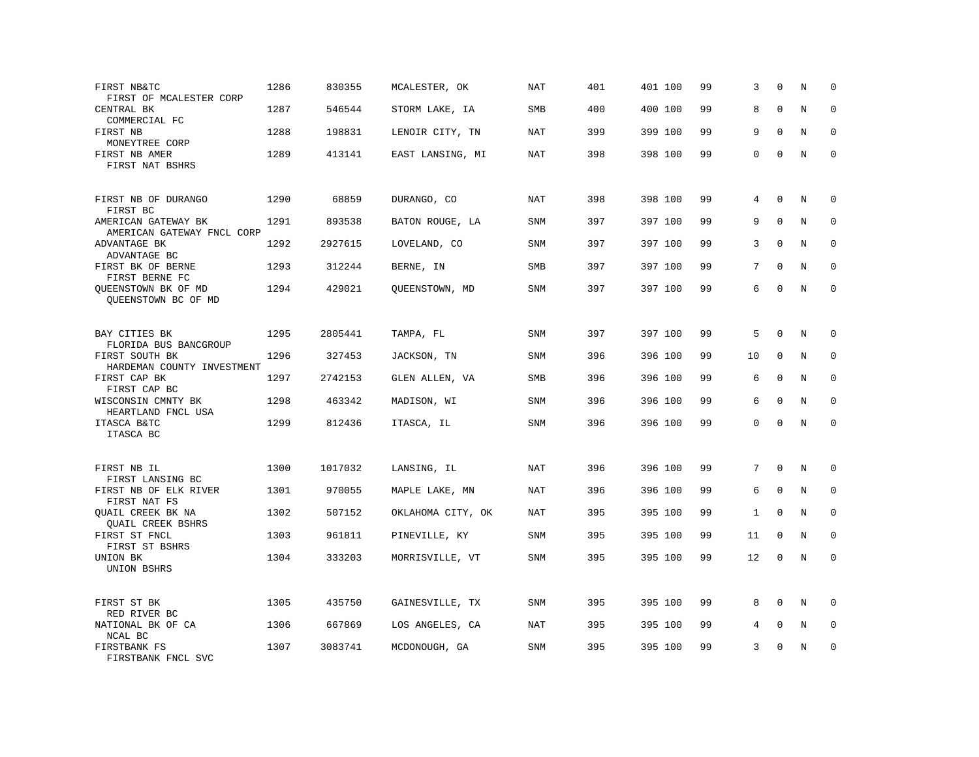| FIRST NB&TC<br>FIRST OF MCALESTER CORP            | 1286 | 830355  | MCALESTER, OK     | <b>NAT</b> | 401 | 401 100 | 99 | 3            | $\Omega$     | N       | 0           |
|---------------------------------------------------|------|---------|-------------------|------------|-----|---------|----|--------------|--------------|---------|-------------|
| CENTRAL BK<br>COMMERCIAL FC                       | 1287 | 546544  | STORM LAKE, IA    | <b>SMB</b> | 400 | 400 100 | 99 | 8            | $\mathbf 0$  | N       | $\mathbf 0$ |
| FIRST NB<br>MONEYTREE CORP                        | 1288 | 198831  | LENOIR CITY, TN   | <b>NAT</b> | 399 | 399 100 | 99 | 9            | $\Omega$     | N       | $\mathbf 0$ |
| FIRST NB AMER<br>FIRST NAT BSHRS                  | 1289 | 413141  | EAST LANSING, MI  | <b>NAT</b> | 398 | 398 100 | 99 | 0            | $\mathbf 0$  | N       | $\mathbf 0$ |
| FIRST NB OF DURANGO<br>FIRST BC                   | 1290 | 68859   | DURANGO, CO       | <b>NAT</b> | 398 | 398 100 | 99 | 4            | $\Omega$     | N       | 0           |
| AMERICAN GATEWAY BK<br>AMERICAN GATEWAY FNCL CORP | 1291 | 893538  | BATON ROUGE, LA   | SNM        | 397 | 397 100 | 99 | 9            | $\Omega$     | N       | 0           |
| ADVANTAGE BK<br>ADVANTAGE BC                      | 1292 | 2927615 | LOVELAND, CO      | SNM        | 397 | 397 100 | 99 | 3            | $\Omega$     | N       | $\mathbf 0$ |
| FIRST BK OF BERNE<br>FIRST BERNE FC               | 1293 | 312244  | BERNE, IN         | <b>SMB</b> | 397 | 397 100 | 99 | 7            | $\Omega$     | N       | $\Omega$    |
| QUEENSTOWN BK OF MD<br>QUEENSTOWN BC OF MD        | 1294 | 429021  | QUEENSTOWN, MD    | SNM        | 397 | 397 100 | 99 | 6            | $\mathbf{0}$ | N       | $\mathbf 0$ |
| BAY CITIES BK<br>FLORIDA BUS BANCGROUP            | 1295 | 2805441 | TAMPA, FL         | SNM        | 397 | 397 100 | 99 | 5            | $\mathbf{0}$ | N       | 0           |
| FIRST SOUTH BK<br>HARDEMAN COUNTY INVESTMENT      | 1296 | 327453  | JACKSON, TN       | <b>SNM</b> | 396 | 396 100 | 99 | 10           | $\mathbf 0$  | N       | $\mathbf 0$ |
| FIRST CAP BK<br>FIRST CAP BC                      | 1297 | 2742153 | GLEN ALLEN, VA    | SMB        | 396 | 396 100 | 99 | 6            | $\mathbf 0$  | N       | 0           |
| WISCONSIN CMNTY BK<br>HEARTLAND FNCL USA          | 1298 | 463342  | MADISON, WI       | <b>SNM</b> | 396 | 396 100 | 99 | 6            | $\Omega$     | N       | $\mathbf 0$ |
| ITASCA B&TC<br>ITASCA BC                          | 1299 | 812436  | ITASCA, IL        | SNM        | 396 | 396 100 | 99 | $\Omega$     | $\Omega$     | N       | $\Omega$    |
| FIRST NB IL<br>FIRST LANSING BC                   | 1300 | 1017032 | LANSING, IL       | NAT        | 396 | 396 100 | 99 | 7            | $\Omega$     | N       | 0           |
| FIRST NB OF ELK RIVER<br>FIRST NAT FS             | 1301 | 970055  | MAPLE LAKE, MN    | NAT        | 396 | 396 100 | 99 | 6            | $\mathbf{0}$ | N       | $\mathbf 0$ |
| QUAIL CREEK BK NA<br>QUAIL CREEK BSHRS            | 1302 | 507152  | OKLAHOMA CITY, OK | NAT        | 395 | 395 100 | 99 | $\mathbf{1}$ | $\Omega$     | N       | 0           |
| FIRST ST FNCL<br>FIRST ST BSHRS                   | 1303 | 961811  | PINEVILLE, KY     | SNM        | 395 | 395 100 | 99 | 11           | $\mathbf{0}$ | N       | $\mathbf 0$ |
| UNION BK<br>UNION BSHRS                           | 1304 | 333203  | MORRISVILLE, VT   | SNM        | 395 | 395 100 | 99 | 12           | $\mathbf{0}$ | N       | $\mathbf 0$ |
| FIRST ST BK<br>RED RIVER BC                       | 1305 | 435750  | GAINESVILLE, TX   | SNM        | 395 | 395 100 | 99 | 8            | $\Omega$     | N       | $\Omega$    |
| NATIONAL BK OF CA<br>NCAL BC                      | 1306 | 667869  | LOS ANGELES, CA   | NAT        | 395 | 395 100 | 99 | 4            | $\mathbf 0$  | $\rm N$ | 0           |
| FIRSTBANK FS<br>FIRSTBANK FNCL SVC                | 1307 | 3083741 | MCDONOUGH, GA     | <b>SNM</b> | 395 | 395 100 | 99 | 3            | $\mathbf 0$  | N       | $\mathbf 0$ |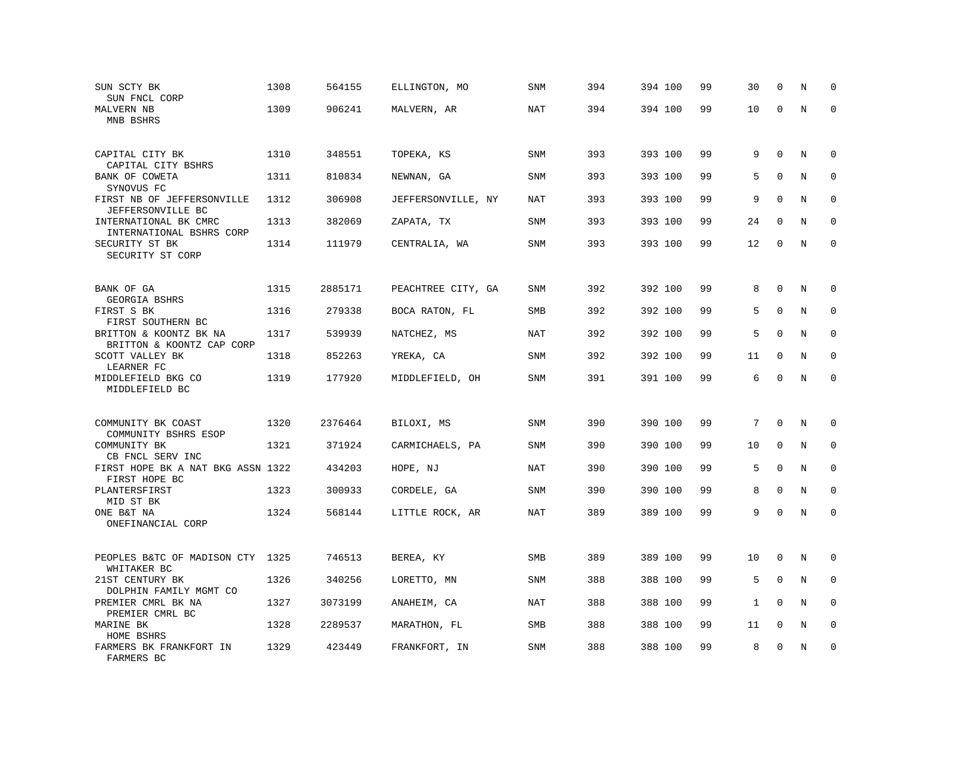| SUN SCTY BK<br>SUN FNCL CORP                             | 1308 | 564155  | ELLINGTON, MO      | <b>SNM</b> | 394 | 394 100 | 99 | 30 | $\mathbf 0$  | N       | $\mathbf 0$  |
|----------------------------------------------------------|------|---------|--------------------|------------|-----|---------|----|----|--------------|---------|--------------|
| MALVERN NB<br>MNB BSHRS                                  | 1309 | 906241  | MALVERN, AR        | NAT        | 394 | 394 100 | 99 | 10 | $\mathbf 0$  | $\rm N$ | $\mathbf 0$  |
| CAPITAL CITY BK<br>CAPITAL CITY BSHRS                    | 1310 | 348551  | TOPEKA, KS         | <b>SNM</b> | 393 | 393 100 | 99 | 9  | $\mathbf 0$  | N       | $\mathbf 0$  |
| BANK OF COWETA<br>SYNOVUS FC                             | 1311 | 810834  | NEWNAN, GA         | SNM        | 393 | 393 100 | 99 | 5  | $\mathbf 0$  | N       | $\mathbf 0$  |
| FIRST NB OF JEFFERSONVILLE<br>JEFFERSONVILLE BC          | 1312 | 306908  | JEFFERSONVILLE, NY | <b>NAT</b> | 393 | 393 100 | 99 | 9  | $\Omega$     | N       | $\mathbf 0$  |
| INTERNATIONAL BK CMRC<br>INTERNATIONAL BSHRS CORP        | 1313 | 382069  | ZAPATA, TX         | SNM        | 393 | 393 100 | 99 | 24 | $\Omega$     | N       | $\mathbf 0$  |
| SECURITY ST BK<br>SECURITY ST CORP                       | 1314 | 111979  | CENTRALIA, WA      | <b>SNM</b> | 393 | 393 100 | 99 | 12 | $\mathbf 0$  | N       | $\mathbf 0$  |
| BANK OF GA<br>GEORGIA BSHRS                              | 1315 | 2885171 | PEACHTREE CITY, GA | SNM        | 392 | 392 100 | 99 | 8  | $\mathbf{0}$ | N       | $\mathbf 0$  |
| FIRST S BK<br>FIRST SOUTHERN BC                          | 1316 | 279338  | BOCA RATON, FL     | <b>SMB</b> | 392 | 392 100 | 99 | 5  | $\mathbf 0$  | N       | $\mathbf 0$  |
| BRITTON & KOONTZ BK NA<br>BRITTON & KOONTZ CAP CORP      | 1317 | 539939  | NATCHEZ, MS        | NAT        | 392 | 392 100 | 99 | 5  | $\mathbf{0}$ | N       | $\mathbf 0$  |
| SCOTT VALLEY BK<br>LEARNER FC                            | 1318 | 852263  | YREKA, CA          | <b>SNM</b> | 392 | 392 100 | 99 | 11 | $\mathbf 0$  | N       | $\Omega$     |
| MIDDLEFIELD BKG CO<br>MIDDLEFIELD BC                     | 1319 | 177920  | MIDDLEFIELD, OH    | <b>SNM</b> | 391 | 391 100 | 99 | 6  | $\mathbf 0$  | N       | $\mathbf 0$  |
| COMMUNITY BK COAST                                       | 1320 | 2376464 | BILOXI, MS         | SNM        | 390 | 390 100 | 99 | 7  | $\Omega$     | Ν       | 0            |
| COMMUNITY BSHRS ESOP<br>COMMUNITY BK<br>CB FNCL SERV INC | 1321 | 371924  | CARMICHAELS, PA    | <b>SNM</b> | 390 | 390 100 | 99 | 10 | $\mathbf 0$  | N       | $\mathbf 0$  |
| FIRST HOPE BK A NAT BKG ASSN 1322<br>FIRST HOPE BC       |      | 434203  | HOPE, NJ           | NAT        | 390 | 390 100 | 99 | 5  | $\mathbf 0$  | N       | $\mathbf 0$  |
| PLANTERSFIRST<br>MID ST BK                               | 1323 | 300933  | CORDELE, GA        | <b>SNM</b> | 390 | 390 100 | 99 | 8  | $\mathbf 0$  | N       | $\mathbf{0}$ |
| ONE B&T NA<br>ONEFINANCIAL CORP                          | 1324 | 568144  | LITTLE ROCK, AR    | <b>NAT</b> | 389 | 389 100 | 99 | 9  | $\Omega$     | N       | $\Omega$     |
| PEOPLES B&TC OF MADISON CTY 1325<br>WHITAKER BC          |      | 746513  | BEREA, KY          | <b>SMB</b> | 389 | 389 100 | 99 | 10 | 0            | N       | 0            |
| 21ST CENTURY BK<br>DOLPHIN FAMILY MGMT CO                | 1326 | 340256  | LORETTO, MN        | SNM        | 388 | 388 100 | 99 | 5  | $\mathbf 0$  | N       | 0            |
| PREMIER CMRL BK NA<br>PREMIER CMRL BC                    | 1327 | 3073199 | ANAHEIM, CA        | <b>NAT</b> | 388 | 388 100 | 99 | 1  | $\Omega$     | N       | $\Omega$     |
| MARINE BK<br>HOME BSHRS                                  | 1328 | 2289537 | MARATHON, FL       | SMB        | 388 | 388 100 | 99 | 11 | $\mathbf 0$  | N       | 0            |
| FARMERS BK FRANKFORT IN<br>FARMERS BC                    | 1329 | 423449  | FRANKFORT, IN      | <b>SNM</b> | 388 | 388 100 | 99 | 8  | $\mathbf 0$  | N       | $\mathbf 0$  |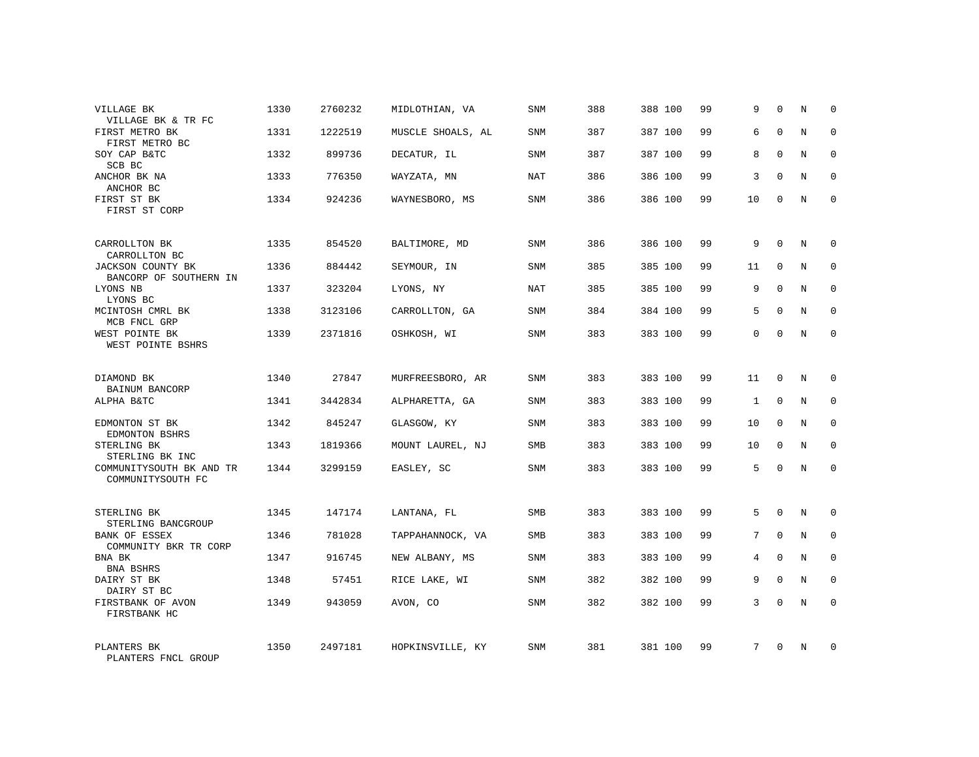| VILLAGE BK<br>VILLAGE BK & TR FC                   | 1330 | 2760232 | MIDLOTHIAN, VA    | SNM        | 388 | 388 100 | 99 | 9  | $\Omega$     | N          | $\Omega$    |
|----------------------------------------------------|------|---------|-------------------|------------|-----|---------|----|----|--------------|------------|-------------|
| FIRST METRO BK<br>FIRST METRO BC                   | 1331 | 1222519 | MUSCLE SHOALS, AL | <b>SNM</b> | 387 | 387 100 | 99 | 6  | $\Omega$     | N          | $\Omega$    |
| SOY CAP B&TC<br>SCB BC                             | 1332 | 899736  | DECATUR, IL       | SNM        | 387 | 387 100 | 99 | 8  | $\Omega$     | N          | $\mathbf 0$ |
| ANCHOR BK NA<br>ANCHOR BC                          | 1333 | 776350  | WAYZATA, MN       | NAT        | 386 | 386 100 | 99 | 3  | $\Omega$     | N          | $\Omega$    |
| FIRST ST BK<br>FIRST ST CORP                       | 1334 | 924236  | WAYNESBORO, MS    | SNM        | 386 | 386 100 | 99 | 10 | $\Omega$     | N          | $\Omega$    |
| CARROLLTON BK<br>CARROLLTON BC                     | 1335 | 854520  | BALTIMORE, MD     | SNM        | 386 | 386 100 | 99 | 9  | $\mathbf 0$  | N          | $\mathbf 0$ |
| <b>JACKSON COUNTY BK</b><br>BANCORP OF SOUTHERN IN | 1336 | 884442  | SEYMOUR, IN       | <b>SNM</b> | 385 | 385 100 | 99 | 11 | $\Omega$     | N          | $\mathbf 0$ |
| LYONS NB<br>LYONS BC                               | 1337 | 323204  | LYONS, NY         | <b>NAT</b> | 385 | 385 100 | 99 | 9  | $\Omega$     | N          | $\mathbf 0$ |
| MCINTOSH CMRL BK<br>MCB FNCL GRP                   | 1338 | 3123106 | CARROLLTON, GA    | <b>SNM</b> | 384 | 384 100 | 99 | 5  | $\Omega$     | N          | $\mathbf 0$ |
| WEST POINTE BK<br>WEST POINTE BSHRS                | 1339 | 2371816 | OSHKOSH, WI       | <b>SNM</b> | 383 | 383 100 | 99 | 0  | $\mathbf 0$  | N          | $\mathbf 0$ |
| DIAMOND BK<br>BAINUM BANCORP                       | 1340 | 27847   | MURFREESBORO, AR  | <b>SNM</b> | 383 | 383 100 | 99 | 11 | $\Omega$     | $_{\rm N}$ | $\mathbf 0$ |
| ALPHA B&TC                                         | 1341 | 3442834 | ALPHARETTA, GA    | <b>SNM</b> | 383 | 383 100 | 99 | 1  | $\mathbf{0}$ | N          | $\mathbf 0$ |
| EDMONTON ST BK<br>EDMONTON BSHRS                   | 1342 | 845247  | GLASGOW, KY       | <b>SNM</b> | 383 | 383 100 | 99 | 10 | $\Omega$     | N          | $\mathbf 0$ |
| STERLING BK<br>STERLING BK INC                     | 1343 | 1819366 | MOUNT LAUREL, NJ  | SMB        | 383 | 383 100 | 99 | 10 | $\mathbf{0}$ | N          | 0           |
| COMMUNITYSOUTH BK AND TR<br>COMMUNITYSOUTH FC      | 1344 | 3299159 | EASLEY, SC        | SNM        | 383 | 383 100 | 99 | 5  | $\Omega$     | $_{\rm N}$ | $\Omega$    |
| STERLING BK<br>STERLING BANCGROUP                  | 1345 | 147174  | LANTANA, FL       | <b>SMB</b> | 383 | 383 100 | 99 | 5  | $\Omega$     | N          | $\mathbf 0$ |
| <b>BANK OF ESSEX</b><br>COMMUNITY BKR TR CORP      | 1346 | 781028  | TAPPAHANNOCK, VA  | SMB        | 383 | 383 100 | 99 | 7  | $\mathbf{0}$ | N          | 0           |
| BNA BK<br>BNA BSHRS                                | 1347 | 916745  | NEW ALBANY, MS    | <b>SNM</b> | 383 | 383 100 | 99 | 4  | $\Omega$     | N          | $\mathbf 0$ |
| DAIRY ST BK<br>DAIRY ST BC                         | 1348 | 57451   | RICE LAKE, WI     | SNM        | 382 | 382 100 | 99 | 9  | $\mathbf 0$  | N          | 0           |
| FIRSTBANK OF AVON<br>FIRSTBANK HC                  | 1349 | 943059  | AVON, CO          | <b>SNM</b> | 382 | 382 100 | 99 | 3  | $\Omega$     | N          | $\mathbf 0$ |
| PLANTERS BK<br>PLANTERS FNCL GROUP                 | 1350 | 2497181 | HOPKINSVILLE, KY  | <b>SNM</b> | 381 | 381 100 | 99 | 7  | $\Omega$     | N          | $\mathbf 0$ |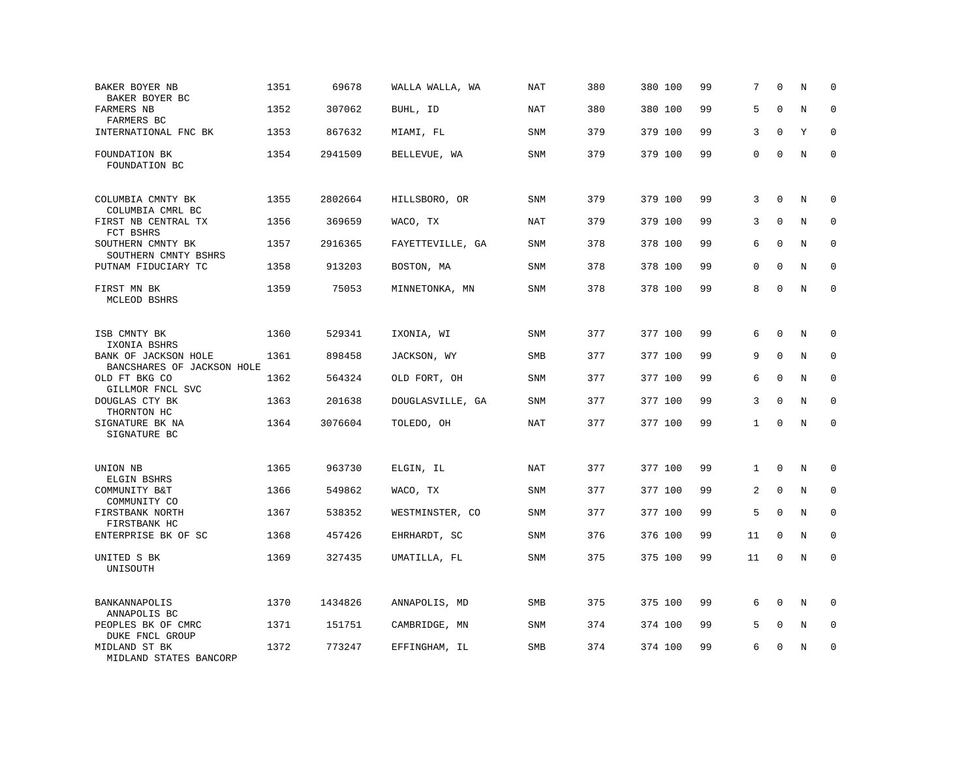| BAKER BOYER NB<br>BAKER BOYER BC                   | 1351 | 69678   | WALLA WALLA, WA  | <b>NAT</b> | 380 | 380 100 | 99 | 7            | $\Omega$     | N           | $\mathbf 0$  |
|----------------------------------------------------|------|---------|------------------|------------|-----|---------|----|--------------|--------------|-------------|--------------|
| FARMERS NB<br>FARMERS BC                           | 1352 | 307062  | BUHL, ID         | NAT        | 380 | 380 100 | 99 | 5            | $\Omega$     | N           | $\Omega$     |
| INTERNATIONAL FNC BK                               | 1353 | 867632  | MIAMI, FL        | SNM        | 379 | 379 100 | 99 | 3            | $\mathbf 0$  | Y           | $\mathbf 0$  |
| FOUNDATION BK<br>FOUNDATION BC                     | 1354 | 2941509 | BELLEVUE, WA     | <b>SNM</b> | 379 | 379 100 | 99 | 0            | $\Omega$     | N           | $\mathbf 0$  |
| COLUMBIA CMNTY BK<br>COLUMBIA CMRL BC              | 1355 | 2802664 | HILLSBORO, OR    | <b>SNM</b> | 379 | 379 100 | 99 | 3            | $\Omega$     | N           | 0            |
| FIRST NB CENTRAL TX<br>FCT BSHRS                   | 1356 | 369659  | WACO, TX         | <b>NAT</b> | 379 | 379 100 | 99 | 3            | $\mathbf{0}$ | N           | $\mathbf 0$  |
| SOUTHERN CMNTY BK<br>SOUTHERN CMNTY BSHRS          | 1357 | 2916365 | FAYETTEVILLE, GA | <b>SNM</b> | 378 | 378 100 | 99 | 6            | $\Omega$     | N           | $\mathbf{0}$ |
| PUTNAM FIDUCIARY TC                                | 1358 | 913203  | BOSTON, MA       | SNM        | 378 | 378 100 | 99 | 0            | $\mathbf{0}$ | N           | $\mathbf 0$  |
| FIRST MN BK<br>MCLEOD BSHRS                        | 1359 | 75053   | MINNETONKA, MN   | <b>SNM</b> | 378 | 378 100 | 99 | 8            | $\Omega$     | $\rm N$     | $\mathbf 0$  |
| ISB CMNTY BK<br>IXONIA BSHRS                       | 1360 | 529341  | IXONIA, WI       | <b>SNM</b> | 377 | 377 100 | 99 | 6            | $\mathbf 0$  | N           | 0            |
| BANK OF JACKSON HOLE<br>BANCSHARES OF JACKSON HOLE | 1361 | 898458  | JACKSON, WY      | SMB        | 377 | 377 100 | 99 | 9            | $\mathbf{0}$ | N           | $\mathbf 0$  |
| OLD FT BKG CO<br>GILLMOR FNCL SVC                  | 1362 | 564324  | OLD FORT, OH     | SNM        | 377 | 377 100 | 99 | 6            | $\Omega$     | $\mathbf N$ | $\mathbf 0$  |
| DOUGLAS CTY BK<br>THORNTON HC                      | 1363 | 201638  | DOUGLASVILLE, GA | SNM        | 377 | 377 100 | 99 | 3            | $\Omega$     | N           | $\mathbf 0$  |
| SIGNATURE BK NA<br>SIGNATURE BC                    | 1364 | 3076604 | TOLEDO, OH       | <b>NAT</b> | 377 | 377 100 | 99 | $\mathbf{1}$ | $\Omega$     | $\rm N$     | $\mathbf 0$  |
| UNION NB<br>ELGIN BSHRS                            | 1365 | 963730  | ELGIN, IL        | <b>NAT</b> | 377 | 377 100 | 99 | $\mathbf{1}$ | $\mathbf 0$  | N           | 0            |
| COMMUNITY B&T<br>COMMUNITY CO                      | 1366 | 549862  | WACO, TX         | SNM        | 377 | 377 100 | 99 | 2            | $\mathbf 0$  | N           | 0            |
| FIRSTBANK NORTH<br>FIRSTBANK HC                    | 1367 | 538352  | WESTMINSTER, CO  | SNM        | 377 | 377 100 | 99 | 5            | $\mathbf{0}$ | N           | $\mathbf 0$  |
| ENTERPRISE BK OF SC                                | 1368 | 457426  | EHRHARDT, SC     | <b>SNM</b> | 376 | 376 100 | 99 | 11           | $\mathbf 0$  | N           | $\mathbf 0$  |
| UNITED S BK<br>UNISOUTH                            | 1369 | 327435  | UMATILLA, FL     | SNM        | 375 | 375 100 | 99 | 11           | $\mathbf 0$  | N           | $\mathbf 0$  |
| BANKANNAPOLIS<br>ANNAPOLIS BC                      | 1370 | 1434826 | ANNAPOLIS, MD    | SMB        | 375 | 375 100 | 99 | 6            | $\Omega$     | N           | $\mathbf 0$  |
| PEOPLES BK OF CMRC<br>DUKE FNCL GROUP              | 1371 | 151751  | CAMBRIDGE, MN    | <b>SNM</b> | 374 | 374 100 | 99 | 5            | $\mathbf{0}$ | N           | $\mathbf 0$  |
| MIDLAND ST BK<br>MIDLAND STATES BANCORP            | 1372 | 773247  | EFFINGHAM, IL    | <b>SMB</b> | 374 | 374 100 | 99 | 6            | $\mathbf 0$  | N           | $\mathbf 0$  |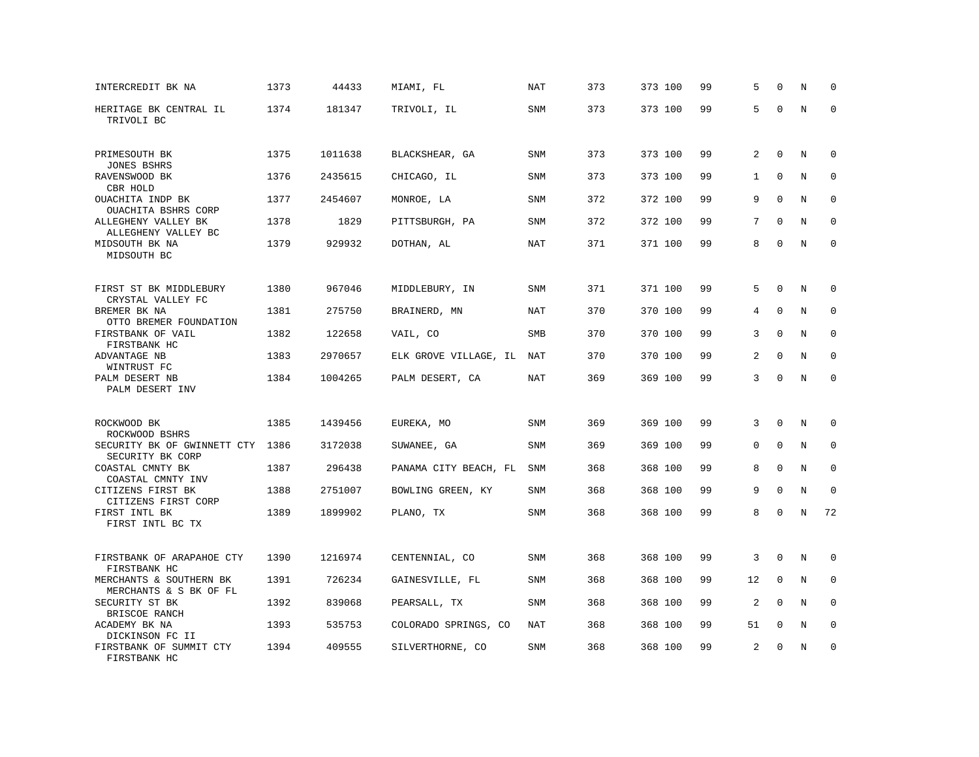| INTERCREDIT BK NA                                           | 1373 | 44433   | MIAMI, FL             | NAT        | 373 | 373 100 | 99 | 5              | $\mathbf 0$  | N           | $\Omega$    |
|-------------------------------------------------------------|------|---------|-----------------------|------------|-----|---------|----|----------------|--------------|-------------|-------------|
| HERITAGE BK CENTRAL IL<br>TRIVOLI BC                        | 1374 | 181347  | TRIVOLI, IL           | SNM        | 373 | 373 100 | 99 | 5              | $\Omega$     | $\rm N$     | $\mathbf 0$ |
| PRIMESOUTH BK<br><b>JONES BSHRS</b>                         | 1375 | 1011638 | BLACKSHEAR, GA        | SNM        | 373 | 373 100 | 99 | $\overline{a}$ | $\mathbf 0$  | N           | $\mathbf 0$ |
| RAVENSWOOD BK                                               | 1376 | 2435615 | CHICAGO, IL           | <b>SNM</b> | 373 | 373 100 | 99 | $\mathbf{1}$   | $\Omega$     | N           | $\Omega$    |
| CBR HOLD<br>OUACHITA INDP BK<br>OUACHITA BSHRS CORP         | 1377 | 2454607 | MONROE, LA            | SNM        | 372 | 372 100 | 99 | 9              | $\Omega$     | N           | $\mathbf 0$ |
| ALLEGHENY VALLEY BK<br>ALLEGHENY VALLEY BC                  | 1378 | 1829    | PITTSBURGH, PA        | <b>SNM</b> | 372 | 372 100 | 99 | 7              | $\Omega$     | N           | $\mathbf 0$ |
| MIDSOUTH BK NA<br>MIDSOUTH BC                               | 1379 | 929932  | DOTHAN, AL            | <b>NAT</b> | 371 | 371 100 | 99 | 8              | $\Omega$     | N           | $\mathbf 0$ |
| FIRST ST BK MIDDLEBURY                                      | 1380 | 967046  | MIDDLEBURY, IN        | <b>SNM</b> | 371 | 371 100 | 99 | 5              | $\Omega$     | N           | $\mathbf 0$ |
| CRYSTAL VALLEY FC<br>BREMER BK NA<br>OTTO BREMER FOUNDATION | 1381 | 275750  | BRAINERD, MN          | NAT        | 370 | 370 100 | 99 | 4              | $\mathbf 0$  | N           | $\mathbf 0$ |
| FIRSTBANK OF VAIL<br>FIRSTBANK HC                           | 1382 | 122658  | VAIL, CO              | <b>SMB</b> | 370 | 370 100 | 99 | 3              | $\Omega$     | N           | $\mathbf 0$ |
| ADVANTAGE NB<br>WINTRUST FC                                 | 1383 | 2970657 | ELK GROVE VILLAGE, IL | NAT        | 370 | 370 100 | 99 | 2              | $\mathbf{0}$ | N           | $\mathbf 0$ |
| PALM DESERT NB<br>PALM DESERT INV                           | 1384 | 1004265 | PALM DESERT, CA       | <b>NAT</b> | 369 | 369 100 | 99 | 3              | $\Omega$     | N           | $\mathbf 0$ |
| ROCKWOOD BK                                                 | 1385 | 1439456 | EUREKA, MO            | SNM        | 369 | 369 100 | 99 | 3              | $\mathbf{0}$ | N           | $\mathbf 0$ |
| ROCKWOOD BSHRS<br>SECURITY BK OF GWINNETT CTY               | 1386 | 3172038 | SUWANEE, GA           | <b>SNM</b> | 369 | 369 100 | 99 | $\Omega$       | $\Omega$     | N           | $\mathbf 0$ |
| SECURITY BK CORP<br>COASTAL CMNTY BK<br>COASTAL CMNTY INV   | 1387 | 296438  | PANAMA CITY BEACH, FL | SNM        | 368 | 368 100 | 99 | 8              | $\mathbf{0}$ | N           | 0           |
| CITIZENS FIRST BK<br>CITIZENS FIRST CORP                    | 1388 | 2751007 | BOWLING GREEN, KY     | <b>SNM</b> | 368 | 368 100 | 99 | 9              | $\mathbf{0}$ | $\mathbf N$ | $\mathbf 0$ |
| FIRST INTL BK<br>FIRST INTL BC TX                           | 1389 | 1899902 | PLANO, TX             | SNM        | 368 | 368 100 | 99 | 8              | $\Omega$     | N           | 72          |
| FIRSTBANK OF ARAPAHOE CTY<br>FIRSTBANK HC                   | 1390 | 1216974 | CENTENNIAL, CO        | <b>SNM</b> | 368 | 368 100 | 99 | 3              | $\Omega$     | N           | 0           |
| MERCHANTS & SOUTHERN BK                                     | 1391 | 726234  | GAINESVILLE, FL       | SNM        | 368 | 368 100 | 99 | 12             | $\mathbf{0}$ | N           | $\mathbf 0$ |
| MERCHANTS & S BK OF FL<br>SECURITY ST BK<br>BRISCOE RANCH   | 1392 | 839068  | PEARSALL, TX          | SNM        | 368 | 368 100 | 99 | $\overline{a}$ | $\Omega$     | N           | $\Omega$    |
| ACADEMY BK NA<br>DICKINSON FC II                            | 1393 | 535753  | COLORADO SPRINGS, CO  | NAT        | 368 | 368 100 | 99 | 51             | $\mathbf 0$  | N           | 0           |
| FIRSTBANK OF SUMMIT CTY<br>FIRSTBANK HC                     | 1394 | 409555  | SILVERTHORNE, CO      | <b>SNM</b> | 368 | 368 100 | 99 | 2              | $\Omega$     | N           | $\mathbf 0$ |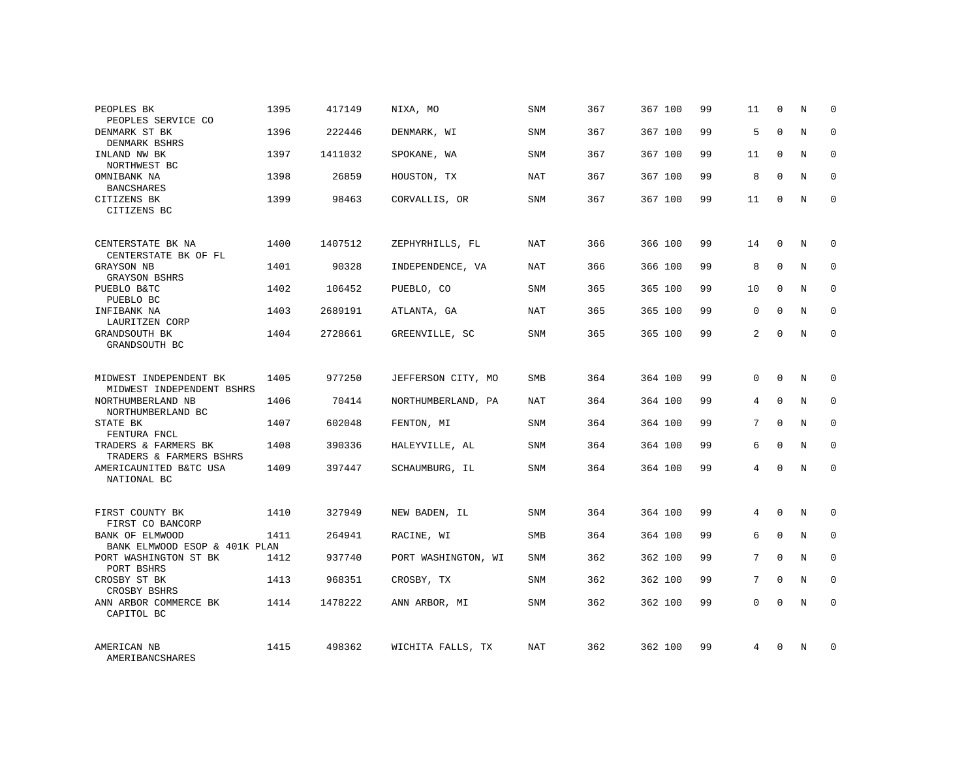| PEOPLES BK                                          | 1395 | 417149  | NIXA, MO            | <b>SNM</b> | 367 | 367 100 | 99 | 11             | $\mathbf 0$ | N | $\mathbf 0$ |
|-----------------------------------------------------|------|---------|---------------------|------------|-----|---------|----|----------------|-------------|---|-------------|
| PEOPLES SERVICE CO<br>DENMARK ST BK                 | 1396 | 222446  | DENMARK, WI         | <b>SNM</b> | 367 | 367 100 | 99 | 5              | $\Omega$    | N | $\Omega$    |
| DENMARK BSHRS<br>INLAND NW BK<br>NORTHWEST BC       | 1397 | 1411032 | SPOKANE, WA         | SNM        | 367 | 367 100 | 99 | 11             | $\mathbf 0$ | N | $\mathbf 0$ |
| OMNIBANK NA<br><b>BANCSHARES</b>                    | 1398 | 26859   | HOUSTON, TX         | NAT        | 367 | 367 100 | 99 | 8              | $\Omega$    | N | $\mathbf 0$ |
| CITIZENS BK<br>CITIZENS BC                          | 1399 | 98463   | CORVALLIS, OR       | <b>SNM</b> | 367 | 367 100 | 99 | 11             | $\Omega$    | N | $\Omega$    |
| CENTERSTATE BK NA                                   | 1400 | 1407512 | ZEPHYRHILLS, FL     | NAT        | 366 | 366 100 | 99 | 14             | $\Omega$    | N | $\mathbf 0$ |
| CENTERSTATE BK OF FL<br>GRAYSON NB                  | 1401 | 90328   | INDEPENDENCE, VA    | NAT        | 366 | 366 100 | 99 | 8              | $\mathbf 0$ | N | $\mathbf 0$ |
| <b>GRAYSON BSHRS</b><br>PUEBLO B&TC                 | 1402 | 106452  | PUEBLO, CO          | <b>SNM</b> | 365 | 365 100 | 99 | 10             | $\Omega$    | N | $\mathbf 0$ |
| PUEBLO BC<br>INFIBANK NA                            | 1403 | 2689191 | ATLANTA, GA         | <b>NAT</b> | 365 | 365 100 | 99 | $\mathbf 0$    | $\mathbf 0$ | N | 0           |
| LAURITZEN CORP<br>GRANDSOUTH BK<br>GRANDSOUTH BC    | 1404 | 2728661 | GREENVILLE, SC      | <b>SNM</b> | 365 | 365 100 | 99 | $\overline{a}$ | $\Omega$    | N | $\mathbf 0$ |
|                                                     |      |         |                     |            |     |         |    |                |             |   |             |
| MIDWEST INDEPENDENT BK<br>MIDWEST INDEPENDENT BSHRS | 1405 | 977250  | JEFFERSON CITY, MO  | SMB        | 364 | 364 100 | 99 | 0              | $\Omega$    | N | $\mathbf 0$ |
| NORTHUMBERLAND NB<br>NORTHUMBERLAND BC              | 1406 | 70414   | NORTHUMBERLAND, PA  | <b>NAT</b> | 364 | 364 100 | 99 | 4              | $\Omega$    | N | $\mathbf 0$ |
| STATE BK<br>FENTURA FNCL                            | 1407 | 602048  | FENTON, MI          | SNM        | 364 | 364 100 | 99 | 7              | $\Omega$    | N | $\mathbf 0$ |
| TRADERS & FARMERS BK<br>TRADERS & FARMERS BSHRS     | 1408 | 390336  | HALEYVILLE, AL      | <b>SNM</b> | 364 | 364 100 | 99 | 6              | $\Omega$    | N | $\mathbf 0$ |
| AMERICAUNITED B&TC USA<br>NATIONAL BC               | 1409 | 397447  | SCHAUMBURG, IL      | SNM        | 364 | 364 100 | 99 | 4              | $\mathbf 0$ | N | $\mathbf 0$ |
| FIRST COUNTY BK                                     | 1410 | 327949  |                     | <b>SNM</b> | 364 | 364 100 | 99 | 4              | $\mathbf 0$ | N | $\mathbf 0$ |
| FIRST CO BANCORP                                    |      |         | NEW BADEN, IL       |            |     |         |    |                |             |   |             |
| BANK OF ELMWOOD<br>BANK ELMWOOD ESOP & 401K PLAN    | 1411 | 264941  | RACINE, WI          | <b>SMB</b> | 364 | 364 100 | 99 | 6              | $\mathbf 0$ | N | 0           |
| PORT WASHINGTON ST BK<br>PORT BSHRS                 | 1412 | 937740  | PORT WASHINGTON, WI | <b>SNM</b> | 362 | 362 100 | 99 | 7              | $\Omega$    | N | $\mathbf 0$ |
| CROSBY ST BK<br>CROSBY BSHRS                        | 1413 | 968351  | CROSBY, TX          | SNM        | 362 | 362 100 | 99 | 7              | $\Omega$    | N | 0           |
| ANN ARBOR COMMERCE BK<br>CAPITOL BC                 | 1414 | 1478222 | ANN ARBOR, MI       | <b>SNM</b> | 362 | 362 100 | 99 | $\Omega$       | $\Omega$    | N | $\mathbf 0$ |
| AMERICAN NB<br>AMERIBANCSHARES                      | 1415 | 498362  | WICHITA FALLS, TX   | NAT        | 362 | 362 100 | 99 | 4              | $\Omega$    | N | $\mathbf 0$ |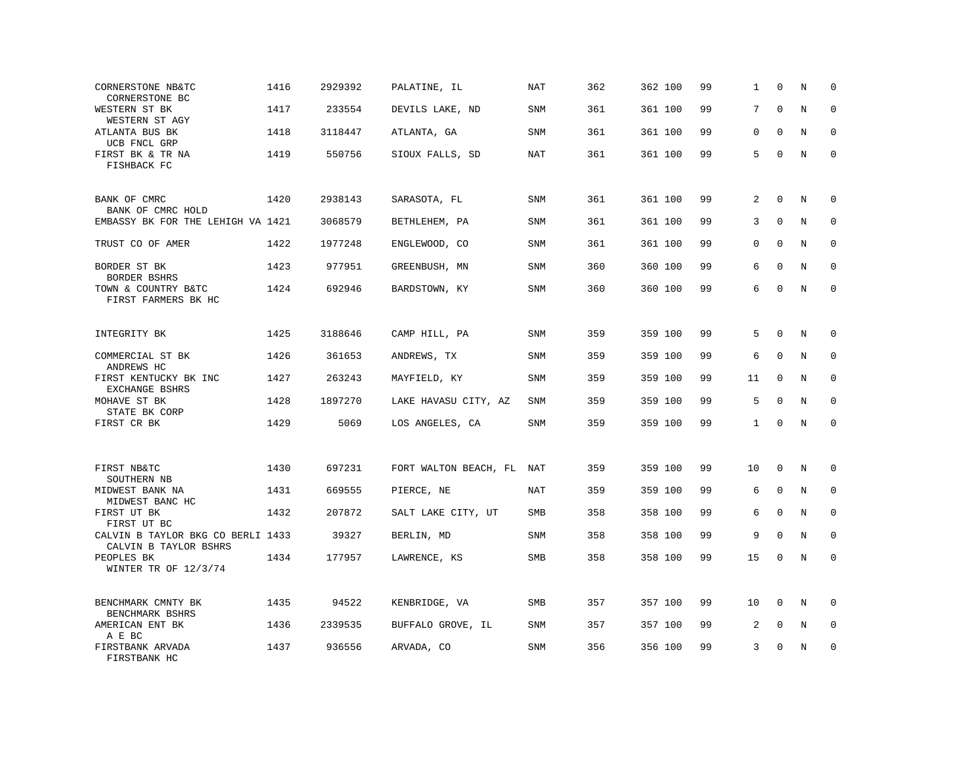| CORNERSTONE NB&TC<br>CORNERSTONE BC                        | 1416 | 2929392 | PALATINE, IL          | <b>NAT</b> | 362 | 362 100 | 99 | 1            | $\mathbf 0$  | N | $\mathbf 0$  |
|------------------------------------------------------------|------|---------|-----------------------|------------|-----|---------|----|--------------|--------------|---|--------------|
| WESTERN ST BK<br>WESTERN ST AGY                            | 1417 | 233554  | DEVILS LAKE, ND       | <b>SNM</b> | 361 | 361 100 | 99 | 7            | $\Omega$     | N | $\Omega$     |
| ATLANTA BUS BK<br>UCB FNCL GRP                             | 1418 | 3118447 | ATLANTA, GA           | <b>SNM</b> | 361 | 361 100 | 99 | $\mathbf 0$  | $\Omega$     | N | $\mathbf 0$  |
| FIRST BK & TR NA<br>FISHBACK FC                            | 1419 | 550756  | SIOUX FALLS, SD       | NAT        | 361 | 361 100 | 99 | 5            | $\Omega$     | N | $\mathbf{0}$ |
| BANK OF CMRC<br>BANK OF CMRC HOLD                          | 1420 | 2938143 | SARASOTA, FL          | <b>SNM</b> | 361 | 361 100 | 99 | 2            | $\Omega$     | N | $\Omega$     |
| EMBASSY BK FOR THE LEHIGH VA 1421                          |      | 3068579 | BETHLEHEM, PA         | <b>SNM</b> | 361 | 361 100 | 99 | 3            | $\mathbf{0}$ | N | 0            |
| TRUST CO OF AMER                                           | 1422 | 1977248 | ENGLEWOOD, CO         | <b>SNM</b> | 361 | 361 100 | 99 | $\Omega$     | $\Omega$     | N | $\mathbf{0}$ |
| BORDER ST BK<br>BORDER BSHRS                               | 1423 | 977951  | GREENBUSH, MN         | <b>SNM</b> | 360 | 360 100 | 99 | 6            | $\Omega$     | N | $\mathbf 0$  |
| TOWN & COUNTRY B&TC<br>FIRST FARMERS BK HC                 | 1424 | 692946  | BARDSTOWN, KY         | <b>SNM</b> | 360 | 360 100 | 99 | 6            | $\Omega$     | N | $\mathbf 0$  |
| INTEGRITY BK                                               | 1425 | 3188646 | CAMP HILL, PA         | <b>SNM</b> | 359 | 359 100 | 99 | 5            | $\mathbf 0$  | N | 0            |
| COMMERCIAL ST BK<br>ANDREWS HC                             | 1426 | 361653  | ANDREWS, TX           | <b>SNM</b> | 359 | 359 100 | 99 | 6            | $\mathbf{0}$ | N | $\mathbf 0$  |
| FIRST KENTUCKY BK INC<br>EXCHANGE BSHRS                    | 1427 | 263243  | MAYFIELD, KY          | SNM        | 359 | 359 100 | 99 | 11           | $\Omega$     | N | $\mathbf 0$  |
| MOHAVE ST BK<br>STATE BK CORP                              | 1428 | 1897270 | LAKE HAVASU CITY, AZ  | <b>SNM</b> | 359 | 359 100 | 99 | 5            | $\Omega$     | N | $\mathbf 0$  |
| FIRST CR BK                                                | 1429 | 5069    | LOS ANGELES, CA       | SNM        | 359 | 359 100 | 99 | $\mathbf{1}$ | $\Omega$     | N | $\mathbf 0$  |
| FIRST NB&TC<br>SOUTHERN NB                                 | 1430 | 697231  | FORT WALTON BEACH, FL | NAT        | 359 | 359 100 | 99 | 10           | $\mathbf 0$  | N | $\mathbf 0$  |
| MIDWEST BANK NA<br>MIDWEST BANC HC                         | 1431 | 669555  | PIERCE, NE            | NAT        | 359 | 359 100 | 99 | 6            | $\mathbf 0$  | N | 0            |
| FIRST UT BK<br>FIRST UT BC                                 | 1432 | 207872  | SALT LAKE CITY, UT    | <b>SMB</b> | 358 | 358 100 | 99 | 6            | $\mathbf 0$  | N | $\mathbf 0$  |
| CALVIN B TAYLOR BKG CO BERLI 1433<br>CALVIN B TAYLOR BSHRS |      | 39327   | BERLIN, MD            | <b>SNM</b> | 358 | 358 100 | 99 | 9            | $\mathbf{0}$ | N | $\mathbf 0$  |
| PEOPLES BK<br>WINTER TR OF $12/3/74$                       | 1434 | 177957  | LAWRENCE, KS          | SMB        | 358 | 358 100 | 99 | 15           | $\mathbf 0$  | N | $\mathbf 0$  |
| BENCHMARK CMNTY BK<br>BENCHMARK BSHRS                      | 1435 | 94522   | KENBRIDGE, VA         | SMB        | 357 | 357 100 | 99 | 10           | $\Omega$     | N | $\Omega$     |
| AMERICAN ENT BK<br>A E BC                                  | 1436 | 2339535 | BUFFALO GROVE, IL     | <b>SNM</b> | 357 | 357 100 | 99 | 2            | $\mathbf{0}$ | N | $\mathbf 0$  |
| FIRSTBANK ARVADA<br>FIRSTBANK HC                           | 1437 | 936556  | ARVADA, CO            | <b>SNM</b> | 356 | 356 100 | 99 | 3            | $\mathbf 0$  | N | $\mathbf 0$  |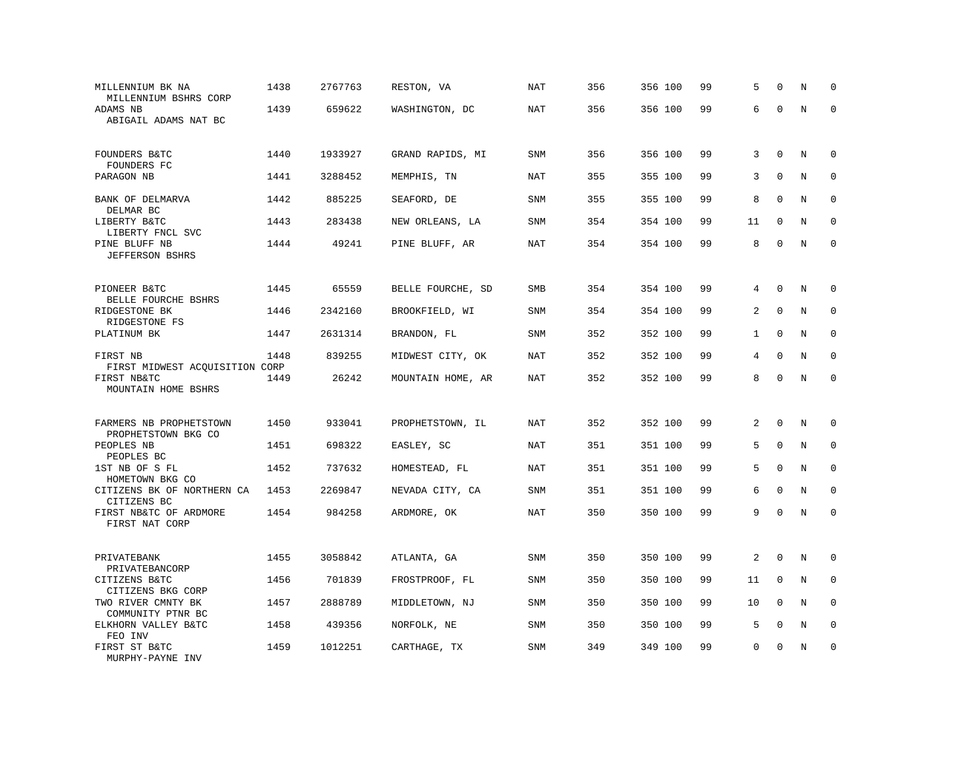| MILLENNIUM BK NA<br>MILLENNIUM BSHRS CORP                    | 1438 | 2767763 | RESTON, VA        | NAT        | 356 | 356 100 | 99 | 5            | $\mathbf 0$  | N           | $\mathbf 0$ |
|--------------------------------------------------------------|------|---------|-------------------|------------|-----|---------|----|--------------|--------------|-------------|-------------|
| ADAMS NB<br>ABIGAIL ADAMS NAT BC                             | 1439 | 659622  | WASHINGTON, DC    | <b>NAT</b> | 356 | 356 100 | 99 | 6            | $\Omega$     | $\rm N$     | $\mathbf 0$ |
| FOUNDERS B&TC<br>FOUNDERS FC                                 | 1440 | 1933927 | GRAND RAPIDS, MI  | SNM        | 356 | 356 100 | 99 | 3            | $\mathbf 0$  | N           | 0           |
| PARAGON NB                                                   | 1441 | 3288452 | MEMPHIS, TN       | <b>NAT</b> | 355 | 355 100 | 99 | 3            | $\mathbf 0$  | N           | $\mathbf 0$ |
| BANK OF DELMARVA<br>DELMAR BC                                | 1442 | 885225  | SEAFORD, DE       | <b>SNM</b> | 355 | 355 100 | 99 | 8            | $\Omega$     | N           | $\mathbf 0$ |
| LIBERTY B&TC<br>LIBERTY FNCL SVC                             | 1443 | 283438  | NEW ORLEANS, LA   | SNM        | 354 | 354 100 | 99 | 11           | $\mathbf 0$  | N           | $\mathbf 0$ |
| PINE BLUFF NB<br><b>JEFFERSON BSHRS</b>                      | 1444 | 49241   | PINE BLUFF, AR    | <b>NAT</b> | 354 | 354 100 | 99 | 8            | $\Omega$     | $\mathbf N$ | $\mathbf 0$ |
| PIONEER B&TC                                                 | 1445 | 65559   | BELLE FOURCHE, SD | SMB        | 354 | 354 100 | 99 | 4            | $\mathbf{0}$ | N           | $\mathbf 0$ |
| BELLE FOURCHE BSHRS<br>RIDGESTONE BK                         | 1446 | 2342160 | BROOKFIELD, WI    | <b>SNM</b> | 354 | 354 100 | 99 | 2            | $\mathbf{0}$ | N           | $\mathbf 0$ |
| RIDGESTONE FS<br>PLATINUM BK                                 | 1447 | 2631314 | BRANDON, FL       | <b>SNM</b> | 352 | 352 100 | 99 | $\mathbf{1}$ | $\Omega$     | N           | $\mathbf 0$ |
| FIRST NB<br>FIRST MIDWEST ACQUISITION CORP                   | 1448 | 839255  | MIDWEST CITY, OK  | <b>NAT</b> | 352 | 352 100 | 99 | 4            | $\mathbf{0}$ | N           | $\mathbf 0$ |
| FIRST NB&TC<br>MOUNTAIN HOME BSHRS                           | 1449 | 26242   | MOUNTAIN HOME, AR | <b>NAT</b> | 352 | 352 100 | 99 | 8            | $\Omega$     | $\rm N$     | $\mathbf 0$ |
| FARMERS NB PROPHETSTOWN                                      | 1450 | 933041  | PROPHETSTOWN, IL  | NAT        | 352 | 352 100 | 99 | 2            | $\mathbf{0}$ | N           | $\mathbf 0$ |
| PROPHETSTOWN BKG CO<br>PEOPLES NB                            | 1451 | 698322  | EASLEY, SC        | NAT        | 351 | 351 100 | 99 | 5            | $\Omega$     | N           | $\Omega$    |
| PEOPLES BC<br>1ST NB OF S FL                                 | 1452 | 737632  | HOMESTEAD, FL     | NAT        | 351 | 351 100 | 99 | 5            | $\Omega$     | N           | $\mathbf 0$ |
| HOMETOWN BKG CO<br>CITIZENS BK OF NORTHERN CA<br>CITIZENS BC | 1453 | 2269847 | NEVADA CITY, CA   | <b>SNM</b> | 351 | 351 100 | 99 | 6            | $\mathbf 0$  | N           | $\mathbf 0$ |
| FIRST NB&TC OF ARDMORE<br>FIRST NAT CORP                     | 1454 | 984258  | ARDMORE, OK       | <b>NAT</b> | 350 | 350 100 | 99 | 9            | $\mathbf 0$  | N           | $\mathbf 0$ |
| PRIVATEBANK<br>PRIVATEBANCORP                                | 1455 | 3058842 | ATLANTA, GA       | <b>SNM</b> | 350 | 350 100 | 99 | 2            | $\mathbf 0$  | N           | $\mathbf 0$ |
| CITIZENS B&TC<br>CITIZENS BKG CORP                           | 1456 | 701839  | FROSTPROOF, FL    | <b>SNM</b> | 350 | 350 100 | 99 | 11           | $\mathbf 0$  | N           | $\mathbf 0$ |
| TWO RIVER CMNTY BK<br>COMMUNITY PTNR BC                      | 1457 | 2888789 | MIDDLETOWN, NJ    | SNM        | 350 | 350 100 | 99 | 10           | $\Omega$     | N           | 0           |
| ELKHORN VALLEY B&TC<br>FEO INV                               | 1458 | 439356  | NORFOLK, NE       | <b>SNM</b> | 350 | 350 100 | 99 | 5            | $\mathbf 0$  | N           | $\mathbf 0$ |
| FIRST ST B&TC<br>MURPHY-PAYNE INV                            | 1459 | 1012251 | CARTHAGE, TX      | <b>SNM</b> | 349 | 349 100 | 99 | $\Omega$     | $\Omega$     | N           | $\mathbf 0$ |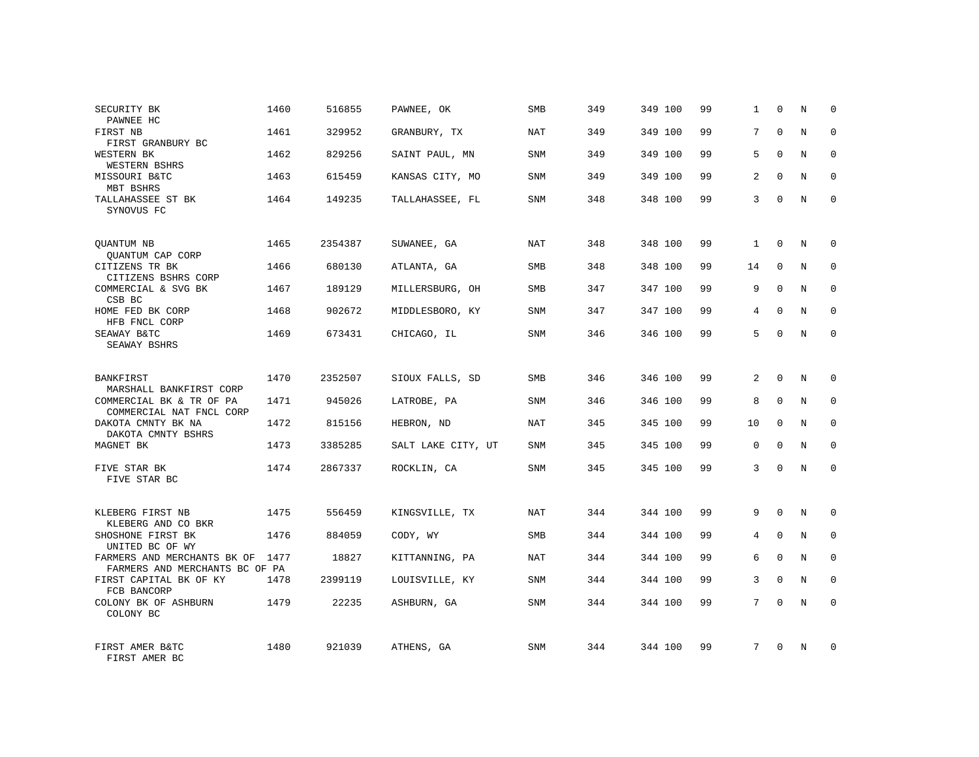| SECURITY BK<br>PAWNEE HC                                      | 1460 | 516855  | PAWNEE, OK         | <b>SMB</b> | 349 | 349 100 | 99 | 1              | $\Omega$     | N          | $\Omega$    |
|---------------------------------------------------------------|------|---------|--------------------|------------|-----|---------|----|----------------|--------------|------------|-------------|
| FIRST NB<br>FIRST GRANBURY BC                                 | 1461 | 329952  | GRANBURY, TX       | NAT        | 349 | 349 100 | 99 | 7              | $\Omega$     | N          | $\Omega$    |
| WESTERN BK<br>WESTERN BSHRS                                   | 1462 | 829256  | SAINT PAUL, MN     | SNM        | 349 | 349 100 | 99 | 5              | $\Omega$     | N          | $\Omega$    |
| MISSOURI B&TC<br>MBT BSHRS                                    | 1463 | 615459  | KANSAS CITY, MO    | <b>SNM</b> | 349 | 349 100 | 99 | $\overline{2}$ | $\Omega$     | N          | $\Omega$    |
| TALLAHASSEE ST BK<br>SYNOVUS FC                               | 1464 | 149235  | TALLAHASSEE, FL    | <b>SNM</b> | 348 | 348 100 | 99 | 3              | $\Omega$     | N          | $\Omega$    |
| QUANTUM NB<br>QUANTUM CAP CORP                                | 1465 | 2354387 | SUWANEE, GA        | NAT        | 348 | 348 100 | 99 | $\mathbf{1}$   | $\mathbf 0$  | N          | $\mathbf 0$ |
| CITIZENS TR BK<br>CITIZENS BSHRS CORP                         | 1466 | 680130  | ATLANTA, GA        | <b>SMB</b> | 348 | 348 100 | 99 | 14             | $\Omega$     | N          | $\mathbf 0$ |
| COMMERCIAL & SVG BK<br>CSB BC                                 | 1467 | 189129  | MILLERSBURG, OH    | <b>SMB</b> | 347 | 347 100 | 99 | 9              | $\Omega$     | N          | $\mathbf 0$ |
| HOME FED BK CORP<br>HFB FNCL CORP                             | 1468 | 902672  | MIDDLESBORO, KY    | <b>SNM</b> | 347 | 347 100 | 99 | 4              | $\Omega$     | N          | $\mathbf 0$ |
| SEAWAY B&TC<br>SEAWAY BSHRS                                   | 1469 | 673431  | CHICAGO, IL        | SNM        | 346 | 346 100 | 99 | 5              | $\mathbf 0$  | N          | $\mathbf 0$ |
| <b>BANKFIRST</b><br>MARSHALL BANKFIRST CORP                   | 1470 | 2352507 | SIOUX FALLS, SD    | <b>SMB</b> | 346 | 346 100 | 99 | $\overline{a}$ | $\Omega$     | $_{\rm N}$ | $\Omega$    |
| COMMERCIAL BK & TR OF PA<br>COMMERCIAL NAT FNCL CORP          | 1471 | 945026  | LATROBE, PA        | <b>SNM</b> | 346 | 346 100 | 99 | 8              | $\mathbf 0$  | N          | $\mathbf 0$ |
| DAKOTA CMNTY BK NA<br>DAKOTA CMNTY BSHRS                      | 1472 | 815156  | HEBRON, ND         | NAT        | 345 | 345 100 | 99 | 10             | $\Omega$     | N          | $\Omega$    |
| MAGNET BK                                                     | 1473 | 3385285 | SALT LAKE CITY, UT | <b>SNM</b> | 345 | 345 100 | 99 | $\mathbf 0$    | $\Omega$     | N          | 0           |
| FIVE STAR BK<br>FIVE STAR BC                                  | 1474 | 2867337 | ROCKLIN, CA        | SNM        | 345 | 345 100 | 99 | 3              | $\Omega$     | $_{\rm N}$ | $\Omega$    |
| KLEBERG FIRST NB<br>KLEBERG AND CO BKR                        | 1475 | 556459  | KINGSVILLE, TX     | NAT        | 344 | 344 100 | 99 | 9              | $\Omega$     | N          | $\mathbf 0$ |
| SHOSHONE FIRST BK<br>UNITED BC OF WY                          | 1476 | 884059  | CODY, WY           | SMB        | 344 | 344 100 | 99 | 4              | $\mathbf{0}$ | N          | 0           |
| FARMERS AND MERCHANTS BK OF<br>FARMERS AND MERCHANTS BC OF PA | 1477 | 18827   | KITTANNING, PA     | NAT        | 344 | 344 100 | 99 | 6              | $\Omega$     | N          | $\mathbf 0$ |
| FIRST CAPITAL BK OF KY<br>FCB BANCORP                         | 1478 | 2399119 | LOUISVILLE, KY     | SNM        | 344 | 344 100 | 99 | 3              | $\mathbf{0}$ | N          | 0           |
| COLONY BK OF ASHBURN<br>COLONY BC                             | 1479 | 22235   | ASHBURN, GA        | <b>SNM</b> | 344 | 344 100 | 99 | 7              | $\Omega$     | N          | $\mathbf 0$ |
| FIRST AMER B&TC<br>FIRST AMER BC                              | 1480 | 921039  | ATHENS, GA         | <b>SNM</b> | 344 | 344 100 | 99 | 7              | $\Omega$     | N          | $\mathbf 0$ |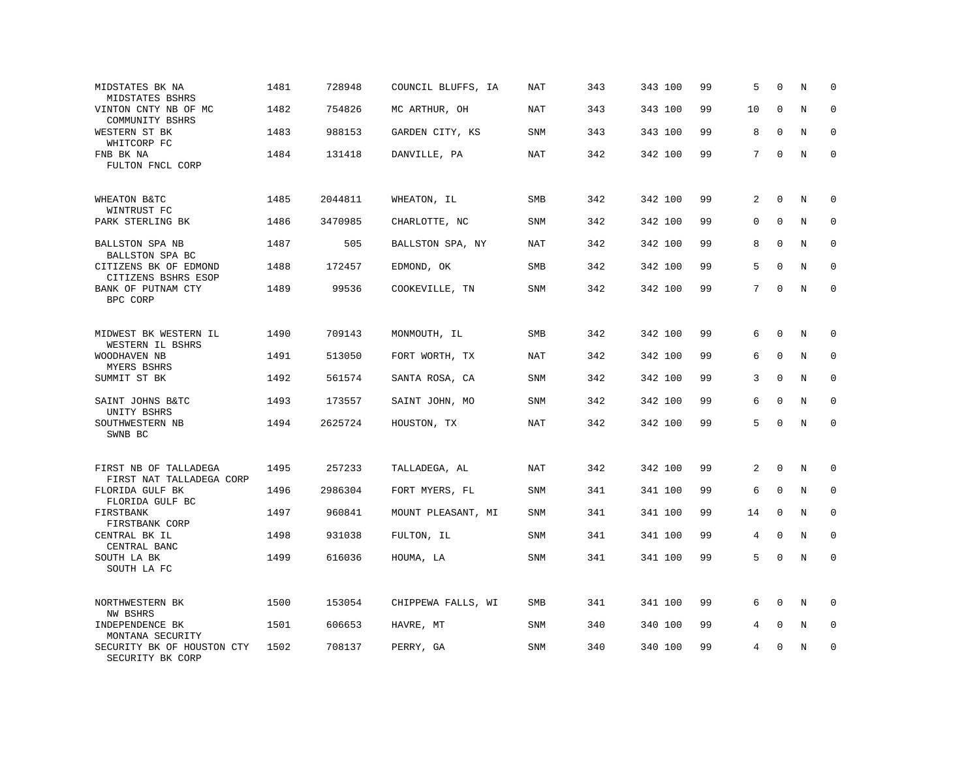| MIDSTATES BK NA<br>MIDSTATES BSHRS                | 1481 | 728948  | COUNCIL BLUFFS, IA | <b>NAT</b> | 343 | 343 100 | 99 | 5           | $\Omega$     | N          | $\mathbf 0$ |
|---------------------------------------------------|------|---------|--------------------|------------|-----|---------|----|-------------|--------------|------------|-------------|
| VINTON CNTY NB OF MC<br>COMMUNITY BSHRS           | 1482 | 754826  | MC ARTHUR, OH      | NAT        | 343 | 343 100 | 99 | 10          | $\mathbf 0$  | N          | $\mathbf 0$ |
| WESTERN ST BK<br>WHITCORP FC                      | 1483 | 988153  | GARDEN CITY, KS    | <b>SNM</b> | 343 | 343 100 | 99 | 8           | $\Omega$     | N          | $\mathbf 0$ |
| FNB BK NA<br>FULTON FNCL CORP                     | 1484 | 131418  | DANVILLE, PA       | <b>NAT</b> | 342 | 342 100 | 99 | 7           | $\mathbf 0$  | N          | $\mathbf 0$ |
| WHEATON B&TC<br>WINTRUST FC                       | 1485 | 2044811 | WHEATON, IL        | SMB        | 342 | 342 100 | 99 | 2           | $\Omega$     | N          | 0           |
| PARK STERLING BK                                  | 1486 | 3470985 | CHARLOTTE, NC      | <b>SNM</b> | 342 | 342 100 | 99 | 0           | $\mathbf{0}$ | N          | $\mathbf 0$ |
| BALLSTON SPA NB<br>BALLSTON SPA BC                | 1487 | 505     | BALLSTON SPA, NY   | <b>NAT</b> | 342 | 342 100 | 99 | 8           | $\Omega$     | N          | $\Omega$    |
| CITIZENS BK OF EDMOND<br>CITIZENS BSHRS ESOP      | 1488 | 172457  | EDMOND, OK         | <b>SMB</b> | 342 | 342 100 | 99 | 5           | $\mathbf 0$  | N          | $\mathbf 0$ |
| BANK OF PUTNAM CTY<br>BPC CORP                    | 1489 | 99536   | COOKEVILLE, TN     | SNM        | 342 | 342 100 | 99 | $7^{\circ}$ | $\Omega$     | $_{\rm N}$ | $\Omega$    |
| MIDWEST BK WESTERN IL<br>WESTERN IL BSHRS         | 1490 | 709143  | MONMOUTH, IL       | SMB        | 342 | 342 100 | 99 | 6           | $\mathbf 0$  | N          | $\mathbf 0$ |
| WOODHAVEN NB<br>MYERS BSHRS                       | 1491 | 513050  | FORT WORTH, TX     | NAT        | 342 | 342 100 | 99 | 6           | $\Omega$     | N          | $\mathbf 0$ |
| SUMMIT ST BK                                      | 1492 | 561574  | SANTA ROSA, CA     | <b>SNM</b> | 342 | 342 100 | 99 | 3           | $\mathbf 0$  | N          | $\mathbf 0$ |
| SAINT JOHNS B&TC<br>UNITY BSHRS                   | 1493 | 173557  | SAINT JOHN, MO     | <b>SNM</b> | 342 | 342 100 | 99 | 6           | $\Omega$     | N          | $\mathbf 0$ |
| SOUTHWESTERN NB<br>SWNB BC                        | 1494 | 2625724 | HOUSTON, TX        | NAT        | 342 | 342 100 | 99 | 5           | $\Omega$     | $\rm N$    | $\mathbf 0$ |
| FIRST NB OF TALLADEGA<br>FIRST NAT TALLADEGA CORP | 1495 | 257233  | TALLADEGA, AL      | <b>NAT</b> | 342 | 342 100 | 99 | 2           | $\mathbf 0$  | N          | 0           |
| FLORIDA GULF BK<br>FLORIDA GULF BC                | 1496 | 2986304 | FORT MYERS, FL     | <b>SNM</b> | 341 | 341 100 | 99 | 6           | $\mathbf 0$  | N          | $\mathbf 0$ |
| FIRSTBANK<br>FIRSTBANK CORP                       | 1497 | 960841  | MOUNT PLEASANT, MI | SNM        | 341 | 341 100 | 99 | 14          | $\Omega$     | N          | $\mathbf 0$ |
| CENTRAL BK IL<br>CENTRAL BANC                     | 1498 | 931038  | FULTON, IL         | <b>SNM</b> | 341 | 341 100 | 99 | 4           | $\mathbf 0$  | N          | $\mathbf 0$ |
| SOUTH LA BK<br>SOUTH LA FC                        | 1499 | 616036  | HOUMA, LA          | <b>SNM</b> | 341 | 341 100 | 99 | 5           | $\Omega$     | N          | $\mathbf 0$ |
| NORTHWESTERN BK<br>NW BSHRS                       | 1500 | 153054  | CHIPPEWA FALLS, WI | <b>SMB</b> | 341 | 341 100 | 99 | 6           | $\mathbf 0$  | N          | $\mathbf 0$ |
| INDEPENDENCE BK<br>MONTANA SECURITY               | 1501 | 606653  | HAVRE, MT          | <b>SNM</b> | 340 | 340 100 | 99 | 4           | $\mathbf 0$  | N          | $\mathbf 0$ |
| SECURITY BK OF HOUSTON CTY<br>SECURITY BK CORP    | 1502 | 708137  | PERRY, GA          | <b>SNM</b> | 340 | 340 100 | 99 | 4           | $\Omega$     | N          | $\mathbf 0$ |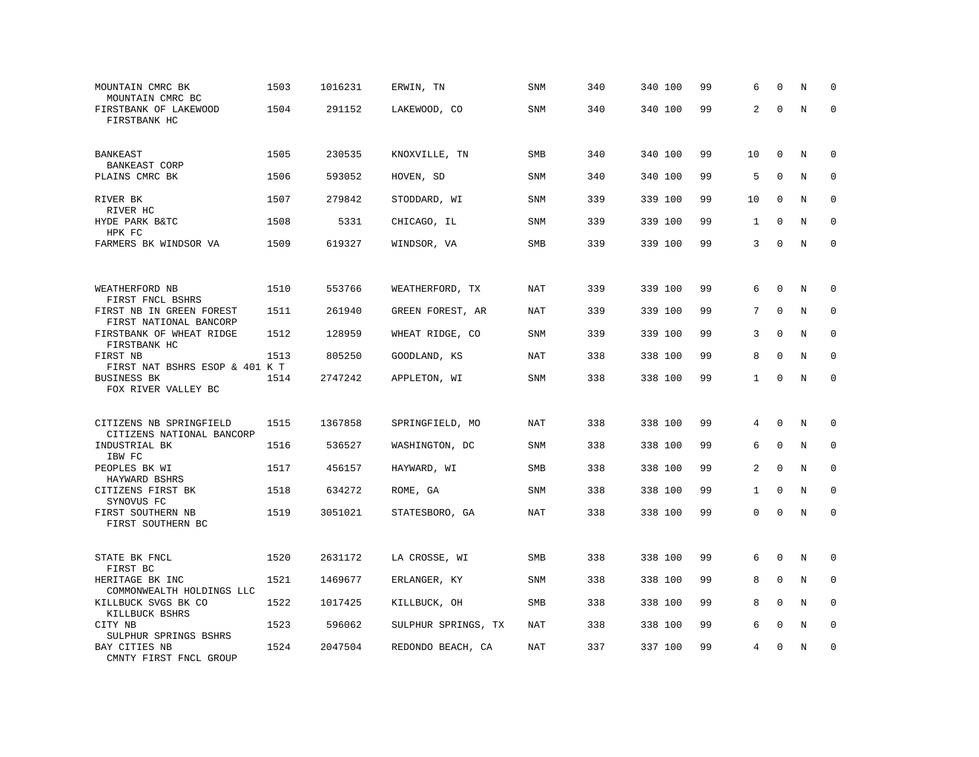| MOUNTAIN CMRC BK<br>MOUNTAIN CMRC BC               | 1503 | 1016231 | ERWIN, TN           | <b>SNM</b> | 340 | 340 100 | 99 | 6              | $\Omega$     | N       | $\mathbf 0$  |
|----------------------------------------------------|------|---------|---------------------|------------|-----|---------|----|----------------|--------------|---------|--------------|
| FIRSTBANK OF LAKEWOOD<br>FIRSTBANK HC              | 1504 | 291152  | LAKEWOOD, CO        | <b>SNM</b> | 340 | 340 100 | 99 | 2              | $\Omega$     | $\rm N$ | $\mathbf 0$  |
| <b>BANKEAST</b><br><b>BANKEAST CORP</b>            | 1505 | 230535  | KNOXVILLE, TN       | SMB        | 340 | 340 100 | 99 | 10             | $\mathbf 0$  | N       | $\mathbf 0$  |
| PLAINS CMRC BK                                     | 1506 | 593052  | HOVEN, SD           | SNM        | 340 | 340 100 | 99 | 5              | $\mathbf 0$  | N       | $\mathbf 0$  |
| RIVER BK<br>RIVER HC                               | 1507 | 279842  | STODDARD, WI        | <b>SNM</b> | 339 | 339 100 | 99 | 10             | $\mathbf 0$  | N       | $\mathbf 0$  |
| HYDE PARK B&TC<br>HPK FC                           | 1508 | 5331    | CHICAGO, IL         | SNM        | 339 | 339 100 | 99 | 1              | $\Omega$     | N       | $\mathbf 0$  |
| FARMERS BK WINDSOR VA                              | 1509 | 619327  | WINDSOR, VA         | SMB        | 339 | 339 100 | 99 | 3              | $\Omega$     | N       | $\mathbf 0$  |
|                                                    |      |         |                     |            |     |         |    |                |              |         |              |
| WEATHERFORD NB<br>FIRST FNCL BSHRS                 | 1510 | 553766  | WEATHERFORD, TX     | <b>NAT</b> | 339 | 339 100 | 99 | 6              | $\mathbf 0$  | N       | 0            |
| FIRST NB IN GREEN FOREST<br>FIRST NATIONAL BANCORP | 1511 | 261940  | GREEN FOREST, AR    | NAT        | 339 | 339 100 | 99 | 7              | $\mathbf 0$  | N       | $\mathbf 0$  |
| FIRSTBANK OF WHEAT RIDGE<br>FIRSTBANK HC           | 1512 | 128959  | WHEAT RIDGE, CO     | <b>SNM</b> | 339 | 339 100 | 99 | 3              | $\mathbf 0$  | N       | $\mathbf 0$  |
| FIRST NB<br>FIRST NAT BSHRS ESOP & 401 K T         | 1513 | 805250  | GOODLAND, KS        | <b>NAT</b> | 338 | 338 100 | 99 | 8              | $\Omega$     | N       | $\Omega$     |
| <b>BUSINESS BK</b><br>FOX RIVER VALLEY BC          | 1514 | 2747242 | APPLETON, WI        | SNM        | 338 | 338 100 | 99 | $\mathbf{1}$   | $\mathbf 0$  | N       | $\mathbf 0$  |
| CITIZENS NB SPRINGFIELD                            | 1515 | 1367858 | SPRINGFIELD, MO     | NAT        | 338 | 338 100 | 99 | 4              | $\Omega$     | Ν       | 0            |
| CITIZENS NATIONAL BANCORP<br>INDUSTRIAL BK         | 1516 | 536527  | WASHINGTON, DC      | <b>SNM</b> | 338 | 338 100 | 99 | 6              | $\mathbf{0}$ | N       | $\mathbf 0$  |
| IBW FC<br>PEOPLES BK WI<br>HAYWARD BSHRS           | 1517 | 456157  | HAYWARD, WI         | <b>SMB</b> | 338 | 338 100 | 99 | $\overline{a}$ | $\Omega$     | N       | $\mathbf 0$  |
| CITIZENS FIRST BK<br>SYNOVUS FC                    | 1518 | 634272  | ROME, GA            | <b>SNM</b> | 338 | 338 100 | 99 | $\mathbf{1}$   | $\mathbf{0}$ | N       | $\mathbf{0}$ |
| FIRST SOUTHERN NB<br>FIRST SOUTHERN BC             | 1519 | 3051021 | STATESBORO, GA      | <b>NAT</b> | 338 | 338 100 | 99 | 0              | $\mathbf 0$  | N       | $\mathbf 0$  |
| STATE BK FNCL<br>FIRST BC                          | 1520 | 2631172 | LA CROSSE, WI       | SMB        | 338 | 338 100 | 99 | 6              | $\Omega$     | N       | 0            |
| HERITAGE BK INC<br>COMMONWEALTH HOLDINGS LLC       | 1521 | 1469677 | ERLANGER, KY        | SNM        | 338 | 338 100 | 99 | 8              | $\mathbf 0$  | N       | 0            |
| KILLBUCK SVGS BK CO<br>KILLBUCK BSHRS              | 1522 | 1017425 | KILLBUCK, OH        | SMB        | 338 | 338 100 | 99 | 8              | $\Omega$     | N       | $\mathbf 0$  |
| CITY NB<br>SULPHUR SPRINGS BSHRS                   | 1523 | 596062  | SULPHUR SPRINGS, TX | NAT        | 338 | 338 100 | 99 | 6              | $\mathbf 0$  | $\rm N$ | 0            |
| BAY CITIES NB<br>CMNTY FIRST FNCL GROUP            | 1524 | 2047504 | REDONDO BEACH, CA   | NAT        | 337 | 337 100 | 99 | 4              | $\mathbf 0$  | N       | $\mathbf 0$  |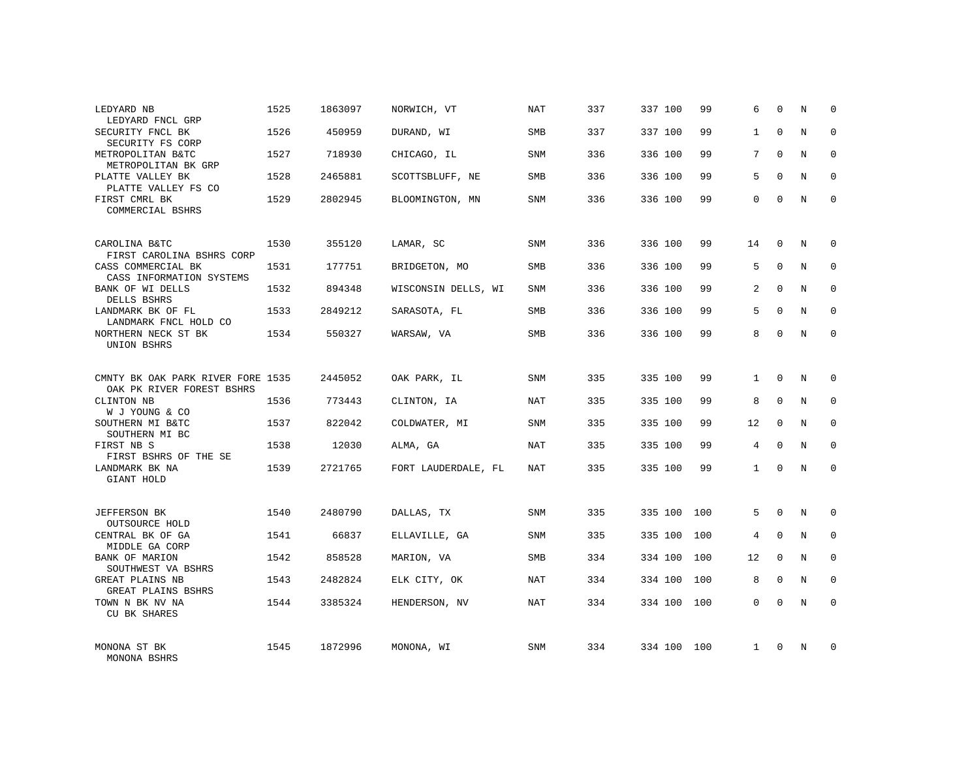| LEDYARD NB<br>LEDYARD FNCL GRP                                              | 1525 | 1863097 | NORWICH, VT         | NAT        | 337 | 337 100 | 99  | 6              | 0           | N | $\mathbf 0$ |
|-----------------------------------------------------------------------------|------|---------|---------------------|------------|-----|---------|-----|----------------|-------------|---|-------------|
| SECURITY FNCL BK<br>SECURITY FS CORP                                        | 1526 | 450959  | DURAND, WI          | SMB        | 337 | 337 100 | 99  | $\mathbf{1}$   | $\Omega$    | N | $\Omega$    |
| METROPOLITAN B&TC<br>METROPOLITAN BK GRP                                    | 1527 | 718930  | CHICAGO, IL         | SNM        | 336 | 336 100 | 99  | $7\phantom{.}$ | $\Omega$    | N | $\mathbf 0$ |
| PLATTE VALLEY BK<br>PLATTE VALLEY FS CO                                     | 1528 | 2465881 | SCOTTSBLUFF, NE     | <b>SMB</b> | 336 | 336 100 | 99  | 5              | $\Omega$    | N | $\mathbf 0$ |
| FIRST CMRL BK<br>COMMERCIAL BSHRS                                           | 1529 | 2802945 | BLOOMINGTON, MN     | <b>SNM</b> | 336 | 336 100 | 99  | $\Omega$       | $\Omega$    | N | $\Omega$    |
| CAROLINA B&TC                                                               | 1530 | 355120  | LAMAR, SC           | SNM        | 336 | 336 100 | 99  | 14             | $\Omega$    | N | $\Omega$    |
| FIRST CAROLINA BSHRS CORP<br>CASS COMMERCIAL BK<br>CASS INFORMATION SYSTEMS | 1531 | 177751  | BRIDGETON, MO       | <b>SMB</b> | 336 | 336 100 | 99  | 5              | $\mathbf 0$ | N | $\mathbf 0$ |
| BANK OF WI DELLS<br>DELLS BSHRS                                             | 1532 | 894348  | WISCONSIN DELLS, WI | <b>SNM</b> | 336 | 336 100 | 99  | $\overline{a}$ | $\Omega$    | N | $\mathbf 0$ |
| LANDMARK BK OF FL<br>LANDMARK FNCL HOLD CO                                  | 1533 | 2849212 | SARASOTA, FL        | <b>SMB</b> | 336 | 336 100 | 99  | 5              | $\mathbf 0$ | N | 0           |
| NORTHERN NECK ST BK<br>UNION BSHRS                                          | 1534 | 550327  | WARSAW, VA          | <b>SMB</b> | 336 | 336 100 | 99  | 8              | $\Omega$    | N | $\mathbf 0$ |
| CMNTY BK OAK PARK RIVER FORE 1535<br>OAK PK RIVER FOREST BSHRS              |      | 2445052 | OAK PARK, IL        | SNM        | 335 | 335 100 | 99  | $\mathbf{1}$   | $\Omega$    | N | 0           |
| CLINTON NB<br>W J YOUNG & CO                                                | 1536 | 773443  | CLINTON, IA         | NAT        | 335 | 335 100 | 99  | 8              | $\mathbf 0$ | N | $\mathbf 0$ |
| SOUTHERN MI B&TC<br>SOUTHERN MI BC                                          | 1537 | 822042  | COLDWATER, MI       | SNM        | 335 | 335 100 | 99  | 12             | $\Omega$    | N | $\mathbf 0$ |
| FIRST NB S<br>FIRST BSHRS OF THE SE                                         | 1538 | 12030   | ALMA, GA            | NAT        | 335 | 335 100 | 99  | 4              | $\Omega$    | N | $\mathbf 0$ |
| LANDMARK BK NA<br>GIANT HOLD                                                | 1539 | 2721765 | FORT LAUDERDALE, FL | NAT        | 335 | 335 100 | 99  | $\mathbf{1}$   | $\Omega$    | N | $\mathbf 0$ |
| <b>JEFFERSON BK</b><br>OUTSOURCE HOLD                                       | 1540 | 2480790 | DALLAS, TX          | SNM        | 335 | 335 100 | 100 | 5              | $\mathbf 0$ | N | $\mathbf 0$ |
| CENTRAL BK OF GA<br>MIDDLE GA CORP                                          | 1541 | 66837   | ELLAVILLE, GA       | SNM        | 335 | 335 100 | 100 | 4              | $\mathbf 0$ | N | 0           |
| BANK OF MARION<br>SOUTHWEST VA BSHRS                                        | 1542 | 858528  | MARION, VA          | SMB        | 334 | 334 100 | 100 | 12             | $\Omega$    | N | $\mathbf 0$ |
| GREAT PLAINS NB<br>GREAT PLAINS BSHRS                                       | 1543 | 2482824 | ELK CITY, OK        | NAT        | 334 | 334 100 | 100 | 8              | 0           | N | 0           |
| TOWN N BK NV NA<br>CU BK SHARES                                             | 1544 | 3385324 | HENDERSON, NV       | NAT        | 334 | 334 100 | 100 | $\Omega$       | $\Omega$    | N | $\mathbf 0$ |
| MONONA ST BK<br>MONONA BSHRS                                                | 1545 | 1872996 | MONONA, WI          | <b>SNM</b> | 334 | 334 100 | 100 | 1              | $\Omega$    | N | $\Omega$    |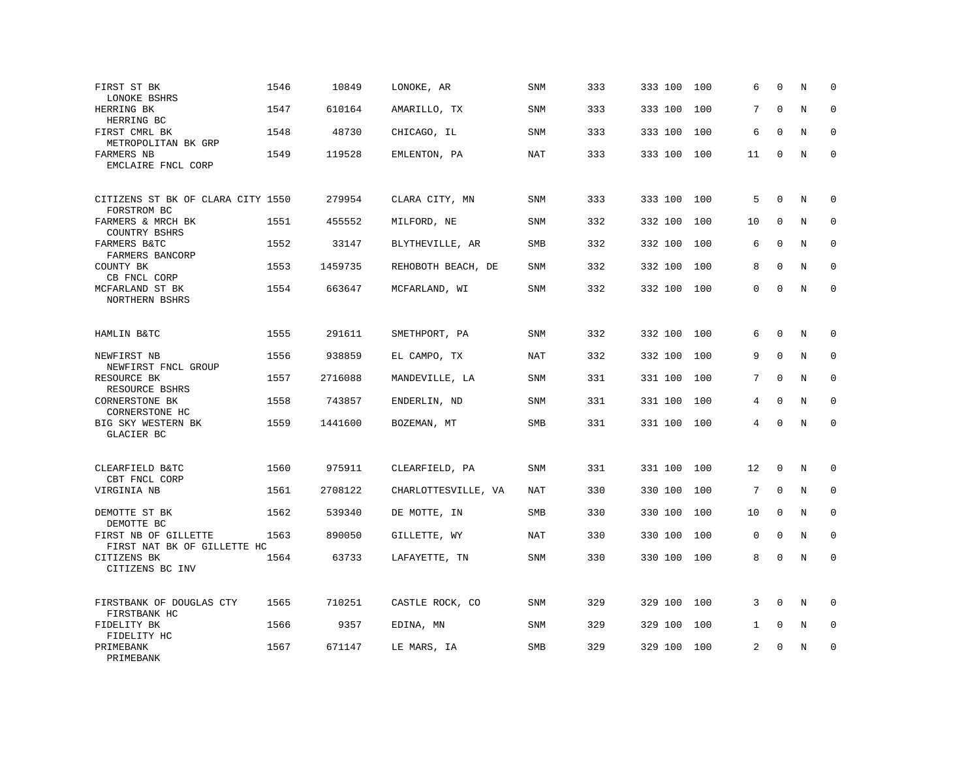| FIRST ST BK<br>LONOKE BSHRS                         | 1546 | 10849   | LONOKE, AR          | SNM        | 333 | 333 100 | 100 | 6            | $\mathbf 0$ | N | $\mathbf 0$  |
|-----------------------------------------------------|------|---------|---------------------|------------|-----|---------|-----|--------------|-------------|---|--------------|
| HERRING BK<br>HERRING BC                            | 1547 | 610164  | AMARILLO, TX        | <b>SNM</b> | 333 | 333 100 | 100 | 7            | $\mathbf 0$ | N | $\mathbf 0$  |
| FIRST CMRL BK<br>METROPOLITAN BK GRP                | 1548 | 48730   | CHICAGO, IL         | SNM        | 333 | 333 100 | 100 | 6            | $\Omega$    | N | 0            |
| FARMERS NB<br>EMCLAIRE FNCL CORP                    | 1549 | 119528  | EMLENTON, PA        | <b>NAT</b> | 333 | 333 100 | 100 | 11           | 0           | N | $\mathbf{0}$ |
| CITIZENS ST BK OF CLARA CITY 1550<br>FORSTROM BC    |      | 279954  | CLARA CITY, MN      | SNM        | 333 | 333 100 | 100 | 5            | $\mathbf 0$ | N | $\mathbf 0$  |
| FARMERS & MRCH BK<br>COUNTRY BSHRS                  | 1551 | 455552  | MILFORD, NE         | <b>SNM</b> | 332 | 332 100 | 100 | 10           | $\mathbf 0$ | N | $\mathbf 0$  |
| FARMERS B&TC<br>FARMERS BANCORP                     | 1552 | 33147   | BLYTHEVILLE, AR     | <b>SMB</b> | 332 | 332 100 | 100 | 6            | $\Omega$    | N | $\mathbf 0$  |
| COUNTY BK<br>CB FNCL CORP                           | 1553 | 1459735 | REHOBOTH BEACH, DE  | SNM        | 332 | 332 100 | 100 | 8            | $\Omega$    | N | $\mathbf 0$  |
| MCFARLAND ST BK<br>NORTHERN BSHRS                   | 1554 | 663647  | MCFARLAND, WI       | <b>SNM</b> | 332 | 332 100 | 100 | $\Omega$     | $\Omega$    | N | $\mathbf 0$  |
| HAMLIN B&TC                                         | 1555 | 291611  | SMETHPORT, PA       | <b>SNM</b> | 332 | 332 100 | 100 | 6            | $\mathbf 0$ | N | $\mathbf 0$  |
| NEWFIRST NB<br>NEWFIRST FNCL GROUP                  | 1556 | 938859  | EL CAMPO, TX        | NAT        | 332 | 332 100 | 100 | 9            | $\Omega$    | N | $\Omega$     |
| RESOURCE BK<br>RESOURCE BSHRS                       | 1557 | 2716088 | MANDEVILLE, LA      | <b>SNM</b> | 331 | 331 100 | 100 | 7            | $\mathbf 0$ | N | $\mathbf 0$  |
| CORNERSTONE BK<br>CORNERSTONE HC                    | 1558 | 743857  | ENDERLIN, ND        | SNM        | 331 | 331 100 | 100 | 4            | $\Omega$    | N | $\mathbf 0$  |
| BIG SKY WESTERN BK<br>GLACIER BC                    | 1559 | 1441600 | BOZEMAN, MT         | <b>SMB</b> | 331 | 331 100 | 100 | 4            | $\Omega$    | N | $\Omega$     |
| CLEARFIELD B&TC<br>CBT FNCL CORP                    | 1560 | 975911  | CLEARFIELD, PA      | <b>SNM</b> | 331 | 331 100 | 100 | 12           | $\mathbf 0$ | N | $\mathbf 0$  |
| VIRGINIA NB                                         | 1561 | 2708122 | CHARLOTTESVILLE, VA | NAT        | 330 | 330 100 | 100 | 7            | $\Omega$    | N | 0            |
| DEMOTTE ST BK<br>DEMOTTE BC                         | 1562 | 539340  | DE MOTTE, IN        | SMB        | 330 | 330 100 | 100 | 10           | $\mathbf 0$ | N | $\mathbf 0$  |
| FIRST NB OF GILLETTE<br>FIRST NAT BK OF GILLETTE HC | 1563 | 890050  | GILLETTE, WY        | NAT        | 330 | 330 100 | 100 | 0            | $\Omega$    | N | $\Omega$     |
| CITIZENS BK<br>CITIZENS BC INV                      | 1564 | 63733   | LAFAYETTE, TN       | SNM        | 330 | 330 100 | 100 | 8            | $\mathbf 0$ | N | $\mathbf 0$  |
| FIRSTBANK OF DOUGLAS CTY<br>FIRSTBANK HC            | 1565 | 710251  | CASTLE ROCK, CO     | <b>SNM</b> | 329 | 329 100 | 100 | 3            | $\Omega$    | N | 0            |
| FIDELITY BK<br>FIDELITY HC                          | 1566 | 9357    | EDINA, MN           | SNM        | 329 | 329 100 | 100 | $\mathbf{1}$ | $\mathbf 0$ | N | $\mathbf 0$  |
| PRIMEBANK<br>PRIMEBANK                              | 1567 | 671147  | LE MARS, IA         | <b>SMB</b> | 329 | 329 100 | 100 | 2            | $\Omega$    | N | $\mathbf 0$  |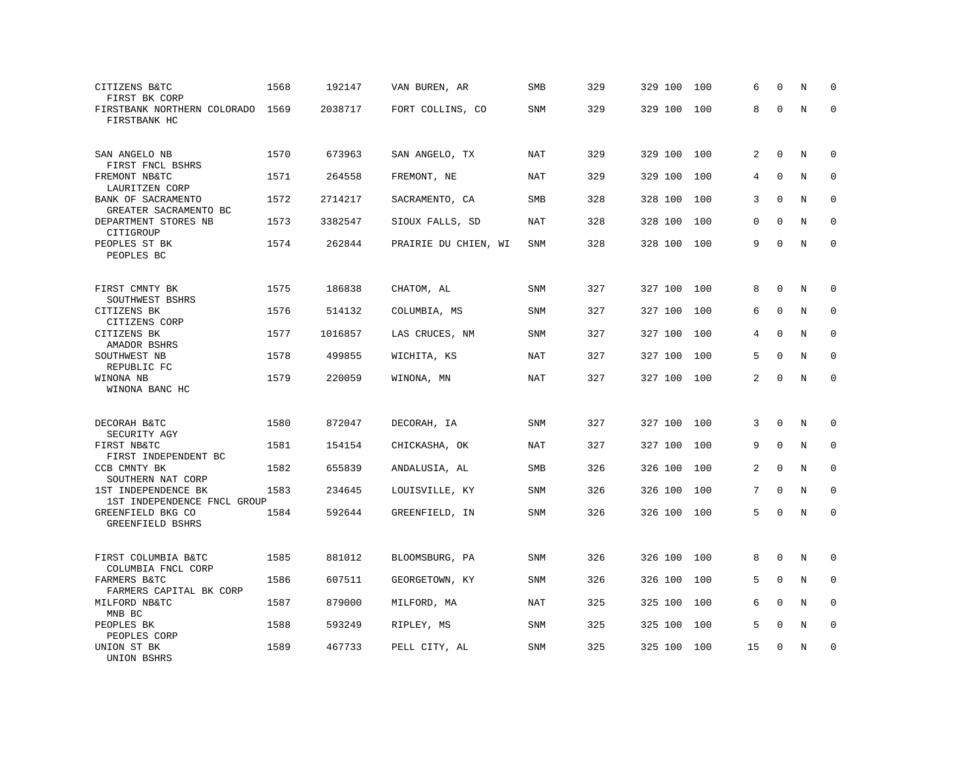| CITIZENS B&TC<br>FIRST BK CORP                      | 1568 | 192147  | VAN BUREN, AR        | SMB        | 329 | 329 100 | 100 | 6              | $\mathbf 0$  | N              | $\mathbf 0$ |
|-----------------------------------------------------|------|---------|----------------------|------------|-----|---------|-----|----------------|--------------|----------------|-------------|
| FIRSTBANK NORTHERN COLORADO<br>FIRSTBANK HC         | 1569 | 2038717 | FORT COLLINS, CO     | SNM        | 329 | 329 100 | 100 | 8              | $\Omega$     | $\rm N$        | $\mathbf 0$ |
| SAN ANGELO NB<br>FIRST FNCL BSHRS                   | 1570 | 673963  | SAN ANGELO, TX       | <b>NAT</b> | 329 | 329 100 | 100 | 2              | $\mathbf 0$  | N              | $\mathbf 0$ |
| FREMONT NB&TC<br>LAURITZEN CORP                     | 1571 | 264558  | FREMONT, NE          | <b>NAT</b> | 329 | 329 100 | 100 | 4              | $\mathbf{0}$ | N              | $\mathbf 0$ |
| BANK OF SACRAMENTO<br>GREATER SACRAMENTO BC         | 1572 | 2714217 | SACRAMENTO, CA       | SMB        | 328 | 328 100 | 100 | 3              | $\mathbf 0$  | N              | 0           |
| DEPARTMENT STORES NB<br>CITIGROUP                   | 1573 | 3382547 | SIOUX FALLS, SD      | NAT        | 328 | 328 100 | 100 | 0              | $\mathbf 0$  | N              | $\mathbf 0$ |
| PEOPLES ST BK<br>PEOPLES BC                         | 1574 | 262844  | PRAIRIE DU CHIEN, WI | SNM        | 328 | 328 100 | 100 | 9              | $\Omega$     | N              | $\Omega$    |
| FIRST CMNTY BK                                      | 1575 | 186838  | CHATOM, AL           | SNM        | 327 | 327 100 | 100 | 8              | $\mathbf{0}$ | N              | $\mathbf 0$ |
| SOUTHWEST BSHRS<br>CITIZENS BK<br>CITIZENS CORP     | 1576 | 514132  | COLUMBIA, MS         | <b>SNM</b> | 327 | 327 100 | 100 | 6              | $\mathbf{0}$ | N              | $\mathbf 0$ |
| CITIZENS BK<br>AMADOR BSHRS                         | 1577 | 1016857 | LAS CRUCES, NM       | SNM        | 327 | 327 100 | 100 | 4              | $\mathbf 0$  | N              | $\mathbf 0$ |
| SOUTHWEST NB<br>REPUBLIC FC                         | 1578 | 499855  | WICHITA, KS          | <b>NAT</b> | 327 | 327 100 | 100 | 5              | $\Omega$     | $\overline{N}$ | $\mathbf 0$ |
| WINONA NB<br>WINONA BANC HC                         | 1579 | 220059  | WINONA, MN           | NAT        | 327 | 327 100 | 100 | 2              | $\Omega$     | N              | $\Omega$    |
| DECORAH B&TC                                        | 1580 | 872047  | DECORAH, IA          | SNM        | 327 | 327 100 | 100 | 3              | $\Omega$     | N              | $\Omega$    |
| SECURITY AGY<br>FIRST NB&TC<br>FIRST INDEPENDENT BC | 1581 | 154154  | CHICKASHA, OK        | <b>NAT</b> | 327 | 327 100 | 100 | 9              | $\mathbf{0}$ | N              | 0           |
| CCB CMNTY BK<br>SOUTHERN NAT CORP                   | 1582 | 655839  | ANDALUSIA, AL        | SMB        | 326 | 326 100 | 100 | $\overline{a}$ | $\mathbf 0$  | N              | $\mathbf 0$ |
| 1ST INDEPENDENCE BK<br>1ST INDEPENDENCE FNCL GROUP  | 1583 | 234645  | LOUISVILLE, KY       | <b>SNM</b> | 326 | 326 100 | 100 | 7              | $\Omega$     | N              | $\mathbf 0$ |
| GREENFIELD BKG CO<br>GREENFIELD BSHRS               | 1584 | 592644  | GREENFIELD, IN       | SNM        | 326 | 326 100 | 100 | 5              | $\mathbf 0$  | N              | $\mathbf 0$ |
| FIRST COLUMBIA B&TC<br>COLUMBIA FNCL CORP           | 1585 | 881012  | BLOOMSBURG, PA       | SNM        | 326 | 326 100 | 100 | 8              | $\Omega$     | N              | 0           |
| FARMERS B&TC<br>FARMERS CAPITAL BK CORP             | 1586 | 607511  | GEORGETOWN, KY       | SNM        | 326 | 326 100 | 100 | 5              | $\mathbf 0$  | N              | $\mathbf 0$ |
| MILFORD NB&TC<br>MNB BC                             | 1587 | 879000  | MILFORD, MA          | NAT        | 325 | 325 100 | 100 | 6              | $\Omega$     | N              | $\Omega$    |
| PEOPLES BK<br>PEOPLES CORP                          | 1588 | 593249  | RIPLEY, MS           | SNM        | 325 | 325 100 | 100 | 5              | $\mathbf{0}$ | N              | 0           |
| UNION ST BK<br>UNION BSHRS                          | 1589 | 467733  | PELL CITY, AL        | <b>SNM</b> | 325 | 325 100 | 100 | 15             | $\Omega$     | N              | $\mathbf 0$ |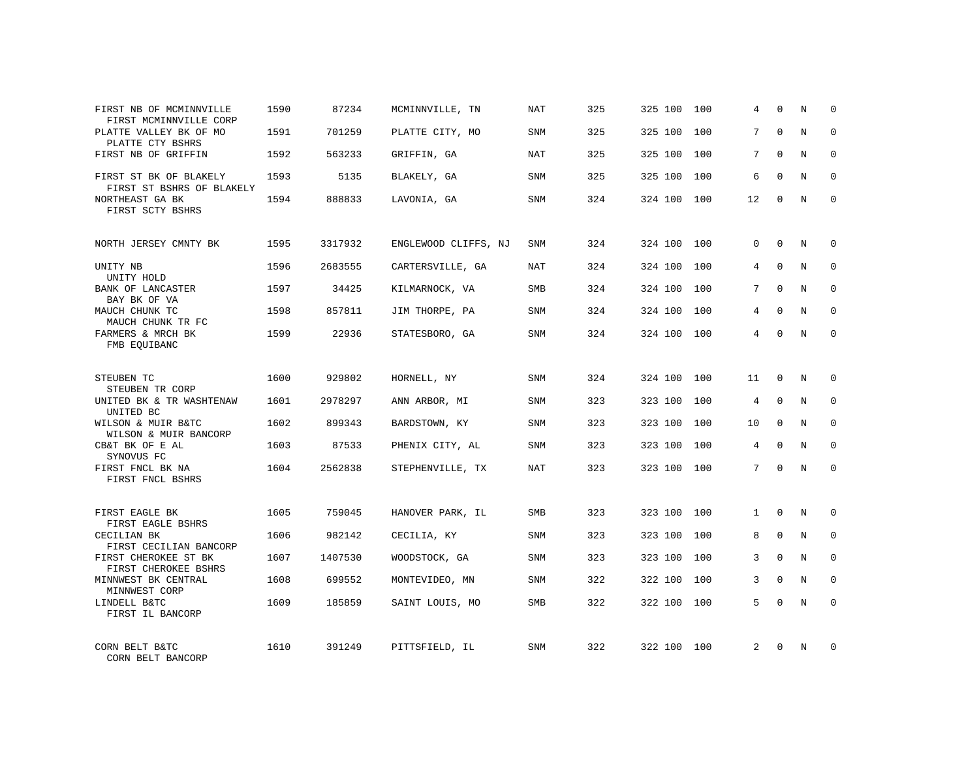| FIRST NB OF MCMINNVILLE<br>FIRST MCMINNVILLE CORP   | 1590 | 87234   | MCMINNVILLE, TN      | NAT        | 325 | 325 100 | 100 | 4            | $\Omega$     | N           | $\Omega$    |
|-----------------------------------------------------|------|---------|----------------------|------------|-----|---------|-----|--------------|--------------|-------------|-------------|
| PLATTE VALLEY BK OF MO<br>PLATTE CTY BSHRS          | 1591 | 701259  | PLATTE CITY, MO      | <b>SNM</b> | 325 | 325 100 | 100 | 7            | $\Omega$     | N           | $\Omega$    |
| FIRST NB OF GRIFFIN                                 | 1592 | 563233  | GRIFFIN, GA          | NAT        | 325 | 325 100 | 100 | 7            | $\Omega$     | N           | $\Omega$    |
| FIRST ST BK OF BLAKELY<br>FIRST ST BSHRS OF BLAKELY | 1593 | 5135    | BLAKELY, GA          | <b>SNM</b> | 325 | 325 100 | 100 | 6            | $\Omega$     | N           | $\Omega$    |
| NORTHEAST GA BK<br>FIRST SCTY BSHRS                 | 1594 | 888833  | LAVONIA, GA          | SNM        | 324 | 324 100 | 100 | 12           | $\Omega$     | N           | $\Omega$    |
| NORTH JERSEY CMNTY BK                               | 1595 | 3317932 | ENGLEWOOD CLIFFS, NJ | <b>SNM</b> | 324 | 324 100 | 100 | $\Omega$     | $\Omega$     | N           | $\Omega$    |
| UNITY NB<br>UNITY HOLD                              | 1596 | 2683555 | CARTERSVILLE, GA     | NAT        | 324 | 324 100 | 100 | 4            | $\Omega$     | N           | $\Omega$    |
| BANK OF LANCASTER<br>BAY BK OF VA                   | 1597 | 34425   | KILMARNOCK, VA       | <b>SMB</b> | 324 | 324 100 | 100 | 7            | $\Omega$     | N           | $\Omega$    |
| MAUCH CHUNK TC<br>MAUCH CHUNK TR FC                 | 1598 | 857811  | JIM THORPE, PA       | <b>SNM</b> | 324 | 324 100 | 100 | 4            | $\Omega$     | N           | $\Omega$    |
| FARMERS & MRCH BK<br>FMB EOUIBANC                   | 1599 | 22936   | STATESBORO, GA       | SNM        | 324 | 324 100 | 100 | 4            | $\Omega$     | N           | $\Omega$    |
| STEUBEN TC<br>STEUBEN TR CORP                       | 1600 | 929802  | HORNELL, NY          | <b>SNM</b> | 324 | 324 100 | 100 | 11           | 0            | N           | 0           |
| UNITED BK & TR WASHTENAW<br>UNITED BC               | 1601 | 2978297 | ANN ARBOR, MI        | SNM        | 323 | 323 100 | 100 | 4            | $\Omega$     | N           | $\Omega$    |
| WILSON & MUIR B&TC<br>WILSON & MUIR BANCORP         | 1602 | 899343  | BARDSTOWN, KY        | <b>SNM</b> | 323 | 323 100 | 100 | 10           | $\Omega$     | N           | $\mathbf 0$ |
| CB&T BK OF E AL<br>SYNOVUS FC                       | 1603 | 87533   | PHENIX CITY, AL      | SNM        | 323 | 323 100 | 100 | 4            | $\mathbf{0}$ | $\mathbf N$ | $\mathbf 0$ |
| FIRST FNCL BK NA<br>FIRST FNCL BSHRS                | 1604 | 2562838 | STEPHENVILLE, TX     | <b>NAT</b> | 323 | 323 100 | 100 | 7            | $\Omega$     | N           | $\Omega$    |
| FIRST EAGLE BK<br>FIRST EAGLE BSHRS                 | 1605 | 759045  | HANOVER PARK, IL     | <b>SMB</b> | 323 | 323 100 | 100 | $\mathbf{1}$ | $\Omega$     | N           | $\mathbf 0$ |
| CECILIAN BK<br>FIRST CECILIAN BANCORP               | 1606 | 982142  | CECILIA, KY          | SNM        | 323 | 323 100 | 100 | 8            | $\mathbf{0}$ | $\mathbf N$ | $\mathbf 0$ |
| FIRST CHEROKEE ST BK<br>FIRST CHEROKEE BSHRS        | 1607 | 1407530 | WOODSTOCK, GA        | <b>SNM</b> | 323 | 323 100 | 100 | 3            | $\Omega$     | N           | $\mathbf 0$ |
| MINNWEST BK CENTRAL<br>MINNWEST CORP                | 1608 | 699552  | MONTEVIDEO, MN       | SNM        | 322 | 322 100 | 100 | 3            | $\mathbf{0}$ | N           | $\mathbf 0$ |
| LINDELL B&TC<br>FIRST IL BANCORP                    | 1609 | 185859  | SAINT LOUIS, MO      | <b>SMB</b> | 322 | 322 100 | 100 | 5            | $\Omega$     | N           | $\mathbf 0$ |
| CORN BELT B&TC<br>CORN BELT BANCORP                 | 1610 | 391249  | PITTSFIELD, IL       | <b>SNM</b> | 322 | 322 100 | 100 | 2            | $\Omega$     | N           | $\mathbf 0$ |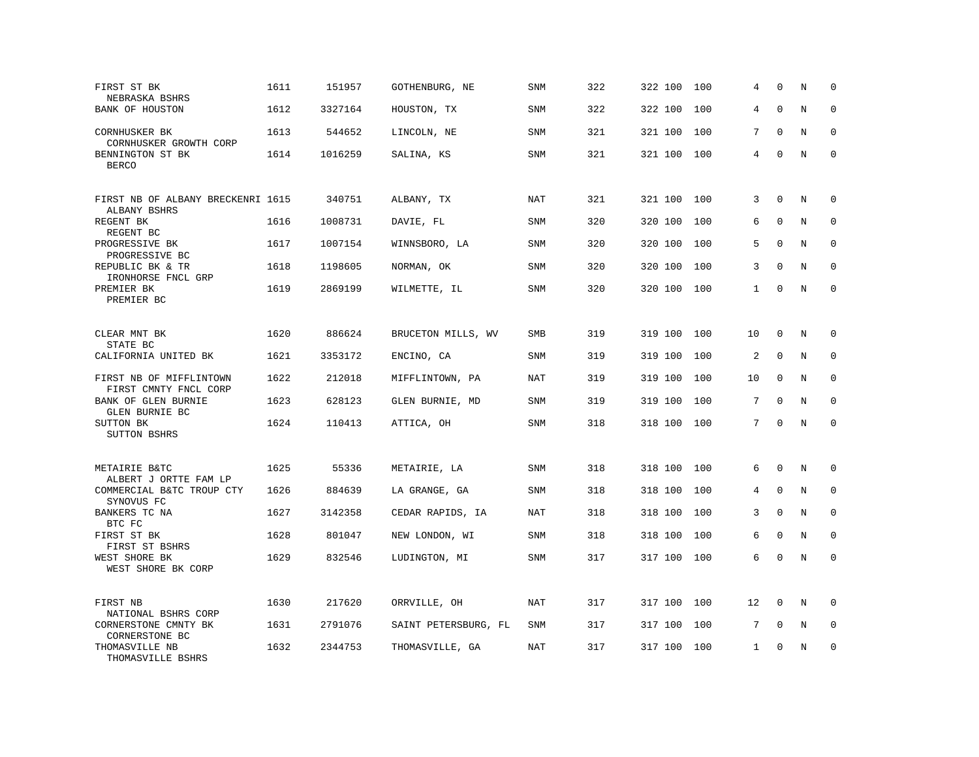| FIRST ST BK<br>NEBRASKA BSHRS                     | 1611 | 151957  | GOTHENBURG, NE       | SNM        | 322 | 322 100 | 100 | 4            | $\mathbf 0$  | N | $\mathbf 0$ |
|---------------------------------------------------|------|---------|----------------------|------------|-----|---------|-----|--------------|--------------|---|-------------|
| BANK OF HOUSTON                                   | 1612 | 3327164 | HOUSTON, TX          | <b>SNM</b> | 322 | 322 100 | 100 | 4            | $\mathbf 0$  | N | $\mathbf 0$ |
| CORNHUSKER BK<br>CORNHUSKER GROWTH CORP           | 1613 | 544652  | LINCOLN, NE          | SNM        | 321 | 321 100 | 100 | 7            | $\Omega$     | N | $\mathbf 0$ |
| BENNINGTON ST BK<br><b>BERCO</b>                  | 1614 | 1016259 | SALINA, KS           | <b>SNM</b> | 321 | 321 100 | 100 | 4            | $\mathbf{0}$ | N | $\mathbf 0$ |
| FIRST NB OF ALBANY BRECKENRI 1615<br>ALBANY BSHRS |      | 340751  | ALBANY, TX           | <b>NAT</b> | 321 | 321 100 | 100 | 3            | $\mathbf{0}$ | N | $\mathbf 0$ |
| REGENT BK<br>REGENT BC                            | 1616 | 1008731 | DAVIE, FL            | SNM        | 320 | 320 100 | 100 | 6            | $\Omega$     | N | $\mathbf 0$ |
| PROGRESSIVE BK<br>PROGRESSIVE BC                  | 1617 | 1007154 | WINNSBORO, LA        | SNM        | 320 | 320 100 | 100 | 5            | $\Omega$     | N | $\mathbf 0$ |
| REPUBLIC BK & TR<br>IRONHORSE FNCL GRP            | 1618 | 1198605 | NORMAN, OK           | <b>SNM</b> | 320 | 320 100 | 100 | 3            | $\Omega$     | N | $\Omega$    |
| PREMIER BK<br>PREMIER BC                          | 1619 | 2869199 | WILMETTE, IL         | SNM        | 320 | 320 100 | 100 | $\mathbf{1}$ | $\mathbf{0}$ | N | $\mathbf 0$ |
| CLEAR MNT BK<br>STATE BC                          | 1620 | 886624  | BRUCETON MILLS, WV   | SMB        | 319 | 319 100 | 100 | 10           | $\mathbf 0$  | N | 0           |
| CALIFORNIA UNITED BK                              | 1621 | 3353172 | ENCINO, CA           | <b>SNM</b> | 319 | 319 100 | 100 | 2            | $\Omega$     | N | $\mathbf 0$ |
| FIRST NB OF MIFFLINTOWN<br>FIRST CMNTY FNCL CORP  | 1622 | 212018  | MIFFLINTOWN, PA      | <b>NAT</b> | 319 | 319 100 | 100 | 10           | $\mathbf 0$  | N | 0           |
| BANK OF GLEN BURNIE<br>GLEN BURNIE BC             | 1623 | 628123  | GLEN BURNIE, MD      | <b>SNM</b> | 319 | 319 100 | 100 | 7            | $\Omega$     | N | $\mathbf 0$ |
| SUTTON BK<br><b>SUTTON BSHRS</b>                  | 1624 | 110413  | ATTICA, OH           | SNM        | 318 | 318 100 | 100 | 7            | $\Omega$     | N | $\Omega$    |
| METAIRIE B&TC<br>ALBERT J ORTTE FAM LP            | 1625 | 55336   | METAIRIE, LA         | <b>SNM</b> | 318 | 318 100 | 100 | 6            | $\Omega$     | N | $\mathbf 0$ |
| COMMERCIAL B&TC TROUP CTY<br>SYNOVUS FC           | 1626 | 884639  | LA GRANGE, GA        | <b>SNM</b> | 318 | 318 100 | 100 | 4            | $\mathbf{0}$ | N | $\mathbf 0$ |
| BANKERS TC NA<br>BTC FC                           | 1627 | 3142358 | CEDAR RAPIDS, IA     | NAT        | 318 | 318 100 | 100 | 3            | $\Omega$     | N | $\mathbf 0$ |
| FIRST ST BK<br>FIRST ST BSHRS                     | 1628 | 801047  | NEW LONDON, WI       | SNM        | 318 | 318 100 | 100 | 6            | $\mathbf 0$  | N | $\mathbf 0$ |
| WEST SHORE BK<br>WEST SHORE BK CORP               | 1629 | 832546  | LUDINGTON, MI        | SNM        | 317 | 317 100 | 100 | 6            | $\Omega$     | N | $\mathbf 0$ |
| FIRST NB<br>NATIONAL BSHRS CORP                   | 1630 | 217620  | ORRVILLE, OH         | <b>NAT</b> | 317 | 317 100 | 100 | 12           | $\mathbf 0$  | N | $\Omega$    |
| CORNERSTONE CMNTY BK<br>CORNERSTONE BC            | 1631 | 2791076 | SAINT PETERSBURG, FL | SNM        | 317 | 317 100 | 100 | 7            | $\mathbf 0$  | Ν | 0           |
| THOMASVILLE NB<br>THOMASVILLE BSHRS               | 1632 | 2344753 | THOMASVILLE, GA      | NAT        | 317 | 317 100 | 100 | $\mathbf{1}$ | $\Omega$     | N | $\mathbf 0$ |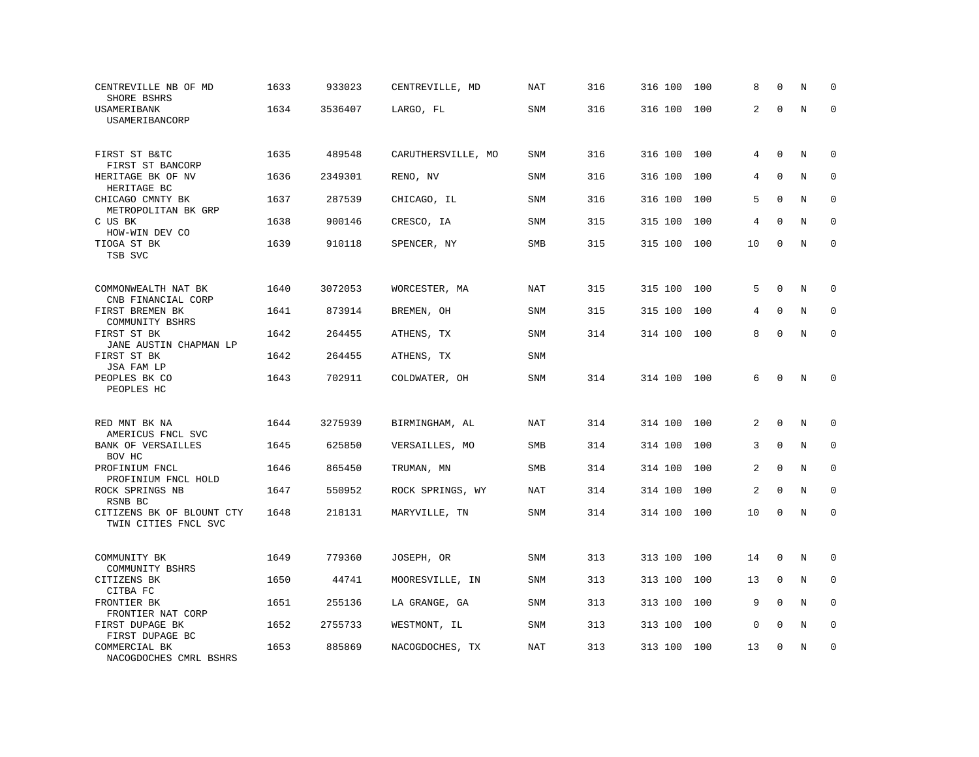| CENTREVILLE NB OF MD<br>SHORE BSHRS                      | 1633 | 933023  | CENTREVILLE, MD    | NAT        | 316 | 316 100 | 100 | 8           | $\mathbf 0$  | N       | $\mathbf 0$  |
|----------------------------------------------------------|------|---------|--------------------|------------|-----|---------|-----|-------------|--------------|---------|--------------|
| USAMERIBANK<br>USAMERIBANCORP                            | 1634 | 3536407 | LARGO, FL          | SNM        | 316 | 316 100 | 100 | 2           | $\Omega$     | $\rm N$ | $\mathbf 0$  |
| FIRST ST B&TC<br>FIRST ST BANCORP                        | 1635 | 489548  | CARUTHERSVILLE, MO | <b>SNM</b> | 316 | 316 100 | 100 | 4           | $\mathbf{0}$ | N       | $\mathbf 0$  |
| HERITAGE BK OF NV<br>HERITAGE BC                         | 1636 | 2349301 | RENO, NV           | <b>SNM</b> | 316 | 316 100 | 100 | 4           | $\Omega$     | N       | $\mathbf 0$  |
| CHICAGO CMNTY BK<br>METROPOLITAN BK GRP                  | 1637 | 287539  | CHICAGO, IL        | <b>SNM</b> | 316 | 316 100 | 100 | 5           | $\mathbf 0$  | N       | $\mathbf 0$  |
| C US BK<br>HOW-WIN DEV CO                                | 1638 | 900146  | CRESCO, IA         | <b>SNM</b> | 315 | 315 100 | 100 | 4           | $\Omega$     | N       | $\mathbf 0$  |
| TIOGA ST BK<br>TSB SVC                                   | 1639 | 910118  | SPENCER, NY        | SMB        | 315 | 315 100 | 100 | 10          | $\mathbf 0$  | N       | $\mathbf 0$  |
| COMMONWEALTH NAT BK                                      | 1640 | 3072053 | WORCESTER, MA      | NAT        | 315 | 315 100 | 100 | 5           | $\Omega$     | N       | $\mathbf 0$  |
| CNB FINANCIAL CORP<br>FIRST BREMEN BK                    | 1641 | 873914  | BREMEN, OH         | <b>SNM</b> | 315 | 315 100 | 100 | 4           | $\mathbf{0}$ | N       | $\mathbf 0$  |
| COMMUNITY BSHRS<br>FIRST ST BK<br>JANE AUSTIN CHAPMAN LP | 1642 | 264455  | ATHENS, TX         | SNM        | 314 | 314 100 | 100 | 8           | $\mathbf 0$  | N       | $\mathbf 0$  |
| FIRST ST BK<br>JSA FAM LP                                | 1642 | 264455  | ATHENS, TX         | <b>SNM</b> |     |         |     |             |              |         |              |
| PEOPLES BK CO<br>PEOPLES HC                              | 1643 | 702911  | COLDWATER, OH      | <b>SNM</b> | 314 | 314 100 | 100 | 6           | $\Omega$     | N       | $\Omega$     |
| RED MNT BK NA<br>AMERICUS FNCL SVC                       | 1644 | 3275939 | BIRMINGHAM, AL     | <b>NAT</b> | 314 | 314 100 | 100 | 2           | $\mathbf 0$  | N       | $\mathbf 0$  |
| BANK OF VERSAILLES<br>BOV HC                             | 1645 | 625850  | VERSAILLES, MO     | <b>SMB</b> | 314 | 314 100 | 100 | 3           | $\Omega$     | N       | $\mathbf 0$  |
| PROFINIUM FNCL<br>PROFINIUM FNCL HOLD                    | 1646 | 865450  | TRUMAN, MN         | SMB        | 314 | 314 100 | 100 | 2           | $\mathbf{0}$ | N       | $\mathbf 0$  |
| ROCK SPRINGS NB<br>RSNB BC                               | 1647 | 550952  | ROCK SPRINGS, WY   | <b>NAT</b> | 314 | 314 100 | 100 | 2           | $\mathbf{0}$ | N       | $\mathbf{0}$ |
| CITIZENS BK OF BLOUNT CTY<br>TWIN CITIES FNCL SVC        | 1648 | 218131  | MARYVILLE, TN      | SNM        | 314 | 314 100 | 100 | 10          | $\Omega$     | N       | $\Omega$     |
| COMMUNITY BK<br>COMMUNITY BSHRS                          | 1649 | 779360  | JOSEPH, OR         | SNM        | 313 | 313 100 | 100 | 14          | $\mathbf 0$  | N       | 0            |
| CITIZENS BK<br>CITBA FC                                  | 1650 | 44741   | MOORESVILLE, IN    | <b>SNM</b> | 313 | 313 100 | 100 | 13          | $\mathbf 0$  | N       | $\mathbf 0$  |
| FRONTIER BK<br>FRONTIER NAT CORP                         | 1651 | 255136  | LA GRANGE, GA      | SNM        | 313 | 313 100 | 100 | 9           | $\Omega$     | N       | $\Omega$     |
| FIRST DUPAGE BK<br>FIRST DUPAGE BC                       | 1652 | 2755733 | WESTMONT, IL       | <b>SNM</b> | 313 | 313 100 | 100 | $\mathsf 0$ | $\mathbf 0$  | N       | 0            |
| COMMERCIAL BK<br>NACOGDOCHES CMRL BSHRS                  | 1653 | 885869  | NACOGDOCHES, TX    | NAT        | 313 | 313 100 | 100 | 13          | $\mathbf 0$  | N       | $\mathbf 0$  |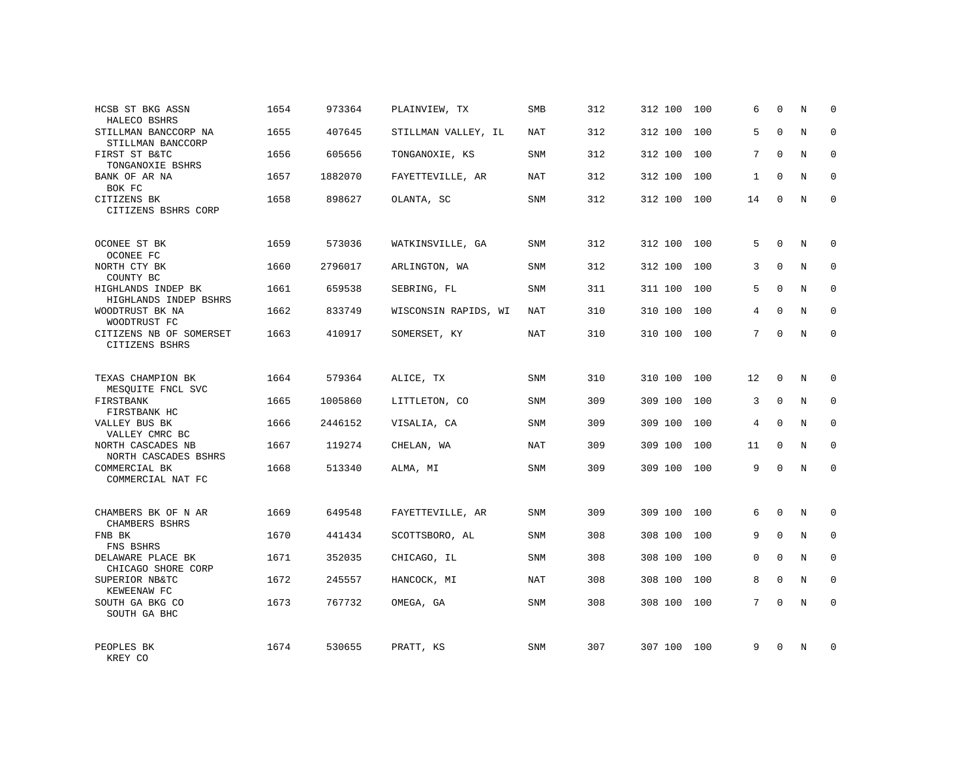| HCSB ST BKG ASSN<br>HALECO BSHRS            | 1654 | 973364  | PLAINVIEW, TX        | SMB        | 312 | 312 100 | 100 | 6            | $\Omega$     | N | $\Omega$    |
|---------------------------------------------|------|---------|----------------------|------------|-----|---------|-----|--------------|--------------|---|-------------|
| STILLMAN BANCCORP NA<br>STILLMAN BANCCORP   | 1655 | 407645  | STILLMAN VALLEY, IL  | <b>NAT</b> | 312 | 312 100 | 100 | 5            | $\Omega$     | N | $\Omega$    |
| FIRST ST B&TC<br>TONGANOXIE BSHRS           | 1656 | 605656  | TONGANOXIE, KS       | SNM        | 312 | 312 100 | 100 | 7            | $\Omega$     | N | $\mathbf 0$ |
| BANK OF AR NA<br>BOK FC                     | 1657 | 1882070 | FAYETTEVILLE, AR     | NAT        | 312 | 312 100 | 100 | $\mathbf{1}$ | $\Omega$     | N | $\Omega$    |
| CITIZENS BK<br>CITIZENS BSHRS CORP          | 1658 | 898627  | OLANTA, SC           | SNM        | 312 | 312 100 | 100 | 14           | $\Omega$     | N | $\Omega$    |
| OCONEE ST BK<br>OCONEE FC                   | 1659 | 573036  | WATKINSVILLE, GA     | <b>SNM</b> | 312 | 312 100 | 100 | 5            | $\mathbf 0$  | N | $\mathbf 0$ |
| NORTH CTY BK<br>COUNTY BC                   | 1660 | 2796017 | ARLINGTON, WA        | <b>SNM</b> | 312 | 312 100 | 100 | 3            | $\Omega$     | N | $\mathbf 0$ |
| HIGHLANDS INDEP BK<br>HIGHLANDS INDEP BSHRS | 1661 | 659538  | SEBRING, FL          | <b>SNM</b> | 311 | 311 100 | 100 | 5            | $\Omega$     | N | $\mathbf 0$ |
| WOODTRUST BK NA<br>WOODTRUST FC             | 1662 | 833749  | WISCONSIN RAPIDS, WI | NAT        | 310 | 310 100 | 100 | 4            | $\Omega$     | N | $\mathbf 0$ |
| CITIZENS NB OF SOMERSET<br>CITIZENS BSHRS   | 1663 | 410917  | SOMERSET, KY         | <b>NAT</b> | 310 | 310 100 | 100 | 7            | $\Omega$     | N | $\mathbf 0$ |
| TEXAS CHAMPION BK<br>MESQUITE FNCL SVC      | 1664 | 579364  | ALICE, TX            | SNM        | 310 | 310 100 | 100 | 12           | $\Omega$     | N | $\Omega$    |
| FIRSTBANK<br>FIRSTBANK HC                   | 1665 | 1005860 | LITTLETON, CO        | <b>SNM</b> | 309 | 309 100 | 100 | 3            | $\mathbf{0}$ | N | $\mathbf 0$ |
| VALLEY BUS BK<br>VALLEY CMRC BC             | 1666 | 2446152 | VISALIA, CA          | <b>SNM</b> | 309 | 309 100 | 100 | 4            | $\Omega$     | N | $\mathbf 0$ |
| NORTH CASCADES NB<br>NORTH CASCADES BSHRS   | 1667 | 119274  | CHELAN, WA           | <b>NAT</b> | 309 | 309 100 | 100 | 11           | $\mathbf 0$  | N | 0           |
| COMMERCIAL BK<br>COMMERCIAL NAT FC          | 1668 | 513340  | ALMA, MI             | SNM        | 309 | 309 100 | 100 | 9            | $\Omega$     | N | $\Omega$    |
| CHAMBERS BK OF N AR<br>CHAMBERS BSHRS       | 1669 | 649548  | FAYETTEVILLE, AR     | <b>SNM</b> | 309 | 309 100 | 100 | 6            | $\Omega$     | N | $\mathbf 0$ |
| FNB BK<br>FNS BSHRS                         | 1670 | 441434  | SCOTTSBORO, AL       | <b>SNM</b> | 308 | 308 100 | 100 | 9            | $\mathbf{0}$ | N | 0           |
| DELAWARE PLACE BK<br>CHICAGO SHORE CORP     | 1671 | 352035  | CHICAGO, IL          | <b>SNM</b> | 308 | 308 100 | 100 | $\Omega$     | $\Omega$     | N | $\mathbf 0$ |
| SUPERIOR NB&TC<br>KEWEENAW FC               | 1672 | 245557  | HANCOCK, MI          | NAT        | 308 | 308 100 | 100 | 8            | $\mathbf 0$  | N | 0           |
| SOUTH GA BKG CO<br>SOUTH GA BHC             | 1673 | 767732  | OMEGA, GA            | <b>SNM</b> | 308 | 308 100 | 100 | 7            | $\Omega$     | N | $\mathbf 0$ |
| PEOPLES BK<br>KREY CO                       | 1674 | 530655  | PRATT, KS            | <b>SNM</b> | 307 | 307 100 | 100 | 9            | $\Omega$     | N | $\mathbf 0$ |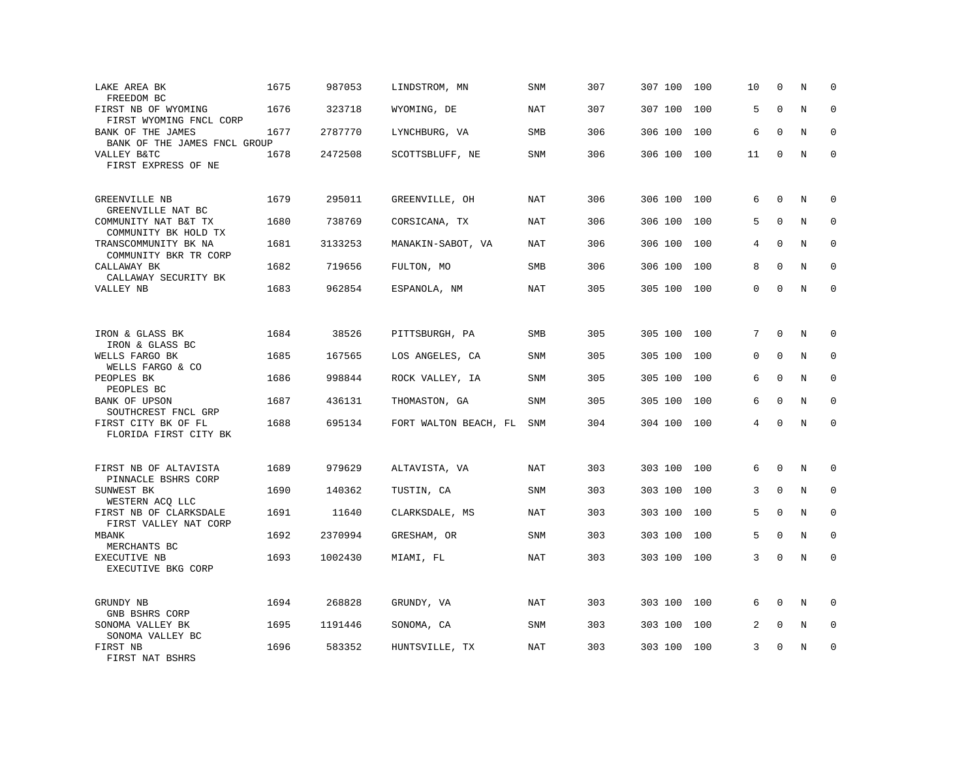| LAKE AREA BK<br>FREEDOM BC                           | 1675 | 987053  | LINDSTROM, MN         | SNM        | 307 | 307 100 | 100 | 10       | $\mathbf 0$ | N       | $\mathbf 0$  |
|------------------------------------------------------|------|---------|-----------------------|------------|-----|---------|-----|----------|-------------|---------|--------------|
| FIRST NB OF WYOMING<br>FIRST WYOMING FNCL CORP       | 1676 | 323718  | WYOMING, DE           | <b>NAT</b> | 307 | 307 100 | 100 | 5        | $\mathbf 0$ | $\rm N$ | $\mathbf 0$  |
| BANK OF THE JAMES<br>BANK OF THE JAMES FNCL GROUP    | 1677 | 2787770 | LYNCHBURG, VA         | SMB        | 306 | 306 100 | 100 | 6        | $\mathbf 0$ | N       | 0            |
| VALLEY B&TC<br>FIRST EXPRESS OF NE                   | 1678 | 2472508 | SCOTTSBLUFF, NE       | SNM        | 306 | 306 100 | 100 | 11       | $\mathbf 0$ | N       | $\mathbf 0$  |
| GREENVILLE NB<br>GREENVILLE NAT BC                   | 1679 | 295011  | GREENVILLE, OH        | <b>NAT</b> | 306 | 306 100 | 100 | 6        | $\mathbf 0$ | N       | $\mathbf 0$  |
| COMMUNITY NAT B&T TX<br>COMMUNITY BK HOLD TX         | 1680 | 738769  | CORSICANA, TX         | NAT        | 306 | 306 100 | 100 | 5        | $\Omega$    | N       | $\mathbf 0$  |
| TRANSCOMMUNITY BK NA<br>COMMUNITY BKR TR CORP        | 1681 | 3133253 | MANAKIN-SABOT, VA     | <b>NAT</b> | 306 | 306 100 | 100 | 4        | $\Omega$    | N       | $\mathbf 0$  |
| CALLAWAY BK<br>CALLAWAY SECURITY BK                  | 1682 | 719656  | FULTON, MO            | <b>SMB</b> | 306 | 306 100 | 100 | 8        | $\Omega$    | N       | $\mathbf 0$  |
| VALLEY NB                                            | 1683 | 962854  | ESPANOLA, NM          | <b>NAT</b> | 305 | 305 100 | 100 | $\Omega$ | $\Omega$    | N       | $\mathbf 0$  |
|                                                      | 1684 | 38526   |                       |            | 305 | 305 100 | 100 | 7        | $\mathbf 0$ | N       | 0            |
| IRON & GLASS BK<br>IRON & GLASS BC                   |      |         | PITTSBURGH, PA        | SMB        |     |         |     |          |             |         |              |
| WELLS FARGO BK<br>WELLS FARGO & CO                   | 1685 | 167565  | LOS ANGELES, CA       | SNM        | 305 | 305 100 | 100 | 0        | $\mathbf 0$ | N       | $\mathbf 0$  |
| PEOPLES BK<br>PEOPLES BC                             | 1686 | 998844  | ROCK VALLEY, IA       | <b>SNM</b> | 305 | 305 100 | 100 | 6        | $\mathbf 0$ | N       | $\mathbf 0$  |
| BANK OF UPSON<br>SOUTHCREST FNCL GRP                 | 1687 | 436131  | THOMASTON, GA         | SNM        | 305 | 305 100 | 100 | 6        | $\Omega$    | N       | $\Omega$     |
| FIRST CITY BK OF FL<br>FLORIDA FIRST CITY BK         | 1688 | 695134  | FORT WALTON BEACH, FL | <b>SNM</b> | 304 | 304 100 | 100 | 4        | $\Omega$    | N       | $\mathbf 0$  |
| FIRST NB OF ALTAVISTA                                | 1689 | 979629  | ALTAVISTA, VA         | <b>NAT</b> | 303 | 303 100 | 100 | 6        | $\mathbf 0$ | N       | 0            |
| PINNACLE BSHRS CORP<br>SUNWEST BK<br>WESTERN ACO LLC | 1690 | 140362  | TUSTIN, CA            | <b>SNM</b> | 303 | 303 100 | 100 | 3        | $\mathbf 0$ | N       | $\mathbf{0}$ |
| FIRST NB OF CLARKSDALE<br>FIRST VALLEY NAT CORP      | 1691 | 11640   | CLARKSDALE, MS        | <b>NAT</b> | 303 | 303 100 | 100 | 5        | $\Omega$    | N       | $\Omega$     |
| MBANK<br>MERCHANTS BC                                | 1692 | 2370994 | GRESHAM, OR           | SNM        | 303 | 303 100 | 100 | 5        | $\Omega$    | N       | $\mathbf 0$  |
| EXECUTIVE NB<br>EXECUTIVE BKG CORP                   | 1693 | 1002430 | MIAMI, FL             | NAT        | 303 | 303 100 | 100 | 3        | $\Omega$    | N       | $\mathbf 0$  |
| GRUNDY NB<br>GNB BSHRS CORP                          | 1694 | 268828  | GRUNDY, VA            | NAT        | 303 | 303 100 | 100 | 6        | $\Omega$    | N       | $\Omega$     |
| SONOMA VALLEY BK<br>SONOMA VALLEY BC                 | 1695 | 1191446 | SONOMA, CA            | SNM        | 303 | 303 100 | 100 | 2        | $\mathbf 0$ | Ν       | 0            |
| FIRST NB<br>FIRST NAT BSHRS                          | 1696 | 583352  | HUNTSVILLE, TX        | NAT        | 303 | 303 100 | 100 | 3        | $\mathbf 0$ | N       | $\mathbf 0$  |